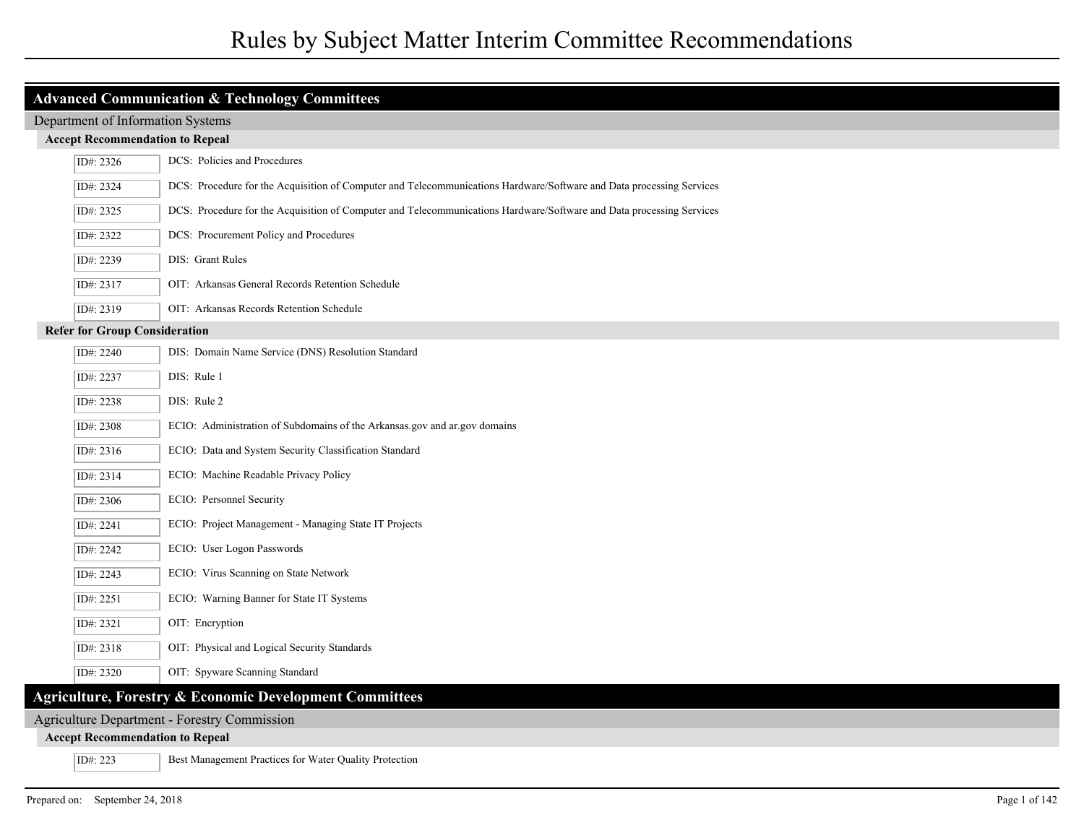| <b>Advanced Communication &amp; Technology Committees</b><br>Department of Information Systems<br><b>Accept Recommendation to Repeal</b><br>DCS: Policies and Procedures<br>ID#: 2326<br>DCS: Procedure for the Acquisition of Computer and Telecommunications Hardware/Software and Data processing Services<br>ID#: 2324<br>DCS: Procedure for the Acquisition of Computer and Telecommunications Hardware/Software and Data processing Services<br>ID#: 2325<br>DCS: Procurement Policy and Procedures<br>ID#: 2322<br>DIS: Grant Rules<br>ID#: 2239<br>OIT: Arkansas General Records Retention Schedule<br>ID#: 2317<br>OIT: Arkansas Records Retention Schedule<br>ID#: 2319<br><b>Refer for Group Consideration</b><br>DIS: Domain Name Service (DNS) Resolution Standard<br>ID#: 2240<br>DIS: Rule 1<br>ID#: 2237<br>ID#: 2238<br>DIS: Rule 2<br>ECIO: Administration of Subdomains of the Arkansas gov and ar gov domains<br>ID#: 2308<br>ECIO: Data and System Security Classification Standard<br>ID#: 2316<br>ECIO: Machine Readable Privacy Policy<br>ID#: 2314<br>ECIO: Personnel Security<br>ID#: 2306<br>ECIO: Project Management - Managing State IT Projects<br>ID#: 2241<br>ECIO: User Logon Passwords<br>ID#: 2242<br>ECIO: Virus Scanning on State Network<br>ID#: 2243<br>ECIO: Warning Banner for State IT Systems<br>ID#: 2251<br>OIT: Encryption<br>ID#: 2321<br>OIT: Physical and Logical Security Standards<br>ID#: 2318<br>OIT: Spyware Scanning Standard<br>ID#: 2320 |  |  |  |  |
|---------------------------------------------------------------------------------------------------------------------------------------------------------------------------------------------------------------------------------------------------------------------------------------------------------------------------------------------------------------------------------------------------------------------------------------------------------------------------------------------------------------------------------------------------------------------------------------------------------------------------------------------------------------------------------------------------------------------------------------------------------------------------------------------------------------------------------------------------------------------------------------------------------------------------------------------------------------------------------------------------------------------------------------------------------------------------------------------------------------------------------------------------------------------------------------------------------------------------------------------------------------------------------------------------------------------------------------------------------------------------------------------------------------------------------------------------------------------------------------------------|--|--|--|--|
|                                                                                                                                                                                                                                                                                                                                                                                                                                                                                                                                                                                                                                                                                                                                                                                                                                                                                                                                                                                                                                                                                                                                                                                                                                                                                                                                                                                                                                                                                                   |  |  |  |  |
|                                                                                                                                                                                                                                                                                                                                                                                                                                                                                                                                                                                                                                                                                                                                                                                                                                                                                                                                                                                                                                                                                                                                                                                                                                                                                                                                                                                                                                                                                                   |  |  |  |  |
|                                                                                                                                                                                                                                                                                                                                                                                                                                                                                                                                                                                                                                                                                                                                                                                                                                                                                                                                                                                                                                                                                                                                                                                                                                                                                                                                                                                                                                                                                                   |  |  |  |  |
|                                                                                                                                                                                                                                                                                                                                                                                                                                                                                                                                                                                                                                                                                                                                                                                                                                                                                                                                                                                                                                                                                                                                                                                                                                                                                                                                                                                                                                                                                                   |  |  |  |  |
|                                                                                                                                                                                                                                                                                                                                                                                                                                                                                                                                                                                                                                                                                                                                                                                                                                                                                                                                                                                                                                                                                                                                                                                                                                                                                                                                                                                                                                                                                                   |  |  |  |  |
|                                                                                                                                                                                                                                                                                                                                                                                                                                                                                                                                                                                                                                                                                                                                                                                                                                                                                                                                                                                                                                                                                                                                                                                                                                                                                                                                                                                                                                                                                                   |  |  |  |  |
|                                                                                                                                                                                                                                                                                                                                                                                                                                                                                                                                                                                                                                                                                                                                                                                                                                                                                                                                                                                                                                                                                                                                                                                                                                                                                                                                                                                                                                                                                                   |  |  |  |  |
|                                                                                                                                                                                                                                                                                                                                                                                                                                                                                                                                                                                                                                                                                                                                                                                                                                                                                                                                                                                                                                                                                                                                                                                                                                                                                                                                                                                                                                                                                                   |  |  |  |  |
|                                                                                                                                                                                                                                                                                                                                                                                                                                                                                                                                                                                                                                                                                                                                                                                                                                                                                                                                                                                                                                                                                                                                                                                                                                                                                                                                                                                                                                                                                                   |  |  |  |  |
|                                                                                                                                                                                                                                                                                                                                                                                                                                                                                                                                                                                                                                                                                                                                                                                                                                                                                                                                                                                                                                                                                                                                                                                                                                                                                                                                                                                                                                                                                                   |  |  |  |  |
|                                                                                                                                                                                                                                                                                                                                                                                                                                                                                                                                                                                                                                                                                                                                                                                                                                                                                                                                                                                                                                                                                                                                                                                                                                                                                                                                                                                                                                                                                                   |  |  |  |  |
|                                                                                                                                                                                                                                                                                                                                                                                                                                                                                                                                                                                                                                                                                                                                                                                                                                                                                                                                                                                                                                                                                                                                                                                                                                                                                                                                                                                                                                                                                                   |  |  |  |  |
|                                                                                                                                                                                                                                                                                                                                                                                                                                                                                                                                                                                                                                                                                                                                                                                                                                                                                                                                                                                                                                                                                                                                                                                                                                                                                                                                                                                                                                                                                                   |  |  |  |  |
|                                                                                                                                                                                                                                                                                                                                                                                                                                                                                                                                                                                                                                                                                                                                                                                                                                                                                                                                                                                                                                                                                                                                                                                                                                                                                                                                                                                                                                                                                                   |  |  |  |  |
|                                                                                                                                                                                                                                                                                                                                                                                                                                                                                                                                                                                                                                                                                                                                                                                                                                                                                                                                                                                                                                                                                                                                                                                                                                                                                                                                                                                                                                                                                                   |  |  |  |  |
|                                                                                                                                                                                                                                                                                                                                                                                                                                                                                                                                                                                                                                                                                                                                                                                                                                                                                                                                                                                                                                                                                                                                                                                                                                                                                                                                                                                                                                                                                                   |  |  |  |  |
|                                                                                                                                                                                                                                                                                                                                                                                                                                                                                                                                                                                                                                                                                                                                                                                                                                                                                                                                                                                                                                                                                                                                                                                                                                                                                                                                                                                                                                                                                                   |  |  |  |  |
|                                                                                                                                                                                                                                                                                                                                                                                                                                                                                                                                                                                                                                                                                                                                                                                                                                                                                                                                                                                                                                                                                                                                                                                                                                                                                                                                                                                                                                                                                                   |  |  |  |  |
|                                                                                                                                                                                                                                                                                                                                                                                                                                                                                                                                                                                                                                                                                                                                                                                                                                                                                                                                                                                                                                                                                                                                                                                                                                                                                                                                                                                                                                                                                                   |  |  |  |  |
|                                                                                                                                                                                                                                                                                                                                                                                                                                                                                                                                                                                                                                                                                                                                                                                                                                                                                                                                                                                                                                                                                                                                                                                                                                                                                                                                                                                                                                                                                                   |  |  |  |  |
|                                                                                                                                                                                                                                                                                                                                                                                                                                                                                                                                                                                                                                                                                                                                                                                                                                                                                                                                                                                                                                                                                                                                                                                                                                                                                                                                                                                                                                                                                                   |  |  |  |  |
|                                                                                                                                                                                                                                                                                                                                                                                                                                                                                                                                                                                                                                                                                                                                                                                                                                                                                                                                                                                                                                                                                                                                                                                                                                                                                                                                                                                                                                                                                                   |  |  |  |  |
|                                                                                                                                                                                                                                                                                                                                                                                                                                                                                                                                                                                                                                                                                                                                                                                                                                                                                                                                                                                                                                                                                                                                                                                                                                                                                                                                                                                                                                                                                                   |  |  |  |  |
|                                                                                                                                                                                                                                                                                                                                                                                                                                                                                                                                                                                                                                                                                                                                                                                                                                                                                                                                                                                                                                                                                                                                                                                                                                                                                                                                                                                                                                                                                                   |  |  |  |  |
|                                                                                                                                                                                                                                                                                                                                                                                                                                                                                                                                                                                                                                                                                                                                                                                                                                                                                                                                                                                                                                                                                                                                                                                                                                                                                                                                                                                                                                                                                                   |  |  |  |  |

### Agriculture Department - Forestry Commission

## **Accept Recommendation to Repeal**

ID#: 223 Best Management Practices for Water Quality Protection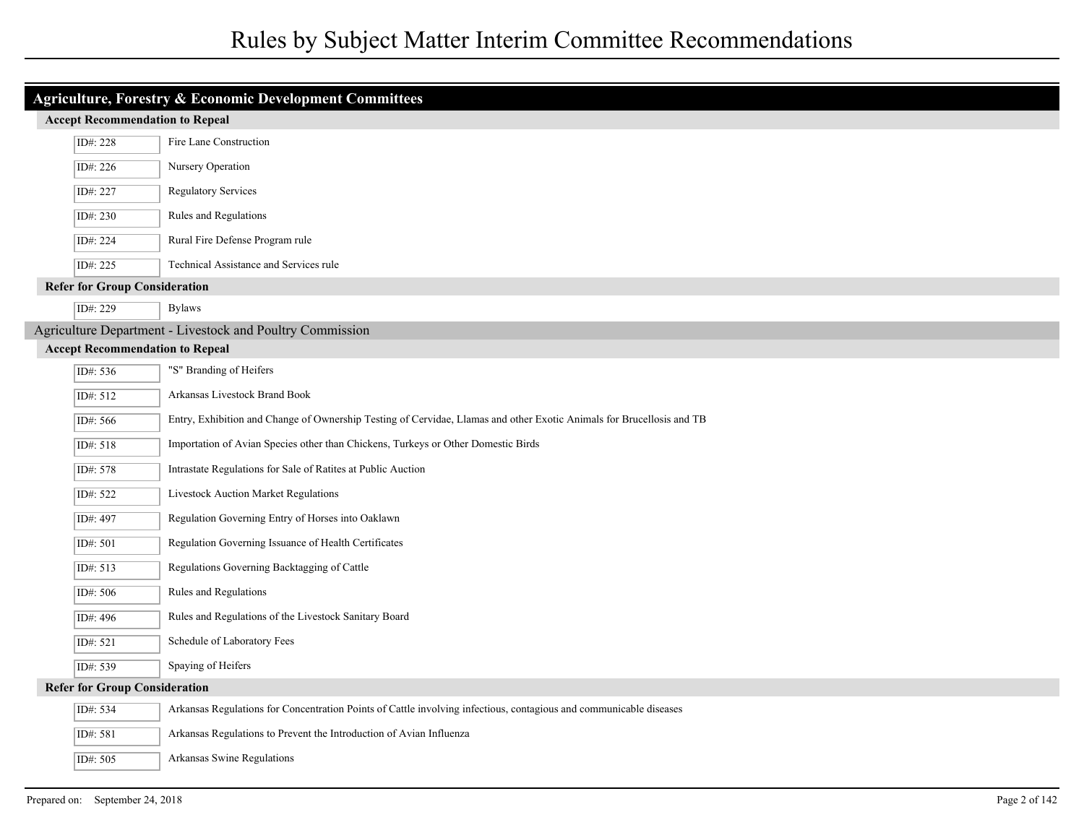| <b>Agriculture, Forestry &amp; Economic Development Committees</b> |                                        |                                                                                                                       |
|--------------------------------------------------------------------|----------------------------------------|-----------------------------------------------------------------------------------------------------------------------|
| <b>Accept Recommendation to Repeal</b>                             |                                        |                                                                                                                       |
|                                                                    | ID#: 228                               | Fire Lane Construction                                                                                                |
|                                                                    | ID#: 226                               | Nursery Operation                                                                                                     |
|                                                                    | ID#: 227                               | <b>Regulatory Services</b>                                                                                            |
|                                                                    | ID#: 230                               | Rules and Regulations                                                                                                 |
|                                                                    | ID#: 224                               | Rural Fire Defense Program rule                                                                                       |
|                                                                    | ID#: 225                               | Technical Assistance and Services rule                                                                                |
|                                                                    | <b>Refer for Group Consideration</b>   |                                                                                                                       |
|                                                                    | ID#: 229                               | <b>Bylaws</b>                                                                                                         |
|                                                                    |                                        | Agriculture Department - Livestock and Poultry Commission                                                             |
|                                                                    | <b>Accept Recommendation to Repeal</b> |                                                                                                                       |
|                                                                    | ID#: 536                               | "S" Branding of Heifers                                                                                               |
|                                                                    | ID#: 512                               | Arkansas Livestock Brand Book                                                                                         |
|                                                                    | ID#: 566                               | Entry, Exhibition and Change of Ownership Testing of Cervidae, Llamas and other Exotic Animals for Brucellosis and TB |
|                                                                    | ID#: 518                               | Importation of Avian Species other than Chickens, Turkeys or Other Domestic Birds                                     |
|                                                                    | ID#: 578                               | Intrastate Regulations for Sale of Ratites at Public Auction                                                          |
|                                                                    | ID#: 522                               | <b>Livestock Auction Market Regulations</b>                                                                           |
|                                                                    | ID#: 497                               | Regulation Governing Entry of Horses into Oaklawn                                                                     |
|                                                                    | ID#: 501                               | Regulation Governing Issuance of Health Certificates                                                                  |
|                                                                    | ID#: 513                               | Regulations Governing Backtagging of Cattle                                                                           |
|                                                                    | ID#: 506                               | Rules and Regulations                                                                                                 |
|                                                                    | ID#: 496                               | Rules and Regulations of the Livestock Sanitary Board                                                                 |
|                                                                    | ID#: 521                               | Schedule of Laboratory Fees                                                                                           |
|                                                                    | ID#: 539                               | Spaying of Heifers                                                                                                    |
| <b>Refer for Group Consideration</b>                               |                                        |                                                                                                                       |
|                                                                    | ID#: 534                               | Arkansas Regulations for Concentration Points of Cattle involving infectious, contagious and communicable diseases    |
|                                                                    | ID#: 581                               | Arkansas Regulations to Prevent the Introduction of Avian Influenza                                                   |
|                                                                    | ID#: 505                               | Arkansas Swine Regulations                                                                                            |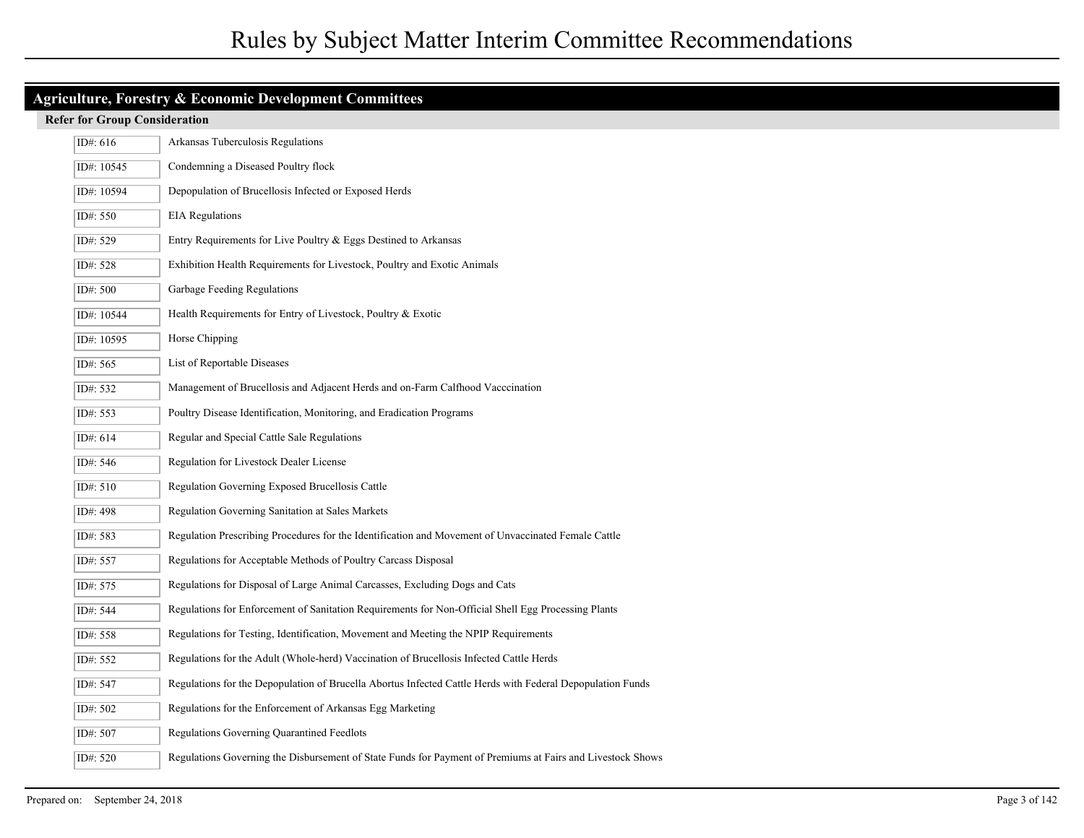| <b>Agriculture, Forestry &amp; Economic Development Committees</b> |                                      |                                                                                                            |  |
|--------------------------------------------------------------------|--------------------------------------|------------------------------------------------------------------------------------------------------------|--|
|                                                                    | <b>Refer for Group Consideration</b> |                                                                                                            |  |
|                                                                    | ID#: $616$                           | Arkansas Tuberculosis Regulations                                                                          |  |
|                                                                    | ID#: $10545$                         | Condemning a Diseased Poultry flock                                                                        |  |
|                                                                    | ID#: 10594                           | Depopulation of Brucellosis Infected or Exposed Herds                                                      |  |
|                                                                    | ID#: 550                             | <b>EIA</b> Regulations                                                                                     |  |
|                                                                    | ID#: 529                             | Entry Requirements for Live Poultry & Eggs Destined to Arkansas                                            |  |
|                                                                    | ID#: 528                             | Exhibition Health Requirements for Livestock, Poultry and Exotic Animals                                   |  |
|                                                                    | ID#: 500                             | Garbage Feeding Regulations                                                                                |  |
|                                                                    | ID#: 10544                           | Health Requirements for Entry of Livestock, Poultry & Exotic                                               |  |
|                                                                    | ID#: 10595                           | Horse Chipping                                                                                             |  |
|                                                                    | ID#: 565                             | List of Reportable Diseases                                                                                |  |
|                                                                    | ID#: 532                             | Management of Brucellosis and Adjacent Herds and on-Farm Calfhood Vacccination                             |  |
|                                                                    | ID#: 553                             | Poultry Disease Identification, Monitoring, and Eradication Programs                                       |  |
|                                                                    | ID#: 614                             | Regular and Special Cattle Sale Regulations                                                                |  |
|                                                                    | ID#: 546                             | Regulation for Livestock Dealer License                                                                    |  |
|                                                                    | ID#: 510                             | Regulation Governing Exposed Brucellosis Cattle                                                            |  |
|                                                                    | ID#: 498                             | <b>Regulation Governing Sanitation at Sales Markets</b>                                                    |  |
|                                                                    | ID#: 583                             | Regulation Prescribing Procedures for the Identification and Movement of Unvaccinated Female Cattle        |  |
|                                                                    | ID#: 557                             | Regulations for Acceptable Methods of Poultry Carcass Disposal                                             |  |
|                                                                    | ID#: 575                             | Regulations for Disposal of Large Animal Carcasses, Excluding Dogs and Cats                                |  |
|                                                                    | ID#: 544                             | Regulations for Enforcement of Sanitation Requirements for Non-Official Shell Egg Processing Plants        |  |
|                                                                    | ID#: 558                             | Regulations for Testing, Identification, Movement and Meeting the NPIP Requirements                        |  |
|                                                                    | ID#: 552                             | Regulations for the Adult (Whole-herd) Vaccination of Brucellosis Infected Cattle Herds                    |  |
|                                                                    | ID#: 547                             | Regulations for the Depopulation of Brucella Abortus Infected Cattle Herds with Federal Depopulation Funds |  |
|                                                                    | ID#: 502                             | Regulations for the Enforcement of Arkansas Egg Marketing                                                  |  |
|                                                                    | ID#: 507                             | Regulations Governing Quarantined Feedlots                                                                 |  |
|                                                                    | ID#: 520                             | Regulations Governing the Disbursement of State Funds for Payment of Premiums at Fairs and Livestock Shows |  |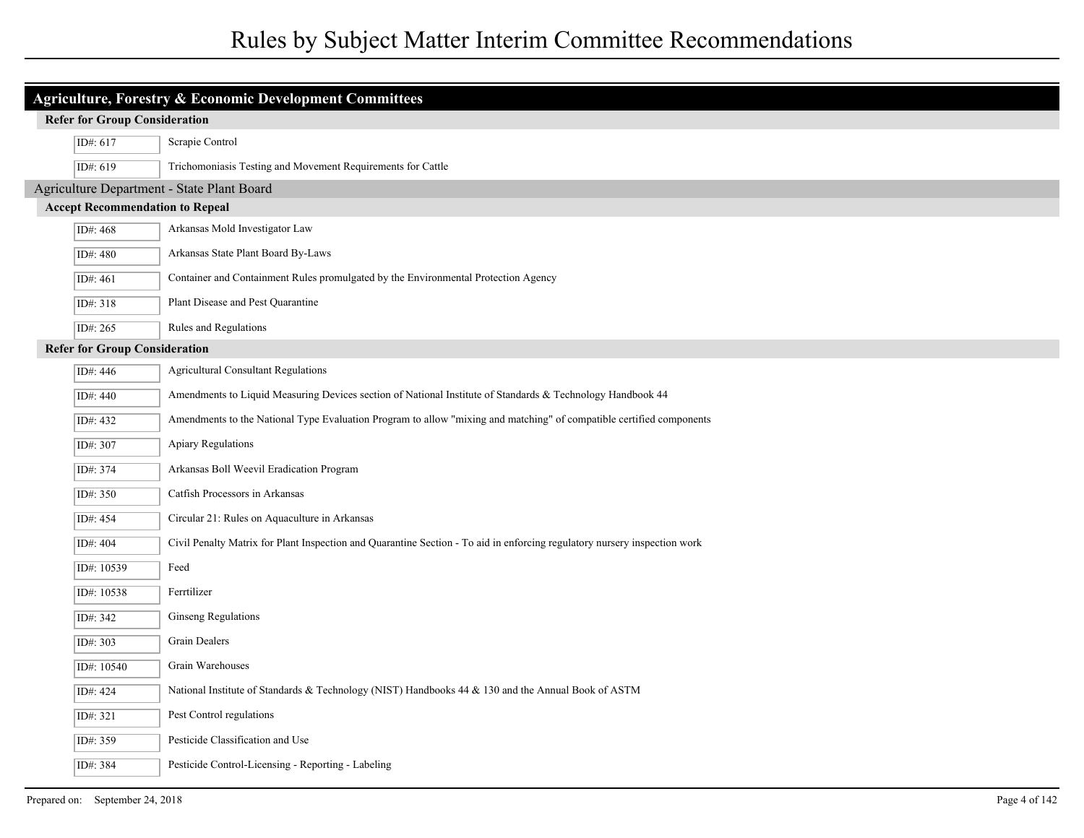| Agriculture, Forestry & Economic Development Committees |                                                                                                                           |  |  |
|---------------------------------------------------------|---------------------------------------------------------------------------------------------------------------------------|--|--|
| <b>Refer for Group Consideration</b>                    |                                                                                                                           |  |  |
| ID#: 617                                                | Scrapie Control                                                                                                           |  |  |
| ID#: 619                                                | Trichomoniasis Testing and Movement Requirements for Cattle                                                               |  |  |
|                                                         | Agriculture Department - State Plant Board                                                                                |  |  |
| <b>Accept Recommendation to Repeal</b>                  |                                                                                                                           |  |  |
| ID#: 468                                                | Arkansas Mold Investigator Law                                                                                            |  |  |
| ID#: 480                                                | Arkansas State Plant Board By-Laws                                                                                        |  |  |
| ID#: 461                                                | Container and Containment Rules promulgated by the Environmental Protection Agency                                        |  |  |
| ID#: 318                                                | Plant Disease and Pest Quarantine                                                                                         |  |  |
| ID#: 265                                                | Rules and Regulations                                                                                                     |  |  |
| <b>Refer for Group Consideration</b>                    |                                                                                                                           |  |  |
| ID#: 446                                                | <b>Agricultural Consultant Regulations</b>                                                                                |  |  |
| ID#: 440                                                | Amendments to Liquid Measuring Devices section of National Institute of Standards & Technology Handbook 44                |  |  |
| ID#: 432                                                | Amendments to the National Type Evaluation Program to allow "mixing and matching" of compatible certified components      |  |  |
| ID#: 307                                                | Apiary Regulations                                                                                                        |  |  |
| ID#: 374                                                | Arkansas Boll Weevil Eradication Program                                                                                  |  |  |
| ID#: 350                                                | Catfish Processors in Arkansas                                                                                            |  |  |
| ID#: 454                                                | Circular 21: Rules on Aquaculture in Arkansas                                                                             |  |  |
| ID#: 404                                                | Civil Penalty Matrix for Plant Inspection and Quarantine Section - To aid in enforcing regulatory nursery inspection work |  |  |
| ID#: 10539                                              | Feed                                                                                                                      |  |  |
| ID#: 10538                                              | Ferrtilizer                                                                                                               |  |  |
| ID#: 342                                                | Ginseng Regulations                                                                                                       |  |  |
| ID#: 303                                                | Grain Dealers                                                                                                             |  |  |
| ID#: 10540                                              | Grain Warehouses                                                                                                          |  |  |
| ID#: 424                                                | National Institute of Standards & Technology (NIST) Handbooks 44 & 130 and the Annual Book of ASTM                        |  |  |
| ID#: 321                                                | Pest Control regulations                                                                                                  |  |  |
| ID#: 359                                                | Pesticide Classification and Use                                                                                          |  |  |
| ID#: 384                                                | Pesticide Control-Licensing - Reporting - Labeling                                                                        |  |  |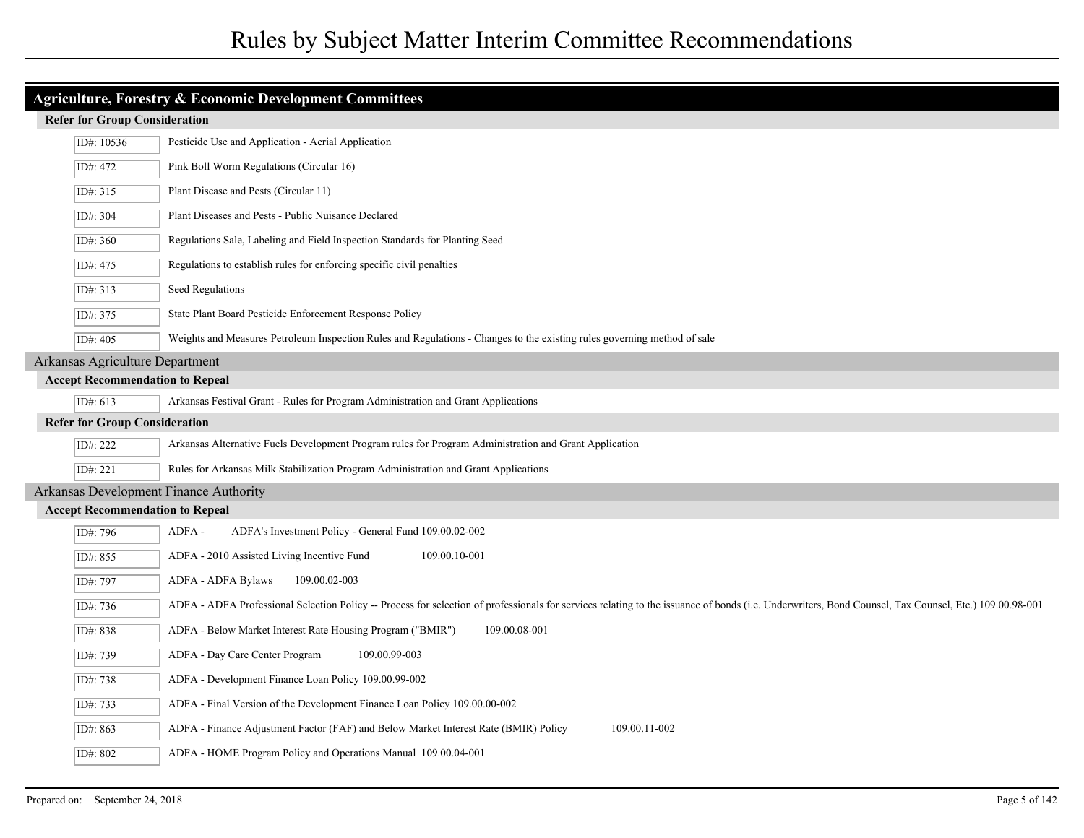| <b>Agriculture, Forestry &amp; Economic Development Committees</b> |                                                                                                                                                                                                       |  |  |
|--------------------------------------------------------------------|-------------------------------------------------------------------------------------------------------------------------------------------------------------------------------------------------------|--|--|
|                                                                    | <b>Refer for Group Consideration</b>                                                                                                                                                                  |  |  |
| ID#: 10536                                                         | Pesticide Use and Application - Aerial Application                                                                                                                                                    |  |  |
| ID#: 472                                                           | Pink Boll Worm Regulations (Circular 16)                                                                                                                                                              |  |  |
| ID#: 315                                                           | Plant Disease and Pests (Circular 11)                                                                                                                                                                 |  |  |
| ID#: 304                                                           | Plant Diseases and Pests - Public Nuisance Declared                                                                                                                                                   |  |  |
| ID#: 360                                                           | Regulations Sale, Labeling and Field Inspection Standards for Planting Seed                                                                                                                           |  |  |
| ID#: 475                                                           | Regulations to establish rules for enforcing specific civil penalties                                                                                                                                 |  |  |
| ID#: 313                                                           | Seed Regulations                                                                                                                                                                                      |  |  |
| ID#: 375                                                           | State Plant Board Pesticide Enforcement Response Policy                                                                                                                                               |  |  |
| ID#: 405                                                           | Weights and Measures Petroleum Inspection Rules and Regulations - Changes to the existing rules governing method of sale                                                                              |  |  |
| Arkansas Agriculture Department                                    |                                                                                                                                                                                                       |  |  |
| <b>Accept Recommendation to Repeal</b>                             |                                                                                                                                                                                                       |  |  |
| ID#: 613                                                           | Arkansas Festival Grant - Rules for Program Administration and Grant Applications                                                                                                                     |  |  |
| <b>Refer for Group Consideration</b>                               |                                                                                                                                                                                                       |  |  |
| ID#: 222                                                           | Arkansas Alternative Fuels Development Program rules for Program Administration and Grant Application                                                                                                 |  |  |
| ID#: 221                                                           | Rules for Arkansas Milk Stabilization Program Administration and Grant Applications                                                                                                                   |  |  |
| Arkansas Development Finance Authority                             |                                                                                                                                                                                                       |  |  |
| <b>Accept Recommendation to Repeal</b>                             |                                                                                                                                                                                                       |  |  |
| ID#: 796                                                           | ADFA's Investment Policy - General Fund 109.00.02-002<br>ADFA -                                                                                                                                       |  |  |
| ID#: 855                                                           | ADFA - 2010 Assisted Living Incentive Fund<br>109.00.10-001                                                                                                                                           |  |  |
| ID#: 797                                                           | ADFA - ADFA Bylaws<br>109.00.02-003                                                                                                                                                                   |  |  |
| ID#: 736                                                           | ADFA - ADFA Professional Selection Policy -- Process for selection of professionals for services relating to the issuance of bonds (i.e. Underwriters, Bond Counsel, Tax Counsel, Etc.) 109.00.98-001 |  |  |
| ID#: 838                                                           | ADFA - Below Market Interest Rate Housing Program ("BMIR")<br>109.00.08-001                                                                                                                           |  |  |
| ID#: 739                                                           | ADFA - Day Care Center Program<br>109.00.99-003                                                                                                                                                       |  |  |
| ID#: 738                                                           | ADFA - Development Finance Loan Policy 109.00.99-002                                                                                                                                                  |  |  |
| ID#: 733                                                           | ADFA - Final Version of the Development Finance Loan Policy 109.00.00-002                                                                                                                             |  |  |
| ID#: 863                                                           | ADFA - Finance Adjustment Factor (FAF) and Below Market Interest Rate (BMIR) Policy<br>109.00.11-002                                                                                                  |  |  |
| ID#: 802                                                           | ADFA - HOME Program Policy and Operations Manual 109.00.04-001                                                                                                                                        |  |  |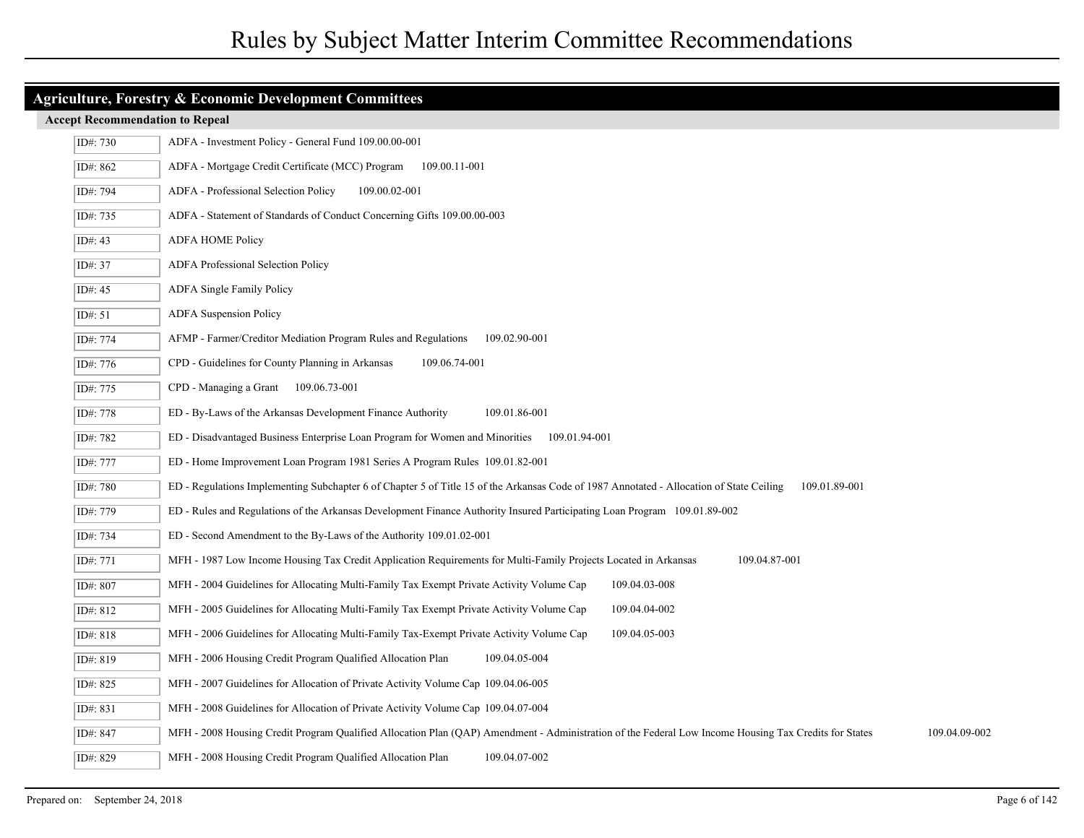| <b>Agriculture, Forestry &amp; Economic Development Committees</b> |                                                                                                                                                                        |  |  |  |
|--------------------------------------------------------------------|------------------------------------------------------------------------------------------------------------------------------------------------------------------------|--|--|--|
|                                                                    | <b>Accept Recommendation to Repeal</b>                                                                                                                                 |  |  |  |
| ID#: 730                                                           | ADFA - Investment Policy - General Fund 109.00.00-001                                                                                                                  |  |  |  |
| ID#: 862                                                           | ADFA - Mortgage Credit Certificate (MCC) Program 109.00.11-001                                                                                                         |  |  |  |
| ID#: 794                                                           | ADFA - Professional Selection Policy<br>109.00.02-001                                                                                                                  |  |  |  |
| ID#: 735                                                           | ADFA - Statement of Standards of Conduct Concerning Gifts 109.00.00-003                                                                                                |  |  |  |
| ID#: 43                                                            | <b>ADFA HOME Policy</b>                                                                                                                                                |  |  |  |
| ID#: 37                                                            | <b>ADFA Professional Selection Policy</b>                                                                                                                              |  |  |  |
| ID#: 45                                                            | ADFA Single Family Policy                                                                                                                                              |  |  |  |
| ID#: $51$                                                          | <b>ADFA</b> Suspension Policy                                                                                                                                          |  |  |  |
| ID#: 774                                                           | AFMP - Farmer/Creditor Mediation Program Rules and Regulations<br>109.02.90-001                                                                                        |  |  |  |
| ID#: 776                                                           | CPD - Guidelines for County Planning in Arkansas<br>109.06.74-001                                                                                                      |  |  |  |
| ID#: 775                                                           | CPD - Managing a Grant 109.06.73-001                                                                                                                                   |  |  |  |
| ID#: 778                                                           | ED - By-Laws of the Arkansas Development Finance Authority<br>109.01.86-001                                                                                            |  |  |  |
| ID#: 782                                                           | ED - Disadvantaged Business Enterprise Loan Program for Women and Minorities 109.01.94-001                                                                             |  |  |  |
| ID#: 777                                                           | ED - Home Improvement Loan Program 1981 Series A Program Rules 109.01.82-001                                                                                           |  |  |  |
| ID#: 780                                                           | ED - Regulations Implementing Subchapter 6 of Chapter 5 of Title 15 of the Arkansas Code of 1987 Annotated - Allocation of State Ceiling<br>109.01.89-001              |  |  |  |
| ID#: 779                                                           | ED - Rules and Regulations of the Arkansas Development Finance Authority Insured Participating Loan Program 109.01.89-002                                              |  |  |  |
| ID#: 734                                                           | ED - Second Amendment to the By-Laws of the Authority 109.01.02-001                                                                                                    |  |  |  |
| ID#: 771                                                           | MFH - 1987 Low Income Housing Tax Credit Application Requirements for Multi-Family Projects Located in Arkansas<br>109.04.87-001                                       |  |  |  |
| ID#: 807                                                           | MFH - 2004 Guidelines for Allocating Multi-Family Tax Exempt Private Activity Volume Cap<br>109.04.03-008                                                              |  |  |  |
| ID#: 812                                                           | MFH - 2005 Guidelines for Allocating Multi-Family Tax Exempt Private Activity Volume Cap<br>109.04.04-002                                                              |  |  |  |
| ID#: 818                                                           | 109.04.05-003<br>MFH - 2006 Guidelines for Allocating Multi-Family Tax-Exempt Private Activity Volume Cap                                                              |  |  |  |
| ID#: 819                                                           | MFH - 2006 Housing Credit Program Qualified Allocation Plan<br>109.04.05-004                                                                                           |  |  |  |
| ID#: 825                                                           | MFH - 2007 Guidelines for Allocation of Private Activity Volume Cap 109.04.06-005                                                                                      |  |  |  |
| ID#: 831                                                           | MFH - 2008 Guidelines for Allocation of Private Activity Volume Cap 109.04.07-004                                                                                      |  |  |  |
| ID#: 847                                                           | 109.04.09-002<br>MFH - 2008 Housing Credit Program Qualified Allocation Plan (QAP) Amendment - Administration of the Federal Low Income Housing Tax Credits for States |  |  |  |
| ID#: 829                                                           | MFH - 2008 Housing Credit Program Qualified Allocation Plan<br>109.04.07-002                                                                                           |  |  |  |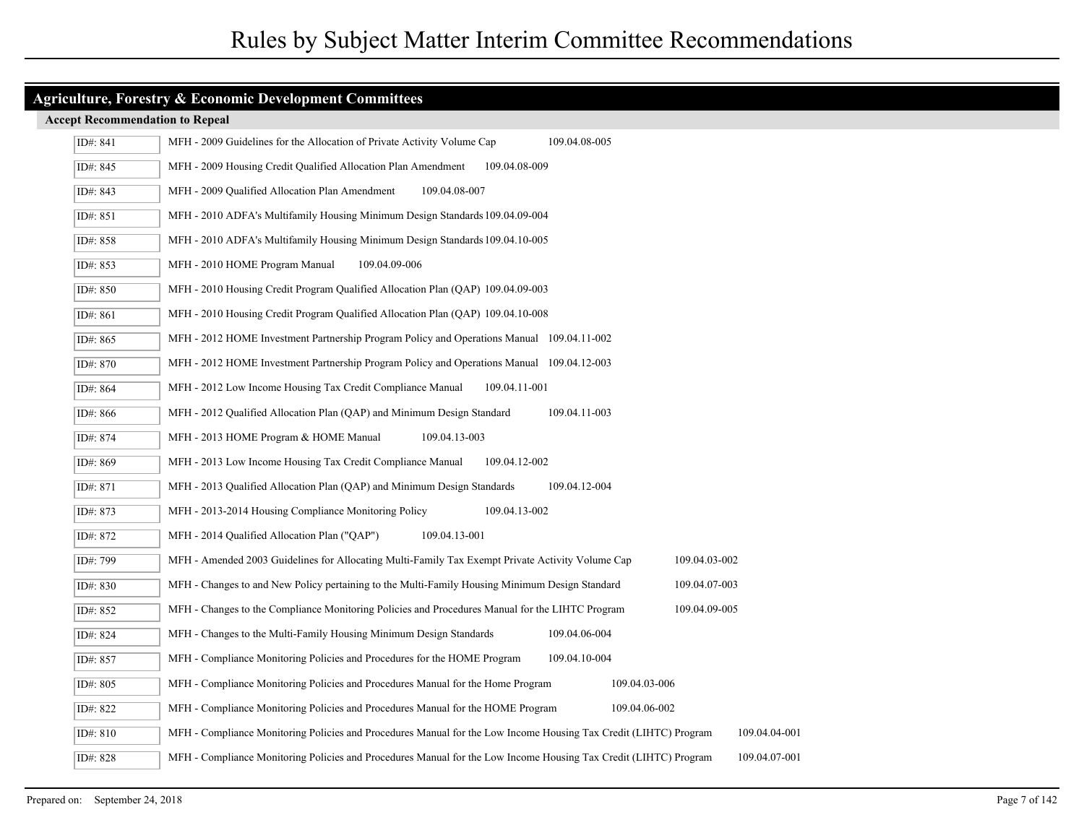| ID#: 841   | 109.04.08-005<br>MFH - 2009 Guidelines for the Allocation of Private Activity Volume Cap                                          |
|------------|-----------------------------------------------------------------------------------------------------------------------------------|
| ID#: 845   | 109.04.08-009<br>MFH - 2009 Housing Credit Qualified Allocation Plan Amendment                                                    |
| ID#: 843   | MFH - 2009 Qualified Allocation Plan Amendment<br>109.04.08-007                                                                   |
| ID#: 851   | MFH - 2010 ADFA's Multifamily Housing Minimum Design Standards 109.04.09-004                                                      |
| ID#: 858   | MFH - 2010 ADFA's Multifamily Housing Minimum Design Standards 109.04.10-005                                                      |
| ID#: $853$ | MFH - 2010 HOME Program Manual<br>109.04.09-006                                                                                   |
| ID#: 850   | MFH - 2010 Housing Credit Program Qualified Allocation Plan (QAP) 109.04.09-003                                                   |
| ID#: 861   | MFH - 2010 Housing Credit Program Qualified Allocation Plan (QAP) 109.04.10-008                                                   |
| ID#: 865   | MFH - 2012 HOME Investment Partnership Program Policy and Operations Manual 109.04.11-002                                         |
| ID#: 870   | MFH - 2012 HOME Investment Partnership Program Policy and Operations Manual 109.04.12-003                                         |
| ID#: 864   | MFH - 2012 Low Income Housing Tax Credit Compliance Manual<br>109.04.11-001                                                       |
| ID#: 866   | MFH - 2012 Qualified Allocation Plan (QAP) and Minimum Design Standard<br>109.04.11-003                                           |
| ID#: 874   | MFH - 2013 HOME Program & HOME Manual<br>109.04.13-003                                                                            |
| ID#: 869   | MFH - 2013 Low Income Housing Tax Credit Compliance Manual<br>109.04.12-002                                                       |
| ID#: 871   | MFH - 2013 Qualified Allocation Plan (QAP) and Minimum Design Standards<br>109.04.12-004                                          |
| ID#: 873   | MFH - 2013-2014 Housing Compliance Monitoring Policy<br>109.04.13-002                                                             |
| ID#: 872   | MFH - 2014 Qualified Allocation Plan ("QAP")<br>109.04.13-001                                                                     |
| ID#: 799   | MFH - Amended 2003 Guidelines for Allocating Multi-Family Tax Exempt Private Activity Volume Cap<br>109.04.03-002                 |
| ID#: 830   | MFH - Changes to and New Policy pertaining to the Multi-Family Housing Minimum Design Standard<br>109.04.07-003                   |
| ID#: 852   | 109.04.09-005<br>MFH - Changes to the Compliance Monitoring Policies and Procedures Manual for the LIHTC Program                  |
| ID#: 824   | MFH - Changes to the Multi-Family Housing Minimum Design Standards<br>109.04.06-004                                               |
| ID#: 857   | MFH - Compliance Monitoring Policies and Procedures for the HOME Program<br>109.04.10-004                                         |
| ID#: 805   | MFH - Compliance Monitoring Policies and Procedures Manual for the Home Program<br>109.04.03-006                                  |
| ID#: 822   | MFH - Compliance Monitoring Policies and Procedures Manual for the HOME Program<br>109.04.06-002                                  |
| ID#: 810   | MFH - Compliance Monitoring Policies and Procedures Manual for the Low Income Housing Tax Credit (LIHTC) Program<br>109.04.04-001 |
| ID#: 828   | MFH - Compliance Monitoring Policies and Procedures Manual for the Low Income Housing Tax Credit (LIHTC) Program<br>109.04.07-001 |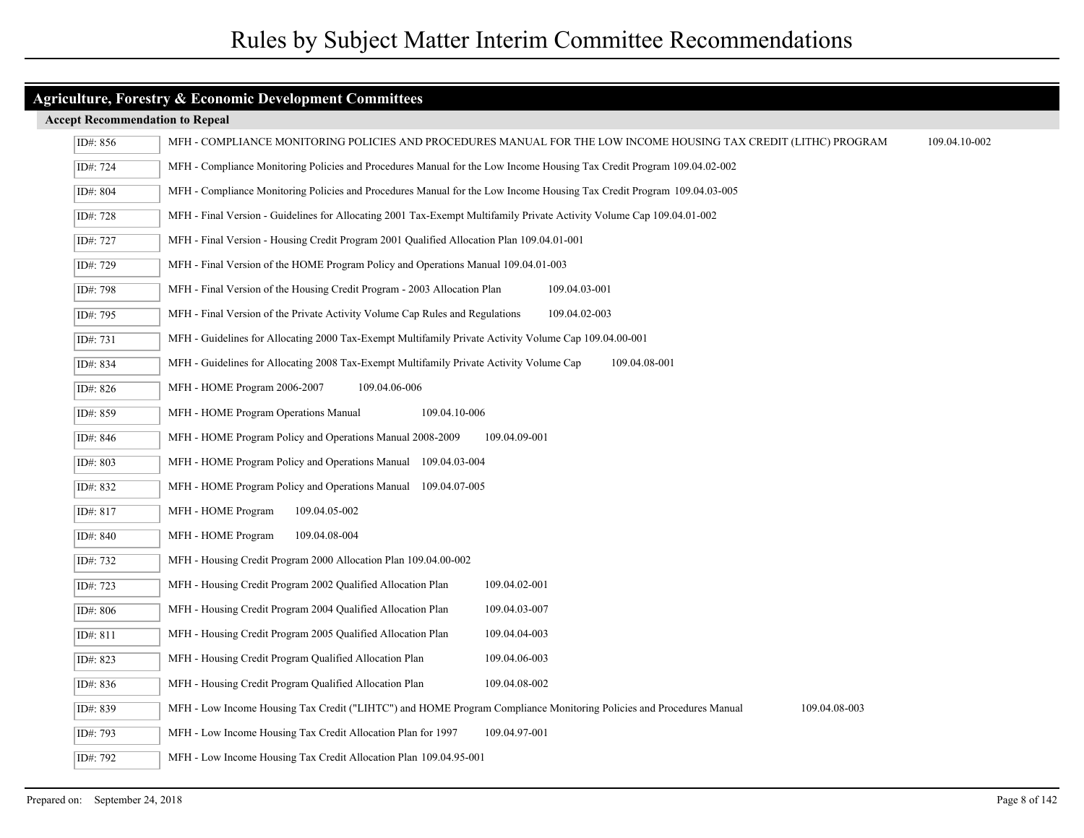| ID#: 856 | 109.04.10-002<br>MFH - COMPLIANCE MONITORING POLICIES AND PROCEDURES MANUAL FOR THE LOW INCOME HOUSING TAX CREDIT (LITHC) PROGRAM    |
|----------|--------------------------------------------------------------------------------------------------------------------------------------|
| ID#: 724 | MFH - Compliance Monitoring Policies and Procedures Manual for the Low Income Housing Tax Credit Program 109.04.02-002               |
| ID#: 804 | MFH - Compliance Monitoring Policies and Procedures Manual for the Low Income Housing Tax Credit Program 109.04.03-005               |
| ID#: 728 | MFH - Final Version - Guidelines for Allocating 2001 Tax-Exempt Multifamily Private Activity Volume Cap 109.04.01-002                |
| ID#: 727 | MFH - Final Version - Housing Credit Program 2001 Qualified Allocation Plan 109.04.01-001                                            |
| ID#: 729 | MFH - Final Version of the HOME Program Policy and Operations Manual 109.04.01-003                                                   |
| ID#: 798 | MFH - Final Version of the Housing Credit Program - 2003 Allocation Plan<br>109.04.03-001                                            |
| ID#: 795 | MFH - Final Version of the Private Activity Volume Cap Rules and Regulations<br>109.04.02-003                                        |
| ID#: 731 | MFH - Guidelines for Allocating 2000 Tax-Exempt Multifamily Private Activity Volume Cap 109.04.00-001                                |
| ID#: 834 | MFH - Guidelines for Allocating 2008 Tax-Exempt Multifamily Private Activity Volume Cap<br>109.04.08-001                             |
| ID#: 826 | MFH - HOME Program 2006-2007<br>109.04.06-006                                                                                        |
| ID#: 859 | MFH - HOME Program Operations Manual<br>109.04.10-006                                                                                |
| ID#: 846 | MFH - HOME Program Policy and Operations Manual 2008-2009<br>109.04.09-001                                                           |
| ID#: 803 | MFH - HOME Program Policy and Operations Manual 109.04.03-004                                                                        |
| ID#: 832 | MFH - HOME Program Policy and Operations Manual 109.04.07-005                                                                        |
| ID#: 817 | MFH - HOME Program<br>109.04.05-002                                                                                                  |
| ID#: 840 | MFH - HOME Program<br>109.04.08-004                                                                                                  |
| ID#: 732 | MFH - Housing Credit Program 2000 Allocation Plan 109.04.00-002                                                                      |
| ID#: 723 | MFH - Housing Credit Program 2002 Qualified Allocation Plan<br>109.04.02-001                                                         |
| ID#: 806 | MFH - Housing Credit Program 2004 Qualified Allocation Plan<br>109.04.03-007                                                         |
| ID#: 811 | MFH - Housing Credit Program 2005 Qualified Allocation Plan<br>109.04.04-003                                                         |
| ID#: 823 | MFH - Housing Credit Program Qualified Allocation Plan<br>109.04.06-003                                                              |
| ID#: 836 | MFH - Housing Credit Program Qualified Allocation Plan<br>109.04.08-002                                                              |
| ID#: 839 | MFH - Low Income Housing Tax Credit ("LIHTC") and HOME Program Compliance Monitoring Policies and Procedures Manual<br>109.04.08-003 |
| ID#: 793 | MFH - Low Income Housing Tax Credit Allocation Plan for 1997<br>109.04.97-001                                                        |
| ID#: 792 | MFH - Low Income Housing Tax Credit Allocation Plan 109.04.95-001                                                                    |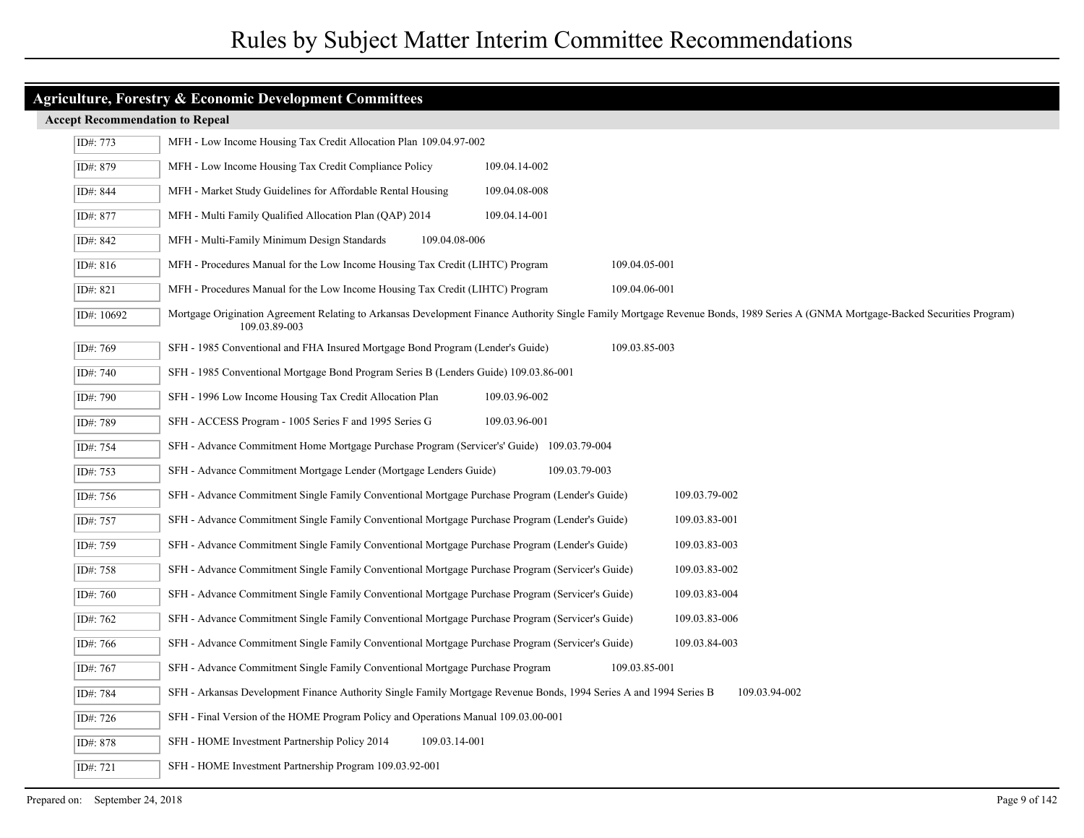| <b>Agriculture, Forestry &amp; Economic Development Committees</b> |                                                                                                                                                                                                  |  |
|--------------------------------------------------------------------|--------------------------------------------------------------------------------------------------------------------------------------------------------------------------------------------------|--|
| <b>Accept Recommendation to Repeal</b>                             |                                                                                                                                                                                                  |  |
| ID#: 773                                                           | MFH - Low Income Housing Tax Credit Allocation Plan 109.04.97-002                                                                                                                                |  |
| ID#: 879                                                           | MFH - Low Income Housing Tax Credit Compliance Policy<br>109.04.14-002                                                                                                                           |  |
| ID#: 844                                                           | MFH - Market Study Guidelines for Affordable Rental Housing<br>109.04.08-008                                                                                                                     |  |
| ID#: 877                                                           | MFH - Multi Family Qualified Allocation Plan (QAP) 2014<br>109.04.14-001                                                                                                                         |  |
| ID#: 842                                                           | 109.04.08-006<br>MFH - Multi-Family Minimum Design Standards                                                                                                                                     |  |
| ID#: 816                                                           | MFH - Procedures Manual for the Low Income Housing Tax Credit (LIHTC) Program<br>109.04.05-001                                                                                                   |  |
| ID#: 821                                                           | MFH - Procedures Manual for the Low Income Housing Tax Credit (LIHTC) Program<br>109.04.06-001                                                                                                   |  |
| ID#: 10692                                                         | Mortgage Origination Agreement Relating to Arkansas Development Finance Authority Single Family Mortgage Revenue Bonds, 1989 Series A (GNMA Mortgage-Backed Securities Program)<br>109.03.89-003 |  |
| ID#: 769                                                           | 109.03.85-003<br>SFH - 1985 Conventional and FHA Insured Mortgage Bond Program (Lender's Guide)                                                                                                  |  |
| ID#: 740                                                           | SFH - 1985 Conventional Mortgage Bond Program Series B (Lenders Guide) 109.03.86-001                                                                                                             |  |
| ID#: 790                                                           | SFH - 1996 Low Income Housing Tax Credit Allocation Plan<br>109.03.96-002                                                                                                                        |  |
| ID#: 789                                                           | SFH - ACCESS Program - 1005 Series F and 1995 Series G<br>109.03.96-001                                                                                                                          |  |
| ID#: 754                                                           | SFH - Advance Commitment Home Mortgage Purchase Program (Servicer's' Guide) 109.03.79-004                                                                                                        |  |
| ID#: 753                                                           | SFH - Advance Commitment Mortgage Lender (Mortgage Lenders Guide)<br>109.03.79-003                                                                                                               |  |
| ID#: 756                                                           | SFH - Advance Commitment Single Family Conventional Mortgage Purchase Program (Lender's Guide)<br>109.03.79-002                                                                                  |  |
| ID#: 757                                                           | SFH - Advance Commitment Single Family Conventional Mortgage Purchase Program (Lender's Guide)<br>109.03.83-001                                                                                  |  |
| ID#: 759                                                           | SFH - Advance Commitment Single Family Conventional Mortgage Purchase Program (Lender's Guide)<br>109.03.83-003                                                                                  |  |
| ID#: 758                                                           | SFH - Advance Commitment Single Family Conventional Mortgage Purchase Program (Servicer's Guide)<br>109.03.83-002                                                                                |  |
| ID#: 760                                                           | SFH - Advance Commitment Single Family Conventional Mortgage Purchase Program (Servicer's Guide)<br>109.03.83-004                                                                                |  |
| ID#: 762                                                           | SFH - Advance Commitment Single Family Conventional Mortgage Purchase Program (Servicer's Guide)<br>109.03.83-006                                                                                |  |
| ID#: 766                                                           | SFH - Advance Commitment Single Family Conventional Mortgage Purchase Program (Servicer's Guide)<br>109.03.84-003                                                                                |  |
| ID#: 767                                                           | SFH - Advance Commitment Single Family Conventional Mortgage Purchase Program<br>109.03.85-001                                                                                                   |  |
| ID#: 784                                                           | SFH - Arkansas Development Finance Authority Single Family Mortgage Revenue Bonds, 1994 Series A and 1994 Series B<br>109.03.94-002                                                              |  |
| ID#: 726                                                           | SFH - Final Version of the HOME Program Policy and Operations Manual 109.03.00-001                                                                                                               |  |
| ID#: 878                                                           | SFH - HOME Investment Partnership Policy 2014<br>109.03.14-001                                                                                                                                   |  |
| ID#: 721                                                           | SFH - HOME Investment Partnership Program 109.03.92-001                                                                                                                                          |  |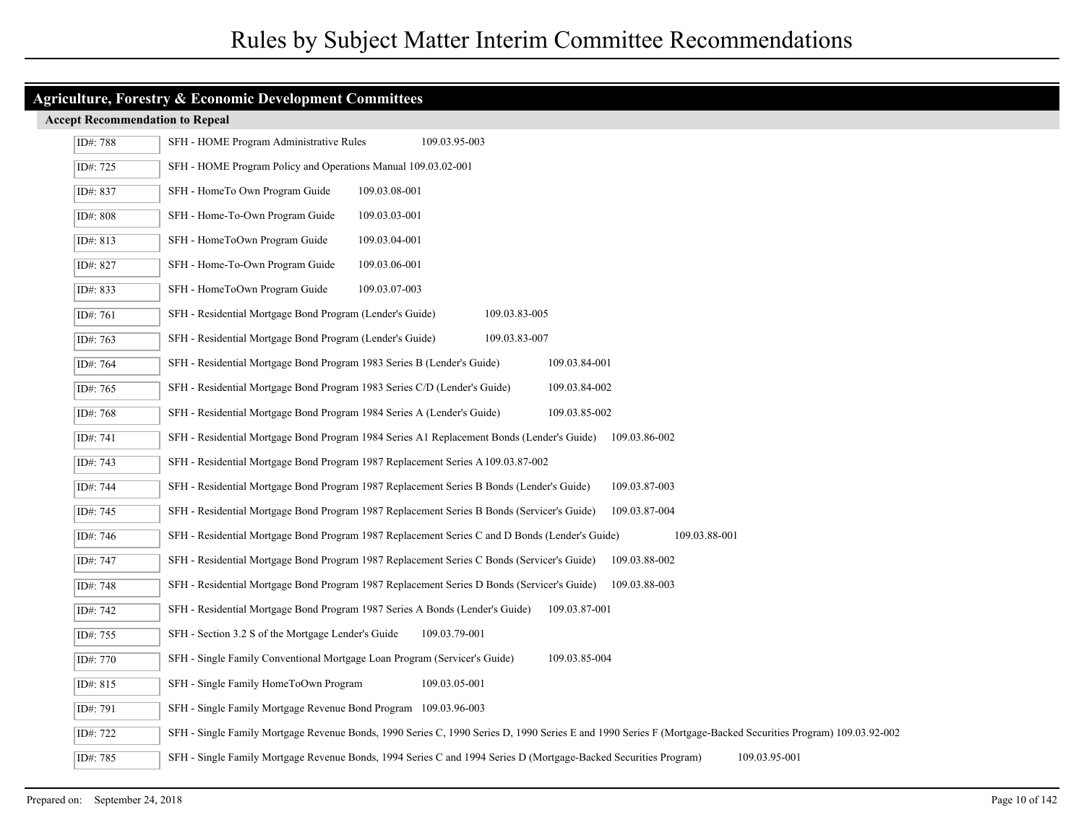| ID#: 788 | 109.03.95-003<br>SFH - HOME Program Administrative Rules                                                                                                     |
|----------|--------------------------------------------------------------------------------------------------------------------------------------------------------------|
| ID#: 725 | SFH - HOME Program Policy and Operations Manual 109.03.02-001                                                                                                |
| ID#: 837 | SFH - HomeTo Own Program Guide<br>109.03.08-001                                                                                                              |
| ID#: 808 | SFH - Home-To-Own Program Guide<br>109.03.03-001                                                                                                             |
| ID#: 813 | SFH - HomeToOwn Program Guide<br>109.03.04-001                                                                                                               |
| ID#: 827 | SFH - Home-To-Own Program Guide<br>109.03.06-001                                                                                                             |
| ID#: 833 | SFH - HomeToOwn Program Guide<br>109.03.07-003                                                                                                               |
| ID#: 761 | SFH - Residential Mortgage Bond Program (Lender's Guide)<br>109.03.83-005                                                                                    |
| ID#: 763 | SFH - Residential Mortgage Bond Program (Lender's Guide)<br>109.03.83-007                                                                                    |
| ID#: 764 | SFH - Residential Mortgage Bond Program 1983 Series B (Lender's Guide)<br>109.03.84-001                                                                      |
| ID#: 765 | SFH - Residential Mortgage Bond Program 1983 Series C/D (Lender's Guide)<br>109.03.84-002                                                                    |
| ID#: 768 | SFH - Residential Mortgage Bond Program 1984 Series A (Lender's Guide)<br>109.03.85-002                                                                      |
| ID#: 741 | SFH - Residential Mortgage Bond Program 1984 Series A1 Replacement Bonds (Lender's Guide)<br>109.03.86-002                                                   |
| ID#: 743 | SFH - Residential Mortgage Bond Program 1987 Replacement Series A 109.03.87-002                                                                              |
| ID#: 744 | SFH - Residential Mortgage Bond Program 1987 Replacement Series B Bonds (Lender's Guide)<br>109.03.87-003                                                    |
| ID#: 745 | SFH - Residential Mortgage Bond Program 1987 Replacement Series B Bonds (Servicer's Guide)<br>109.03.87-004                                                  |
| ID#: 746 | SFH - Residential Mortgage Bond Program 1987 Replacement Series C and D Bonds (Lender's Guide)<br>109.03.88-001                                              |
| ID#: 747 | SFH - Residential Mortgage Bond Program 1987 Replacement Series C Bonds (Servicer's Guide)<br>109.03.88-002                                                  |
| ID#: 748 | SFH - Residential Mortgage Bond Program 1987 Replacement Series D Bonds (Servicer's Guide)<br>109.03.88-003                                                  |
| ID#: 742 | SFH - Residential Mortgage Bond Program 1987 Series A Bonds (Lender's Guide)<br>109.03.87-001                                                                |
| ID#: 755 | SFH - Section 3.2 S of the Mortgage Lender's Guide<br>109.03.79-001                                                                                          |
| ID#: 770 | SFH - Single Family Conventional Mortgage Loan Program (Servicer's Guide)<br>109.03.85-004                                                                   |
| ID#: 815 | SFH - Single Family HomeToOwn Program<br>109.03.05-001                                                                                                       |
| ID#: 791 | SFH - Single Family Mortgage Revenue Bond Program 109.03.96-003                                                                                              |
| ID#: 722 | SFH - Single Family Mortgage Revenue Bonds, 1990 Series C, 1990 Series D, 1990 Series E and 1990 Series F (Mortgage-Backed Securities Program) 109.03.92-002 |
| ID#: 785 | SFH - Single Family Mortgage Revenue Bonds, 1994 Series C and 1994 Series D (Mortgage-Backed Securities Program)<br>109.03.95-001                            |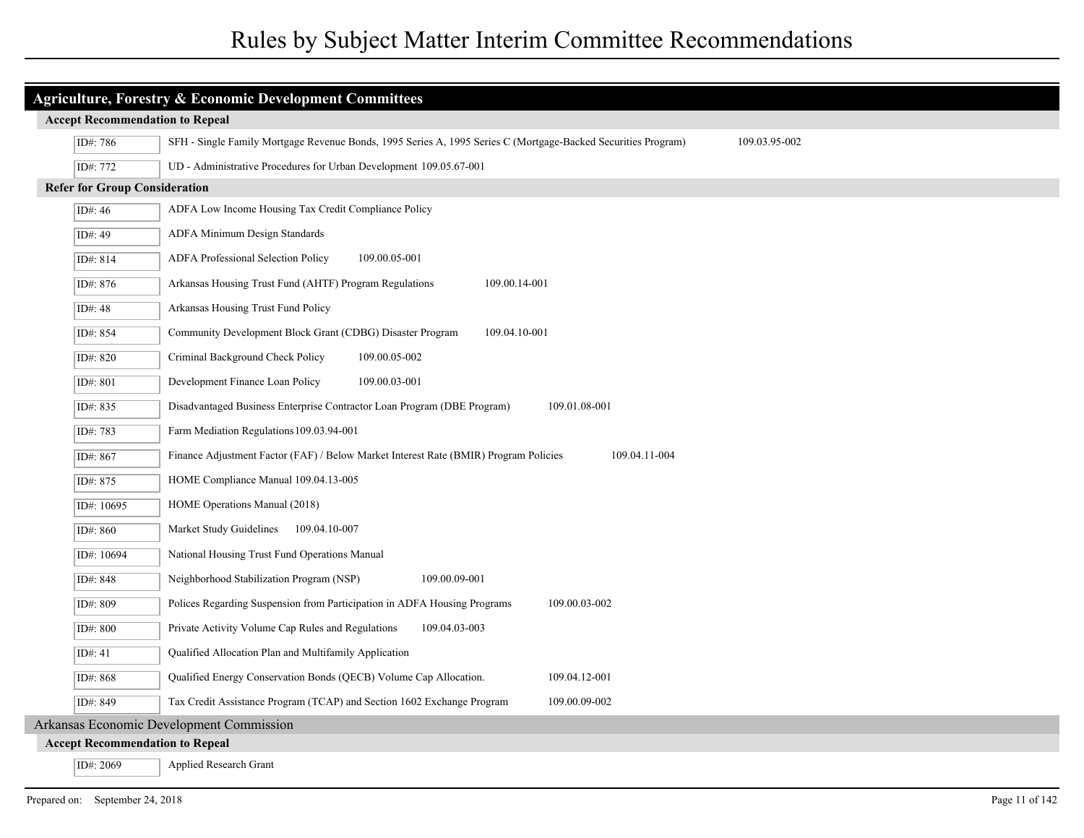| <b>Agriculture, Forestry &amp; Economic Development Committees</b> |                                        |                                                                                                                                |  |
|--------------------------------------------------------------------|----------------------------------------|--------------------------------------------------------------------------------------------------------------------------------|--|
|                                                                    | <b>Accept Recommendation to Repeal</b> |                                                                                                                                |  |
|                                                                    | ID#: 786                               | SFH - Single Family Mortgage Revenue Bonds, 1995 Series A, 1995 Series C (Mortgage-Backed Securities Program)<br>109.03.95-002 |  |
|                                                                    | ID#: 772                               | UD - Administrative Procedures for Urban Development 109.05.67-001                                                             |  |
|                                                                    | <b>Refer for Group Consideration</b>   |                                                                                                                                |  |
|                                                                    | ID#: $46$                              | ADFA Low Income Housing Tax Credit Compliance Policy                                                                           |  |
|                                                                    | ID#: 49                                | ADFA Minimum Design Standards                                                                                                  |  |
|                                                                    | ID#: 814                               | ADFA Professional Selection Policy<br>109.00.05-001                                                                            |  |
|                                                                    | ID#: 876                               | Arkansas Housing Trust Fund (AHTF) Program Regulations<br>109.00.14-001                                                        |  |
|                                                                    | ID#: 48                                | Arkansas Housing Trust Fund Policy                                                                                             |  |
|                                                                    | ID#: 854                               | Community Development Block Grant (CDBG) Disaster Program<br>109.04.10-001                                                     |  |
|                                                                    | ID#: 820                               | Criminal Background Check Policy<br>109.00.05-002                                                                              |  |
|                                                                    | ID#: 801                               | Development Finance Loan Policy<br>109.00.03-001                                                                               |  |
|                                                                    | ID#: 835                               | Disadvantaged Business Enterprise Contractor Loan Program (DBE Program)<br>109.01.08-001                                       |  |
|                                                                    | ID#: 783                               | Farm Mediation Regulations 109.03.94-001                                                                                       |  |
|                                                                    | ID#: 867                               | 109.04.11-004<br>Finance Adjustment Factor (FAF) / Below Market Interest Rate (BMIR) Program Policies                          |  |
|                                                                    | ID#: 875                               | HOME Compliance Manual 109.04.13-005                                                                                           |  |
|                                                                    | ID#: 10695                             | HOME Operations Manual (2018)                                                                                                  |  |
|                                                                    | ID#: 860                               | Market Study Guidelines 109.04.10-007                                                                                          |  |
|                                                                    | ID#: 10694                             | National Housing Trust Fund Operations Manual                                                                                  |  |
|                                                                    | ID#: 848                               | Neighborhood Stabilization Program (NSP)<br>109.00.09-001                                                                      |  |
|                                                                    | ID#: 809                               | Polices Regarding Suspension from Participation in ADFA Housing Programs<br>109.00.03-002                                      |  |
|                                                                    | ID#: 800                               | Private Activity Volume Cap Rules and Regulations<br>109.04.03-003                                                             |  |
|                                                                    | ID#: $41$                              | Qualified Allocation Plan and Multifamily Application                                                                          |  |
|                                                                    | ID#: 868                               | Qualified Energy Conservation Bonds (QECB) Volume Cap Allocation.<br>109.04.12-001                                             |  |
|                                                                    | ID#: 849                               | Tax Credit Assistance Program (TCAP) and Section 1602 Exchange Program<br>109.00.09-002                                        |  |
| Arkansas Economic Development Commission                           |                                        |                                                                                                                                |  |
|                                                                    | <b>Accept Recommendation to Repeal</b> |                                                                                                                                |  |
|                                                                    | ID#: 2069                              | Applied Research Grant                                                                                                         |  |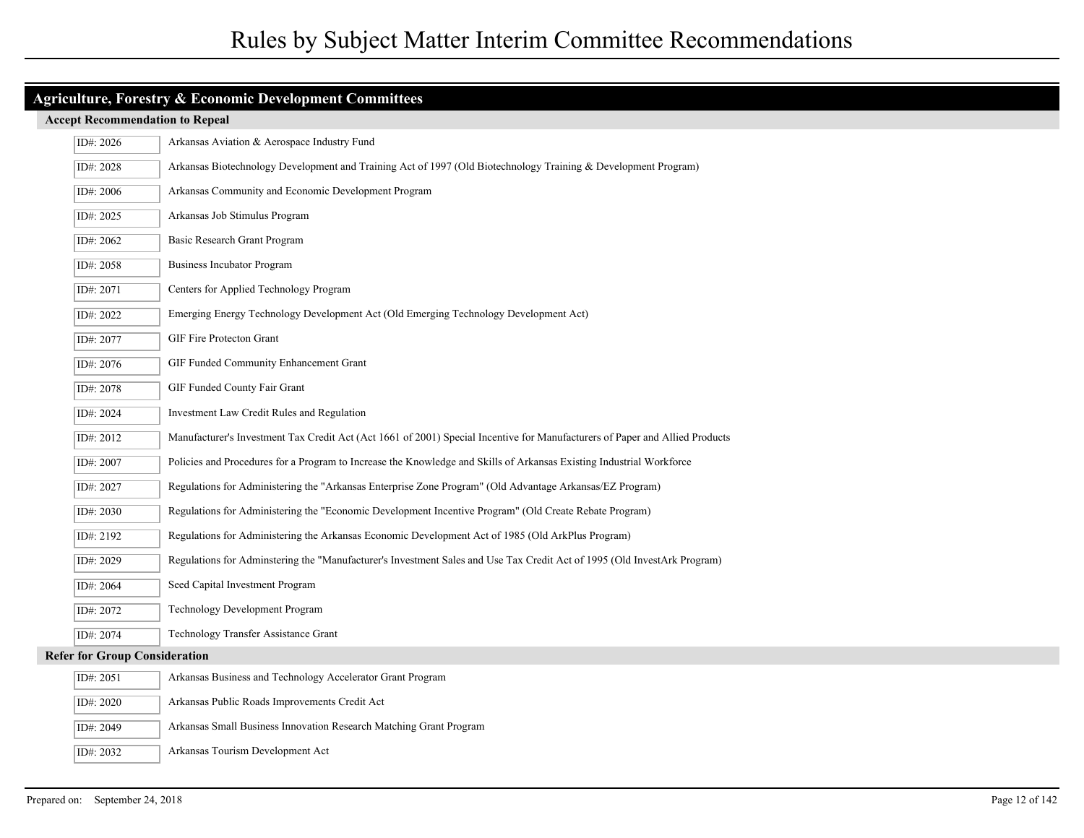| <b>Agriculture, Forestry &amp; Economic Development Committees</b> |                                                                                                                              |  |
|--------------------------------------------------------------------|------------------------------------------------------------------------------------------------------------------------------|--|
| <b>Accept Recommendation to Repeal</b>                             |                                                                                                                              |  |
| ID#: 2026                                                          | Arkansas Aviation & Aerospace Industry Fund                                                                                  |  |
| ID#: 2028                                                          | Arkansas Biotechnology Development and Training Act of 1997 (Old Biotechnology Training & Development Program)               |  |
| ID#: 2006                                                          | Arkansas Community and Economic Development Program                                                                          |  |
| ID#: 2025                                                          | Arkansas Job Stimulus Program                                                                                                |  |
| ID#: 2062                                                          | Basic Research Grant Program                                                                                                 |  |
| ID#: 2058                                                          | <b>Business Incubator Program</b>                                                                                            |  |
| ID#: 2071                                                          | Centers for Applied Technology Program                                                                                       |  |
| ID#: 2022                                                          | Emerging Energy Technology Development Act (Old Emerging Technology Development Act)                                         |  |
| ID#: 2077                                                          | GIF Fire Protecton Grant                                                                                                     |  |
| ID#: 2076                                                          | GIF Funded Community Enhancement Grant                                                                                       |  |
| ID#: 2078                                                          | GIF Funded County Fair Grant                                                                                                 |  |
| ID#: 2024                                                          | Investment Law Credit Rules and Regulation                                                                                   |  |
| ID#: 2012                                                          | Manufacturer's Investment Tax Credit Act (Act 1661 of 2001) Special Incentive for Manufacturers of Paper and Allied Products |  |
| ID#: 2007                                                          | Policies and Procedures for a Program to Increase the Knowledge and Skills of Arkansas Existing Industrial Workforce         |  |
| ID#: 2027                                                          | Regulations for Administering the "Arkansas Enterprise Zone Program" (Old Advantage Arkansas/EZ Program)                     |  |
| ID#: 2030                                                          | Regulations for Administering the "Economic Development Incentive Program" (Old Create Rebate Program)                       |  |
| ID#: 2192                                                          | Regulations for Administering the Arkansas Economic Development Act of 1985 (Old ArkPlus Program)                            |  |
| ID#: 2029                                                          | Regulations for Adminstering the "Manufacturer's Investment Sales and Use Tax Credit Act of 1995 (Old InvestArk Program)     |  |
| ID#: 2064                                                          | Seed Capital Investment Program                                                                                              |  |
| ID#: 2072                                                          | Technology Development Program                                                                                               |  |
| ID#: 2074                                                          | Technology Transfer Assistance Grant                                                                                         |  |
| <b>Refer for Group Consideration</b>                               |                                                                                                                              |  |
| ID#: 2051                                                          | Arkansas Business and Technology Accelerator Grant Program                                                                   |  |
| ID#: 2020                                                          | Arkansas Public Roads Improvements Credit Act                                                                                |  |
| ID#: 2049                                                          | Arkansas Small Business Innovation Research Matching Grant Program                                                           |  |
| ID#: 2032                                                          | Arkansas Tourism Development Act                                                                                             |  |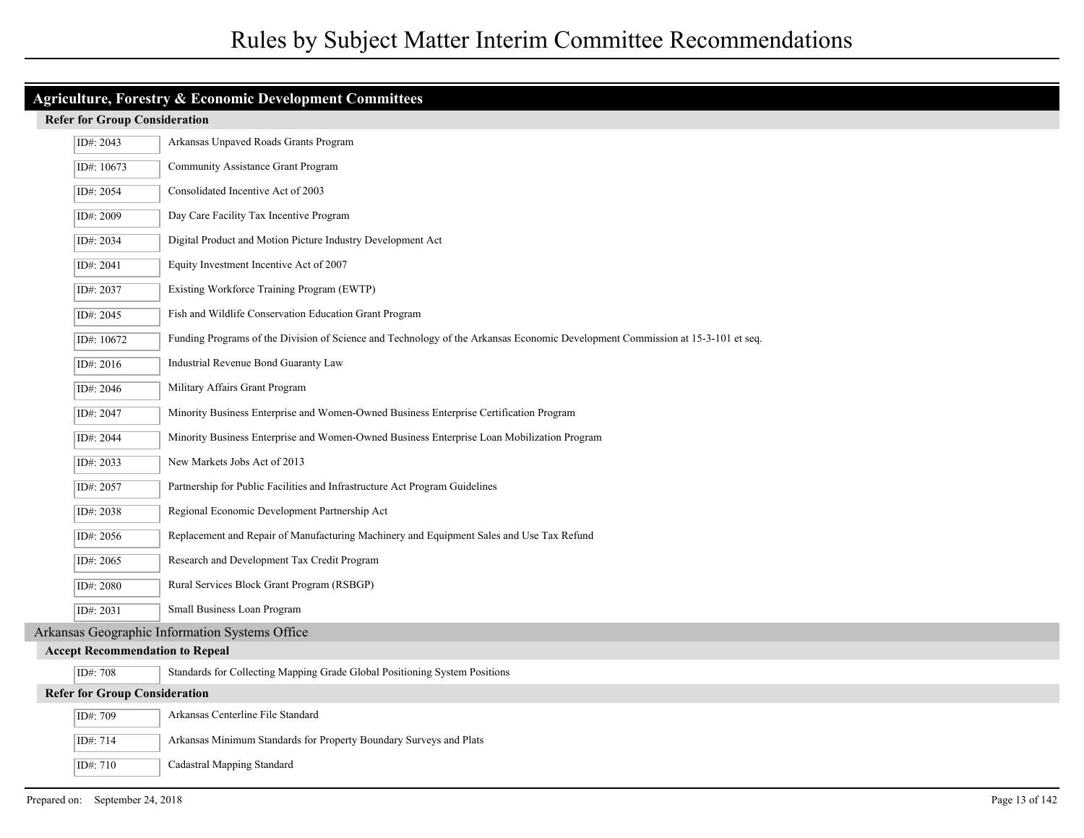| Agriculture, Forestry & Economic Development Committees                  |                                                                                        |                                                                                                                                |  |  |
|--------------------------------------------------------------------------|----------------------------------------------------------------------------------------|--------------------------------------------------------------------------------------------------------------------------------|--|--|
|                                                                          | <b>Refer for Group Consideration</b>                                                   |                                                                                                                                |  |  |
| Arkansas Unpaved Roads Grants Program<br>ID#: 2043                       |                                                                                        |                                                                                                                                |  |  |
|                                                                          | ID#: 10673                                                                             | Community Assistance Grant Program                                                                                             |  |  |
| Consolidated Incentive Act of 2003<br>ID#: 2054                          |                                                                                        |                                                                                                                                |  |  |
| Day Care Facility Tax Incentive Program<br>ID#: 2009                     |                                                                                        |                                                                                                                                |  |  |
| ID#: 2034<br>Digital Product and Motion Picture Industry Development Act |                                                                                        |                                                                                                                                |  |  |
| ID#: 2041<br>Equity Investment Incentive Act of 2007                     |                                                                                        |                                                                                                                                |  |  |
|                                                                          | ID#: 2037                                                                              | Existing Workforce Training Program (EWTP)                                                                                     |  |  |
|                                                                          | ID#: 2045                                                                              | Fish and Wildlife Conservation Education Grant Program                                                                         |  |  |
|                                                                          | ID#: 10672                                                                             | Funding Programs of the Division of Science and Technology of the Arkansas Economic Development Commission at 15-3-101 et seq. |  |  |
|                                                                          | ID#: 2016                                                                              | Industrial Revenue Bond Guaranty Law                                                                                           |  |  |
|                                                                          | ID#: 2046                                                                              | Military Affairs Grant Program                                                                                                 |  |  |
|                                                                          | ID#: 2047                                                                              | Minority Business Enterprise and Women-Owned Business Enterprise Certification Program                                         |  |  |
|                                                                          | ID#: 2044                                                                              | Minority Business Enterprise and Women-Owned Business Enterprise Loan Mobilization Program                                     |  |  |
|                                                                          | ID#: 2033                                                                              | New Markets Jobs Act of 2013                                                                                                   |  |  |
|                                                                          | ID#: 2057                                                                              | Partnership for Public Facilities and Infrastructure Act Program Guidelines                                                    |  |  |
|                                                                          | ID#: 2038                                                                              | Regional Economic Development Partnership Act                                                                                  |  |  |
|                                                                          | ID#: 2056                                                                              | Replacement and Repair of Manufacturing Machinery and Equipment Sales and Use Tax Refund                                       |  |  |
|                                                                          | ID#: 2065                                                                              | Research and Development Tax Credit Program                                                                                    |  |  |
|                                                                          | ID#: 2080                                                                              | Rural Services Block Grant Program (RSBGP)                                                                                     |  |  |
|                                                                          | ID#: 2031                                                                              | Small Business Loan Program                                                                                                    |  |  |
|                                                                          |                                                                                        | Arkansas Geographic Information Systems Office                                                                                 |  |  |
|                                                                          |                                                                                        | <b>Accept Recommendation to Repeal</b>                                                                                         |  |  |
|                                                                          | Standards for Collecting Mapping Grade Global Positioning System Positions<br>ID#: 708 |                                                                                                                                |  |  |
|                                                                          | <b>Refer for Group Consideration</b>                                                   |                                                                                                                                |  |  |
|                                                                          | ID#: 709                                                                               | Arkansas Centerline File Standard                                                                                              |  |  |
|                                                                          | ID#: 714                                                                               | Arkansas Minimum Standards for Property Boundary Surveys and Plats                                                             |  |  |
|                                                                          | ID#: 710                                                                               | Cadastral Mapping Standard                                                                                                     |  |  |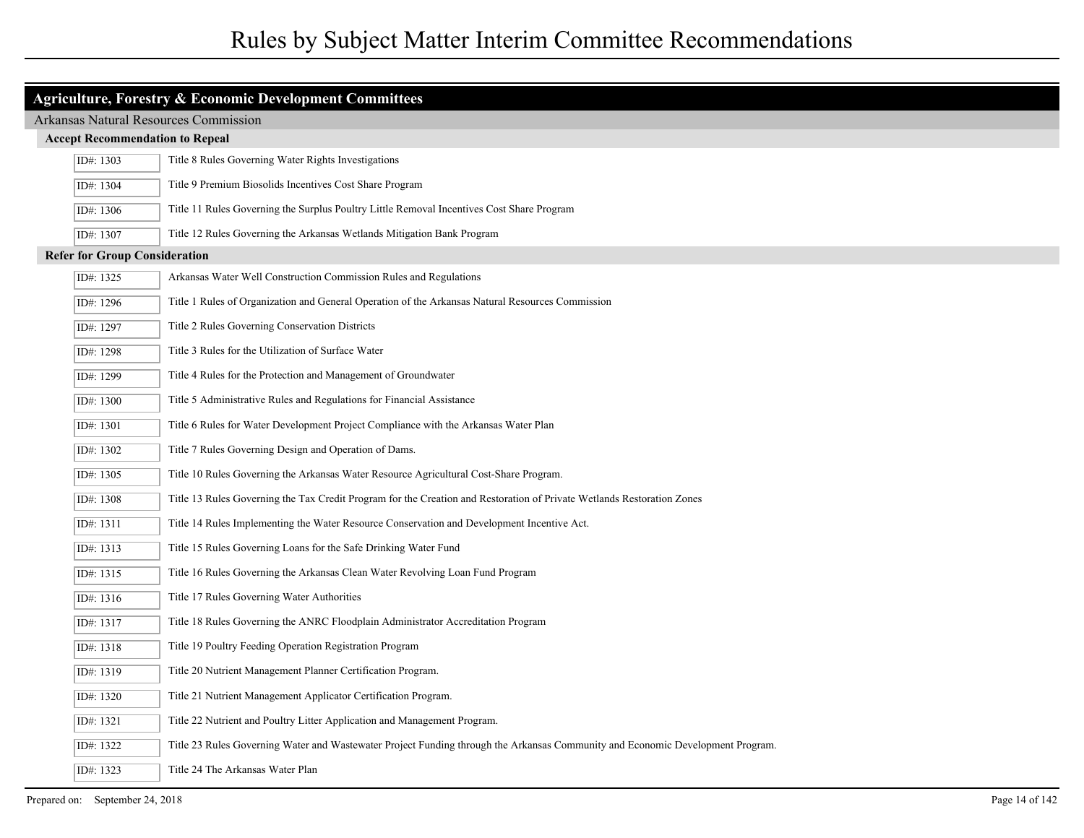| <b>Agriculture, Forestry &amp; Economic Development Committees</b>             |                                                                                                                                |  |
|--------------------------------------------------------------------------------|--------------------------------------------------------------------------------------------------------------------------------|--|
| <b>Arkansas Natural Resources Commission</b>                                   |                                                                                                                                |  |
| <b>Accept Recommendation to Repeal</b>                                         |                                                                                                                                |  |
| Title 8 Rules Governing Water Rights Investigations<br>ID#: 1303               |                                                                                                                                |  |
| ID#: 1304                                                                      | Title 9 Premium Biosolids Incentives Cost Share Program                                                                        |  |
| ID#: 1306                                                                      | Title 11 Rules Governing the Surplus Poultry Little Removal Incentives Cost Share Program                                      |  |
| ID#: 1307                                                                      | Title 12 Rules Governing the Arkansas Wetlands Mitigation Bank Program                                                         |  |
| <b>Refer for Group Consideration</b>                                           |                                                                                                                                |  |
| Arkansas Water Well Construction Commission Rules and Regulations<br>ID#: 1325 |                                                                                                                                |  |
| ID#: 1296                                                                      | Title 1 Rules of Organization and General Operation of the Arkansas Natural Resources Commission                               |  |
| ID#: 1297                                                                      | Title 2 Rules Governing Conservation Districts                                                                                 |  |
| ID#: 1298                                                                      | Title 3 Rules for the Utilization of Surface Water                                                                             |  |
| ID#: 1299                                                                      | Title 4 Rules for the Protection and Management of Groundwater                                                                 |  |
| ID#: 1300                                                                      | Title 5 Administrative Rules and Regulations for Financial Assistance                                                          |  |
| ID#: 1301                                                                      | Title 6 Rules for Water Development Project Compliance with the Arkansas Water Plan                                            |  |
| ID#: 1302                                                                      | Title 7 Rules Governing Design and Operation of Dams.                                                                          |  |
| ID#: 1305                                                                      | Title 10 Rules Governing the Arkansas Water Resource Agricultural Cost-Share Program.                                          |  |
| ID#: 1308                                                                      | Title 13 Rules Governing the Tax Credit Program for the Creation and Restoration of Private Wetlands Restoration Zones         |  |
| ID#: 1311                                                                      | Title 14 Rules Implementing the Water Resource Conservation and Development Incentive Act.                                     |  |
| ID#: 1313                                                                      | Title 15 Rules Governing Loans for the Safe Drinking Water Fund                                                                |  |
| ID#: 1315                                                                      | Title 16 Rules Governing the Arkansas Clean Water Revolving Loan Fund Program                                                  |  |
| ID#: 1316                                                                      | Title 17 Rules Governing Water Authorities                                                                                     |  |
| ID#: 1317                                                                      | Title 18 Rules Governing the ANRC Floodplain Administrator Accreditation Program                                               |  |
| ID#: 1318                                                                      | Title 19 Poultry Feeding Operation Registration Program                                                                        |  |
| ID#: 1319                                                                      | Title 20 Nutrient Management Planner Certification Program.                                                                    |  |
| ID#: 1320                                                                      | Title 21 Nutrient Management Applicator Certification Program.                                                                 |  |
| ID#: 1321                                                                      | Title 22 Nutrient and Poultry Litter Application and Management Program.                                                       |  |
| ID#: 1322                                                                      | Title 23 Rules Governing Water and Wastewater Project Funding through the Arkansas Community and Economic Development Program. |  |
| ID#: 1323                                                                      | Title 24 The Arkansas Water Plan                                                                                               |  |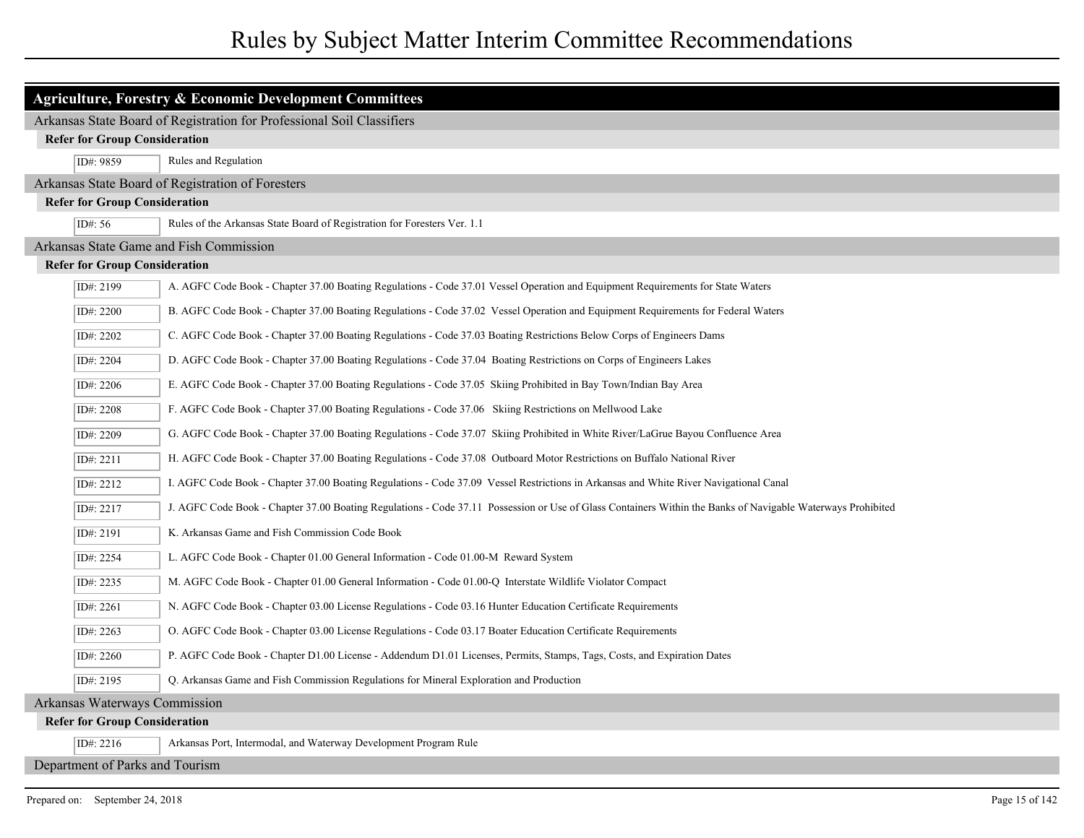| Agriculture, Forestry & Economic Development Committees                                                                                                                  |  |  |  |
|--------------------------------------------------------------------------------------------------------------------------------------------------------------------------|--|--|--|
| Arkansas State Board of Registration for Professional Soil Classifiers                                                                                                   |  |  |  |
| <b>Refer for Group Consideration</b>                                                                                                                                     |  |  |  |
| Rules and Regulation<br>ID#: 9859                                                                                                                                        |  |  |  |
| Arkansas State Board of Registration of Foresters                                                                                                                        |  |  |  |
| <b>Refer for Group Consideration</b>                                                                                                                                     |  |  |  |
| Rules of the Arkansas State Board of Registration for Foresters Ver. 1.1<br>ID#: $56$                                                                                    |  |  |  |
| Arkansas State Game and Fish Commission                                                                                                                                  |  |  |  |
| <b>Refer for Group Consideration</b>                                                                                                                                     |  |  |  |
| ID#: 2199<br>A. AGFC Code Book - Chapter 37.00 Boating Regulations - Code 37.01 Vessel Operation and Equipment Requirements for State Waters                             |  |  |  |
| B. AGFC Code Book - Chapter 37.00 Boating Regulations - Code 37.02 Vessel Operation and Equipment Requirements for Federal Waters<br>ID#: 2200                           |  |  |  |
| ID#: 2202<br>C. AGFC Code Book - Chapter 37.00 Boating Regulations - Code 37.03 Boating Restrictions Below Corps of Engineers Dams                                       |  |  |  |
| ID#: 2204<br>D. AGFC Code Book - Chapter 37.00 Boating Regulations - Code 37.04 Boating Restrictions on Corps of Engineers Lakes                                         |  |  |  |
| E. AGFC Code Book - Chapter 37.00 Boating Regulations - Code 37.05 Skiing Prohibited in Bay Town/Indian Bay Area<br>ID#: 2206                                            |  |  |  |
| F. AGFC Code Book - Chapter 37.00 Boating Regulations - Code 37.06 Skiing Restrictions on Mellwood Lake<br>ID#: 2208                                                     |  |  |  |
| G. AGFC Code Book - Chapter 37.00 Boating Regulations - Code 37.07 Skiing Prohibited in White River/LaGrue Bayou Confluence Area<br>ID#: 2209                            |  |  |  |
| ID#: 2211<br>H. AGFC Code Book - Chapter 37.00 Boating Regulations - Code 37.08 Outboard Motor Restrictions on Buffalo National River                                    |  |  |  |
| ID#: 2212<br>I. AGFC Code Book - Chapter 37.00 Boating Regulations - Code 37.09 Vessel Restrictions in Arkansas and White River Navigational Canal                       |  |  |  |
| J. AGFC Code Book - Chapter 37.00 Boating Regulations - Code 37.11 Possession or Use of Glass Containers Within the Banks of Navigable Waterways Prohibited<br>ID#: 2217 |  |  |  |
| K. Arkansas Game and Fish Commission Code Book<br>ID#: 2191                                                                                                              |  |  |  |
| ID#: 2254<br>L. AGFC Code Book - Chapter 01.00 General Information - Code 01.00-M Reward System                                                                          |  |  |  |
| M. AGFC Code Book - Chapter 01.00 General Information - Code 01.00-Q Interstate Wildlife Violator Compact<br>ID#: 2235                                                   |  |  |  |
| N. AGFC Code Book - Chapter 03.00 License Regulations - Code 03.16 Hunter Education Certificate Requirements<br>ID#: 2261                                                |  |  |  |
| O. AGFC Code Book - Chapter 03.00 License Regulations - Code 03.17 Boater Education Certificate Requirements<br>ID#: 2263                                                |  |  |  |
| P. AGFC Code Book - Chapter D1.00 License - Addendum D1.01 Licenses, Permits, Stamps, Tags, Costs, and Expiration Dates<br>ID#: 2260                                     |  |  |  |
| ID#: 2195<br>Q. Arkansas Game and Fish Commission Regulations for Mineral Exploration and Production                                                                     |  |  |  |
| Arkansas Waterways Commission                                                                                                                                            |  |  |  |
| <b>Refer for Group Consideration</b>                                                                                                                                     |  |  |  |
| Arkansas Port, Intermodal, and Waterway Development Program Rule<br>ID#: 2216                                                                                            |  |  |  |
| Department of Parks and Tourism                                                                                                                                          |  |  |  |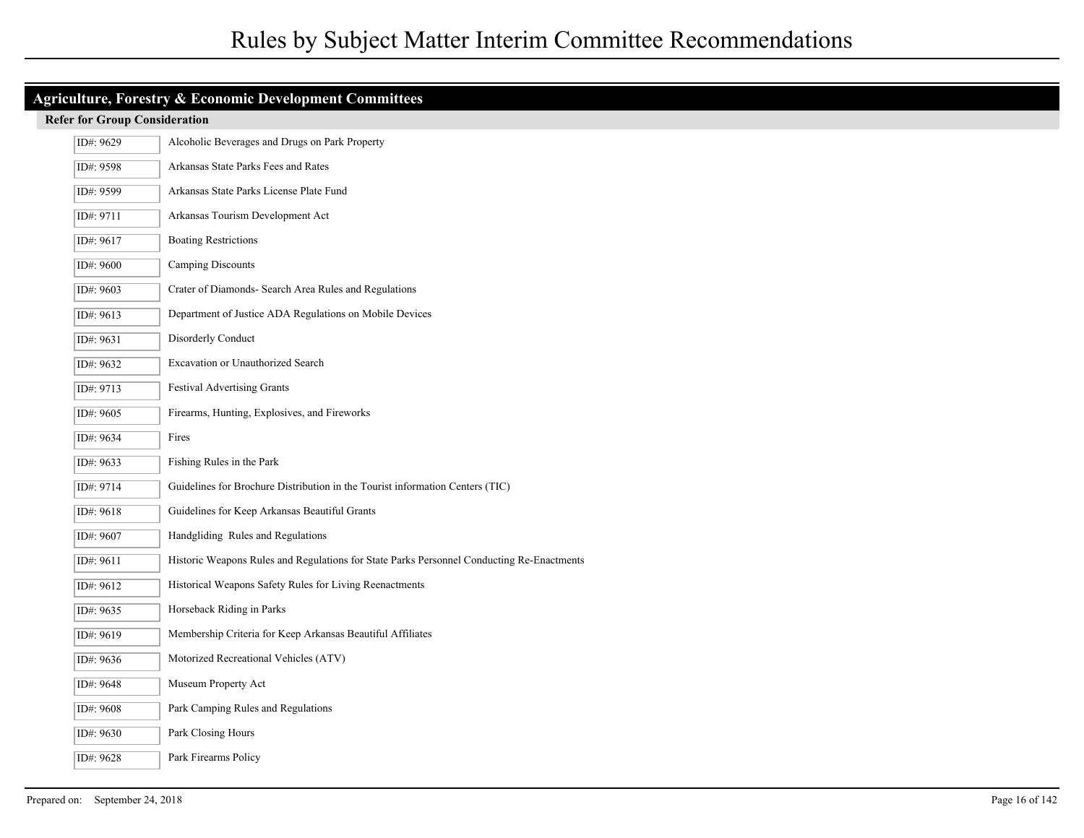| Agriculture, Forestry & Economic Development Committees            |                                                                                           |  |
|--------------------------------------------------------------------|-------------------------------------------------------------------------------------------|--|
| <b>Refer for Group Consideration</b>                               |                                                                                           |  |
| Alcoholic Beverages and Drugs on Park Property<br>ID#: 9629        |                                                                                           |  |
| ID#: 9598                                                          | Arkansas State Parks Fees and Rates                                                       |  |
| Arkansas State Parks License Plate Fund<br>ID#: 9599               |                                                                                           |  |
| Arkansas Tourism Development Act<br>ID#: 9711                      |                                                                                           |  |
| <b>Boating Restrictions</b><br>ID#: 9617                           |                                                                                           |  |
| Camping Discounts<br>ID#: 9600                                     |                                                                                           |  |
| Crater of Diamonds- Search Area Rules and Regulations<br>ID#: 9603 |                                                                                           |  |
| ID#: 9613                                                          | Department of Justice ADA Regulations on Mobile Devices                                   |  |
| ID#: 9631                                                          | Disorderly Conduct                                                                        |  |
| ID#: 9632                                                          | Excavation or Unauthorized Search                                                         |  |
| ID#: 9713                                                          | Festival Advertising Grants                                                               |  |
| ID#: 9605                                                          | Firearms, Hunting, Explosives, and Fireworks                                              |  |
| ID#: 9634                                                          | Fires                                                                                     |  |
| ID#: 9633                                                          | Fishing Rules in the Park                                                                 |  |
| ID#: 9714                                                          | Guidelines for Brochure Distribution in the Tourist information Centers (TIC)             |  |
| ID#: 9618                                                          | Guidelines for Keep Arkansas Beautiful Grants                                             |  |
| ID#: 9607                                                          | Handgliding Rules and Regulations                                                         |  |
| ID#: 9611                                                          | Historic Weapons Rules and Regulations for State Parks Personnel Conducting Re-Enactments |  |
| ID#: 9612                                                          | Historical Weapons Safety Rules for Living Reenactments                                   |  |
| ID#: 9635                                                          | Horseback Riding in Parks                                                                 |  |
| ID#: 9619                                                          | Membership Criteria for Keep Arkansas Beautiful Affiliates                                |  |
| ID#: 9636                                                          | Motorized Recreational Vehicles (ATV)                                                     |  |
| ID#: 9648                                                          | Museum Property Act                                                                       |  |
| ID#: 9608                                                          | Park Camping Rules and Regulations                                                        |  |
| ID#: 9630                                                          | Park Closing Hours                                                                        |  |
| ID#: 9628                                                          | Park Firearms Policy                                                                      |  |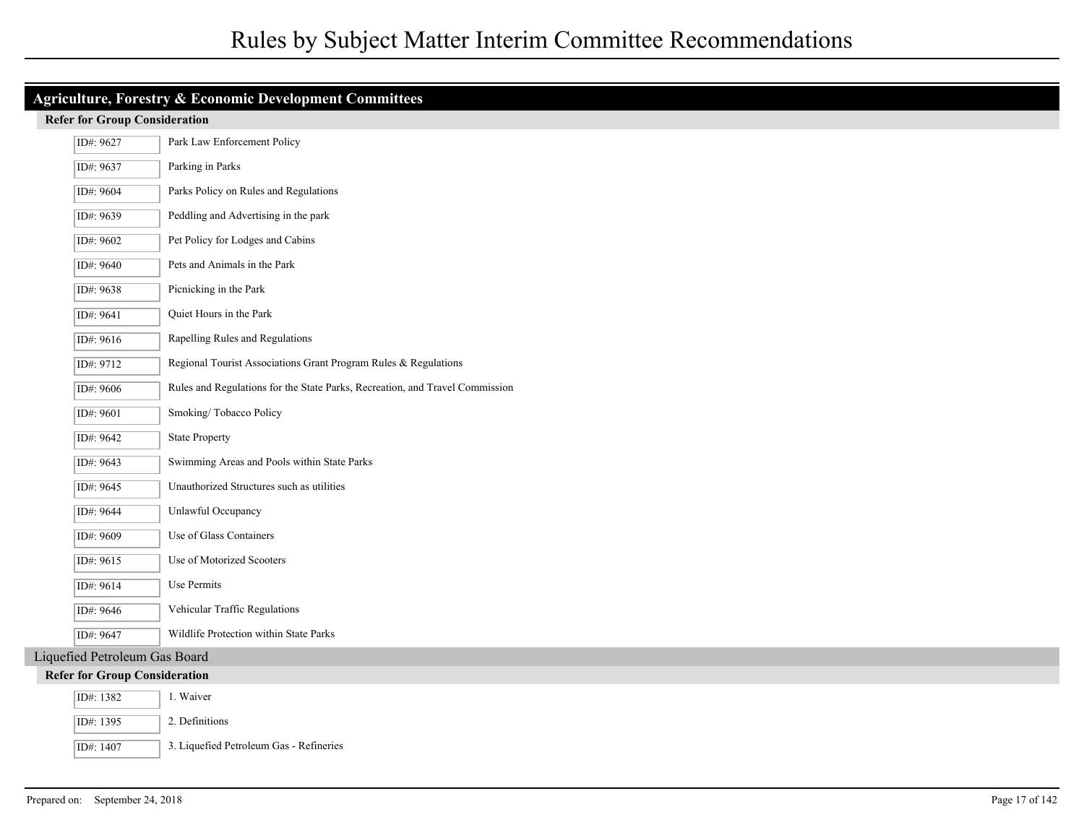|                                                                              | Agriculture, Forestry & Economic Development Committees |                                                                                                        |  |  |
|------------------------------------------------------------------------------|---------------------------------------------------------|--------------------------------------------------------------------------------------------------------|--|--|
|                                                                              | <b>Refer for Group Consideration</b>                    |                                                                                                        |  |  |
| Park Law Enforcement Policy<br>ID#: 9627                                     |                                                         |                                                                                                        |  |  |
| Parking in Parks<br>ID#: 9637                                                |                                                         |                                                                                                        |  |  |
| Parks Policy on Rules and Regulations<br>ID#: 9604                           |                                                         |                                                                                                        |  |  |
| Peddling and Advertising in the park<br>ID#: 9639                            |                                                         |                                                                                                        |  |  |
| Pet Policy for Lodges and Cabins<br>ID#: 9602                                |                                                         |                                                                                                        |  |  |
| Pets and Animals in the Park<br>ID#: 9640                                    |                                                         |                                                                                                        |  |  |
| Picnicking in the Park<br>ID#: 9638                                          |                                                         |                                                                                                        |  |  |
|                                                                              | ID#: 9641                                               | Quiet Hours in the Park                                                                                |  |  |
| Rapelling Rules and Regulations<br>ID#: 9616                                 |                                                         |                                                                                                        |  |  |
| Regional Tourist Associations Grant Program Rules & Regulations<br>ID#: 9712 |                                                         |                                                                                                        |  |  |
|                                                                              | ID#: 9606                                               | Rules and Regulations for the State Parks, Recreation, and Travel Commission<br>Smoking/Tobacco Policy |  |  |
|                                                                              | ID#: 9601                                               |                                                                                                        |  |  |
| ID#: 9642<br><b>State Property</b>                                           |                                                         |                                                                                                        |  |  |
| Swimming Areas and Pools within State Parks<br>ID#: 9643                     |                                                         |                                                                                                        |  |  |
| Unauthorized Structures such as utilities<br>ID#: 9645                       |                                                         |                                                                                                        |  |  |
|                                                                              | ID#: 9644                                               | Unlawful Occupancy                                                                                     |  |  |
|                                                                              | ID#: 9609                                               | Use of Glass Containers                                                                                |  |  |
|                                                                              | ID#: 9615                                               | Use of Motorized Scooters                                                                              |  |  |
|                                                                              | ID#: 9614                                               | Use Permits                                                                                            |  |  |
|                                                                              | ID#: 9646                                               | Vehicular Traffic Regulations                                                                          |  |  |
| ID#: 9647<br>Wildlife Protection within State Parks                          |                                                         |                                                                                                        |  |  |
|                                                                              | Liquefied Petroleum Gas Board                           |                                                                                                        |  |  |
|                                                                              | <b>Refer for Group Consideration</b>                    |                                                                                                        |  |  |
|                                                                              | ID#: 1382                                               | 1. Waiver                                                                                              |  |  |
|                                                                              | ID#: 1395                                               | 2. Definitions                                                                                         |  |  |
|                                                                              | ID#: 1407                                               | 3. Liquefied Petroleum Gas - Refineries                                                                |  |  |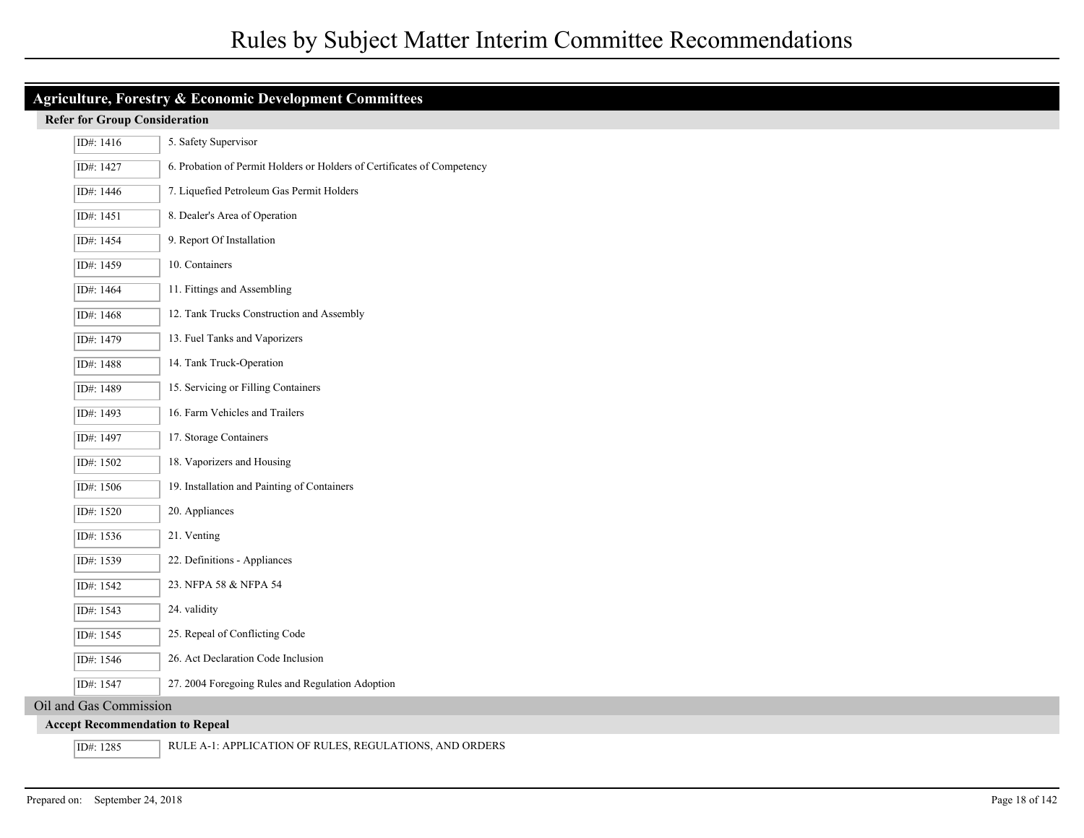| Agriculture, Forestry & Economic Development Committees              |                                                                         |  |  |
|----------------------------------------------------------------------|-------------------------------------------------------------------------|--|--|
| <b>Refer for Group Consideration</b>                                 |                                                                         |  |  |
| ID#: 1416                                                            | 5. Safety Supervisor                                                    |  |  |
| ID#: 1427                                                            | 6. Probation of Permit Holders or Holders of Certificates of Competency |  |  |
| ID#: 1446                                                            | 7. Liquefied Petroleum Gas Permit Holders                               |  |  |
| ID#: 1451                                                            | 8. Dealer's Area of Operation                                           |  |  |
| ID#: 1454                                                            | 9. Report Of Installation                                               |  |  |
| ID#: 1459                                                            | 10. Containers                                                          |  |  |
| ID#: 1464                                                            | 11. Fittings and Assembling                                             |  |  |
| ID#: 1468                                                            | 12. Tank Trucks Construction and Assembly                               |  |  |
| ID#: 1479                                                            | 13. Fuel Tanks and Vaporizers                                           |  |  |
| ID#: 1488                                                            | 14. Tank Truck-Operation                                                |  |  |
| ID#: 1489                                                            | 15. Servicing or Filling Containers                                     |  |  |
| ID#: 1493                                                            | 16. Farm Vehicles and Trailers                                          |  |  |
| ID#: 1497                                                            | 17. Storage Containers                                                  |  |  |
| ID#: 1502                                                            | 18. Vaporizers and Housing                                              |  |  |
| ID#: 1506                                                            | 19. Installation and Painting of Containers                             |  |  |
| ID#: 1520                                                            | 20. Appliances                                                          |  |  |
| ID#: 1536                                                            | 21. Venting                                                             |  |  |
| ID#: 1539                                                            | 22. Definitions - Appliances                                            |  |  |
| ID#: 1542                                                            | 23. NFPA 58 & NFPA 54                                                   |  |  |
| ID#: 1543                                                            | 24. validity                                                            |  |  |
| ID#: 1545                                                            | 25. Repeal of Conflicting Code                                          |  |  |
| ID#: 1546                                                            | 26. Act Declaration Code Inclusion                                      |  |  |
| ID#: 1547                                                            | 27. 2004 Foregoing Rules and Regulation Adoption                        |  |  |
| Oil and Gas Commission                                               |                                                                         |  |  |
|                                                                      | <b>Accept Recommendation to Repeal</b>                                  |  |  |
| ID#: 1285<br>RULE A-1: APPLICATION OF RULES, REGULATIONS, AND ORDERS |                                                                         |  |  |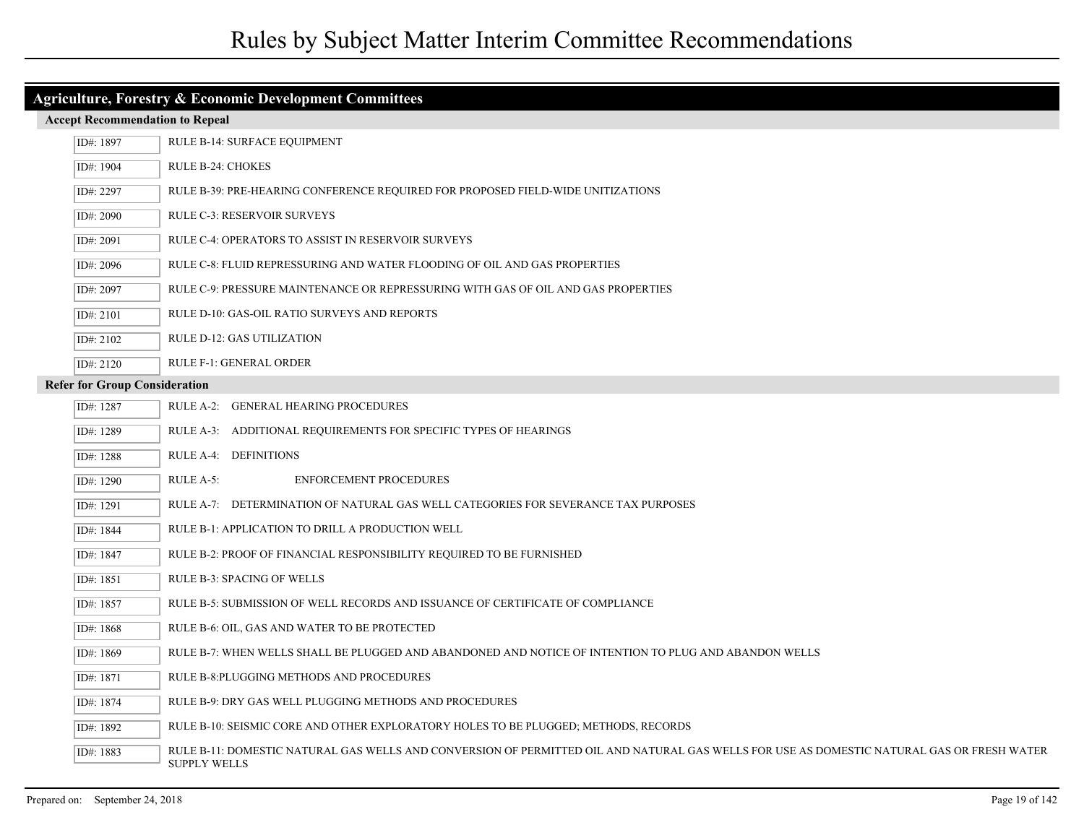| <b>Agriculture, Forestry &amp; Economic Development Committees</b>                             |                                                                                                                                                                   |  |
|------------------------------------------------------------------------------------------------|-------------------------------------------------------------------------------------------------------------------------------------------------------------------|--|
| <b>Accept Recommendation to Repeal</b><br>RULE B-14: SURFACE EQUIPMENT<br>ID#: 1897            |                                                                                                                                                                   |  |
|                                                                                                |                                                                                                                                                                   |  |
| RULE B-24: CHOKES<br>ID#: 1904                                                                 |                                                                                                                                                                   |  |
| ID#: 2297<br>RULE B-39: PRE-HEARING CONFERENCE REQUIRED FOR PROPOSED FIELD-WIDE UNITIZATIONS   |                                                                                                                                                                   |  |
| RULE C-3: RESERVOIR SURVEYS<br>ID#: 2090                                                       |                                                                                                                                                                   |  |
| ID#: 2091<br>RULE C-4: OPERATORS TO ASSIST IN RESERVOIR SURVEYS                                |                                                                                                                                                                   |  |
| RULE C-8: FLUID REPRESSURING AND WATER FLOODING OF OIL AND GAS PROPERTIES<br>ID#: 2096         |                                                                                                                                                                   |  |
| RULE C-9: PRESSURE MAINTENANCE OR REPRESSURING WITH GAS OF OIL AND GAS PROPERTIES<br>ID#: 2097 |                                                                                                                                                                   |  |
| ID#: 2101<br>RULE D-10: GAS-OIL RATIO SURVEYS AND REPORTS                                      |                                                                                                                                                                   |  |
| ID#: 2102<br>RULE D-12: GAS UTILIZATION                                                        |                                                                                                                                                                   |  |
| RULE F-1: GENERAL ORDER<br>ID#: 2120                                                           |                                                                                                                                                                   |  |
| <b>Refer for Group Consideration</b>                                                           |                                                                                                                                                                   |  |
| ID#: 1287                                                                                      | RULE A-2: GENERAL HEARING PROCEDURES                                                                                                                              |  |
| ID#: 1289                                                                                      | RULE A-3: ADDITIONAL REQUIREMENTS FOR SPECIFIC TYPES OF HEARINGS                                                                                                  |  |
| ID#: 1288                                                                                      | RULE A-4: DEFINITIONS                                                                                                                                             |  |
| ID#: 1290                                                                                      | RULE A-5:<br><b>ENFORCEMENT PROCEDURES</b>                                                                                                                        |  |
| ID#: 1291                                                                                      | RULE A-7: DETERMINATION OF NATURAL GAS WELL CATEGORIES FOR SEVERANCE TAX PURPOSES                                                                                 |  |
| ID#: 1844                                                                                      | RULE B-1: APPLICATION TO DRILL A PRODUCTION WELL                                                                                                                  |  |
| ID#: 1847                                                                                      | RULE B-2: PROOF OF FINANCIAL RESPONSIBILITY REQUIRED TO BE FURNISHED                                                                                              |  |
| ID#: 1851                                                                                      | RULE B-3: SPACING OF WELLS                                                                                                                                        |  |
| ID#: 1857                                                                                      | RULE B-5: SUBMISSION OF WELL RECORDS AND ISSUANCE OF CERTIFICATE OF COMPLIANCE                                                                                    |  |
| ID#: 1868                                                                                      | RULE B-6: OIL, GAS AND WATER TO BE PROTECTED                                                                                                                      |  |
| ID#: 1869                                                                                      | RULE B-7: WHEN WELLS SHALL BE PLUGGED AND ABANDONED AND NOTICE OF INTENTION TO PLUG AND ABANDON WELLS                                                             |  |
| ID#: 1871                                                                                      | RULE B-8: PLUGGING METHODS AND PROCEDURES                                                                                                                         |  |
| ID#: 1874                                                                                      | RULE B-9: DRY GAS WELL PLUGGING METHODS AND PROCEDURES                                                                                                            |  |
| ID#: 1892                                                                                      | RULE B-10: SEISMIC CORE AND OTHER EXPLORATORY HOLES TO BE PLUGGED; METHODS, RECORDS                                                                               |  |
| ID#: 1883                                                                                      | RULE B-11: DOMESTIC NATURAL GAS WELLS AND CONVERSION OF PERMITTED OIL AND NATURAL GAS WELLS FOR USE AS DOMESTIC NATURAL GAS OR FRESH WATER<br><b>SUPPLY WELLS</b> |  |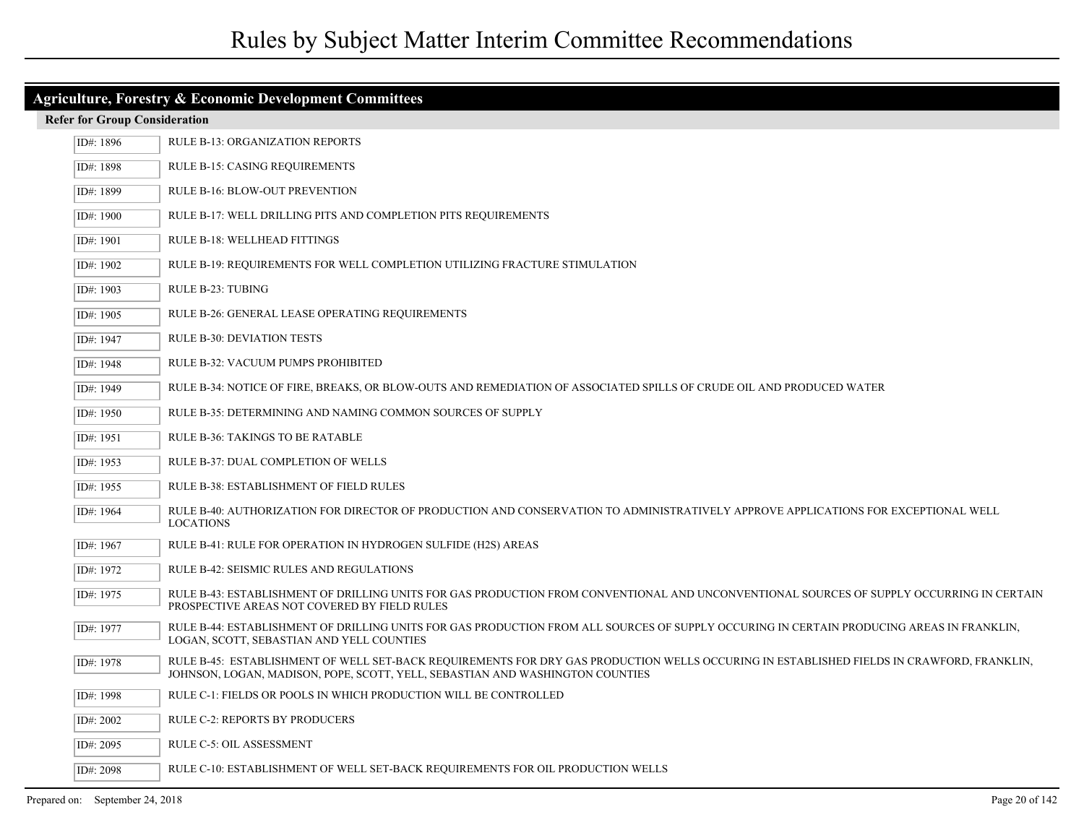| <b>Agriculture, Forestry &amp; Economic Development Committees</b>                      |                                                                                                                                                                                                                            |  |
|-----------------------------------------------------------------------------------------|----------------------------------------------------------------------------------------------------------------------------------------------------------------------------------------------------------------------------|--|
| <b>Refer for Group Consideration</b>                                                    |                                                                                                                                                                                                                            |  |
| <b>RULE B-13: ORGANIZATION REPORTS</b><br>ID#: 1896                                     |                                                                                                                                                                                                                            |  |
| ID#: 1898                                                                               | RULE B-15: CASING REQUIREMENTS                                                                                                                                                                                             |  |
| RULE B-16: BLOW-OUT PREVENTION<br>ID#: 1899                                             |                                                                                                                                                                                                                            |  |
| ID#: 1900<br>RULE B-17: WELL DRILLING PITS AND COMPLETION PITS REQUIREMENTS             |                                                                                                                                                                                                                            |  |
| RULE B-18: WELLHEAD FITTINGS<br>ID#: 1901                                               |                                                                                                                                                                                                                            |  |
| RULE B-19: REQUIREMENTS FOR WELL COMPLETION UTILIZING FRACTURE STIMULATION<br>ID#: 1902 |                                                                                                                                                                                                                            |  |
| ID#: 1903<br>RULE B-23: TUBING                                                          |                                                                                                                                                                                                                            |  |
| ID#: 1905                                                                               | RULE B-26: GENERAL LEASE OPERATING REQUIREMENTS                                                                                                                                                                            |  |
| ID#: 1947                                                                               | <b>RULE B-30: DEVIATION TESTS</b>                                                                                                                                                                                          |  |
| ID#: 1948                                                                               | RULE B-32: VACUUM PUMPS PROHIBITED                                                                                                                                                                                         |  |
| ID#: 1949                                                                               | RULE B-34: NOTICE OF FIRE, BREAKS, OR BLOW-OUTS AND REMEDIATION OF ASSOCIATED SPILLS OF CRUDE OIL AND PRODUCED WATER                                                                                                       |  |
| ID#: 1950                                                                               | RULE B-35: DETERMINING AND NAMING COMMON SOURCES OF SUPPLY                                                                                                                                                                 |  |
| ID#: 1951                                                                               | RULE B-36: TAKINGS TO BE RATABLE                                                                                                                                                                                           |  |
| ID#: 1953                                                                               | RULE B-37: DUAL COMPLETION OF WELLS                                                                                                                                                                                        |  |
| ID#: 1955                                                                               | RULE B-38: ESTABLISHMENT OF FIELD RULES                                                                                                                                                                                    |  |
| ID#: 1964                                                                               | RULE B-40: AUTHORIZATION FOR DIRECTOR OF PRODUCTION AND CONSERVATION TO ADMINISTRATIVELY APPROVE APPLICATIONS FOR EXCEPTIONAL WELL<br><b>LOCATIONS</b>                                                                     |  |
| ID#: 1967                                                                               | RULE B-41: RULE FOR OPERATION IN HYDROGEN SULFIDE (H2S) AREAS                                                                                                                                                              |  |
| ID#: 1972                                                                               | RULE B-42: SEISMIC RULES AND REGULATIONS                                                                                                                                                                                   |  |
| ID#: 1975                                                                               | RULE B-43: ESTABLISHMENT OF DRILLING UNITS FOR GAS PRODUCTION FROM CONVENTIONAL AND UNCONVENTIONAL SOURCES OF SUPPLY OCCURRING IN CERTAIN<br>PROSPECTIVE AREAS NOT COVERED BY FIELD RULES                                  |  |
| ID#: 1977                                                                               | RULE B-44: ESTABLISHMENT OF DRILLING UNITS FOR GAS PRODUCTION FROM ALL SOURCES OF SUPPLY OCCURING IN CERTAIN PRODUCING AREAS IN FRANKLIN,<br>LOGAN, SCOTT, SEBASTIAN AND YELL COUNTIES                                     |  |
| ID#: 1978                                                                               | RULE B-45: ESTABLISHMENT OF WELL SET-BACK REQUIREMENTS FOR DRY GAS PRODUCTION WELLS OCCURING IN ESTABLISHED FIELDS IN CRAWFORD, FRANKLIN,<br>JOHNSON, LOGAN, MADISON, POPE, SCOTT, YELL, SEBASTIAN AND WASHINGTON COUNTIES |  |
| ID#: 1998                                                                               | RULE C-1: FIELDS OR POOLS IN WHICH PRODUCTION WILL BE CONTROLLED                                                                                                                                                           |  |
| ID#: 2002                                                                               | RULE C-2: REPORTS BY PRODUCERS                                                                                                                                                                                             |  |
| ID#: 2095                                                                               | RULE C-5: OIL ASSESSMENT                                                                                                                                                                                                   |  |
| ID#: 2098                                                                               | RULE C-10: ESTABLISHMENT OF WELL SET-BACK REQUIREMENTS FOR OIL PRODUCTION WELLS                                                                                                                                            |  |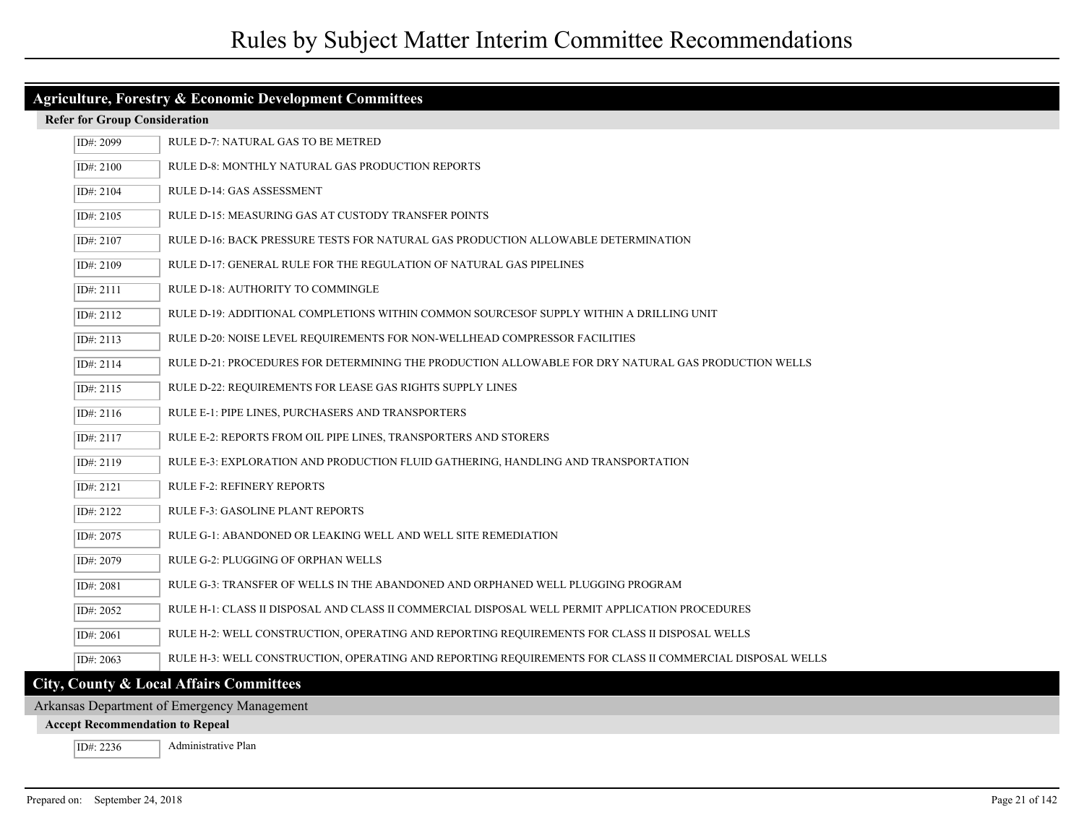| Agriculture, Forestry & Economic Development Committees |                                                                                                          |  |  |
|---------------------------------------------------------|----------------------------------------------------------------------------------------------------------|--|--|
| <b>Refer for Group Consideration</b>                    |                                                                                                          |  |  |
| ID#: 2099                                               | RULE D-7: NATURAL GAS TO BE METRED                                                                       |  |  |
| ID#: 2100                                               | <b>RULE D-8: MONTHLY NATURAL GAS PRODUCTION REPORTS</b>                                                  |  |  |
| ID#: 2104                                               | RULE D-14: GAS ASSESSMENT                                                                                |  |  |
| ID#: 2105                                               | RULE D-15: MEASURING GAS AT CUSTODY TRANSFER POINTS                                                      |  |  |
| ID#: 2107                                               | RULE D-16: BACK PRESSURE TESTS FOR NATURAL GAS PRODUCTION ALLOWABLE DETERMINATION                        |  |  |
| ID#: 2109                                               | RULE D-17: GENERAL RULE FOR THE REGULATION OF NATURAL GAS PIPELINES                                      |  |  |
| ID#: 2111                                               | RULE D-18: AUTHORITY TO COMMINGLE                                                                        |  |  |
| ID#: 2112                                               | RULE D-19: ADDITIONAL COMPLETIONS WITHIN COMMON SOURCESOF SUPPLY WITHIN A DRILLING UNIT                  |  |  |
| ID#: 2113                                               | RULE D-20: NOISE LEVEL REQUIREMENTS FOR NON-WELLHEAD COMPRESSOR FACILITIES                               |  |  |
| ID#: 2114                                               | RULE D-21: PROCEDURES FOR DETERMINING THE PRODUCTION ALLOWABLE FOR DRY NATURAL GAS PRODUCTION WELLS      |  |  |
| ID#: 2115                                               | RULE D-22: REQUIREMENTS FOR LEASE GAS RIGHTS SUPPLY LINES                                                |  |  |
| ID#: 2116                                               | RULE E-1: PIPE LINES, PURCHASERS AND TRANSPORTERS                                                        |  |  |
| ID#: 2117                                               | RULE E-2: REPORTS FROM OIL PIPE LINES, TRANSPORTERS AND STORERS                                          |  |  |
| ID#: 2119                                               | RULE E-3: EXPLORATION AND PRODUCTION FLUID GATHERING, HANDLING AND TRANSPORTATION                        |  |  |
| ID#: 2121                                               | <b>RULE F-2: REFINERY REPORTS</b>                                                                        |  |  |
| ID#: 2122                                               | RULE F-3: GASOLINE PLANT REPORTS                                                                         |  |  |
| ID#: 2075                                               | RULE G-1: ABANDONED OR LEAKING WELL AND WELL SITE REMEDIATION                                            |  |  |
| ID#: 2079                                               | RULE G-2: PLUGGING OF ORPHAN WELLS                                                                       |  |  |
| ID#: 2081                                               | RULE G-3: TRANSFER OF WELLS IN THE ABANDONED AND ORPHANED WELL PLUGGING PROGRAM                          |  |  |
| ID#: 2052                                               | RULE H-1: CLASS II DISPOSAL AND CLASS II COMMERCIAL DISPOSAL WELL PERMIT APPLICATION PROCEDURES          |  |  |
| ID#: 2061                                               | RULE H-2: WELL CONSTRUCTION, OPERATING AND REPORTING REQUIREMENTS FOR CLASS II DISPOSAL WELLS            |  |  |
| ID#: 2063                                               | RULE H-3: WELL CONSTRUCTION, OPERATING AND REPORTING REQUIREMENTS FOR CLASS II COMMERCIAL DISPOSAL WELLS |  |  |
|                                                         | City, County & Local Affairs Committees                                                                  |  |  |

# **City, County & Local Affairs Committees**

Arkansas Department of Emergency Management

### **Accept Recommendation to Repeal**

ID#: 2236 Administrative Plan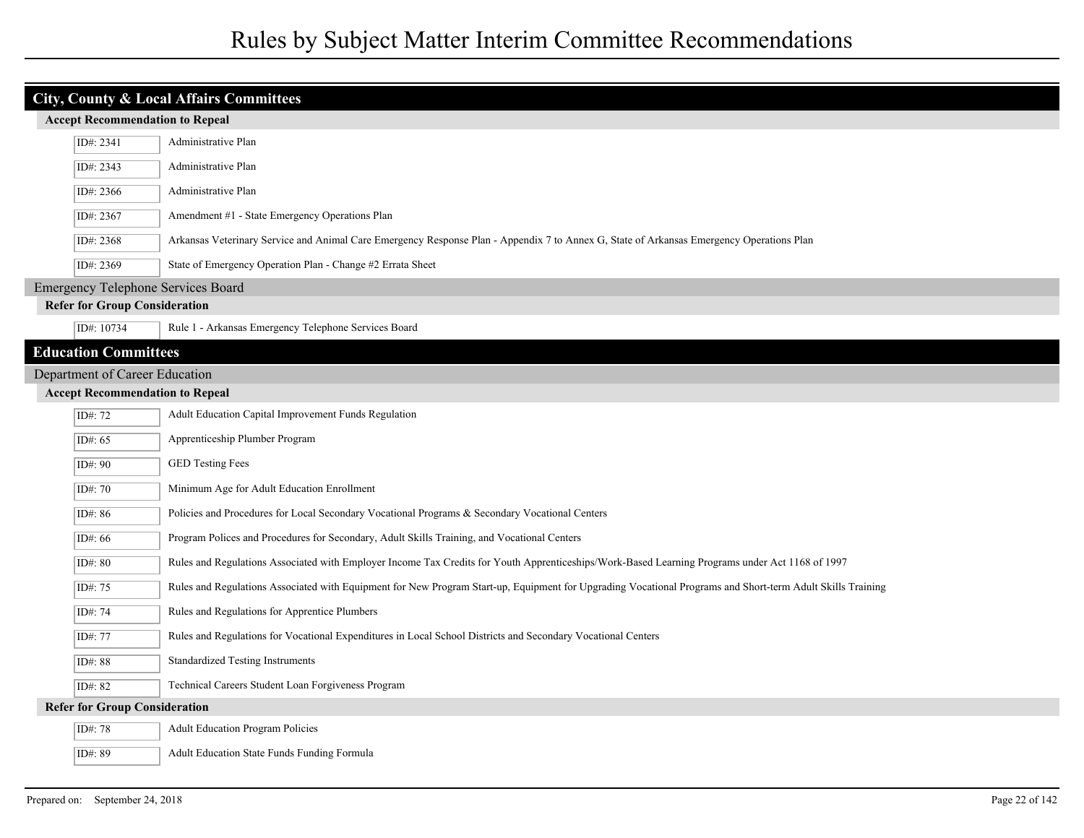|                                                                                                                                                       | <b>City, County &amp; Local Affairs Committees</b> |                                                                                                                                                            |  |  |
|-------------------------------------------------------------------------------------------------------------------------------------------------------|----------------------------------------------------|------------------------------------------------------------------------------------------------------------------------------------------------------------|--|--|
|                                                                                                                                                       | <b>Accept Recommendation to Repeal</b>             |                                                                                                                                                            |  |  |
|                                                                                                                                                       | Administrative Plan<br>ID#: 2341                   |                                                                                                                                                            |  |  |
| ID#: 2343<br>Administrative Plan                                                                                                                      |                                                    |                                                                                                                                                            |  |  |
| ID#: 2366<br>Administrative Plan                                                                                                                      |                                                    |                                                                                                                                                            |  |  |
| Amendment #1 - State Emergency Operations Plan<br>ID#: 2367                                                                                           |                                                    |                                                                                                                                                            |  |  |
| Arkansas Veterinary Service and Animal Care Emergency Response Plan - Appendix 7 to Annex G, State of Arkansas Emergency Operations Plan<br>ID#: 2368 |                                                    |                                                                                                                                                            |  |  |
| State of Emergency Operation Plan - Change #2 Errata Sheet<br>ID#: 2369                                                                               |                                                    |                                                                                                                                                            |  |  |
|                                                                                                                                                       | <b>Emergency Telephone Services Board</b>          |                                                                                                                                                            |  |  |
|                                                                                                                                                       | <b>Refer for Group Consideration</b>               |                                                                                                                                                            |  |  |
|                                                                                                                                                       | ID#: 10734                                         | Rule 1 - Arkansas Emergency Telephone Services Board                                                                                                       |  |  |
|                                                                                                                                                       | <b>Education Committees</b>                        |                                                                                                                                                            |  |  |
| Department of Career Education                                                                                                                        |                                                    |                                                                                                                                                            |  |  |
| <b>Accept Recommendation to Repeal</b>                                                                                                                |                                                    |                                                                                                                                                            |  |  |
| Adult Education Capital Improvement Funds Regulation<br>ID#: 72                                                                                       |                                                    |                                                                                                                                                            |  |  |
|                                                                                                                                                       | ID#: 65                                            | Apprenticeship Plumber Program                                                                                                                             |  |  |
|                                                                                                                                                       | ID#: 90                                            | <b>GED Testing Fees</b>                                                                                                                                    |  |  |
|                                                                                                                                                       | ID#: 70                                            | Minimum Age for Adult Education Enrollment                                                                                                                 |  |  |
|                                                                                                                                                       | ID#: 86                                            | Policies and Procedures for Local Secondary Vocational Programs & Secondary Vocational Centers                                                             |  |  |
|                                                                                                                                                       | ID#: 66                                            | Program Polices and Procedures for Secondary, Adult Skills Training, and Vocational Centers                                                                |  |  |
|                                                                                                                                                       | ID#: 80                                            | Rules and Regulations Associated with Employer Income Tax Credits for Youth Apprenticeships/Work-Based Learning Programs under Act 1168 of 1997            |  |  |
|                                                                                                                                                       | ID#: 75                                            | Rules and Regulations Associated with Equipment for New Program Start-up, Equipment for Upgrading Vocational Programs and Short-term Adult Skills Training |  |  |
|                                                                                                                                                       | ID#: 74                                            | Rules and Regulations for Apprentice Plumbers                                                                                                              |  |  |
|                                                                                                                                                       | ID#: 77                                            | Rules and Regulations for Vocational Expenditures in Local School Districts and Secondary Vocational Centers                                               |  |  |
|                                                                                                                                                       | ID#: 88                                            | <b>Standardized Testing Instruments</b>                                                                                                                    |  |  |
|                                                                                                                                                       | ID#: 82                                            | Technical Careers Student Loan Forgiveness Program                                                                                                         |  |  |
|                                                                                                                                                       | <b>Refer for Group Consideration</b>               |                                                                                                                                                            |  |  |
|                                                                                                                                                       | ID#: 78                                            | <b>Adult Education Program Policies</b>                                                                                                                    |  |  |
|                                                                                                                                                       | ID#: 89                                            | Adult Education State Funds Funding Formula                                                                                                                |  |  |

I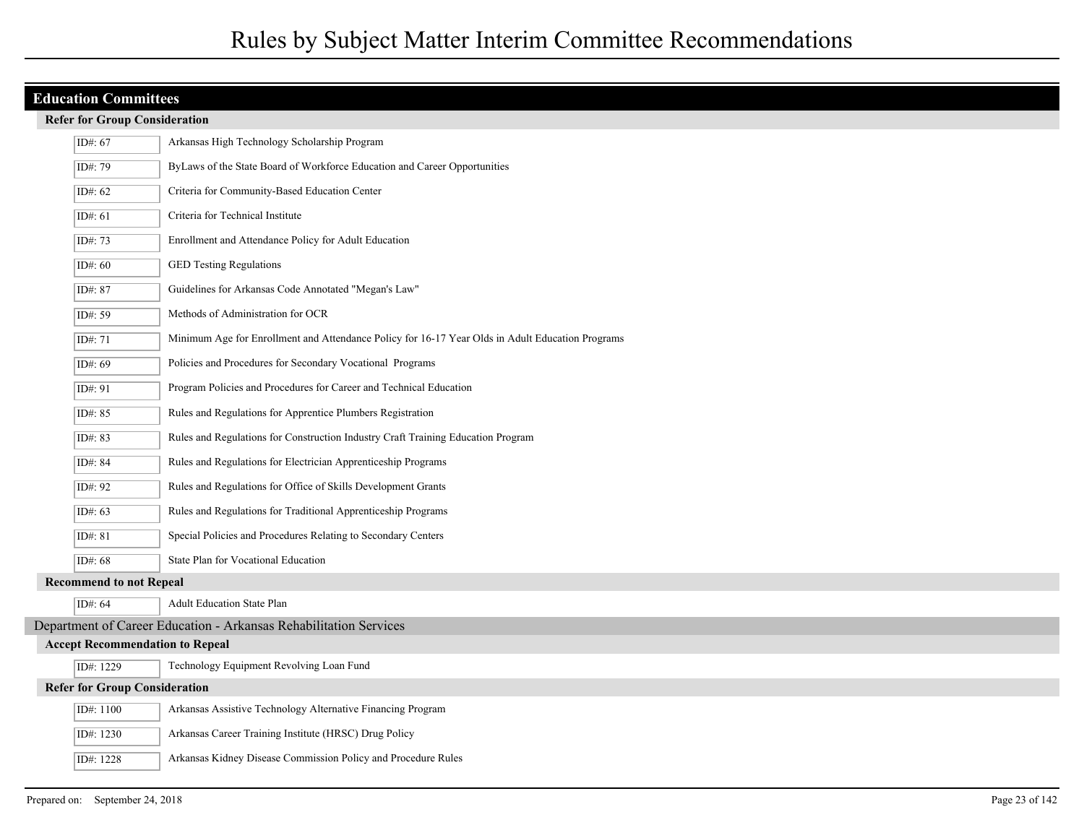### **Refer for Group Consideration**

|                                                                                                             | Arkansas High Technology Scholarship Program<br>ID#: 67 |                                                                                  |  |
|-------------------------------------------------------------------------------------------------------------|---------------------------------------------------------|----------------------------------------------------------------------------------|--|
| ID#: 79<br>ByLaws of the State Board of Workforce Education and Career Opportunities                        |                                                         |                                                                                  |  |
| ID#: 62                                                                                                     |                                                         | Criteria for Community-Based Education Center                                    |  |
| Criteria for Technical Institute<br>ID#: 61                                                                 |                                                         |                                                                                  |  |
| Enrollment and Attendance Policy for Adult Education<br>ID#: 73                                             |                                                         |                                                                                  |  |
| <b>GED Testing Regulations</b><br>ID#: 60                                                                   |                                                         |                                                                                  |  |
| Guidelines for Arkansas Code Annotated "Megan's Law"<br>ID#: 87                                             |                                                         |                                                                                  |  |
| Methods of Administration for OCR<br>ID#: 59                                                                |                                                         |                                                                                  |  |
| ID#: 71<br>Minimum Age for Enrollment and Attendance Policy for 16-17 Year Olds in Adult Education Programs |                                                         |                                                                                  |  |
| Policies and Procedures for Secondary Vocational Programs<br>ID#: 69                                        |                                                         |                                                                                  |  |
| Program Policies and Procedures for Career and Technical Education<br>ID#: 91                               |                                                         |                                                                                  |  |
|                                                                                                             | ID#: 85                                                 | Rules and Regulations for Apprentice Plumbers Registration                       |  |
|                                                                                                             | ID#: 83                                                 | Rules and Regulations for Construction Industry Craft Training Education Program |  |
|                                                                                                             | ID#: 84                                                 | Rules and Regulations for Electrician Apprenticeship Programs                    |  |
|                                                                                                             | ID#: 92                                                 | Rules and Regulations for Office of Skills Development Grants                    |  |
|                                                                                                             | ID#: 63                                                 | Rules and Regulations for Traditional Apprenticeship Programs                    |  |
| Special Policies and Procedures Relating to Secondary Centers<br>ID#: 81                                    |                                                         |                                                                                  |  |
|                                                                                                             | ID#: 68                                                 | State Plan for Vocational Education                                              |  |
|                                                                                                             | <b>Recommend to not Repeal</b>                          |                                                                                  |  |
|                                                                                                             | ID#: 64                                                 | Adult Education State Plan                                                       |  |
|                                                                                                             |                                                         | Department of Career Education - Arkansas Rehabilitation Services                |  |
|                                                                                                             | <b>Accept Recommendation to Repeal</b>                  |                                                                                  |  |
|                                                                                                             | Technology Equipment Revolving Loan Fund<br>ID#: 1229   |                                                                                  |  |
|                                                                                                             | <b>Refer for Group Consideration</b>                    |                                                                                  |  |
|                                                                                                             | ID#: 1100                                               | Arkansas Assistive Technology Alternative Financing Program                      |  |
|                                                                                                             | ID#: 1230                                               | Arkansas Career Training Institute (HRSC) Drug Policy                            |  |
|                                                                                                             | ID#: 1228                                               | Arkansas Kidney Disease Commission Policy and Procedure Rules                    |  |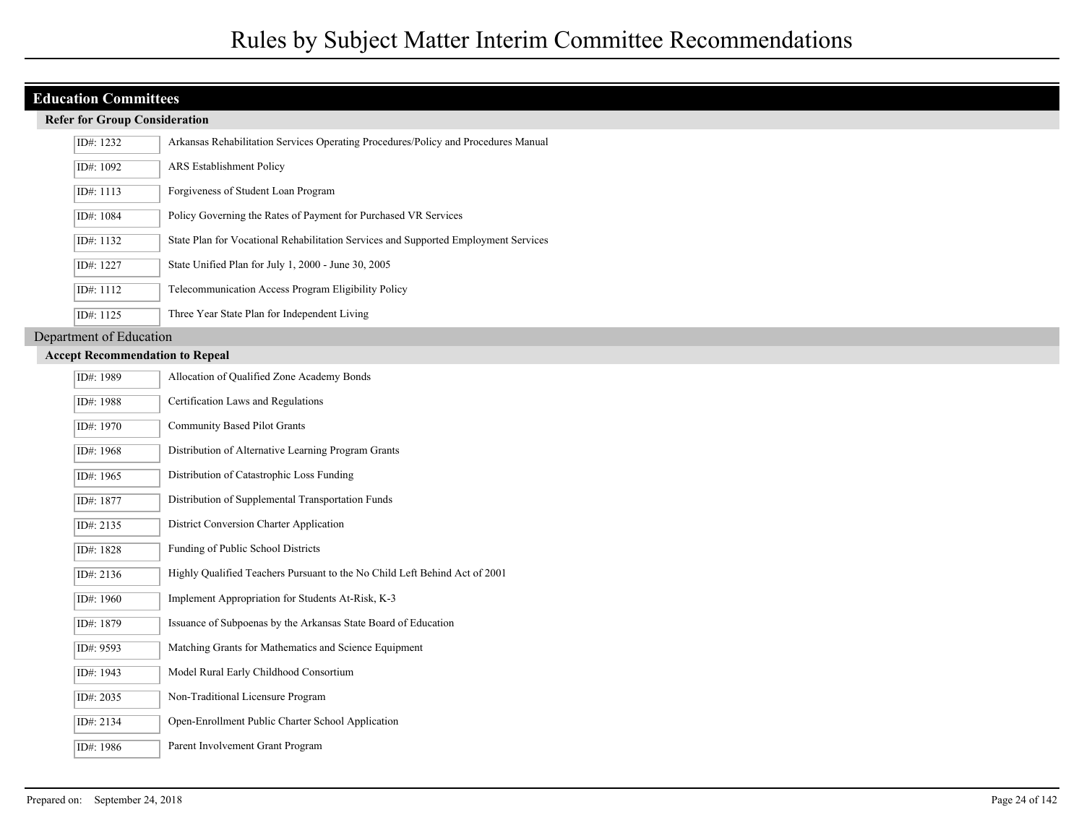#### **Refer for Group Consideration**

| ID#: 1232   | Arkansas Rehabilitation Services Operating Procedures/Policy and Procedures Manual  |
|-------------|-------------------------------------------------------------------------------------|
| ID#: 1092   | <b>ARS</b> Establishment Policy                                                     |
| ID#: $1113$ | Forgiveness of Student Loan Program                                                 |
| ID#: 1084   | Policy Governing the Rates of Payment for Purchased VR Services                     |
| ID#: 1132   | State Plan for Vocational Rehabilitation Services and Supported Employment Services |
| ID#: $1227$ | State Unified Plan for July 1, 2000 - June 30, 2005                                 |
| ID#: 1112   | Telecommunication Access Program Eligibility Policy                                 |
| ID#: $1125$ | Three Year State Plan for Independent Living                                        |

Department of Education

| ID#: 1989 | Allocation of Qualified Zone Academy Bonds                                 |
|-----------|----------------------------------------------------------------------------|
| ID#: 1988 | Certification Laws and Regulations                                         |
| ID#: 1970 | Community Based Pilot Grants                                               |
| ID#: 1968 | Distribution of Alternative Learning Program Grants                        |
| ID#: 1965 | Distribution of Catastrophic Loss Funding                                  |
| ID#: 1877 | Distribution of Supplemental Transportation Funds                          |
| ID#: 2135 | District Conversion Charter Application                                    |
| ID#: 1828 | Funding of Public School Districts                                         |
| ID#: 2136 | Highly Qualified Teachers Pursuant to the No Child Left Behind Act of 2001 |
| ID#: 1960 | Implement Appropriation for Students At-Risk, K-3                          |
| ID#: 1879 | Issuance of Subpoenas by the Arkansas State Board of Education             |
| ID#: 9593 | Matching Grants for Mathematics and Science Equipment                      |
| ID#: 1943 | Model Rural Early Childhood Consortium                                     |
| ID#: 2035 | Non-Traditional Licensure Program                                          |
| ID#: 2134 | Open-Enrollment Public Charter School Application                          |
| ID#: 1986 | Parent Involvement Grant Program                                           |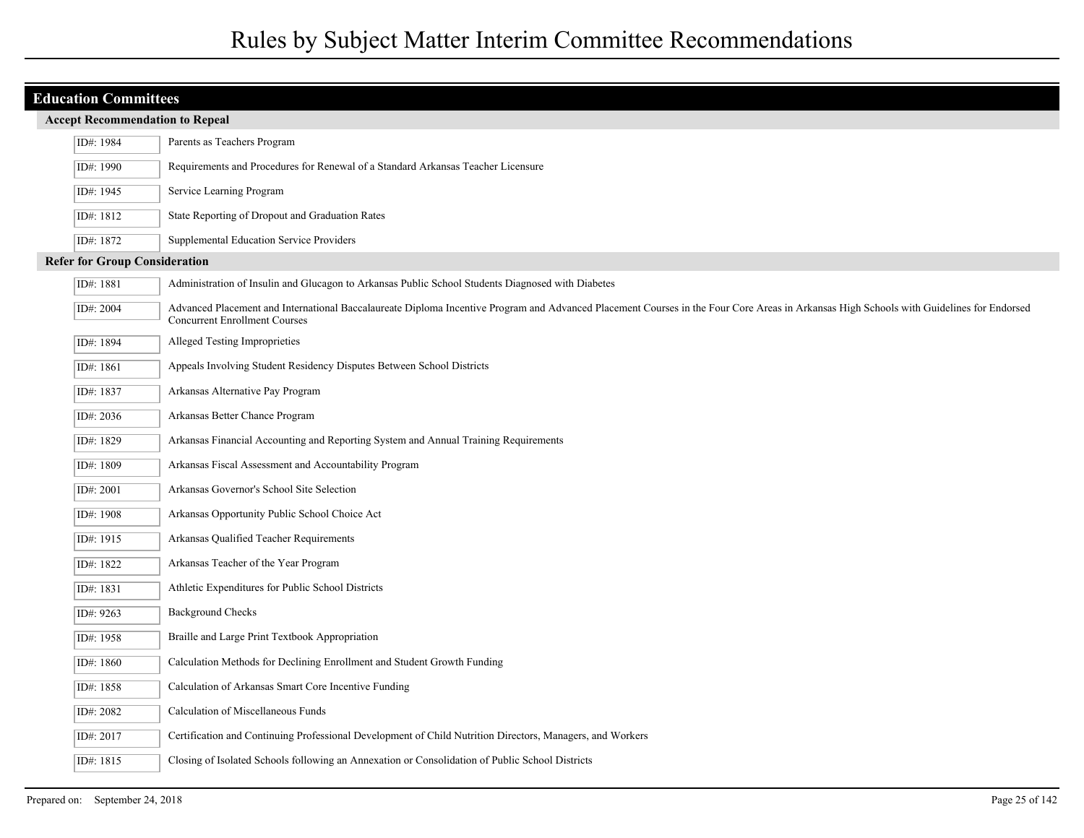| <b>Education Committees</b>            |                                                                                                                                                                                                                                  |  |
|----------------------------------------|----------------------------------------------------------------------------------------------------------------------------------------------------------------------------------------------------------------------------------|--|
| <b>Accept Recommendation to Repeal</b> |                                                                                                                                                                                                                                  |  |
| ID#: 1984                              | Parents as Teachers Program                                                                                                                                                                                                      |  |
| ID#: 1990                              | Requirements and Procedures for Renewal of a Standard Arkansas Teacher Licensure                                                                                                                                                 |  |
| ID#: 1945                              | Service Learning Program                                                                                                                                                                                                         |  |
| ID#: 1812                              | State Reporting of Dropout and Graduation Rates                                                                                                                                                                                  |  |
| ID#: 1872                              | Supplemental Education Service Providers                                                                                                                                                                                         |  |
| <b>Refer for Group Consideration</b>   |                                                                                                                                                                                                                                  |  |
| ID#: 1881                              | Administration of Insulin and Glucagon to Arkansas Public School Students Diagnosed with Diabetes                                                                                                                                |  |
| ID#: 2004                              | Advanced Placement and International Baccalaureate Diploma Incentive Program and Advanced Placement Courses in the Four Core Areas in Arkansas High Schools with Guidelines for Endorsed<br><b>Concurrent Enrollment Courses</b> |  |
| ID#: 1894                              | Alleged Testing Improprieties                                                                                                                                                                                                    |  |
| ID#: 1861                              | Appeals Involving Student Residency Disputes Between School Districts                                                                                                                                                            |  |
| ID#: 1837                              | Arkansas Alternative Pay Program                                                                                                                                                                                                 |  |
| ID#: 2036                              | Arkansas Better Chance Program                                                                                                                                                                                                   |  |
| ID#: 1829                              | Arkansas Financial Accounting and Reporting System and Annual Training Requirements                                                                                                                                              |  |
| ID#: 1809                              | Arkansas Fiscal Assessment and Accountability Program                                                                                                                                                                            |  |
| ID#: 2001                              | Arkansas Governor's School Site Selection                                                                                                                                                                                        |  |
| ID#: 1908                              | Arkansas Opportunity Public School Choice Act                                                                                                                                                                                    |  |
| ID#: 1915                              | Arkansas Qualified Teacher Requirements                                                                                                                                                                                          |  |
| ID#: 1822                              | Arkansas Teacher of the Year Program                                                                                                                                                                                             |  |
| ID#: 1831                              | Athletic Expenditures for Public School Districts                                                                                                                                                                                |  |
| ID#: 9263                              | <b>Background Checks</b>                                                                                                                                                                                                         |  |
| ID#: 1958                              | Braille and Large Print Textbook Appropriation                                                                                                                                                                                   |  |
| ID#: 1860                              | Calculation Methods for Declining Enrollment and Student Growth Funding                                                                                                                                                          |  |
| ID#: 1858                              | Calculation of Arkansas Smart Core Incentive Funding                                                                                                                                                                             |  |
| ID#: 2082                              | Calculation of Miscellaneous Funds                                                                                                                                                                                               |  |
| ID#: 2017                              | Certification and Continuing Professional Development of Child Nutrition Directors, Managers, and Workers                                                                                                                        |  |
| ID#: 1815                              | Closing of Isolated Schools following an Annexation or Consolidation of Public School Districts                                                                                                                                  |  |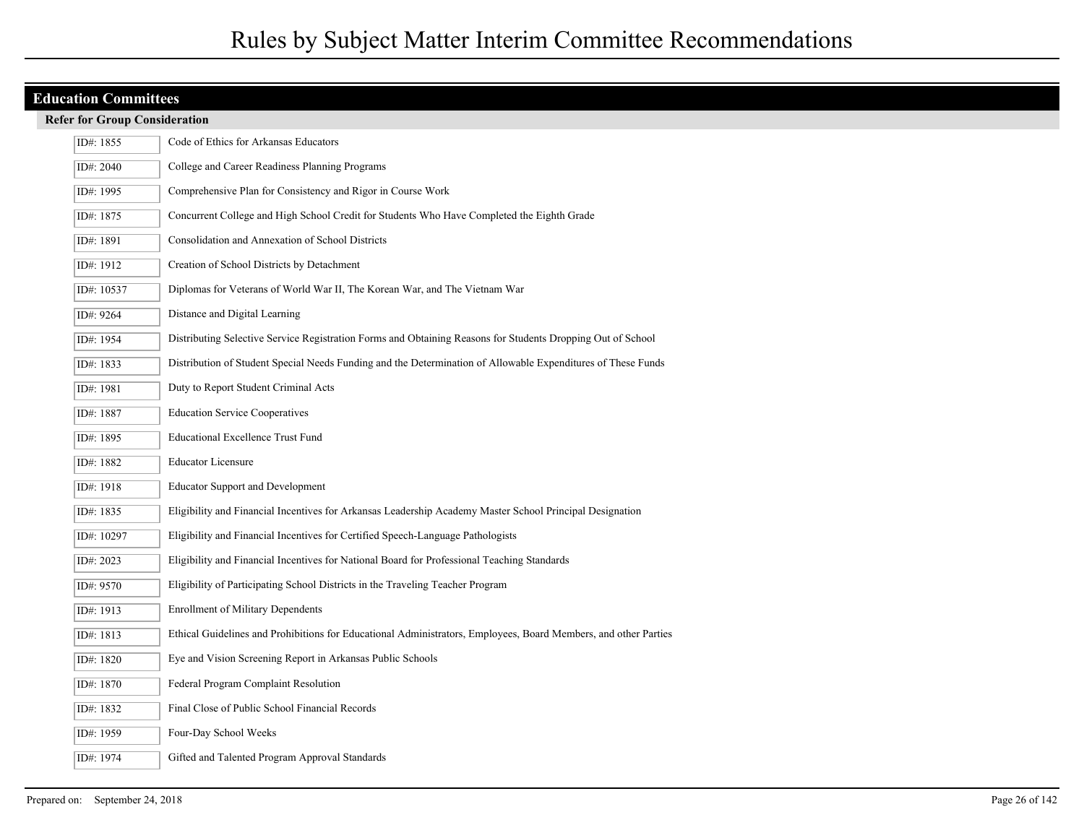## **Refer for Group Consideration**

| ID#: 1855  | Code of Ethics for Arkansas Educators                                                                           |
|------------|-----------------------------------------------------------------------------------------------------------------|
| ID#: 2040  | College and Career Readiness Planning Programs                                                                  |
| ID#: 1995  | Comprehensive Plan for Consistency and Rigor in Course Work                                                     |
| ID#: 1875  | Concurrent College and High School Credit for Students Who Have Completed the Eighth Grade                      |
| ID#: 1891  | Consolidation and Annexation of School Districts                                                                |
| ID#: 1912  | Creation of School Districts by Detachment                                                                      |
| ID#: 10537 | Diplomas for Veterans of World War II, The Korean War, and The Vietnam War                                      |
| ID#: 9264  | Distance and Digital Learning                                                                                   |
| ID#: 1954  | Distributing Selective Service Registration Forms and Obtaining Reasons for Students Dropping Out of School     |
| ID#: 1833  | Distribution of Student Special Needs Funding and the Determination of Allowable Expenditures of These Funds    |
| ID#: 1981  | Duty to Report Student Criminal Acts                                                                            |
| ID#: 1887  | <b>Education Service Cooperatives</b>                                                                           |
| ID#: 1895  | <b>Educational Excellence Trust Fund</b>                                                                        |
|            |                                                                                                                 |
| ID#: 1882  | <b>Educator Licensure</b>                                                                                       |
| ID#: 1918  | <b>Educator Support and Development</b>                                                                         |
| ID#: 1835  | Eligibility and Financial Incentives for Arkansas Leadership Academy Master School Principal Designation        |
| ID#: 10297 | Eligibility and Financial Incentives for Certified Speech-Language Pathologists                                 |
| ID#: 2023  | Eligibility and Financial Incentives for National Board for Professional Teaching Standards                     |
| ID#: 9570  | Eligibility of Participating School Districts in the Traveling Teacher Program                                  |
| ID#: 1913  | <b>Enrollment of Military Dependents</b>                                                                        |
| ID#: 1813  | Ethical Guidelines and Prohibitions for Educational Administrators, Employees, Board Members, and other Parties |
| ID#: 1820  | Eye and Vision Screening Report in Arkansas Public Schools                                                      |
| ID#: 1870  | Federal Program Complaint Resolution                                                                            |
| ID#: 1832  | Final Close of Public School Financial Records                                                                  |
| ID#: 1959  | Four-Day School Weeks                                                                                           |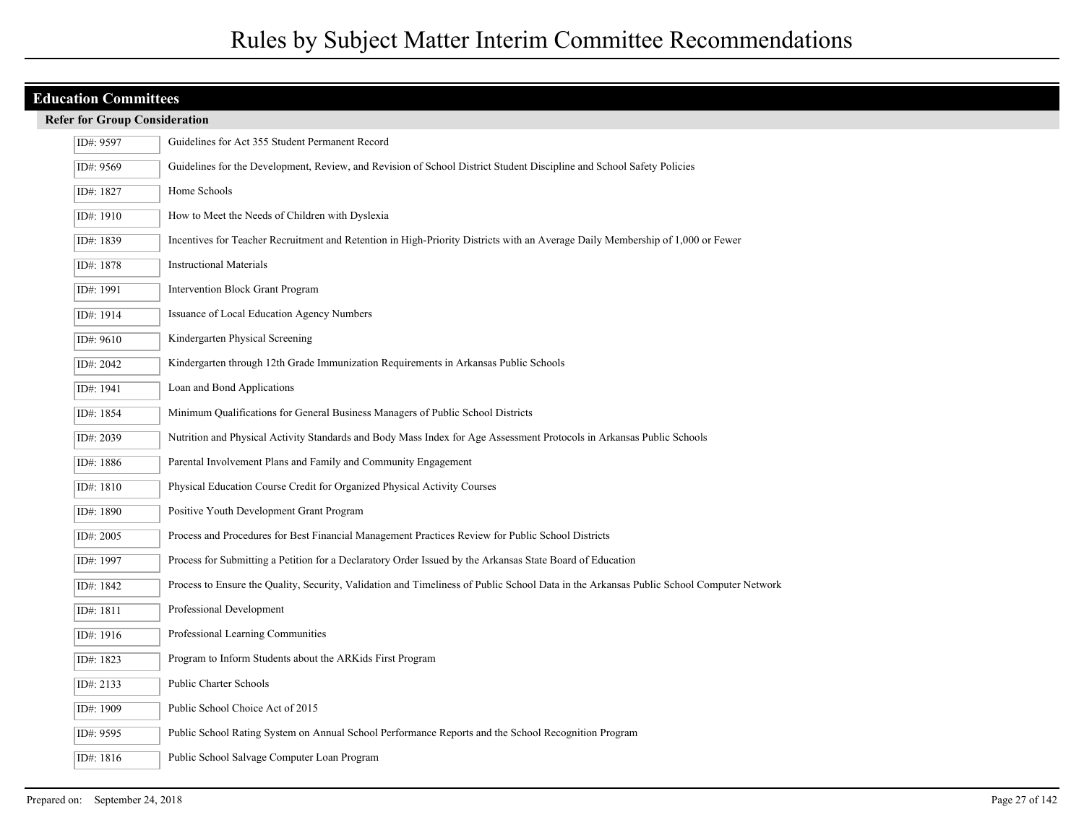| <b>Refer for Group Consideration</b> |
|--------------------------------------|
|--------------------------------------|

| ID#: 9597 | Guidelines for Act 355 Student Permanent Record                                                                                         |
|-----------|-----------------------------------------------------------------------------------------------------------------------------------------|
| ID#: 9569 | Guidelines for the Development, Review, and Revision of School District Student Discipline and School Safety Policies                   |
| ID#: 1827 | Home Schools                                                                                                                            |
| ID#: 1910 | How to Meet the Needs of Children with Dyslexia                                                                                         |
| ID#: 1839 | Incentives for Teacher Recruitment and Retention in High-Priority Districts with an Average Daily Membership of 1,000 or Fewer          |
| ID#: 1878 | <b>Instructional Materials</b>                                                                                                          |
| ID#: 1991 | Intervention Block Grant Program                                                                                                        |
| ID#: 1914 | Issuance of Local Education Agency Numbers                                                                                              |
| ID#: 9610 | Kindergarten Physical Screening                                                                                                         |
| ID#: 2042 | Kindergarten through 12th Grade Immunization Requirements in Arkansas Public Schools                                                    |
| ID#: 1941 | Loan and Bond Applications                                                                                                              |
| ID#: 1854 | Minimum Qualifications for General Business Managers of Public School Districts                                                         |
| ID#: 2039 | Nutrition and Physical Activity Standards and Body Mass Index for Age Assessment Protocols in Arkansas Public Schools                   |
| ID#: 1886 | Parental Involvement Plans and Family and Community Engagement                                                                          |
| ID#: 1810 | Physical Education Course Credit for Organized Physical Activity Courses                                                                |
| ID#: 1890 | Positive Youth Development Grant Program                                                                                                |
| ID#: 2005 | Process and Procedures for Best Financial Management Practices Review for Public School Districts                                       |
| ID#: 1997 | Process for Submitting a Petition for a Declaratory Order Issued by the Arkansas State Board of Education                               |
| ID#: 1842 | Process to Ensure the Quality, Security, Validation and Timeliness of Public School Data in the Arkansas Public School Computer Network |
| ID#: 1811 | Professional Development                                                                                                                |
| ID#: 1916 | Professional Learning Communities                                                                                                       |
| ID#: 1823 | Program to Inform Students about the ARKids First Program                                                                               |
| ID#: 2133 | Public Charter Schools                                                                                                                  |
| ID#: 1909 | Public School Choice Act of 2015                                                                                                        |
| ID#: 9595 | Public School Rating System on Annual School Performance Reports and the School Recognition Program                                     |
| ID#: 1816 | Public School Salvage Computer Loan Program                                                                                             |
|           |                                                                                                                                         |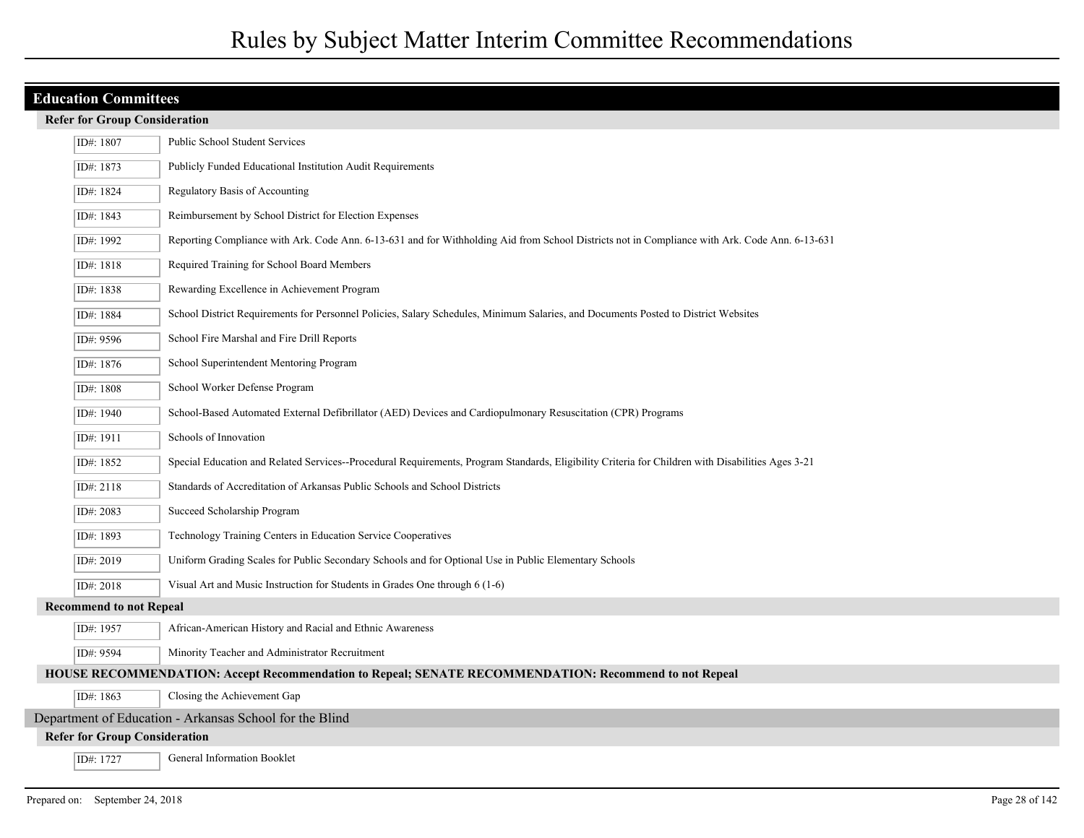## **Refer for Group Consideration**

| ID#: 1807                            | <b>Public School Student Services</b>                                                                                                             |
|--------------------------------------|---------------------------------------------------------------------------------------------------------------------------------------------------|
| ID#: 1873                            | Publicly Funded Educational Institution Audit Requirements                                                                                        |
| ID#: 1824                            | Regulatory Basis of Accounting                                                                                                                    |
| ID#: 1843                            | Reimbursement by School District for Election Expenses                                                                                            |
| ID#: 1992                            | Reporting Compliance with Ark. Code Ann. 6-13-631 and for Withholding Aid from School Districts not in Compliance with Ark. Code Ann. 6-13-631    |
| ID#: 1818                            | Required Training for School Board Members                                                                                                        |
| ID#: 1838                            | Rewarding Excellence in Achievement Program                                                                                                       |
| ID#: 1884                            | School District Requirements for Personnel Policies, Salary Schedules, Minimum Salaries, and Documents Posted to District Websites                |
| ID#: 9596                            | School Fire Marshal and Fire Drill Reports                                                                                                        |
| ID#: 1876                            | School Superintendent Mentoring Program                                                                                                           |
| ID#: 1808                            | School Worker Defense Program                                                                                                                     |
| ID#: 1940                            | School-Based Automated External Defibrillator (AED) Devices and Cardiopulmonary Resuscitation (CPR) Programs                                      |
| ID#: 1911                            | Schools of Innovation                                                                                                                             |
| ID#: 1852                            | Special Education and Related Services--Procedural Requirements, Program Standards, Eligibility Criteria for Children with Disabilities Ages 3-21 |
| ID#: 2118                            | Standards of Accreditation of Arkansas Public Schools and School Districts                                                                        |
| ID#: 2083                            | Succeed Scholarship Program                                                                                                                       |
| ID#: 1893                            | Technology Training Centers in Education Service Cooperatives                                                                                     |
| ID#: 2019                            | Uniform Grading Scales for Public Secondary Schools and for Optional Use in Public Elementary Schools                                             |
| ID#: 2018                            | Visual Art and Music Instruction for Students in Grades One through 6 (1-6)                                                                       |
| <b>Recommend to not Repeal</b>       |                                                                                                                                                   |
| ID#: 1957                            | African-American History and Racial and Ethnic Awareness                                                                                          |
| ID#: 9594                            | Minority Teacher and Administrator Recruitment                                                                                                    |
|                                      | HOUSE RECOMMENDATION: Accept Recommendation to Repeal; SENATE RECOMMENDATION: Recommend to not Repeal                                             |
| ID#: 1863                            | Closing the Achievement Gap                                                                                                                       |
|                                      | Department of Education - Arkansas School for the Blind                                                                                           |
| <b>Refer for Group Consideration</b> |                                                                                                                                                   |
| ID#: 1727                            | General Information Booklet                                                                                                                       |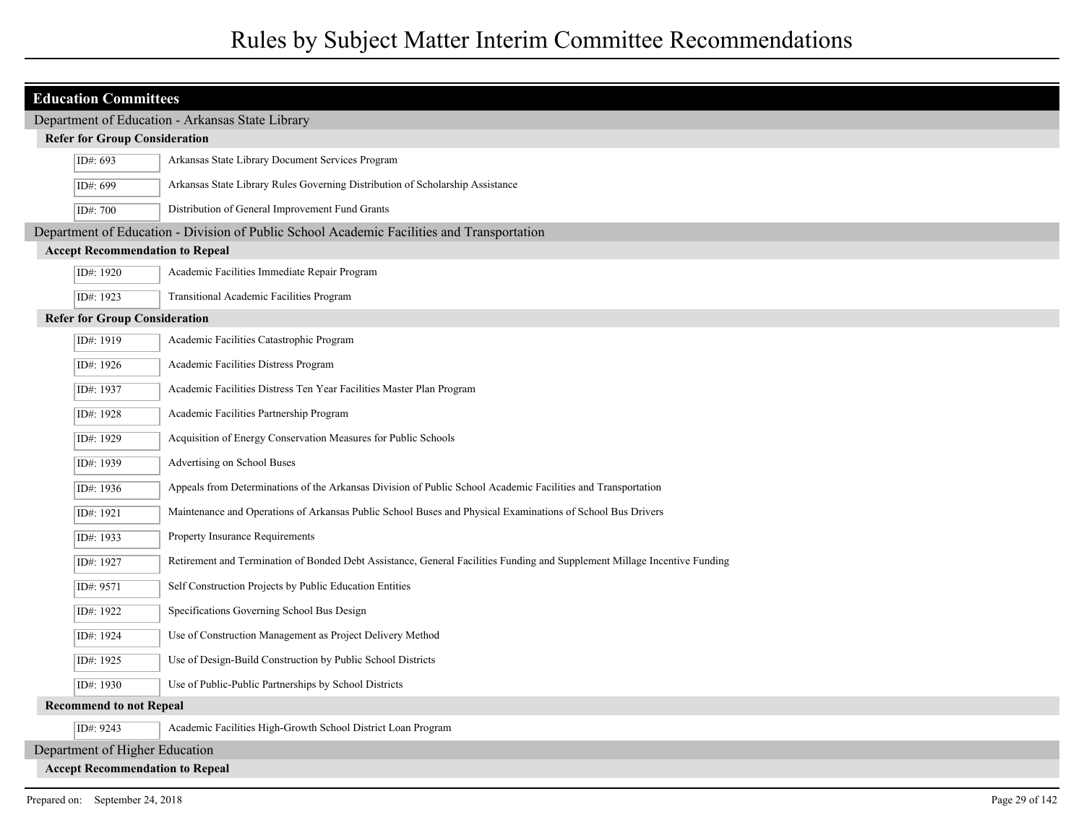| <b>Education Committees</b>                      |                                                                                                                           |  |
|--------------------------------------------------|---------------------------------------------------------------------------------------------------------------------------|--|
| Department of Education - Arkansas State Library |                                                                                                                           |  |
| <b>Refer for Group Consideration</b>             |                                                                                                                           |  |
| ID#: 693                                         | Arkansas State Library Document Services Program                                                                          |  |
| ID#: 699                                         | Arkansas State Library Rules Governing Distribution of Scholarship Assistance                                             |  |
| ID#: 700                                         | Distribution of General Improvement Fund Grants                                                                           |  |
|                                                  | Department of Education - Division of Public School Academic Facilities and Transportation                                |  |
| <b>Accept Recommendation to Repeal</b>           |                                                                                                                           |  |
| ID#: 1920                                        | Academic Facilities Immediate Repair Program                                                                              |  |
| ID#: 1923                                        | <b>Transitional Academic Facilities Program</b>                                                                           |  |
| <b>Refer for Group Consideration</b>             |                                                                                                                           |  |
| ID#: 1919                                        | Academic Facilities Catastrophic Program                                                                                  |  |
| ID#: 1926                                        | Academic Facilities Distress Program                                                                                      |  |
| ID#: 1937                                        | Academic Facilities Distress Ten Year Facilities Master Plan Program                                                      |  |
| ID#: 1928                                        | Academic Facilities Partnership Program                                                                                   |  |
| ID#: 1929                                        | Acquisition of Energy Conservation Measures for Public Schools                                                            |  |
| ID#: 1939                                        | Advertising on School Buses                                                                                               |  |
| ID#: 1936                                        | Appeals from Determinations of the Arkansas Division of Public School Academic Facilities and Transportation              |  |
| ID#: 1921                                        | Maintenance and Operations of Arkansas Public School Buses and Physical Examinations of School Bus Drivers                |  |
| ID#: 1933                                        | Property Insurance Requirements                                                                                           |  |
| ID#: 1927                                        | Retirement and Termination of Bonded Debt Assistance, General Facilities Funding and Supplement Millage Incentive Funding |  |
| ID#: 9571                                        | Self Construction Projects by Public Education Entities                                                                   |  |
| ID#: 1922                                        | Specifications Governing School Bus Design                                                                                |  |
| ID#: 1924                                        | Use of Construction Management as Project Delivery Method                                                                 |  |
| ID#: 1925                                        | Use of Design-Build Construction by Public School Districts                                                               |  |
| ID#: 1930                                        | Use of Public-Public Partnerships by School Districts                                                                     |  |
| <b>Recommend to not Repeal</b>                   |                                                                                                                           |  |
| ID#: 9243                                        | Academic Facilities High-Growth School District Loan Program                                                              |  |
| Department of Higher Education                   |                                                                                                                           |  |
| <b>Accept Recommendation to Repeal</b>           |                                                                                                                           |  |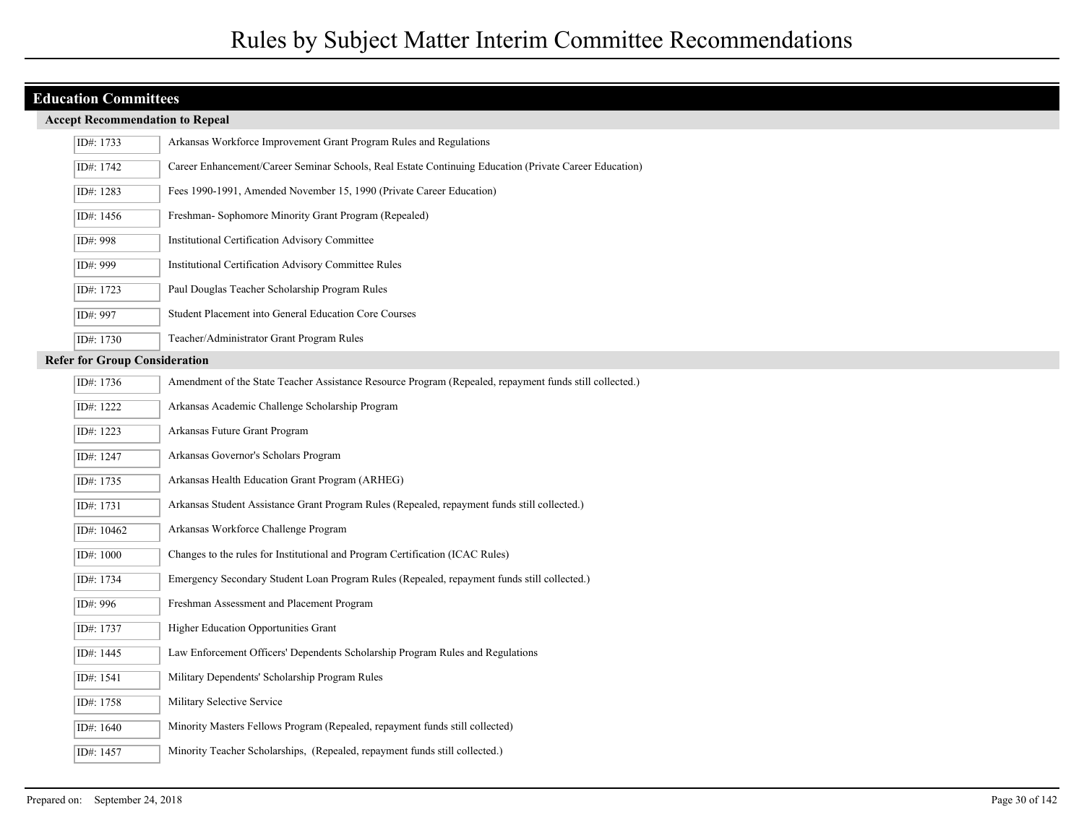| ID#: 1733                            | Arkansas Workforce Improvement Grant Program Rules and Regulations                                      |
|--------------------------------------|---------------------------------------------------------------------------------------------------------|
| ID#: 1742                            | Career Enhancement/Career Seminar Schools, Real Estate Continuing Education (Private Career Education)  |
| ID#: 1283                            | Fees 1990-1991, Amended November 15, 1990 (Private Career Education)                                    |
| ID#: 1456                            | Freshman- Sophomore Minority Grant Program (Repealed)                                                   |
| ID#: 998                             | Institutional Certification Advisory Committee                                                          |
| ID#: 999                             | Institutional Certification Advisory Committee Rules                                                    |
| ID#: 1723                            | Paul Douglas Teacher Scholarship Program Rules                                                          |
| ID#: 997                             | Student Placement into General Education Core Courses                                                   |
| ID#: 1730                            | Teacher/Administrator Grant Program Rules                                                               |
| <b>Refer for Group Consideration</b> |                                                                                                         |
| ID#: 1736                            | Amendment of the State Teacher Assistance Resource Program (Repealed, repayment funds still collected.) |
| ID#: 1222                            | Arkansas Academic Challenge Scholarship Program                                                         |
| ID#: 1223                            | Arkansas Future Grant Program                                                                           |
| ID#: 1247                            | Arkansas Governor's Scholars Program                                                                    |
| ID#: 1735                            | Arkansas Health Education Grant Program (ARHEG)                                                         |
| ID#: 1731                            | Arkansas Student Assistance Grant Program Rules (Repealed, repayment funds still collected.)            |
| ID#: 10462                           | Arkansas Workforce Challenge Program                                                                    |
| ID#: 1000                            | Changes to the rules for Institutional and Program Certification (ICAC Rules)                           |
| ID#: 1734                            | Emergency Secondary Student Loan Program Rules (Repealed, repayment funds still collected.)             |
| ID#: 996                             | Freshman Assessment and Placement Program                                                               |
| ID#: 1737                            | <b>Higher Education Opportunities Grant</b>                                                             |
| ID#: 1445                            | Law Enforcement Officers' Dependents Scholarship Program Rules and Regulations                          |
| ID#: 1541                            | Military Dependents' Scholarship Program Rules                                                          |
| ID#: 1758                            | Military Selective Service                                                                              |
| ID#: 1640                            | Minority Masters Fellows Program (Repealed, repayment funds still collected)                            |
| ID#: 1457                            | Minority Teacher Scholarships, (Repealed, repayment funds still collected.)                             |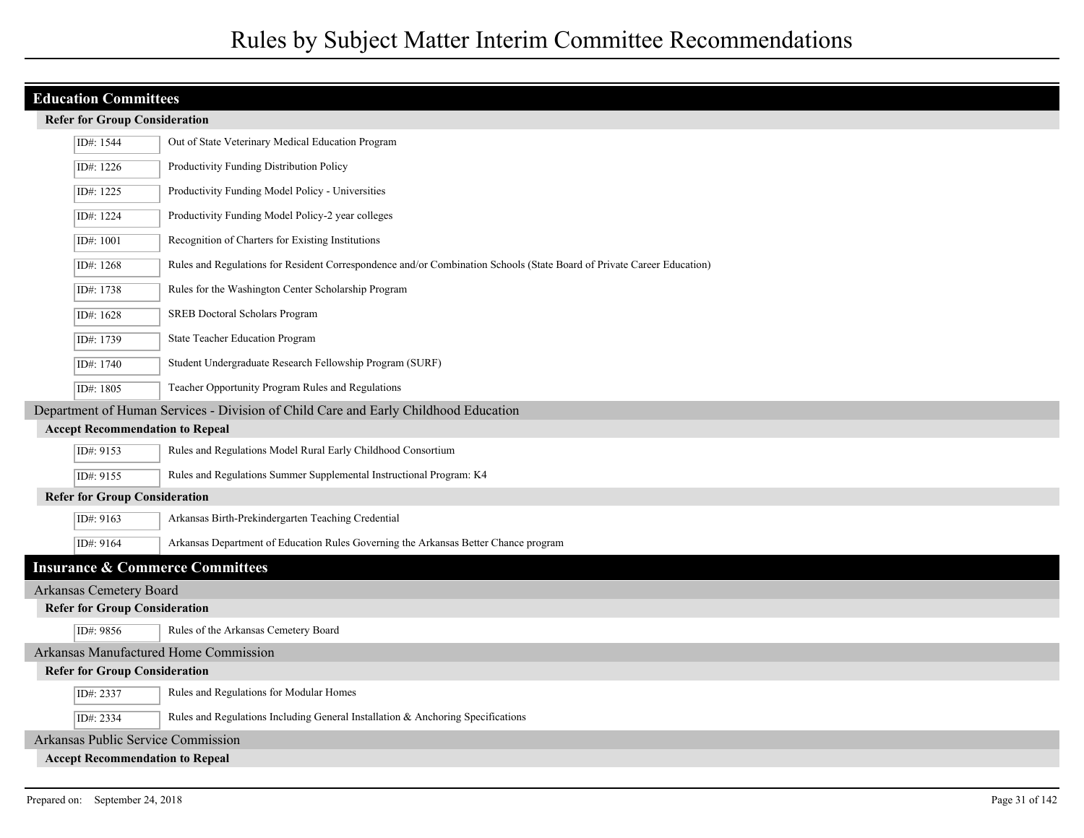|  |  | <b>Refer for Group Consideration</b> |
|--|--|--------------------------------------|
|--|--|--------------------------------------|

| ID#: 1544                      | Out of State Veterinary Medical Education Program                                                                      |  |  |
|--------------------------------|------------------------------------------------------------------------------------------------------------------------|--|--|
| ID#: 1226                      | Productivity Funding Distribution Policy                                                                               |  |  |
| ID#: 1225                      | Productivity Funding Model Policy - Universities                                                                       |  |  |
| ID#: 1224                      | Productivity Funding Model Policy-2 year colleges                                                                      |  |  |
| ID#: 1001                      | Recognition of Charters for Existing Institutions                                                                      |  |  |
| ID#: 1268                      | Rules and Regulations for Resident Correspondence and/or Combination Schools (State Board of Private Career Education) |  |  |
| ID#: 1738                      | Rules for the Washington Center Scholarship Program                                                                    |  |  |
| ID#: 1628                      | SREB Doctoral Scholars Program                                                                                         |  |  |
| ID#: 1739                      | State Teacher Education Program                                                                                        |  |  |
| ID#: 1740                      | Student Undergraduate Research Fellowship Program (SURF)                                                               |  |  |
| ID#: 1805                      | Teacher Opportunity Program Rules and Regulations                                                                      |  |  |
|                                | Department of Human Services - Division of Child Care and Early Childhood Education                                    |  |  |
|                                | <b>Accept Recommendation to Repeal</b>                                                                                 |  |  |
| ID#: 9153                      | Rules and Regulations Model Rural Early Childhood Consortium                                                           |  |  |
| ID#: 9155                      | Rules and Regulations Summer Supplemental Instructional Program: K4                                                    |  |  |
|                                | <b>Refer for Group Consideration</b>                                                                                   |  |  |
| ID#: 9163                      | Arkansas Birth-Prekindergarten Teaching Credential                                                                     |  |  |
| ID#: 9164                      | Arkansas Department of Education Rules Governing the Arkansas Better Chance program                                    |  |  |
|                                | <b>Insurance &amp; Commerce Committees</b>                                                                             |  |  |
| <b>Arkansas Cemetery Board</b> |                                                                                                                        |  |  |
|                                | <b>Refer for Group Consideration</b>                                                                                   |  |  |
| ID#: 9856                      | Rules of the Arkansas Cemetery Board                                                                                   |  |  |
|                                | <b>Arkansas Manufactured Home Commission</b>                                                                           |  |  |
|                                | <b>Refer for Group Consideration</b>                                                                                   |  |  |
| ID#: 2337                      | Rules and Regulations for Modular Homes                                                                                |  |  |
| ID#: 2334                      | Rules and Regulations Including General Installation & Anchoring Specifications                                        |  |  |
|                                | <b>Arkansas Public Service Commission</b>                                                                              |  |  |
|                                | <b>Accept Recommendation to Repeal</b>                                                                                 |  |  |
|                                |                                                                                                                        |  |  |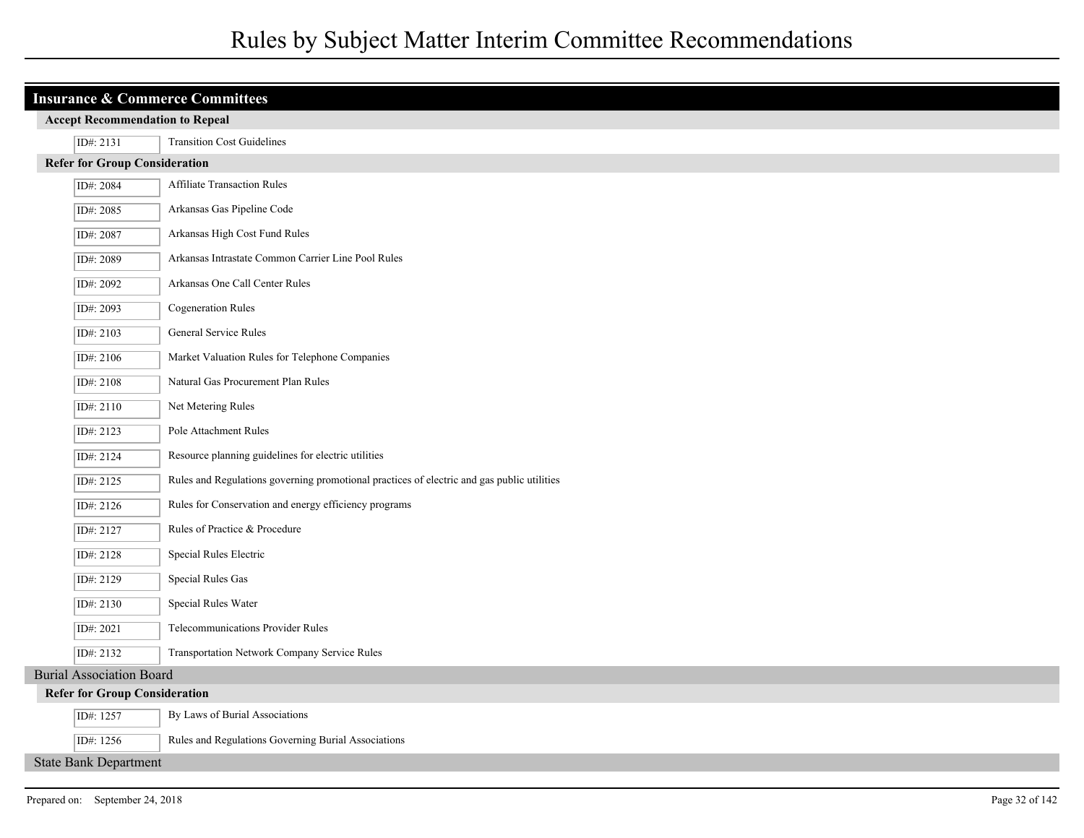| <b>Insurance &amp; Commerce Committees</b> |                                                                                            |  |
|--------------------------------------------|--------------------------------------------------------------------------------------------|--|
| <b>Accept Recommendation to Repeal</b>     |                                                                                            |  |
| ID#: 2131                                  | <b>Transition Cost Guidelines</b>                                                          |  |
| <b>Refer for Group Consideration</b>       |                                                                                            |  |
| ID#: 2084                                  | Affiliate Transaction Rules                                                                |  |
| ID#: 2085                                  | Arkansas Gas Pipeline Code                                                                 |  |
| ID#: 2087                                  | Arkansas High Cost Fund Rules                                                              |  |
| ID#: 2089                                  | Arkansas Intrastate Common Carrier Line Pool Rules                                         |  |
| ID#: 2092                                  | Arkansas One Call Center Rules                                                             |  |
| ID#: 2093                                  | <b>Cogeneration Rules</b>                                                                  |  |
| ID#: 2103                                  | General Service Rules                                                                      |  |
| ID#: 2106                                  | Market Valuation Rules for Telephone Companies                                             |  |
| ID#: 2108                                  | Natural Gas Procurement Plan Rules                                                         |  |
| ID#: 2110                                  | Net Metering Rules                                                                         |  |
| ID#: 2123                                  | Pole Attachment Rules                                                                      |  |
| ID#: 2124                                  | Resource planning guidelines for electric utilities                                        |  |
| ID#: 2125                                  | Rules and Regulations governing promotional practices of electric and gas public utilities |  |
| ID#: 2126                                  | Rules for Conservation and energy efficiency programs                                      |  |
| ID#: 2127                                  | Rules of Practice & Procedure                                                              |  |
| ID#: 2128                                  | Special Rules Electric                                                                     |  |
| ID#: 2129                                  | Special Rules Gas                                                                          |  |
| ID#: 2130                                  | Special Rules Water                                                                        |  |
| ID#: 2021                                  | <b>Telecommunications Provider Rules</b>                                                   |  |
| ID#: 2132                                  | Transportation Network Company Service Rules                                               |  |
| <b>Burial Association Board</b>            |                                                                                            |  |
| <b>Refer for Group Consideration</b>       |                                                                                            |  |
| ID#: 1257                                  | By Laws of Burial Associations                                                             |  |
| ID#: 1256                                  | Rules and Regulations Governing Burial Associations                                        |  |

State Bank Department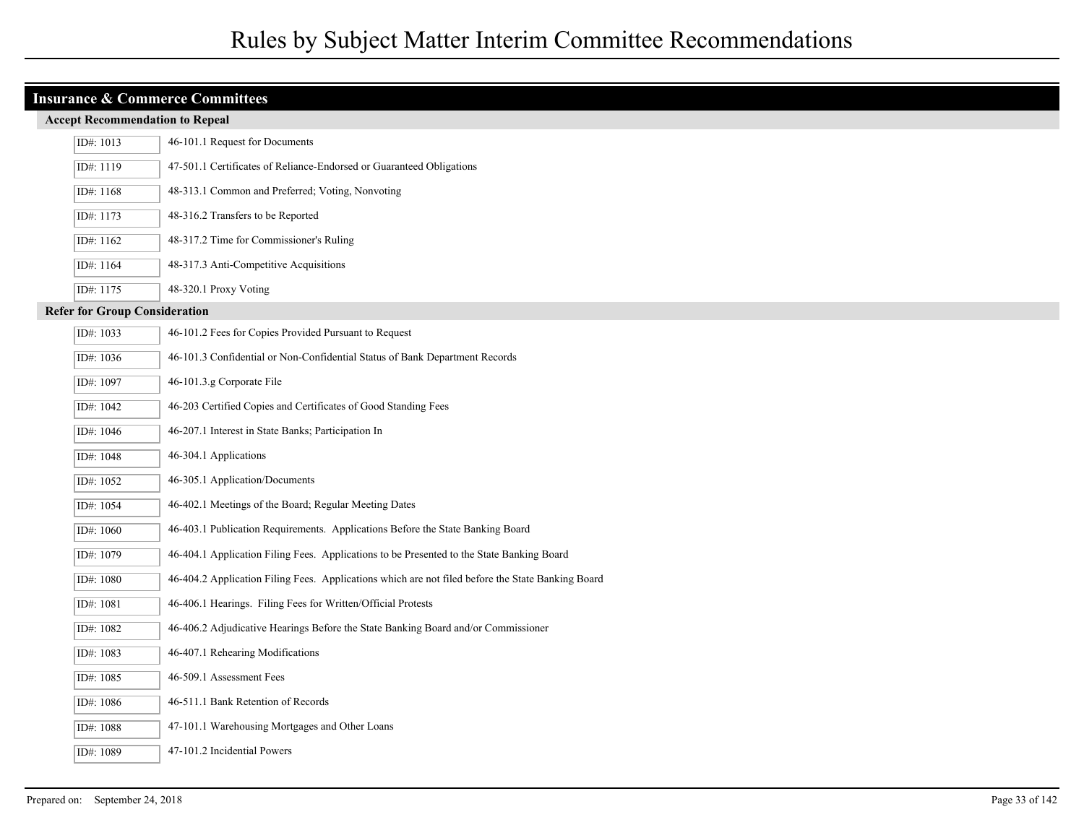| ID#: 1013                            | 46-101.1 Request for Documents                                                                    |  |  |  |  |  |
|--------------------------------------|---------------------------------------------------------------------------------------------------|--|--|--|--|--|
| ID#: 1119                            | 47-501.1 Certificates of Reliance-Endorsed or Guaranteed Obligations                              |  |  |  |  |  |
| ID#: 1168                            | 48-313.1 Common and Preferred; Voting, Nonvoting                                                  |  |  |  |  |  |
| ID#: 1173                            | 48-316.2 Transfers to be Reported                                                                 |  |  |  |  |  |
| ID#: 1162                            | 48-317.2 Time for Commissioner's Ruling                                                           |  |  |  |  |  |
| ID#: 1164                            | 48-317.3 Anti-Competitive Acquisitions                                                            |  |  |  |  |  |
| ID#: 1175                            | 48-320.1 Proxy Voting                                                                             |  |  |  |  |  |
| <b>Refer for Group Consideration</b> |                                                                                                   |  |  |  |  |  |
| ID#: 1033                            | 46-101.2 Fees for Copies Provided Pursuant to Request                                             |  |  |  |  |  |
| ID#: 1036                            | 46-101.3 Confidential or Non-Confidential Status of Bank Department Records                       |  |  |  |  |  |
| ID#: 1097                            | 46-101.3.g Corporate File                                                                         |  |  |  |  |  |
| ID#: 1042                            | 46-203 Certified Copies and Certificates of Good Standing Fees                                    |  |  |  |  |  |
| ID#: 1046                            | 46-207.1 Interest in State Banks; Participation In                                                |  |  |  |  |  |
| ID#: 1048                            | 46-304.1 Applications                                                                             |  |  |  |  |  |
| ID#: 1052                            | 46-305.1 Application/Documents                                                                    |  |  |  |  |  |
| ID#: 1054                            | 46-402.1 Meetings of the Board; Regular Meeting Dates                                             |  |  |  |  |  |
| ID#: 1060                            | 46-403.1 Publication Requirements. Applications Before the State Banking Board                    |  |  |  |  |  |
| ID#: 1079                            | 46-404.1 Application Filing Fees. Applications to be Presented to the State Banking Board         |  |  |  |  |  |
| ID#: 1080                            | 46-404.2 Application Filing Fees. Applications which are not filed before the State Banking Board |  |  |  |  |  |
| ID#: 1081                            | 46-406.1 Hearings. Filing Fees for Written/Official Protests                                      |  |  |  |  |  |
| ID#: 1082                            | 46-406.2 Adjudicative Hearings Before the State Banking Board and/or Commissioner                 |  |  |  |  |  |
| ID#: 1083                            | 46-407.1 Rehearing Modifications                                                                  |  |  |  |  |  |
| ID#: 1085                            | 46-509.1 Assessment Fees                                                                          |  |  |  |  |  |
| ID#: 1086                            | 46-511.1 Bank Retention of Records                                                                |  |  |  |  |  |
| ID#: 1088                            | 47-101.1 Warehousing Mortgages and Other Loans                                                    |  |  |  |  |  |
| ID#: 1089                            | 47-101.2 Incidential Powers                                                                       |  |  |  |  |  |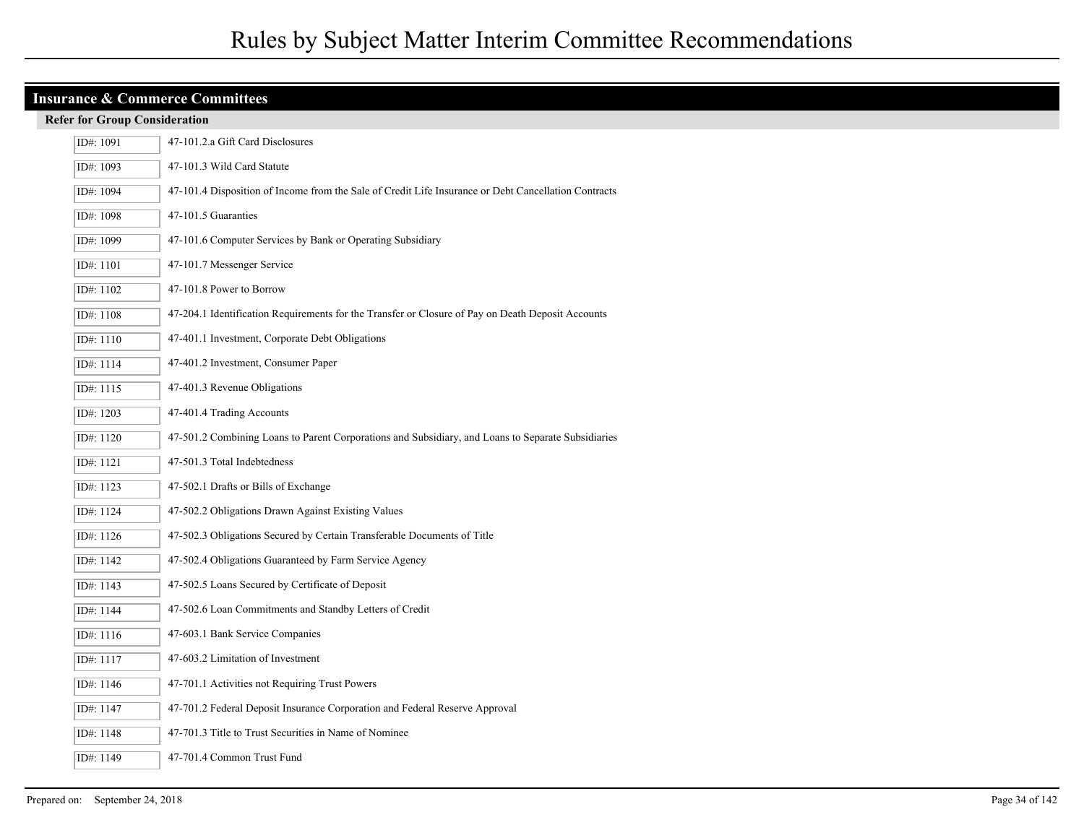|                                      | <b>Insurance &amp; Commerce Committees</b>                                                           |  |  |  |  |
|--------------------------------------|------------------------------------------------------------------------------------------------------|--|--|--|--|
| <b>Refer for Group Consideration</b> |                                                                                                      |  |  |  |  |
| ID#: 1091                            | 47-101.2.a Gift Card Disclosures                                                                     |  |  |  |  |
| ID#: 1093                            | 47-101.3 Wild Card Statute                                                                           |  |  |  |  |
| ID#: 1094                            | 47-101.4 Disposition of Income from the Sale of Credit Life Insurance or Debt Cancellation Contracts |  |  |  |  |
| ID#: 1098                            | 47-101.5 Guaranties                                                                                  |  |  |  |  |
| ID#: 1099                            | 47-101.6 Computer Services by Bank or Operating Subsidiary                                           |  |  |  |  |
| ID#: 1101                            | 47-101.7 Messenger Service                                                                           |  |  |  |  |
| ID#: 1102                            | 47-101.8 Power to Borrow                                                                             |  |  |  |  |
| ID#: 1108                            | 47-204.1 Identification Requirements for the Transfer or Closure of Pay on Death Deposit Accounts    |  |  |  |  |
| ID#: 1110                            | 47-401.1 Investment, Corporate Debt Obligations                                                      |  |  |  |  |
| ID#: 1114                            | 47-401.2 Investment, Consumer Paper                                                                  |  |  |  |  |
| ID#: 1115                            | 47-401.3 Revenue Obligations                                                                         |  |  |  |  |
| ID#: 1203                            | 47-401.4 Trading Accounts                                                                            |  |  |  |  |
| ID#: 1120                            | 47-501.2 Combining Loans to Parent Corporations and Subsidiary, and Loans to Separate Subsidiaries   |  |  |  |  |
| ID#: 1121                            | 47-501.3 Total Indebtedness                                                                          |  |  |  |  |
| ID#: 1123                            | 47-502.1 Drafts or Bills of Exchange                                                                 |  |  |  |  |
| ID#: 1124                            | 47-502.2 Obligations Drawn Against Existing Values                                                   |  |  |  |  |
| ID#: 1126                            | 47-502.3 Obligations Secured by Certain Transferable Documents of Title                              |  |  |  |  |
| ID#: 1142                            | 47-502.4 Obligations Guaranteed by Farm Service Agency                                               |  |  |  |  |
| ID#: 1143                            | 47-502.5 Loans Secured by Certificate of Deposit                                                     |  |  |  |  |
| ID#: 1144                            | 47-502.6 Loan Commitments and Standby Letters of Credit                                              |  |  |  |  |
| ID#: 1116                            | 47-603.1 Bank Service Companies                                                                      |  |  |  |  |
| ID#: 1117                            | 47-603.2 Limitation of Investment                                                                    |  |  |  |  |
| ID#: 1146                            | 47-701.1 Activities not Requiring Trust Powers                                                       |  |  |  |  |
| ID#: 1147                            | 47-701.2 Federal Deposit Insurance Corporation and Federal Reserve Approval                          |  |  |  |  |
| ID#: 1148                            | 47-701.3 Title to Trust Securities in Name of Nominee                                                |  |  |  |  |
| ID#: 1149                            | 47-701.4 Common Trust Fund                                                                           |  |  |  |  |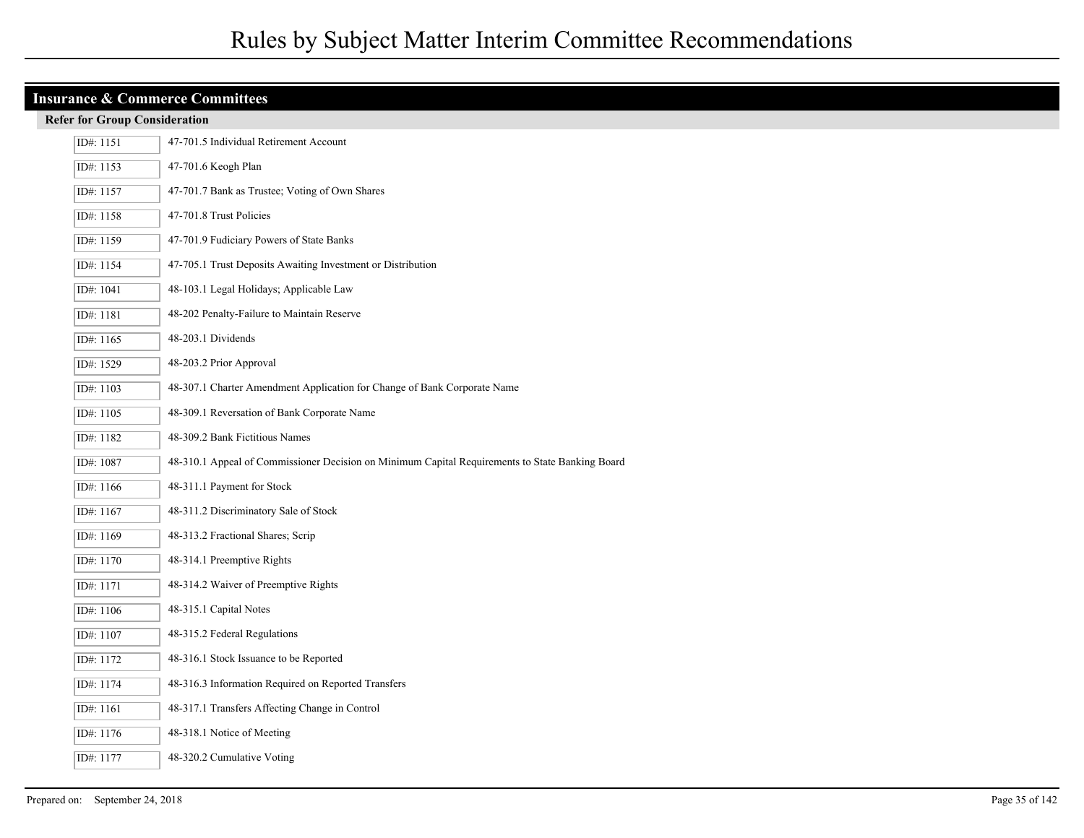| <b>Insurance &amp; Commerce Committees</b> |                                                                                                 |  |  |  |  |  |
|--------------------------------------------|-------------------------------------------------------------------------------------------------|--|--|--|--|--|
| <b>Refer for Group Consideration</b>       |                                                                                                 |  |  |  |  |  |
| ID#: 1151                                  | 47-701.5 Individual Retirement Account                                                          |  |  |  |  |  |
| ID#: 1153                                  | 47-701.6 Keogh Plan                                                                             |  |  |  |  |  |
| ID#: 1157                                  | 47-701.7 Bank as Trustee; Voting of Own Shares                                                  |  |  |  |  |  |
| ID#: 1158                                  | 47-701.8 Trust Policies                                                                         |  |  |  |  |  |
| ID#: 1159                                  | 47-701.9 Fudiciary Powers of State Banks                                                        |  |  |  |  |  |
| ID#: 1154                                  | 47-705.1 Trust Deposits Awaiting Investment or Distribution                                     |  |  |  |  |  |
| ID#: 1041                                  | 48-103.1 Legal Holidays; Applicable Law                                                         |  |  |  |  |  |
| ID#: 1181                                  | 48-202 Penalty-Failure to Maintain Reserve                                                      |  |  |  |  |  |
| ID#: $1165$                                | 48-203.1 Dividends                                                                              |  |  |  |  |  |
| ID#: 1529                                  | 48-203.2 Prior Approval                                                                         |  |  |  |  |  |
| ID#: 1103                                  | 48-307.1 Charter Amendment Application for Change of Bank Corporate Name                        |  |  |  |  |  |
| ID#: 1105                                  | 48-309.1 Reversation of Bank Corporate Name                                                     |  |  |  |  |  |
| ID#: 1182                                  | 48-309.2 Bank Fictitious Names                                                                  |  |  |  |  |  |
| ID#: 1087                                  | 48-310.1 Appeal of Commissioner Decision on Minimum Capital Requirements to State Banking Board |  |  |  |  |  |
| ID#: 1166                                  | 48-311.1 Payment for Stock                                                                      |  |  |  |  |  |
| ID#: 1167                                  | 48-311.2 Discriminatory Sale of Stock                                                           |  |  |  |  |  |
| ID#: 1169                                  | 48-313.2 Fractional Shares; Scrip                                                               |  |  |  |  |  |
| ID#: 1170                                  | 48-314.1 Preemptive Rights                                                                      |  |  |  |  |  |
| ID#: 1171                                  | 48-314.2 Waiver of Preemptive Rights                                                            |  |  |  |  |  |
| ID#: 1106                                  | 48-315.1 Capital Notes                                                                          |  |  |  |  |  |
| ID#: 1107                                  | 48-315.2 Federal Regulations                                                                    |  |  |  |  |  |
| ID#: 1172                                  | 48-316.1 Stock Issuance to be Reported                                                          |  |  |  |  |  |
| ID#: 1174                                  | 48-316.3 Information Required on Reported Transfers                                             |  |  |  |  |  |
| ID#: 1161                                  | 48-317.1 Transfers Affecting Change in Control                                                  |  |  |  |  |  |
| ID#: 1176                                  | 48-318.1 Notice of Meeting                                                                      |  |  |  |  |  |
| ID#: 1177                                  | 48-320.2 Cumulative Voting                                                                      |  |  |  |  |  |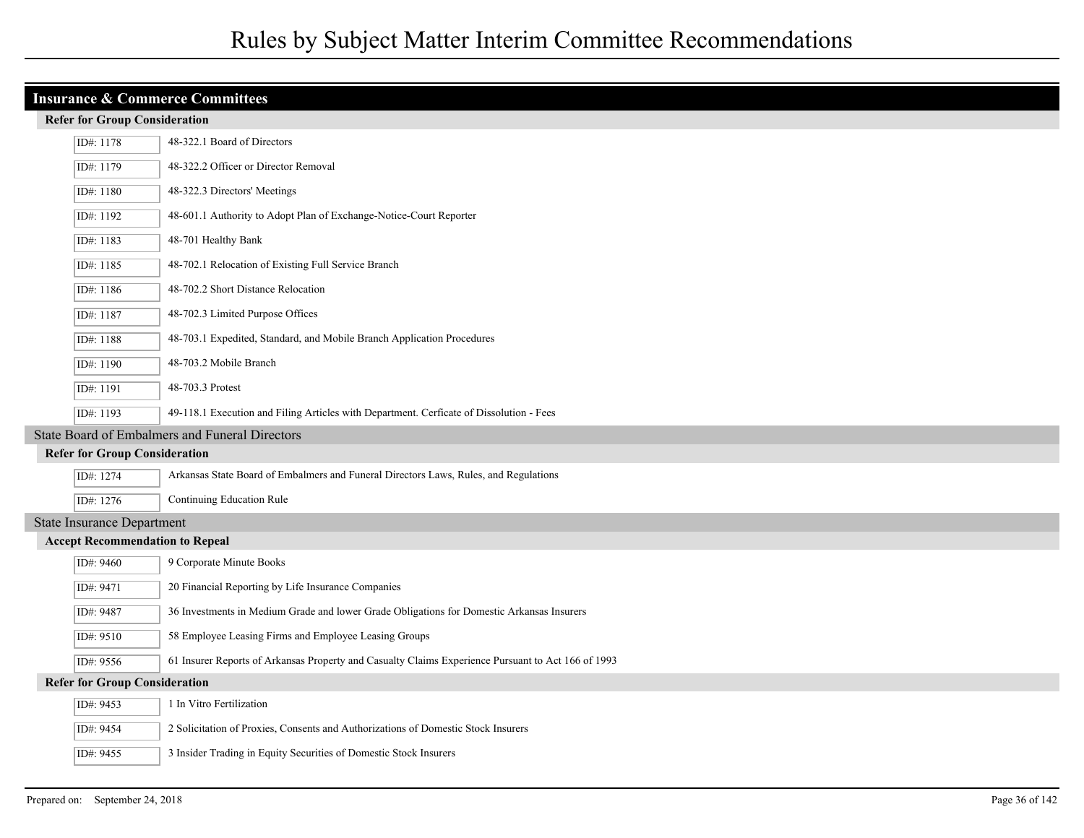| <b>Insurance &amp; Commerce Committees</b> |                                                                                                    |  |  |  |
|--------------------------------------------|----------------------------------------------------------------------------------------------------|--|--|--|
| <b>Refer for Group Consideration</b>       |                                                                                                    |  |  |  |
| ID#: 1178                                  | 48-322.1 Board of Directors                                                                        |  |  |  |
| ID#: 1179                                  | 48-322.2 Officer or Director Removal                                                               |  |  |  |
| ID#: 1180                                  | 48-322.3 Directors' Meetings                                                                       |  |  |  |
| ID#: 1192                                  | 48-601.1 Authority to Adopt Plan of Exchange-Notice-Court Reporter                                 |  |  |  |
| ID#: 1183                                  | 48-701 Healthy Bank                                                                                |  |  |  |
| ID#: 1185                                  | 48-702.1 Relocation of Existing Full Service Branch                                                |  |  |  |
| ID#: 1186                                  | 48-702.2 Short Distance Relocation                                                                 |  |  |  |
| ID#: 1187                                  | 48-702.3 Limited Purpose Offices                                                                   |  |  |  |
| ID#: 1188                                  | 48-703.1 Expedited, Standard, and Mobile Branch Application Procedures                             |  |  |  |
| ID#: 1190                                  | 48-703.2 Mobile Branch                                                                             |  |  |  |
| ID#: 1191                                  | 48-703.3 Protest                                                                                   |  |  |  |
| ID#: 1193                                  | 49-118.1 Execution and Filing Articles with Department. Cerficate of Dissolution - Fees            |  |  |  |
|                                            | State Board of Embalmers and Funeral Directors                                                     |  |  |  |
| <b>Refer for Group Consideration</b>       |                                                                                                    |  |  |  |
| ID#: 1274                                  | Arkansas State Board of Embalmers and Funeral Directors Laws, Rules, and Regulations               |  |  |  |
| ID#: 1276                                  | Continuing Education Rule                                                                          |  |  |  |
| <b>State Insurance Department</b>          |                                                                                                    |  |  |  |
| <b>Accept Recommendation to Repeal</b>     |                                                                                                    |  |  |  |
| ID#: 9460                                  | 9 Corporate Minute Books                                                                           |  |  |  |
| ID#: 9471                                  | 20 Financial Reporting by Life Insurance Companies                                                 |  |  |  |
| ID#: 9487                                  | 36 Investments in Medium Grade and lower Grade Obligations for Domestic Arkansas Insurers          |  |  |  |
| ID#: 9510                                  | 58 Employee Leasing Firms and Employee Leasing Groups                                              |  |  |  |
| ID#: 9556                                  | 61 Insurer Reports of Arkansas Property and Casualty Claims Experience Pursuant to Act 166 of 1993 |  |  |  |
| <b>Refer for Group Consideration</b>       |                                                                                                    |  |  |  |
| ID#: 9453                                  | 1 In Vitro Fertilization                                                                           |  |  |  |
| ID#: 9454                                  | 2 Solicitation of Proxies, Consents and Authorizations of Domestic Stock Insurers                  |  |  |  |
| ID#: 9455                                  | 3 Insider Trading in Equity Securities of Domestic Stock Insurers                                  |  |  |  |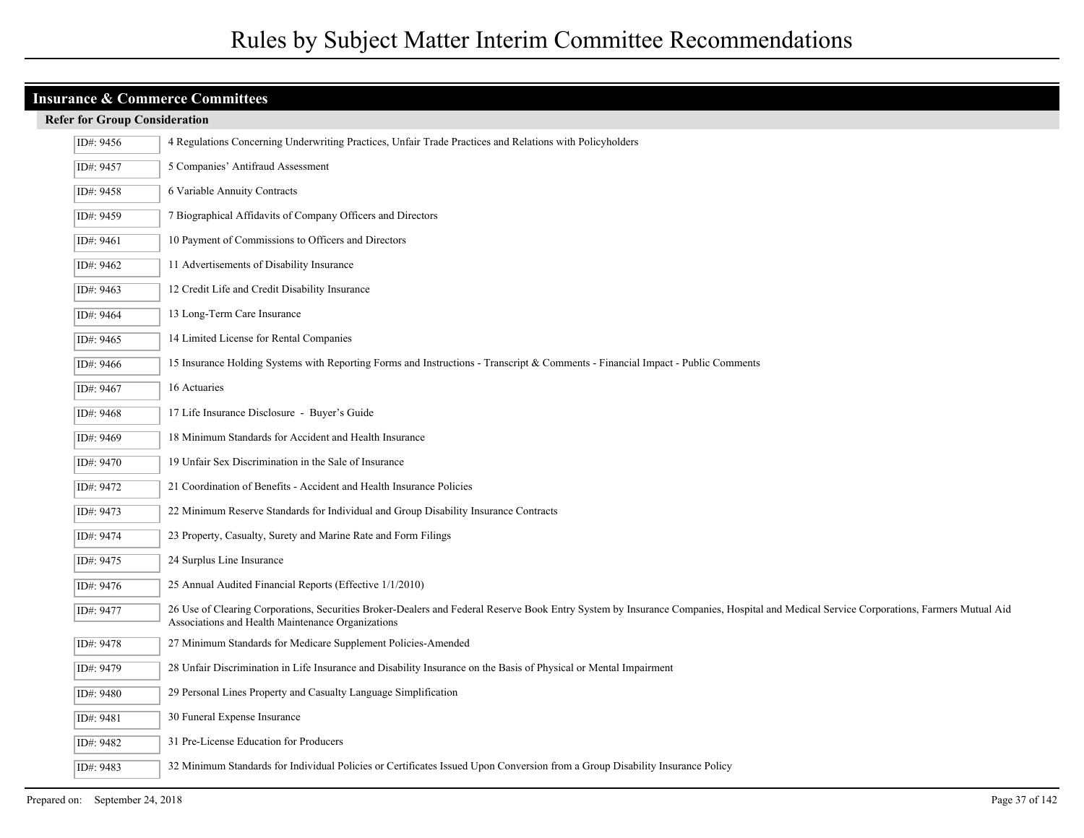| ID#: 9456 | 4 Regulations Concerning Underwriting Practices, Unfair Trade Practices and Relations with Policyholders                                                                                                                                    |
|-----------|---------------------------------------------------------------------------------------------------------------------------------------------------------------------------------------------------------------------------------------------|
| ID#: 9457 | 5 Companies' Antifraud Assessment                                                                                                                                                                                                           |
| ID#: 9458 | 6 Variable Annuity Contracts                                                                                                                                                                                                                |
| ID#: 9459 | 7 Biographical Affidavits of Company Officers and Directors                                                                                                                                                                                 |
| ID#: 9461 | 10 Payment of Commissions to Officers and Directors                                                                                                                                                                                         |
| ID#: 9462 | 11 Advertisements of Disability Insurance                                                                                                                                                                                                   |
| ID#: 9463 | 12 Credit Life and Credit Disability Insurance                                                                                                                                                                                              |
| ID#: 9464 | 13 Long-Term Care Insurance                                                                                                                                                                                                                 |
| ID#: 9465 | 14 Limited License for Rental Companies                                                                                                                                                                                                     |
| ID#: 9466 | 15 Insurance Holding Systems with Reporting Forms and Instructions - Transcript & Comments - Financial Impact - Public Comments                                                                                                             |
| ID#: 9467 | 16 Actuaries                                                                                                                                                                                                                                |
| ID#: 9468 | 17 Life Insurance Disclosure - Buyer's Guide                                                                                                                                                                                                |
| ID#: 9469 | 18 Minimum Standards for Accident and Health Insurance                                                                                                                                                                                      |
| ID#: 9470 | 19 Unfair Sex Discrimination in the Sale of Insurance                                                                                                                                                                                       |
| ID#: 9472 | 21 Coordination of Benefits - Accident and Health Insurance Policies                                                                                                                                                                        |
| ID#: 9473 | 22 Minimum Reserve Standards for Individual and Group Disability Insurance Contracts                                                                                                                                                        |
| ID#: 9474 | 23 Property, Casualty, Surety and Marine Rate and Form Filings                                                                                                                                                                              |
| ID#: 9475 | 24 Surplus Line Insurance                                                                                                                                                                                                                   |
| ID#: 9476 | 25 Annual Audited Financial Reports (Effective 1/1/2010)                                                                                                                                                                                    |
| ID#: 9477 | 26 Use of Clearing Corporations, Securities Broker-Dealers and Federal Reserve Book Entry System by Insurance Companies, Hospital and Medical Service Corporations, Farmers Mutual Aid<br>Associations and Health Maintenance Organizations |
| ID#: 9478 | 27 Minimum Standards for Medicare Supplement Policies-Amended                                                                                                                                                                               |
| ID#: 9479 | 28 Unfair Discrimination in Life Insurance and Disability Insurance on the Basis of Physical or Mental Impairment                                                                                                                           |
| ID#: 9480 | 29 Personal Lines Property and Casualty Language Simplification                                                                                                                                                                             |
| ID#: 9481 | 30 Funeral Expense Insurance                                                                                                                                                                                                                |
| ID#: 9482 | 31 Pre-License Education for Producers                                                                                                                                                                                                      |
| ID#: 9483 | 32 Minimum Standards for Individual Policies or Certificates Issued Upon Conversion from a Group Disability Insurance Policy                                                                                                                |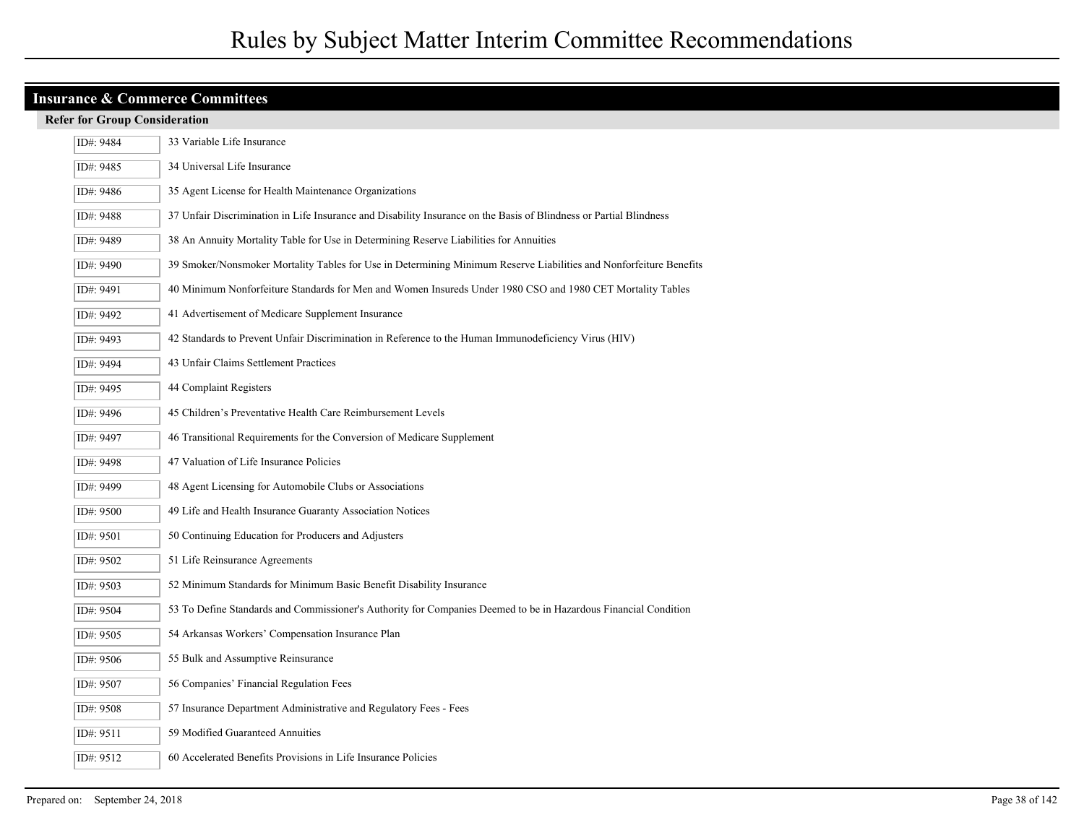| ID#: 9484 | 33 Variable Life Insurance                                                                                         |
|-----------|--------------------------------------------------------------------------------------------------------------------|
| ID#: 9485 | 34 Universal Life Insurance                                                                                        |
| ID#: 9486 | 35 Agent License for Health Maintenance Organizations                                                              |
| ID#: 9488 | 37 Unfair Discrimination in Life Insurance and Disability Insurance on the Basis of Blindness or Partial Blindness |
| ID#: 9489 | 38 An Annuity Mortality Table for Use in Determining Reserve Liabilities for Annuities                             |
| ID#: 9490 | 39 Smoker/Nonsmoker Mortality Tables for Use in Determining Minimum Reserve Liabilities and Nonforfeiture Benefits |
| ID#: 9491 | 40 Minimum Nonforfeiture Standards for Men and Women Insureds Under 1980 CSO and 1980 CET Mortality Tables         |
| ID#: 9492 | 41 Advertisement of Medicare Supplement Insurance                                                                  |
| ID#: 9493 | 42 Standards to Prevent Unfair Discrimination in Reference to the Human Immunodeficiency Virus (HIV)               |
| ID#: 9494 | 43 Unfair Claims Settlement Practices                                                                              |
| ID#: 9495 | 44 Complaint Registers                                                                                             |
| ID#: 9496 | 45 Children's Preventative Health Care Reimbursement Levels                                                        |
| ID#: 9497 | 46 Transitional Requirements for the Conversion of Medicare Supplement                                             |
| ID#: 9498 | 47 Valuation of Life Insurance Policies                                                                            |
| ID#: 9499 | 48 Agent Licensing for Automobile Clubs or Associations                                                            |
| ID#: 9500 | 49 Life and Health Insurance Guaranty Association Notices                                                          |
| ID#: 9501 | 50 Continuing Education for Producers and Adjusters                                                                |
| ID#: 9502 | 51 Life Reinsurance Agreements                                                                                     |
| ID#: 9503 | 52 Minimum Standards for Minimum Basic Benefit Disability Insurance                                                |
| ID#: 9504 | 53 To Define Standards and Commissioner's Authority for Companies Deemed to be in Hazardous Financial Condition    |
| ID#: 9505 | 54 Arkansas Workers' Compensation Insurance Plan                                                                   |
| ID#: 9506 | 55 Bulk and Assumptive Reinsurance                                                                                 |
| ID#: 9507 | 56 Companies' Financial Regulation Fees                                                                            |
| ID#: 9508 | 57 Insurance Department Administrative and Regulatory Fees - Fees                                                  |
| ID#: 9511 | 59 Modified Guaranteed Annuities                                                                                   |
| ID#: 9512 | 60 Accelerated Benefits Provisions in Life Insurance Policies                                                      |
|           |                                                                                                                    |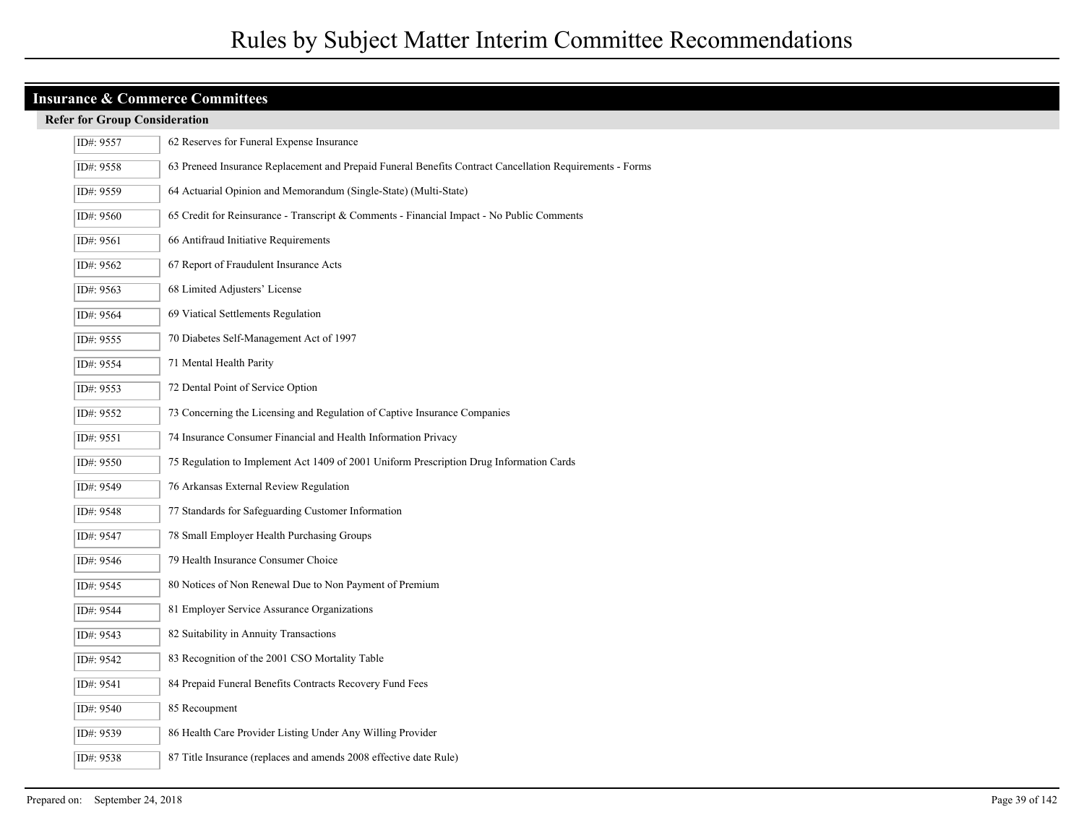| ID#: 9557 | 62 Reserves for Funeral Expense Insurance                                                                |
|-----------|----------------------------------------------------------------------------------------------------------|
| ID#: 9558 | 63 Preneed Insurance Replacement and Prepaid Funeral Benefits Contract Cancellation Requirements - Forms |
| ID#: 9559 | 64 Actuarial Opinion and Memorandum (Single-State) (Multi-State)                                         |
| ID#: 9560 | 65 Credit for Reinsurance - Transcript $\&$ Comments - Financial Impact - No Public Comments             |
| ID#: 9561 | 66 Antifraud Initiative Requirements                                                                     |
| ID#: 9562 | 67 Report of Fraudulent Insurance Acts                                                                   |
| ID#: 9563 | 68 Limited Adjusters' License                                                                            |
| ID#: 9564 | 69 Viatical Settlements Regulation                                                                       |
| ID#: 9555 | 70 Diabetes Self-Management Act of 1997                                                                  |
| ID#: 9554 | 71 Mental Health Parity                                                                                  |
| ID#: 9553 | 72 Dental Point of Service Option                                                                        |
| ID#: 9552 | 73 Concerning the Licensing and Regulation of Captive Insurance Companies                                |
| ID#: 9551 | 74 Insurance Consumer Financial and Health Information Privacy                                           |
| ID#: 9550 | 75 Regulation to Implement Act 1409 of 2001 Uniform Prescription Drug Information Cards                  |
| ID#: 9549 | 76 Arkansas External Review Regulation                                                                   |
| ID#: 9548 | 77 Standards for Safeguarding Customer Information                                                       |
| ID#: 9547 | 78 Small Employer Health Purchasing Groups                                                               |
| ID#: 9546 | 79 Health Insurance Consumer Choice                                                                      |
| ID#: 9545 | 80 Notices of Non Renewal Due to Non Payment of Premium                                                  |
| ID#: 9544 | 81 Employer Service Assurance Organizations                                                              |
| ID#: 9543 | 82 Suitability in Annuity Transactions                                                                   |
| ID#: 9542 | 83 Recognition of the 2001 CSO Mortality Table                                                           |
| ID#: 9541 | 84 Prepaid Funeral Benefits Contracts Recovery Fund Fees                                                 |
| ID#: 9540 | 85 Recoupment                                                                                            |
| ID#: 9539 | 86 Health Care Provider Listing Under Any Willing Provider                                               |
| ID#: 9538 | 87 Title Insurance (replaces and amends 2008 effective date Rule)                                        |
|           |                                                                                                          |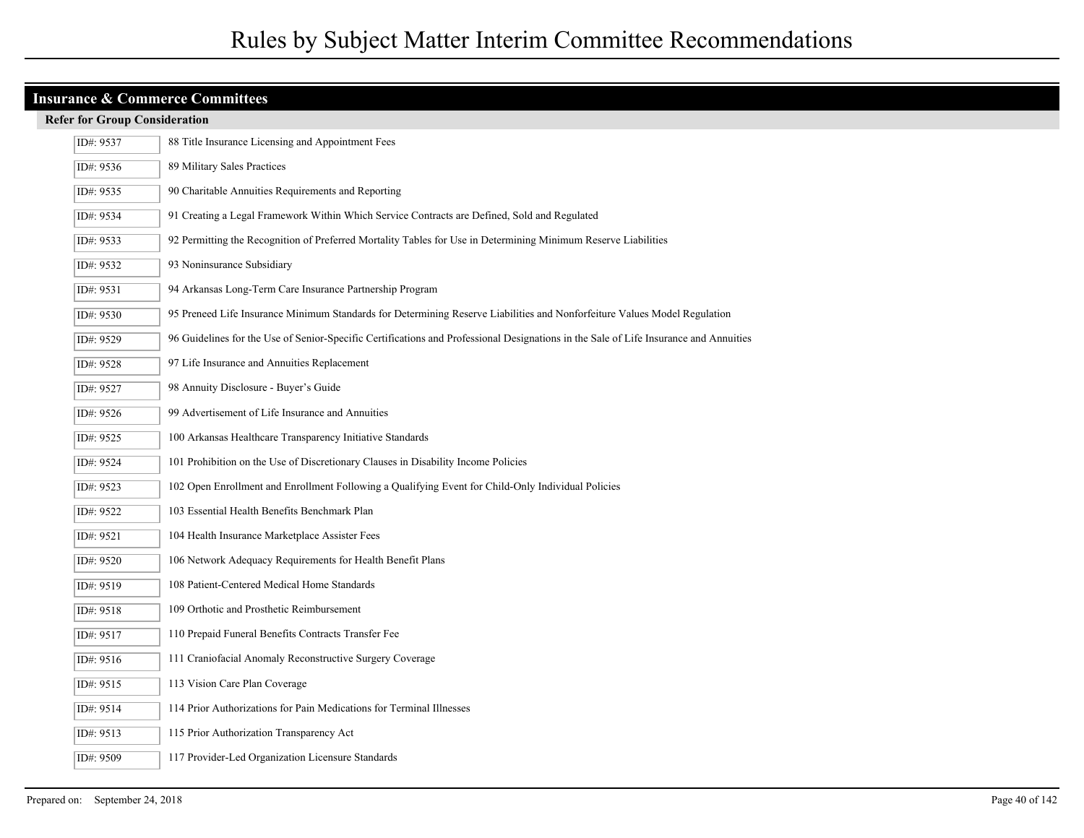| ID#: 9537 | 88 Title Insurance Licensing and Appointment Fees                                                                                     |
|-----------|---------------------------------------------------------------------------------------------------------------------------------------|
| ID#: 9536 | 89 Military Sales Practices                                                                                                           |
| ID#: 9535 | 90 Charitable Annuities Requirements and Reporting                                                                                    |
| ID#: 9534 | 91 Creating a Legal Framework Within Which Service Contracts are Defined, Sold and Regulated                                          |
| ID#: 9533 | 92 Permitting the Recognition of Preferred Mortality Tables for Use in Determining Minimum Reserve Liabilities                        |
| ID#: 9532 | 93 Noninsurance Subsidiary                                                                                                            |
| ID#: 9531 | 94 Arkansas Long-Term Care Insurance Partnership Program                                                                              |
| ID#: 9530 | 95 Preneed Life Insurance Minimum Standards for Determining Reserve Liabilities and Nonforfeiture Values Model Regulation             |
| ID#: 9529 | 96 Guidelines for the Use of Senior-Specific Certifications and Professional Designations in the Sale of Life Insurance and Annuities |
| ID#: 9528 | 97 Life Insurance and Annuities Replacement                                                                                           |
| ID#: 9527 | 98 Annuity Disclosure - Buyer's Guide                                                                                                 |
| ID#: 9526 | 99 Advertisement of Life Insurance and Annuities                                                                                      |
| ID#: 9525 | 100 Arkansas Healthcare Transparency Initiative Standards                                                                             |
| ID#: 9524 | 101 Prohibition on the Use of Discretionary Clauses in Disability Income Policies                                                     |
| ID#: 9523 | 102 Open Enrollment and Enrollment Following a Qualifying Event for Child-Only Individual Policies                                    |
| ID#: 9522 | 103 Essential Health Benefits Benchmark Plan                                                                                          |
| ID#: 9521 | 104 Health Insurance Marketplace Assister Fees                                                                                        |
| ID#: 9520 | 106 Network Adequacy Requirements for Health Benefit Plans                                                                            |
| ID#: 9519 | 108 Patient-Centered Medical Home Standards                                                                                           |
| ID#: 9518 | 109 Orthotic and Prosthetic Reimbursement                                                                                             |
| ID#: 9517 | 110 Prepaid Funeral Benefits Contracts Transfer Fee                                                                                   |
| ID#: 9516 | 111 Craniofacial Anomaly Reconstructive Surgery Coverage                                                                              |
| ID#: 9515 | 113 Vision Care Plan Coverage                                                                                                         |
| ID#: 9514 | 114 Prior Authorizations for Pain Medications for Terminal Illnesses                                                                  |
| ID#: 9513 | 115 Prior Authorization Transparency Act                                                                                              |
| ID#: 9509 | 117 Provider-Led Organization Licensure Standards                                                                                     |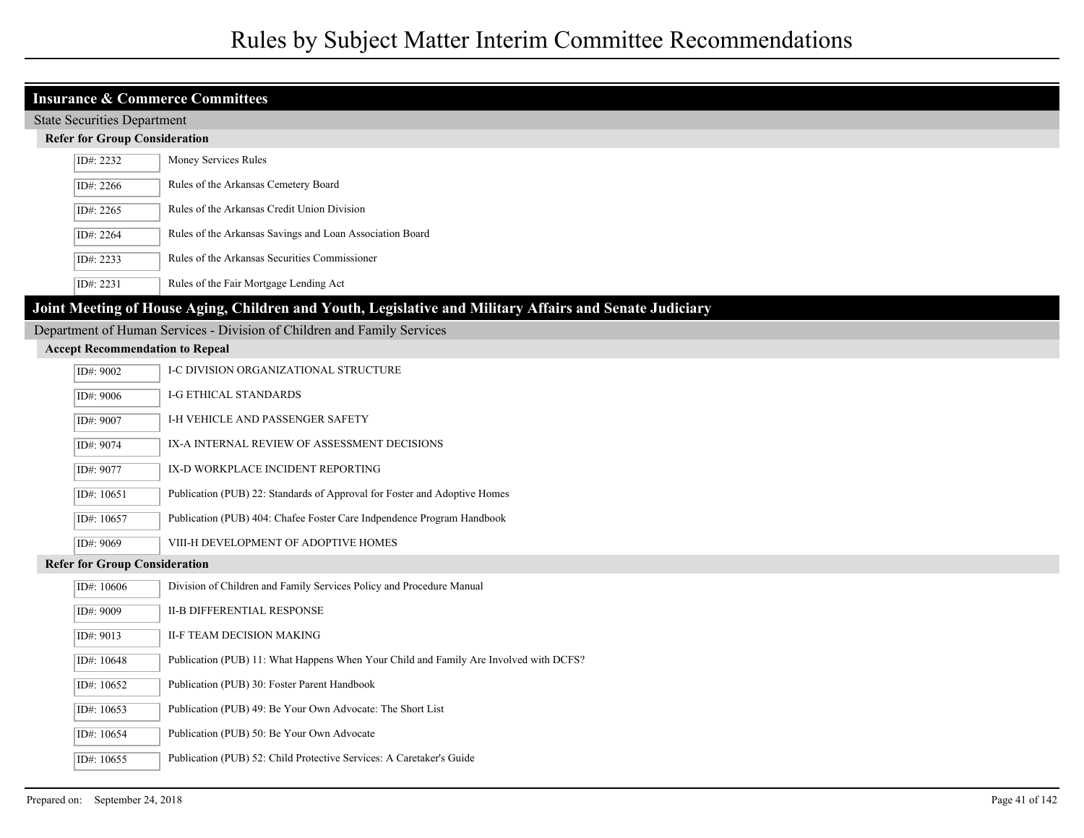|                                        | <b>Insurance &amp; Commerce Committees</b>                                                              |  |
|----------------------------------------|---------------------------------------------------------------------------------------------------------|--|
| <b>State Securities Department</b>     |                                                                                                         |  |
| <b>Refer for Group Consideration</b>   |                                                                                                         |  |
| ID#: 2232                              | Money Services Rules                                                                                    |  |
| ID#: 2266                              | Rules of the Arkansas Cemetery Board                                                                    |  |
| ID#: 2265                              | Rules of the Arkansas Credit Union Division                                                             |  |
| ID#: 2264                              | Rules of the Arkansas Savings and Loan Association Board                                                |  |
| ID#: 2233                              | Rules of the Arkansas Securities Commissioner                                                           |  |
| ID#: 2231                              | Rules of the Fair Mortgage Lending Act                                                                  |  |
|                                        | Joint Meeting of House Aging, Children and Youth, Legislative and Military Affairs and Senate Judiciary |  |
|                                        | Department of Human Services - Division of Children and Family Services                                 |  |
| <b>Accept Recommendation to Repeal</b> |                                                                                                         |  |
| ID#: 9002                              | I-C DIVISION ORGANIZATIONAL STRUCTURE                                                                   |  |
| ID#: 9006                              | <b>I-G ETHICAL STANDARDS</b>                                                                            |  |
| ID#: 9007                              | I-H VEHICLE AND PASSENGER SAFETY                                                                        |  |
| ID#: 9074                              | IX-A INTERNAL REVIEW OF ASSESSMENT DECISIONS                                                            |  |
| ID#: 9077                              | IX-D WORKPLACE INCIDENT REPORTING                                                                       |  |
| ID#: 10651                             | Publication (PUB) 22: Standards of Approval for Foster and Adoptive Homes                               |  |
| ID#: 10657                             | Publication (PUB) 404: Chafee Foster Care Indpendence Program Handbook                                  |  |
| ID#: 9069                              | VIII-H DEVELOPMENT OF ADOPTIVE HOMES                                                                    |  |
| <b>Refer for Group Consideration</b>   |                                                                                                         |  |
| ID#: 10606                             | Division of Children and Family Services Policy and Procedure Manual                                    |  |
| ID#: 9009                              | <b>II-B DIFFERENTIAL RESPONSE</b>                                                                       |  |
| ID#: 9013                              | II-F TEAM DECISION MAKING                                                                               |  |
| ID#: 10648                             | Publication (PUB) 11: What Happens When Your Child and Family Are Involved with DCFS?                   |  |
| ID#: 10652                             | Publication (PUB) 30: Foster Parent Handbook                                                            |  |
| ID#: 10653                             | Publication (PUB) 49: Be Your Own Advocate: The Short List                                              |  |
| ID#: 10654                             | Publication (PUB) 50: Be Your Own Advocate                                                              |  |
| ID#: 10655                             | Publication (PUB) 52: Child Protective Services: A Caretaker's Guide                                    |  |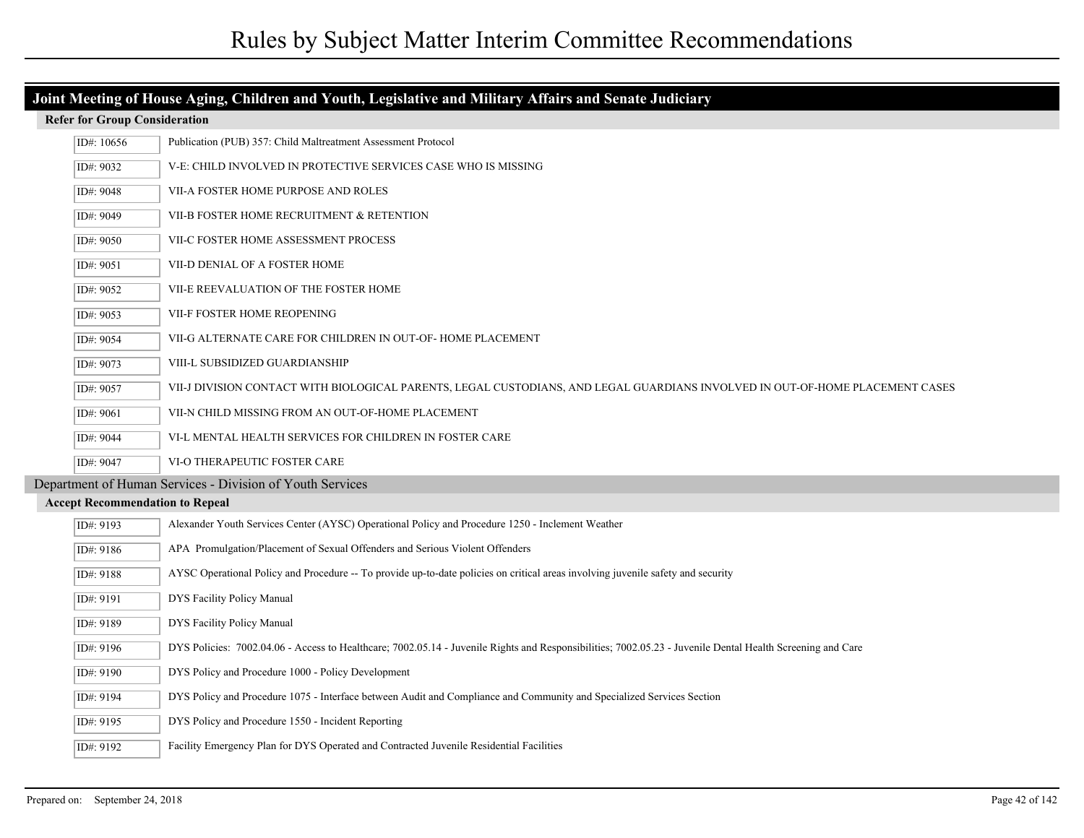| Joint Meeting of House Aging, Children and Youth, Legislative and Military Affairs and Senate Judiciary |                                        |                                                                                                                                                            |  |  |  |
|---------------------------------------------------------------------------------------------------------|----------------------------------------|------------------------------------------------------------------------------------------------------------------------------------------------------------|--|--|--|
|                                                                                                         | <b>Refer for Group Consideration</b>   |                                                                                                                                                            |  |  |  |
|                                                                                                         | ID#: 10656                             | Publication (PUB) 357: Child Maltreatment Assessment Protocol                                                                                              |  |  |  |
|                                                                                                         | ID#: 9032                              | V-E: CHILD INVOLVED IN PROTECTIVE SERVICES CASE WHO IS MISSING                                                                                             |  |  |  |
|                                                                                                         | ID#: 9048                              | VII-A FOSTER HOME PURPOSE AND ROLES                                                                                                                        |  |  |  |
|                                                                                                         | ID#: 9049                              | VII-B FOSTER HOME RECRUITMENT & RETENTION                                                                                                                  |  |  |  |
|                                                                                                         | ID#: 9050                              | VII-C FOSTER HOME ASSESSMENT PROCESS                                                                                                                       |  |  |  |
|                                                                                                         | ID#: 9051                              | VII-D DENIAL OF A FOSTER HOME                                                                                                                              |  |  |  |
|                                                                                                         | ID#: 9052                              | VII-E REEVALUATION OF THE FOSTER HOME                                                                                                                      |  |  |  |
|                                                                                                         | ID#: 9053                              | VII-F FOSTER HOME REOPENING                                                                                                                                |  |  |  |
|                                                                                                         | ID#: 9054                              | VII-G ALTERNATE CARE FOR CHILDREN IN OUT-OF-HOME PLACEMENT                                                                                                 |  |  |  |
|                                                                                                         | ID#: 9073                              | VIII-L SUBSIDIZED GUARDIANSHIP                                                                                                                             |  |  |  |
|                                                                                                         | ID#: 9057                              | VII-J DIVISION CONTACT WITH BIOLOGICAL PARENTS, LEGAL CUSTODIANS, AND LEGAL GUARDIANS INVOLVED IN OUT-OF-HOME PLACEMENT CASES                              |  |  |  |
|                                                                                                         | ID#: 9061                              | VII-N CHILD MISSING FROM AN OUT-OF-HOME PLACEMENT                                                                                                          |  |  |  |
|                                                                                                         | ID#: 9044                              | VI-L MENTAL HEALTH SERVICES FOR CHILDREN IN FOSTER CARE                                                                                                    |  |  |  |
|                                                                                                         | ID#: 9047                              | VI-O THERAPEUTIC FOSTER CARE                                                                                                                               |  |  |  |
|                                                                                                         |                                        | Department of Human Services - Division of Youth Services                                                                                                  |  |  |  |
|                                                                                                         | <b>Accept Recommendation to Repeal</b> |                                                                                                                                                            |  |  |  |
|                                                                                                         | ID#: 9193                              | Alexander Youth Services Center (AYSC) Operational Policy and Procedure 1250 - Inclement Weather                                                           |  |  |  |
|                                                                                                         | ID#: 9186                              | APA Promulgation/Placement of Sexual Offenders and Serious Violent Offenders                                                                               |  |  |  |
|                                                                                                         | ID#: 9188                              | AYSC Operational Policy and Procedure -- To provide up-to-date policies on critical areas involving juvenile safety and security                           |  |  |  |
|                                                                                                         | ID#: 9191                              | DYS Facility Policy Manual                                                                                                                                 |  |  |  |
|                                                                                                         | ID#: 9189                              | DYS Facility Policy Manual                                                                                                                                 |  |  |  |
|                                                                                                         | ID#: 9196                              | DYS Policies: 7002.04.06 - Access to Healthcare; 7002.05.14 - Juvenile Rights and Responsibilities; 7002.05.23 - Juvenile Dental Health Screening and Care |  |  |  |
|                                                                                                         | ID#: 9190                              | DYS Policy and Procedure 1000 - Policy Development                                                                                                         |  |  |  |
|                                                                                                         | ID#: 9194                              | DYS Policy and Procedure 1075 - Interface between Audit and Compliance and Community and Specialized Services Section                                      |  |  |  |
|                                                                                                         | ID#: 9195                              | DYS Policy and Procedure 1550 - Incident Reporting                                                                                                         |  |  |  |
|                                                                                                         | ID#: 9192                              | Facility Emergency Plan for DYS Operated and Contracted Juvenile Residential Facilities                                                                    |  |  |  |

I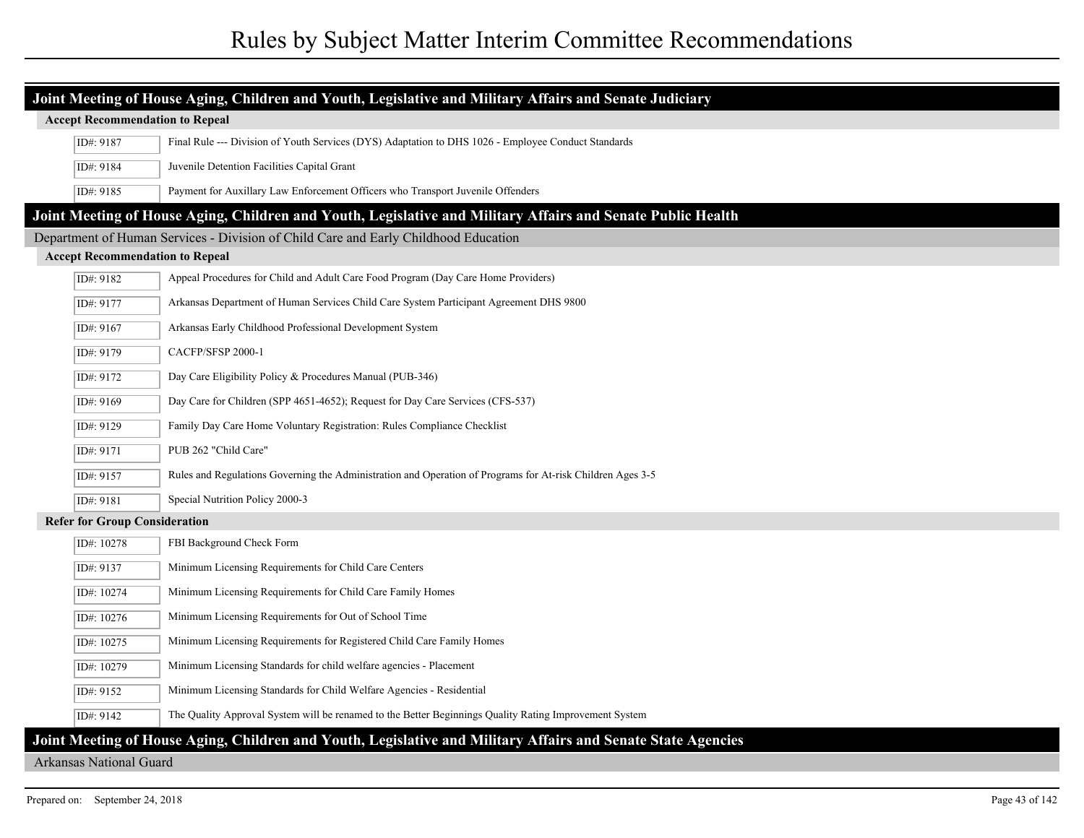| Joint Meeting of House Aging, Children and Youth, Legislative and Military Affairs and Senate Judiciary |                                                                                                              |  |
|---------------------------------------------------------------------------------------------------------|--------------------------------------------------------------------------------------------------------------|--|
| <b>Accept Recommendation to Repeal</b>                                                                  |                                                                                                              |  |
| ID#: 9187                                                                                               | Final Rule --- Division of Youth Services (DYS) Adaptation to DHS 1026 - Employee Conduct Standards          |  |
| ID#: 9184                                                                                               | Juvenile Detention Facilities Capital Grant                                                                  |  |
| ID#: 9185                                                                                               | Payment for Auxillary Law Enforcement Officers who Transport Juvenile Offenders                              |  |
|                                                                                                         | Joint Meeting of House Aging, Children and Youth, Legislative and Military Affairs and Senate Public Health  |  |
|                                                                                                         | Department of Human Services - Division of Child Care and Early Childhood Education                          |  |
| <b>Accept Recommendation to Repeal</b>                                                                  |                                                                                                              |  |
| ID#: 9182                                                                                               | Appeal Procedures for Child and Adult Care Food Program (Day Care Home Providers)                            |  |
| ID#: 9177                                                                                               | Arkansas Department of Human Services Child Care System Participant Agreement DHS 9800                       |  |
| ID#: 9167                                                                                               | Arkansas Early Childhood Professional Development System                                                     |  |
| ID#: 9179                                                                                               | CACFP/SFSP 2000-1                                                                                            |  |
| ID#: 9172                                                                                               | Day Care Eligibility Policy & Procedures Manual (PUB-346)                                                    |  |
| ID#: 9169                                                                                               | Day Care for Children (SPP 4651-4652); Request for Day Care Services (CFS-537)                               |  |
| ID#: 9129                                                                                               | Family Day Care Home Voluntary Registration: Rules Compliance Checklist                                      |  |
| ID#: 9171                                                                                               | PUB 262 "Child Care"                                                                                         |  |
| ID#: 9157                                                                                               | Rules and Regulations Governing the Administration and Operation of Programs for At-risk Children Ages 3-5   |  |
| ID#: 9181                                                                                               | Special Nutrition Policy 2000-3                                                                              |  |
| <b>Refer for Group Consideration</b>                                                                    |                                                                                                              |  |
| ID#: 10278                                                                                              | FBI Background Check Form                                                                                    |  |
| ID#: 9137                                                                                               | Minimum Licensing Requirements for Child Care Centers                                                        |  |
| ID#: 10274                                                                                              | Minimum Licensing Requirements for Child Care Family Homes                                                   |  |
| ID#: 10276                                                                                              | Minimum Licensing Requirements for Out of School Time                                                        |  |
| ID#: 10275                                                                                              | Minimum Licensing Requirements for Registered Child Care Family Homes                                        |  |
| ID#: 10279                                                                                              | Minimum Licensing Standards for child welfare agencies - Placement                                           |  |
| ID#: 9152                                                                                               | Minimum Licensing Standards for Child Welfare Agencies - Residential                                         |  |
| ID#: 9142                                                                                               | The Quality Approval System will be renamed to the Better Beginnings Quality Rating Improvement System       |  |
|                                                                                                         | Joint Meeting of House Aging, Children and Youth, Legislative and Military Affairs and Senate State Agencies |  |

#### Arkansas National Guard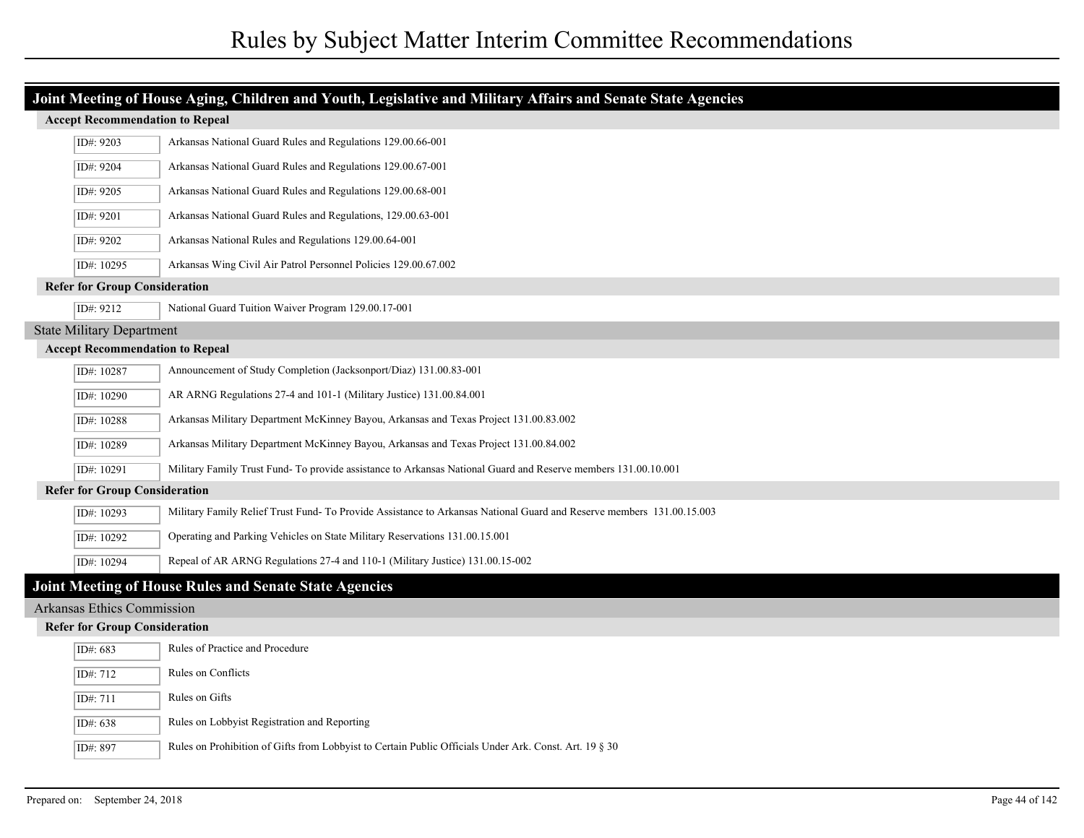| Joint Meeting of House Aging, Children and Youth, Legislative and Military Affairs and Senate State Agencies |                                        |                                                                                                                       |  |
|--------------------------------------------------------------------------------------------------------------|----------------------------------------|-----------------------------------------------------------------------------------------------------------------------|--|
|                                                                                                              | <b>Accept Recommendation to Repeal</b> |                                                                                                                       |  |
|                                                                                                              | ID#: 9203                              | Arkansas National Guard Rules and Regulations 129.00.66-001                                                           |  |
|                                                                                                              | ID#: 9204                              | Arkansas National Guard Rules and Regulations 129.00.67-001                                                           |  |
|                                                                                                              | ID#: 9205                              | Arkansas National Guard Rules and Regulations 129.00.68-001                                                           |  |
|                                                                                                              | ID#: 9201                              | Arkansas National Guard Rules and Regulations, 129.00.63-001                                                          |  |
|                                                                                                              | ID#: 9202                              | Arkansas National Rules and Regulations 129.00.64-001                                                                 |  |
|                                                                                                              | ID#: 10295                             | Arkansas Wing Civil Air Patrol Personnel Policies 129.00.67.002                                                       |  |
|                                                                                                              | <b>Refer for Group Consideration</b>   |                                                                                                                       |  |
|                                                                                                              | ID#: 9212                              | National Guard Tuition Waiver Program 129.00.17-001                                                                   |  |
|                                                                                                              | <b>State Military Department</b>       |                                                                                                                       |  |
|                                                                                                              | <b>Accept Recommendation to Repeal</b> |                                                                                                                       |  |
|                                                                                                              | ID#: 10287                             | Announcement of Study Completion (Jacksonport/Diaz) 131.00.83-001                                                     |  |
|                                                                                                              | ID#: 10290                             | AR ARNG Regulations 27-4 and 101-1 (Military Justice) 131.00.84.001                                                   |  |
|                                                                                                              | ID#: 10288                             | Arkansas Military Department McKinney Bayou, Arkansas and Texas Project 131.00.83.002                                 |  |
|                                                                                                              | ID#: 10289                             | Arkansas Military Department McKinney Bayou, Arkansas and Texas Project 131.00.84.002                                 |  |
|                                                                                                              | ID#: 10291                             | Military Family Trust Fund- To provide assistance to Arkansas National Guard and Reserve members 131.00.10.001        |  |
|                                                                                                              | <b>Refer for Group Consideration</b>   |                                                                                                                       |  |
|                                                                                                              | ID#: 10293                             | Military Family Relief Trust Fund- To Provide Assistance to Arkansas National Guard and Reserve members 131.00.15.003 |  |
|                                                                                                              | ID#: 10292                             | Operating and Parking Vehicles on State Military Reservations 131.00.15.001                                           |  |
|                                                                                                              | ID#: 10294                             | Repeal of AR ARNG Regulations 27-4 and 110-1 (Military Justice) 131.00.15-002                                         |  |
|                                                                                                              |                                        | Joint Meeting of House Rules and Senate State Agencies                                                                |  |
|                                                                                                              | Arkansas Ethics Commission             |                                                                                                                       |  |
|                                                                                                              | <b>Refer for Group Consideration</b>   |                                                                                                                       |  |
|                                                                                                              | ID#: 683                               | Rules of Practice and Procedure                                                                                       |  |
|                                                                                                              | ID#: 712                               | Rules on Conflicts                                                                                                    |  |
|                                                                                                              | ID#: 711                               | Rules on Gifts                                                                                                        |  |
|                                                                                                              | ID#: 638                               | Rules on Lobbyist Registration and Reporting                                                                          |  |
|                                                                                                              | ID#: 897                               | Rules on Prohibition of Gifts from Lobbyist to Certain Public Officials Under Ark. Const. Art. 19 § 30                |  |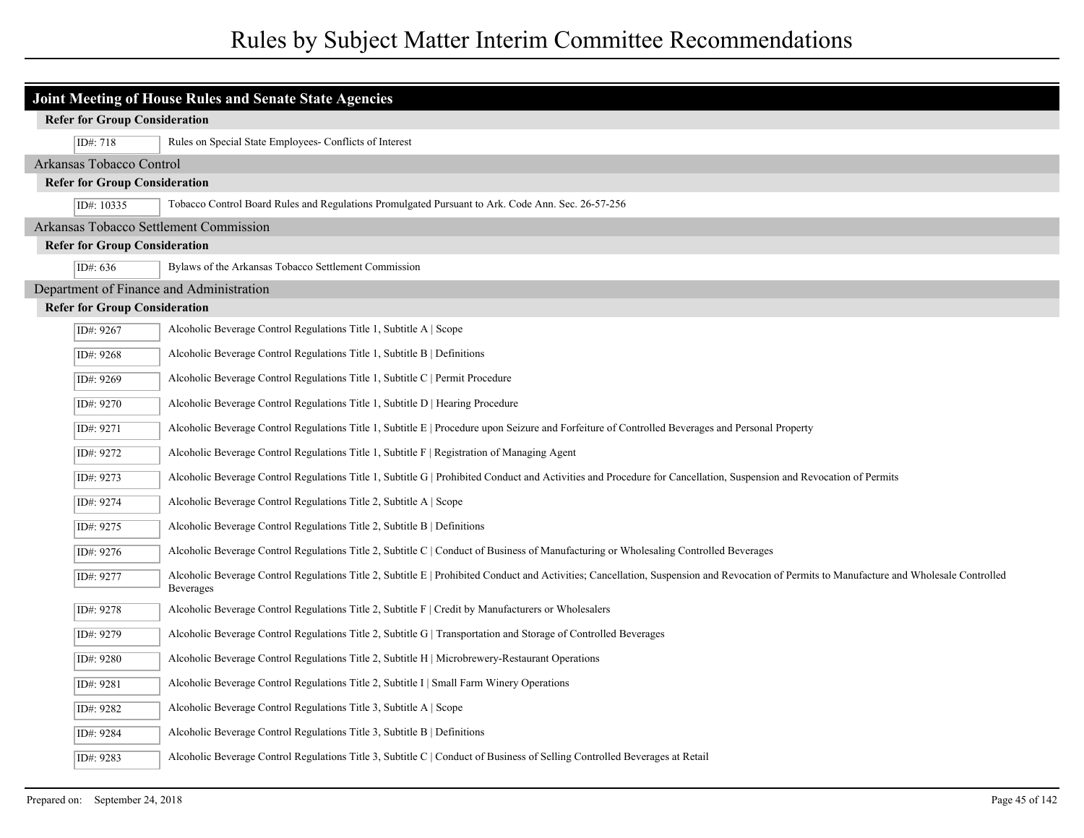| Joint Meeting of House Rules and Senate State Agencies |                                                                                                                                                                                                                |  |  |
|--------------------------------------------------------|----------------------------------------------------------------------------------------------------------------------------------------------------------------------------------------------------------------|--|--|
| <b>Refer for Group Consideration</b>                   |                                                                                                                                                                                                                |  |  |
| ID#: 718                                               | Rules on Special State Employees- Conflicts of Interest                                                                                                                                                        |  |  |
|                                                        | Arkansas Tobacco Control                                                                                                                                                                                       |  |  |
| <b>Refer for Group Consideration</b>                   |                                                                                                                                                                                                                |  |  |
| ID#: 10335                                             | Tobacco Control Board Rules and Regulations Promulgated Pursuant to Ark. Code Ann. Sec. 26-57-256                                                                                                              |  |  |
| Arkansas Tobacco Settlement Commission                 |                                                                                                                                                                                                                |  |  |
| <b>Refer for Group Consideration</b>                   |                                                                                                                                                                                                                |  |  |
| ID#: 636                                               | Bylaws of the Arkansas Tobacco Settlement Commission                                                                                                                                                           |  |  |
| Department of Finance and Administration               |                                                                                                                                                                                                                |  |  |
| <b>Refer for Group Consideration</b>                   |                                                                                                                                                                                                                |  |  |
| ID#: 9267                                              | Alcoholic Beverage Control Regulations Title 1, Subtitle A   Scope                                                                                                                                             |  |  |
| ID#: 9268                                              | Alcoholic Beverage Control Regulations Title 1, Subtitle B   Definitions                                                                                                                                       |  |  |
| ID#: 9269                                              | Alcoholic Beverage Control Regulations Title 1, Subtitle C   Permit Procedure                                                                                                                                  |  |  |
| ID#: 9270                                              | Alcoholic Beverage Control Regulations Title 1, Subtitle D   Hearing Procedure                                                                                                                                 |  |  |
| ID#: 9271                                              | Alcoholic Beverage Control Regulations Title 1, Subtitle E   Procedure upon Seizure and Forfeiture of Controlled Beverages and Personal Property                                                               |  |  |
| ID#: 9272                                              | Alcoholic Beverage Control Regulations Title 1, Subtitle $F  $ Registration of Managing Agent                                                                                                                  |  |  |
| ID#: 9273                                              | Alcoholic Beverage Control Regulations Title 1, Subtitle G   Prohibited Conduct and Activities and Procedure for Cancellation, Suspension and Revocation of Permits                                            |  |  |
| ID#: 9274                                              | Alcoholic Beverage Control Regulations Title 2, Subtitle A   Scope                                                                                                                                             |  |  |
| ID#: 9275                                              | Alcoholic Beverage Control Regulations Title 2, Subtitle B   Definitions                                                                                                                                       |  |  |
| ID#: 9276                                              | Alcoholic Beverage Control Regulations Title 2, Subtitle C   Conduct of Business of Manufacturing or Wholesaling Controlled Beverages                                                                          |  |  |
| ID#: 9277                                              | Alcoholic Beverage Control Regulations Title 2, Subtitle E   Prohibited Conduct and Activities; Cancellation, Suspension and Revocation of Permits to Manufacture and Wholesale Controlled<br><b>Beverages</b> |  |  |
| ID#: 9278                                              | Alcoholic Beverage Control Regulations Title 2, Subtitle F   Credit by Manufacturers or Wholesalers                                                                                                            |  |  |
| ID#: 9279                                              | Alcoholic Beverage Control Regulations Title 2, Subtitle G   Transportation and Storage of Controlled Beverages                                                                                                |  |  |
| ID#: 9280                                              | Alcoholic Beverage Control Regulations Title 2, Subtitle H   Microbrewery-Restaurant Operations                                                                                                                |  |  |
| ID#: 9281                                              | Alcoholic Beverage Control Regulations Title 2, Subtitle I   Small Farm Winery Operations                                                                                                                      |  |  |
| ID#: 9282                                              | Alcoholic Beverage Control Regulations Title 3, Subtitle A   Scope                                                                                                                                             |  |  |
| ID#: 9284                                              | Alcoholic Beverage Control Regulations Title 3, Subtitle B   Definitions                                                                                                                                       |  |  |
| ID#: 9283                                              | Alcoholic Beverage Control Regulations Title 3, Subtitle C   Conduct of Business of Selling Controlled Beverages at Retail                                                                                     |  |  |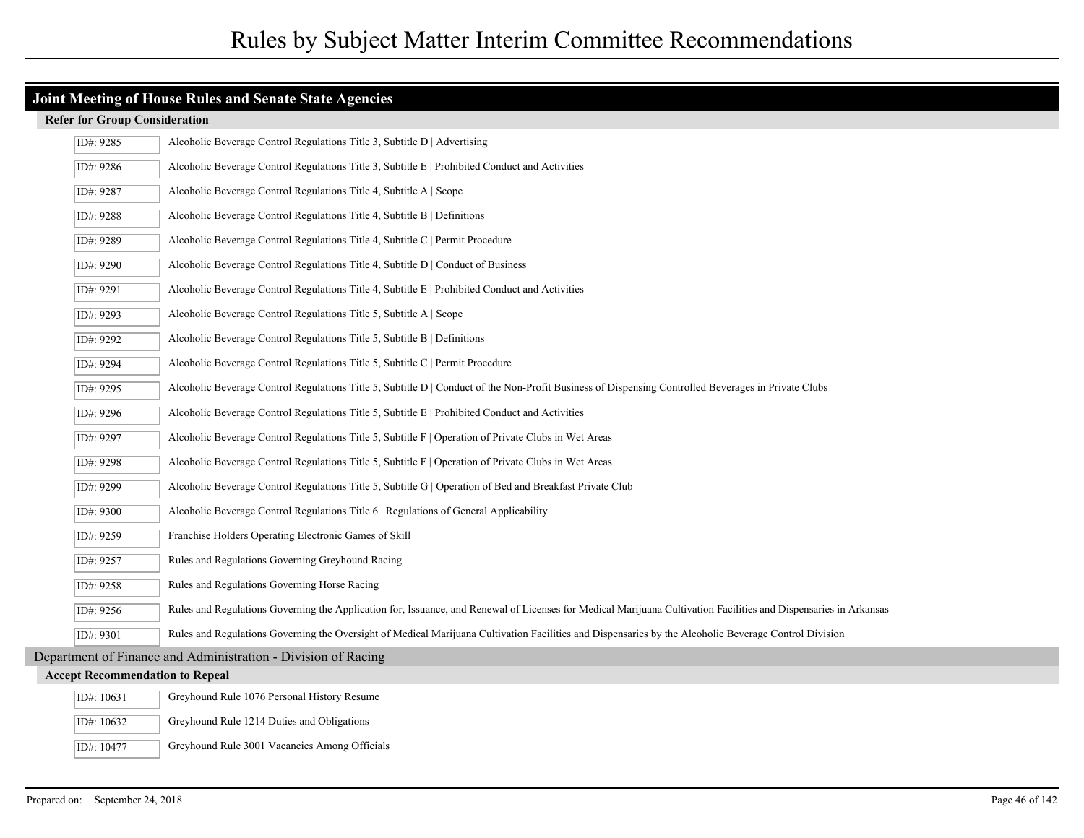| ID#: 9285                              | Alcoholic Beverage Control Regulations Title 3, Subtitle D   Advertising                                                                                         |
|----------------------------------------|------------------------------------------------------------------------------------------------------------------------------------------------------------------|
| ID#: 9286                              | Alcoholic Beverage Control Regulations Title 3, Subtitle $E  $ Prohibited Conduct and Activities                                                                 |
| ID#: 9287                              | Alcoholic Beverage Control Regulations Title 4, Subtitle A   Scope                                                                                               |
| ID#: 9288                              | Alcoholic Beverage Control Regulations Title 4, Subtitle B   Definitions                                                                                         |
| ID#: 9289                              | Alcoholic Beverage Control Regulations Title 4, Subtitle C   Permit Procedure                                                                                    |
| ID#: 9290                              | Alcoholic Beverage Control Regulations Title 4, Subtitle D   Conduct of Business                                                                                 |
| ID#: 9291                              | Alcoholic Beverage Control Regulations Title 4, Subtitle E   Prohibited Conduct and Activities                                                                   |
| ID#: 9293                              | Alcoholic Beverage Control Regulations Title 5, Subtitle A   Scope                                                                                               |
| ID#: 9292                              | Alcoholic Beverage Control Regulations Title 5, Subtitle B   Definitions                                                                                         |
| ID#: 9294                              | Alcoholic Beverage Control Regulations Title 5, Subtitle C   Permit Procedure                                                                                    |
| ID#: 9295                              | Alcoholic Beverage Control Regulations Title 5, Subtitle D   Conduct of the Non-Profit Business of Dispensing Controlled Beverages in Private Clubs              |
| ID#: 9296                              | Alcoholic Beverage Control Regulations Title 5, Subtitle E   Prohibited Conduct and Activities                                                                   |
| ID#: 9297                              | Alcoholic Beverage Control Regulations Title 5, Subtitle F   Operation of Private Clubs in Wet Areas                                                             |
| ID#: 9298                              | Alcoholic Beverage Control Regulations Title 5, Subtitle F   Operation of Private Clubs in Wet Areas                                                             |
| ID#: 9299                              | Alcoholic Beverage Control Regulations Title 5, Subtitle G   Operation of Bed and Breakfast Private Club                                                         |
| ID#: 9300                              | Alcoholic Beverage Control Regulations Title 6   Regulations of General Applicability                                                                            |
| ID#: 9259                              | Franchise Holders Operating Electronic Games of Skill                                                                                                            |
| ID#: 9257                              | Rules and Regulations Governing Greyhound Racing                                                                                                                 |
| ID#: 9258                              | Rules and Regulations Governing Horse Racing                                                                                                                     |
| ID#: 9256                              | Rules and Regulations Governing the Application for, Issuance, and Renewal of Licenses for Medical Marijuana Cultivation Facilities and Dispensaries in Arkansas |
| ID#: 9301                              | Rules and Regulations Governing the Oversight of Medical Marijuana Cultivation Facilities and Dispensaries by the Alcoholic Beverage Control Division            |
|                                        | Department of Finance and Administration - Division of Racing                                                                                                    |
| <b>Accept Recommendation to Repeal</b> |                                                                                                                                                                  |
| ID#: 10631                             | Greyhound Rule 1076 Personal History Resume                                                                                                                      |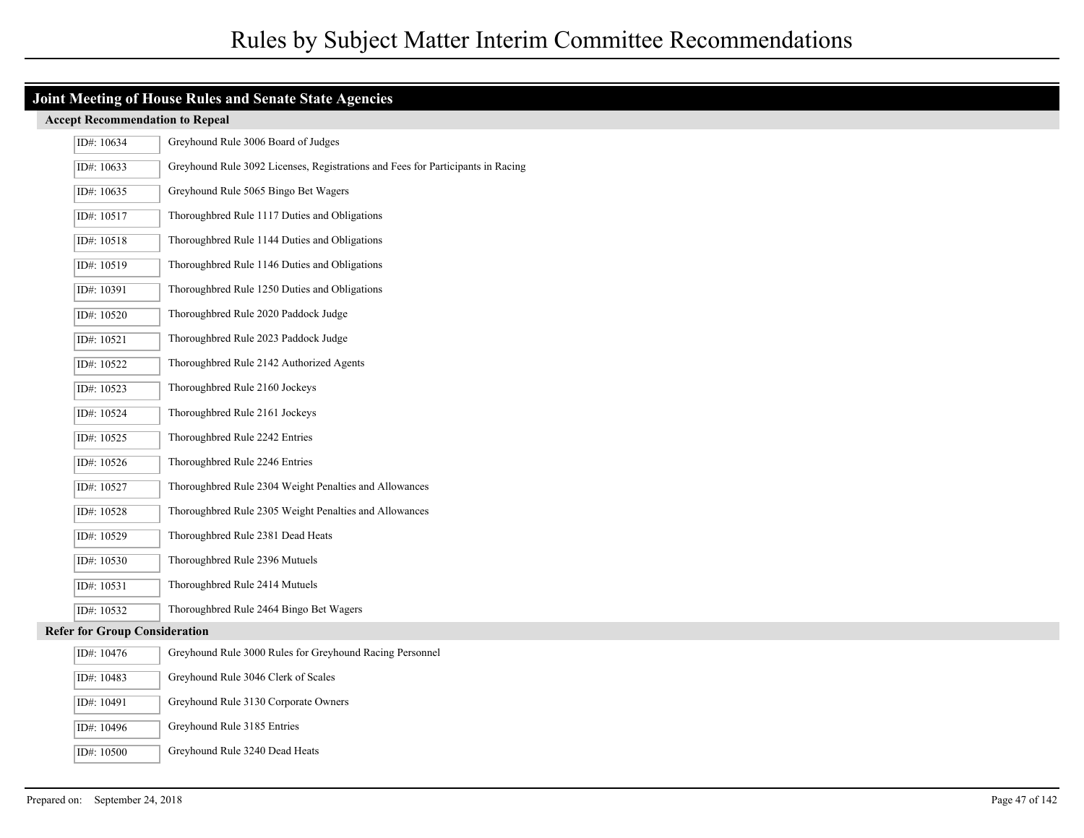| Joint Meeting of House Rules and Senate State Agencies |                                                                                 |  |
|--------------------------------------------------------|---------------------------------------------------------------------------------|--|
| <b>Accept Recommendation to Repeal</b>                 |                                                                                 |  |
| ID#: 10634                                             | Greyhound Rule 3006 Board of Judges                                             |  |
| ID#: 10633                                             | Greyhound Rule 3092 Licenses, Registrations and Fees for Participants in Racing |  |
| ID#: 10635                                             | Greyhound Rule 5065 Bingo Bet Wagers                                            |  |
| ID#: 10517                                             | Thoroughbred Rule 1117 Duties and Obligations                                   |  |
| ID#: 10518                                             | Thoroughbred Rule 1144 Duties and Obligations                                   |  |
| ID#: 10519                                             | Thoroughbred Rule 1146 Duties and Obligations                                   |  |
| ID#: 10391                                             | Thoroughbred Rule 1250 Duties and Obligations                                   |  |
| ID#: 10520                                             | Thoroughbred Rule 2020 Paddock Judge                                            |  |
| ID#: 10521                                             | Thoroughbred Rule 2023 Paddock Judge                                            |  |
| ID#: 10522                                             | Thoroughbred Rule 2142 Authorized Agents                                        |  |
| ID#: 10523                                             | Thoroughbred Rule 2160 Jockeys                                                  |  |
| ID#: 10524                                             | Thoroughbred Rule 2161 Jockeys                                                  |  |
| ID#: 10525                                             | Thoroughbred Rule 2242 Entries                                                  |  |
| ID#: 10526                                             | Thoroughbred Rule 2246 Entries                                                  |  |
| ID#: 10527                                             | Thoroughbred Rule 2304 Weight Penalties and Allowances                          |  |
| ID#: 10528                                             | Thoroughbred Rule 2305 Weight Penalties and Allowances                          |  |
| ID#: 10529                                             | Thoroughbred Rule 2381 Dead Heats                                               |  |
| ID#: 10530                                             | Thoroughbred Rule 2396 Mutuels                                                  |  |
| ID#: 10531                                             | Thoroughbred Rule 2414 Mutuels                                                  |  |
| ID#: 10532                                             | Thoroughbred Rule 2464 Bingo Bet Wagers                                         |  |
| <b>Refer for Group Consideration</b>                   |                                                                                 |  |
| ID#: 10476                                             | Greyhound Rule 3000 Rules for Greyhound Racing Personnel                        |  |
| ID#: 10483                                             | Greyhound Rule 3046 Clerk of Scales                                             |  |
| ID#: 10491                                             | Greyhound Rule 3130 Corporate Owners                                            |  |
| ID#: 10496                                             | Greyhound Rule 3185 Entries                                                     |  |

ID#: 10500 Greyhound Rule 3240 Dead Heats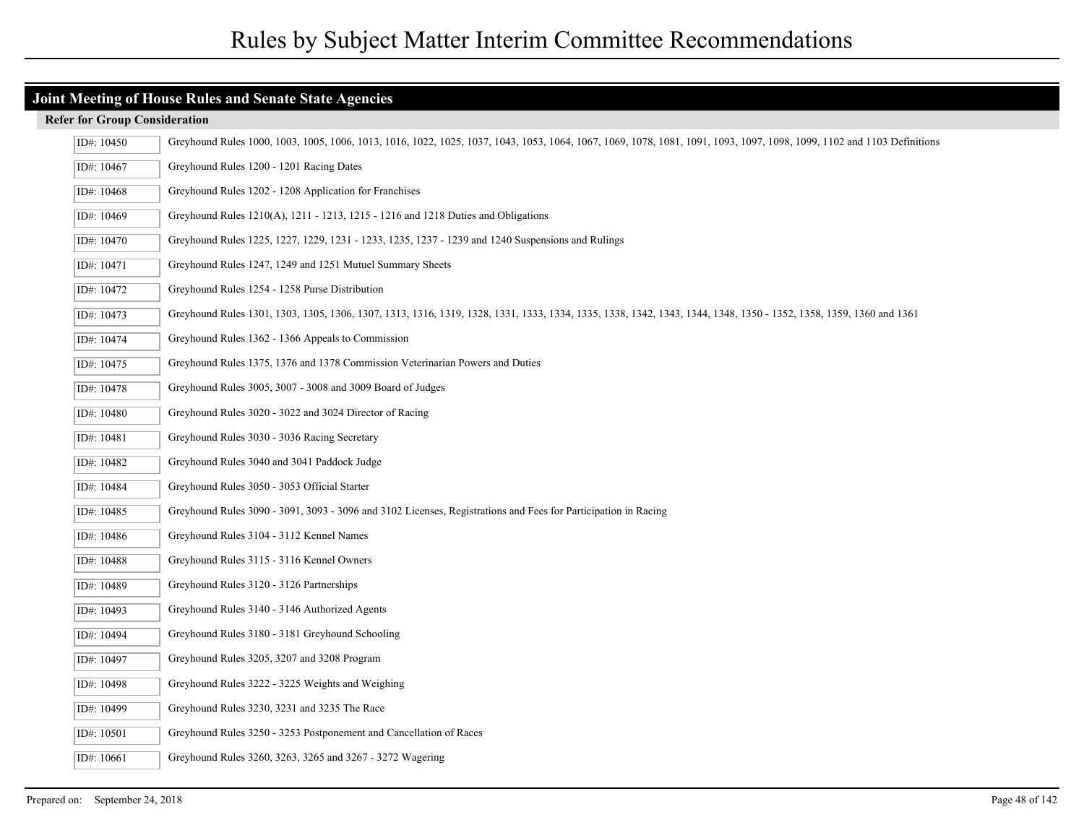| ID#: 10450 | Greyhound Rules 1000, 1003, 1005, 1006, 1013, 1016, 1022, 1025, 1037, 1043, 1053, 1064, 1067, 1069, 1078, 1081, 1091, 1093, 1097, 1098, 1099, 1102 and 1103 Definitions |
|------------|-------------------------------------------------------------------------------------------------------------------------------------------------------------------------|
| ID#: 10467 | Greyhound Rules 1200 - 1201 Racing Dates                                                                                                                                |
| ID#: 10468 | Greyhound Rules 1202 - 1208 Application for Franchises                                                                                                                  |
| ID#: 10469 | Greyhound Rules 1210(A), 1211 - 1213, 1215 - 1216 and 1218 Duties and Obligations                                                                                       |
| ID#: 10470 | Greyhound Rules 1225, 1227, 1229, 1231 - 1233, 1235, 1237 - 1239 and 1240 Suspensions and Rulings                                                                       |
| ID#: 10471 | Greyhound Rules 1247, 1249 and 1251 Mutuel Summary Sheets                                                                                                               |
| ID#: 10472 | Greyhound Rules 1254 - 1258 Purse Distribution                                                                                                                          |
| ID#: 10473 | Greyhound Rules 1301, 1303, 1305, 1306, 1307, 1313, 1316, 1319, 1328, 1331, 1333, 1334, 1335, 1338, 1342, 1343, 1344, 1348, 1350 - 1352, 1358, 1359, 1360 and 1361      |
| ID#: 10474 | Greyhound Rules 1362 - 1366 Appeals to Commission                                                                                                                       |
| ID#: 10475 | Greyhound Rules 1375, 1376 and 1378 Commission Veterinarian Powers and Duties                                                                                           |
| ID#: 10478 | Greyhound Rules 3005, 3007 - 3008 and 3009 Board of Judges                                                                                                              |
| ID#: 10480 | Greyhound Rules 3020 - 3022 and 3024 Director of Racing                                                                                                                 |
| ID#: 10481 | Greyhound Rules 3030 - 3036 Racing Secretary                                                                                                                            |
| ID#: 10482 | Greyhound Rules 3040 and 3041 Paddock Judge                                                                                                                             |
| ID#: 10484 | Greyhound Rules 3050 - 3053 Official Starter                                                                                                                            |
| ID#: 10485 | Greyhound Rules 3090 - 3091, 3093 - 3096 and 3102 Licenses, Registrations and Fees for Participation in Racing                                                          |
| ID#: 10486 | Greyhound Rules 3104 - 3112 Kennel Names                                                                                                                                |
| ID#: 10488 | Greyhound Rules 3115 - 3116 Kennel Owners                                                                                                                               |
| ID#: 10489 | Greyhound Rules 3120 - 3126 Partnerships                                                                                                                                |
| ID#: 10493 | Greyhound Rules 3140 - 3146 Authorized Agents                                                                                                                           |
| ID#: 10494 | Greyhound Rules 3180 - 3181 Greyhound Schooling                                                                                                                         |
| ID#: 10497 | Greyhound Rules 3205, 3207 and 3208 Program                                                                                                                             |
| ID#: 10498 | Greyhound Rules 3222 - 3225 Weights and Weighing                                                                                                                        |
| ID#: 10499 | Greyhound Rules 3230, 3231 and 3235 The Race                                                                                                                            |
| ID#: 10501 | Greyhound Rules 3250 - 3253 Postponement and Cancellation of Races                                                                                                      |
| ID#: 10661 | Greyhound Rules 3260, 3263, 3265 and 3267 - 3272 Wagering                                                                                                               |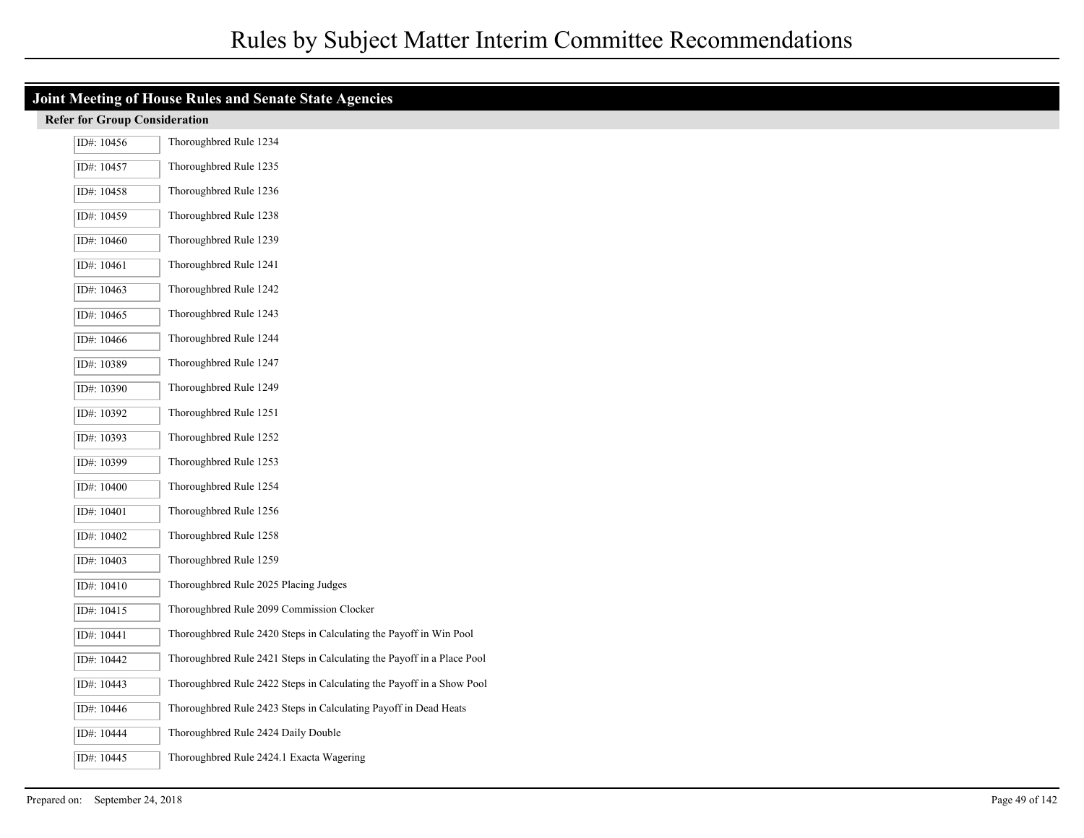| <b>Joint Meeting of House Rules and Senate State Agencies</b> |                                                                        |  |  |
|---------------------------------------------------------------|------------------------------------------------------------------------|--|--|
| <b>Refer for Group Consideration</b>                          |                                                                        |  |  |
| ID#: 10456                                                    | Thoroughbred Rule 1234                                                 |  |  |
| ID#: 10457                                                    | Thoroughbred Rule 1235                                                 |  |  |
| ID#: 10458                                                    | Thoroughbred Rule 1236                                                 |  |  |
| ID#: 10459                                                    | Thoroughbred Rule 1238                                                 |  |  |
| ID#: 10460                                                    | Thoroughbred Rule 1239                                                 |  |  |
| ID#: 10461                                                    | Thoroughbred Rule 1241                                                 |  |  |
| ID#: 10463                                                    | Thoroughbred Rule 1242                                                 |  |  |
| ID#: 10465                                                    | Thoroughbred Rule 1243                                                 |  |  |
| ID#: 10466                                                    | Thoroughbred Rule 1244                                                 |  |  |
| ID#: 10389                                                    | Thoroughbred Rule 1247                                                 |  |  |
| ID#: 10390                                                    | Thoroughbred Rule 1249                                                 |  |  |
| ID#: 10392                                                    | Thoroughbred Rule 1251                                                 |  |  |
| ID#: 10393                                                    | Thoroughbred Rule 1252                                                 |  |  |
| ID#: 10399                                                    | Thoroughbred Rule 1253                                                 |  |  |
| ID#: 10400                                                    | Thoroughbred Rule 1254                                                 |  |  |
| ID#: 10401                                                    | Thoroughbred Rule 1256                                                 |  |  |
| ID#: 10402                                                    | Thoroughbred Rule 1258                                                 |  |  |
| ID#: 10403                                                    | Thoroughbred Rule 1259                                                 |  |  |
| ID#: 10410                                                    | Thoroughbred Rule 2025 Placing Judges                                  |  |  |
| ID#: 10415                                                    | Thoroughbred Rule 2099 Commission Clocker                              |  |  |
| ID#: 10441                                                    | Thoroughbred Rule 2420 Steps in Calculating the Payoff in Win Pool     |  |  |
| ID#: 10442                                                    | Thoroughbred Rule 2421 Steps in Calculating the Payoff in a Place Pool |  |  |
| ID#: 10443                                                    | Thoroughbred Rule 2422 Steps in Calculating the Payoff in a Show Pool  |  |  |
| ID#: 10446                                                    | Thoroughbred Rule 2423 Steps in Calculating Payoff in Dead Heats       |  |  |
| ID#: 10444                                                    | Thoroughbred Rule 2424 Daily Double                                    |  |  |
| ID#: 10445                                                    | Thoroughbred Rule 2424.1 Exacta Wagering                               |  |  |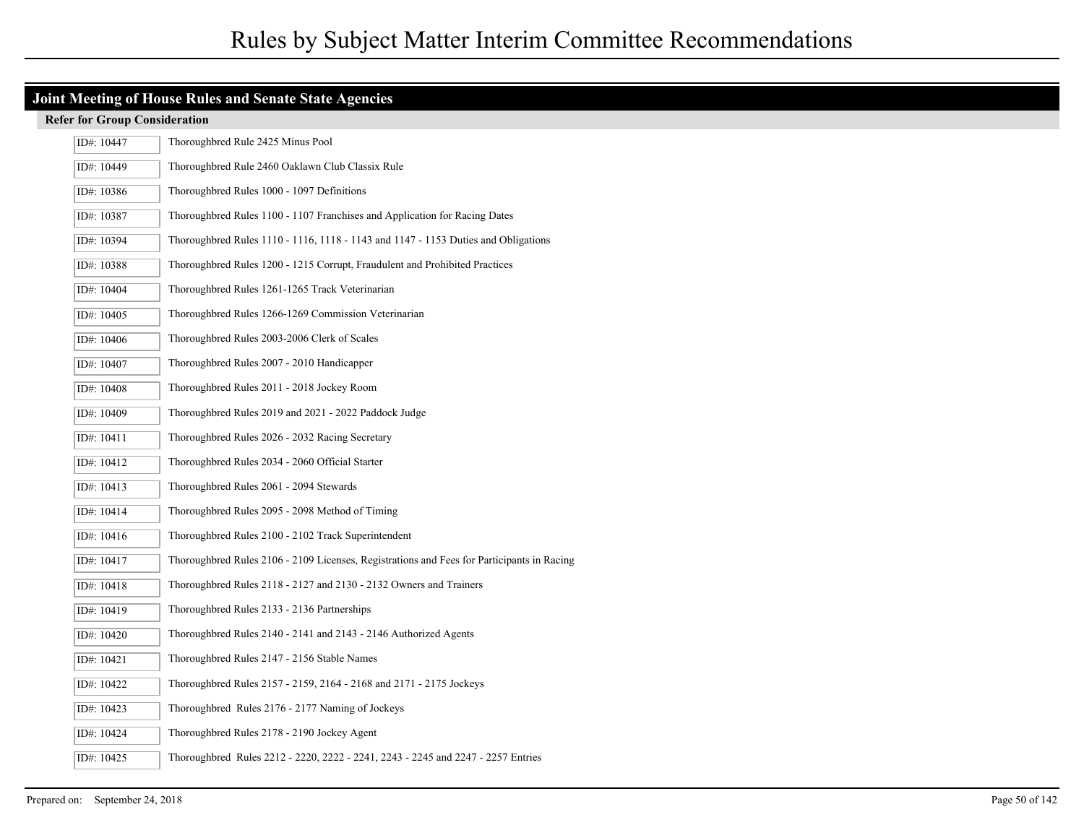| ID#: 10447 | Thoroughbred Rule 2425 Minus Pool                                                          |
|------------|--------------------------------------------------------------------------------------------|
| ID#: 10449 | Thoroughbred Rule 2460 Oaklawn Club Classix Rule                                           |
| ID#: 10386 | Thoroughbred Rules 1000 - 1097 Definitions                                                 |
| ID#: 10387 | Thoroughbred Rules 1100 - 1107 Franchises and Application for Racing Dates                 |
| ID#: 10394 | Thoroughbred Rules 1110 - 1116, 1118 - 1143 and 1147 - 1153 Duties and Obligations         |
| ID#: 10388 | Thoroughbred Rules 1200 - 1215 Corrupt, Fraudulent and Prohibited Practices                |
| ID#: 10404 | Thoroughbred Rules 1261-1265 Track Veterinarian                                            |
| ID#: 10405 | Thoroughbred Rules 1266-1269 Commission Veterinarian                                       |
| ID#: 10406 | Thoroughbred Rules 2003-2006 Clerk of Scales                                               |
| ID#: 10407 | Thoroughbred Rules 2007 - 2010 Handicapper                                                 |
| ID#: 10408 | Thoroughbred Rules 2011 - 2018 Jockey Room                                                 |
| ID#: 10409 | Thoroughbred Rules 2019 and 2021 - 2022 Paddock Judge                                      |
| ID#: 10411 | Thoroughbred Rules 2026 - 2032 Racing Secretary                                            |
| ID#: 10412 | Thoroughbred Rules 2034 - 2060 Official Starter                                            |
| ID#: 10413 | Thoroughbred Rules 2061 - 2094 Stewards                                                    |
| ID#: 10414 | Thoroughbred Rules 2095 - 2098 Method of Timing                                            |
| ID#: 10416 | Thoroughbred Rules 2100 - 2102 Track Superintendent                                        |
| ID#: 10417 | Thoroughbred Rules 2106 - 2109 Licenses, Registrations and Fees for Participants in Racing |
| ID#: 10418 | Thoroughbred Rules 2118 - 2127 and 2130 - 2132 Owners and Trainers                         |
| ID#: 10419 | Thoroughbred Rules 2133 - 2136 Partnerships                                                |
| ID#: 10420 | Thoroughbred Rules 2140 - 2141 and 2143 - 2146 Authorized Agents                           |
| ID#: 10421 | Thoroughbred Rules 2147 - 2156 Stable Names                                                |
| ID#: 10422 | Thoroughbred Rules 2157 - 2159, 2164 - 2168 and 2171 - 2175 Jockeys                        |
| ID#: 10423 | Thoroughbred Rules 2176 - 2177 Naming of Jockeys                                           |
| ID#: 10424 | Thoroughbred Rules 2178 - 2190 Jockey Agent                                                |
| ID#: 10425 | Thoroughbred Rules 2212 - 2220, 2222 - 2241, 2243 - 2245 and 2247 - 2257 Entries           |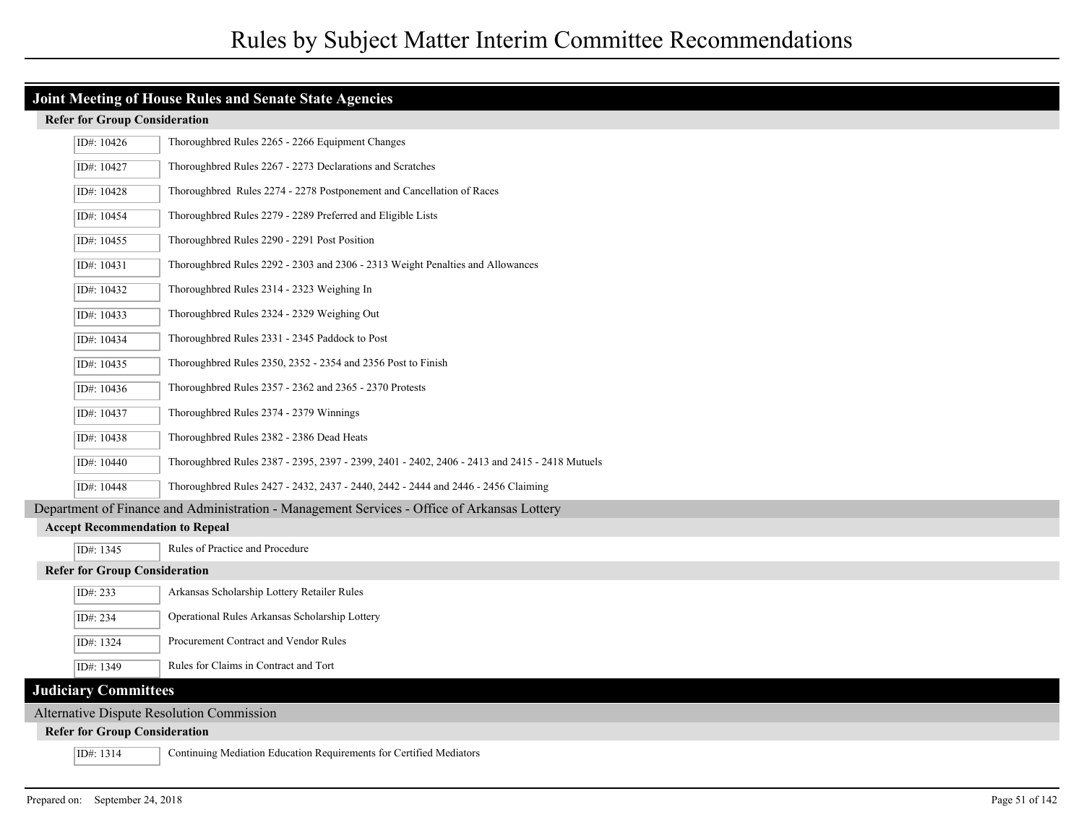| ID#: 10426                                                                                  | Thoroughbred Rules 2265 - 2266 Equipment Changes                                              |  |  |
|---------------------------------------------------------------------------------------------|-----------------------------------------------------------------------------------------------|--|--|
| ID#: 10427                                                                                  | Thoroughbred Rules 2267 - 2273 Declarations and Scratches                                     |  |  |
| ID#: 10428                                                                                  | Thoroughbred Rules 2274 - 2278 Postponement and Cancellation of Races                         |  |  |
| ID#: 10454                                                                                  | Thoroughbred Rules 2279 - 2289 Preferred and Eligible Lists                                   |  |  |
| ID#: 10455                                                                                  | Thoroughbred Rules 2290 - 2291 Post Position                                                  |  |  |
| ID#: 10431                                                                                  | Thoroughbred Rules 2292 - 2303 and 2306 - 2313 Weight Penalties and Allowances                |  |  |
| ID#: 10432                                                                                  | Thoroughbred Rules 2314 - 2323 Weighing In                                                    |  |  |
| ID#: 10433                                                                                  | Thoroughbred Rules 2324 - 2329 Weighing Out                                                   |  |  |
| ID#: 10434                                                                                  | Thoroughbred Rules 2331 - 2345 Paddock to Post                                                |  |  |
| ID#: 10435                                                                                  | Thoroughbred Rules 2350, 2352 - 2354 and 2356 Post to Finish                                  |  |  |
| ID#: $10436$                                                                                | Thoroughbred Rules 2357 - 2362 and 2365 - 2370 Protests                                       |  |  |
| ID#: 10437                                                                                  | Thoroughbred Rules 2374 - 2379 Winnings                                                       |  |  |
| ID#: 10438                                                                                  | Thoroughbred Rules 2382 - 2386 Dead Heats                                                     |  |  |
| ID#: 10440                                                                                  | Thoroughbred Rules 2387 - 2395, 2397 - 2399, 2401 - 2402, 2406 - 2413 and 2415 - 2418 Mutuels |  |  |
| ID#: 10448                                                                                  | Thoroughbred Rules 2427 - 2432, 2437 - 2440, 2442 - 2444 and 2446 - 2456 Claiming             |  |  |
| Department of Finance and Administration - Management Services - Office of Arkansas Lottery |                                                                                               |  |  |
| <b>Accept Recommendation to Repeal</b>                                                      |                                                                                               |  |  |
| ID#: 1345                                                                                   | Rules of Practice and Procedure                                                               |  |  |
| <b>Refer for Group Consideration</b>                                                        |                                                                                               |  |  |
| ID#: 233                                                                                    | Arkansas Scholarship Lottery Retailer Rules                                                   |  |  |
| ID#: 234                                                                                    | Operational Rules Arkansas Scholarship Lottery                                                |  |  |
| ID#: 1324                                                                                   | Procurement Contract and Vendor Rules                                                         |  |  |
| ID#: 1349                                                                                   | Rules for Claims in Contract and Tort                                                         |  |  |
| <b>Judiciary Committees</b>                                                                 |                                                                                               |  |  |
| <b>Alternative Dispute Resolution Commission</b>                                            |                                                                                               |  |  |
| <b>Refer for Group Consideration</b>                                                        |                                                                                               |  |  |
| ID#: 1314                                                                                   | Continuing Mediation Education Requirements for Certified Mediators                           |  |  |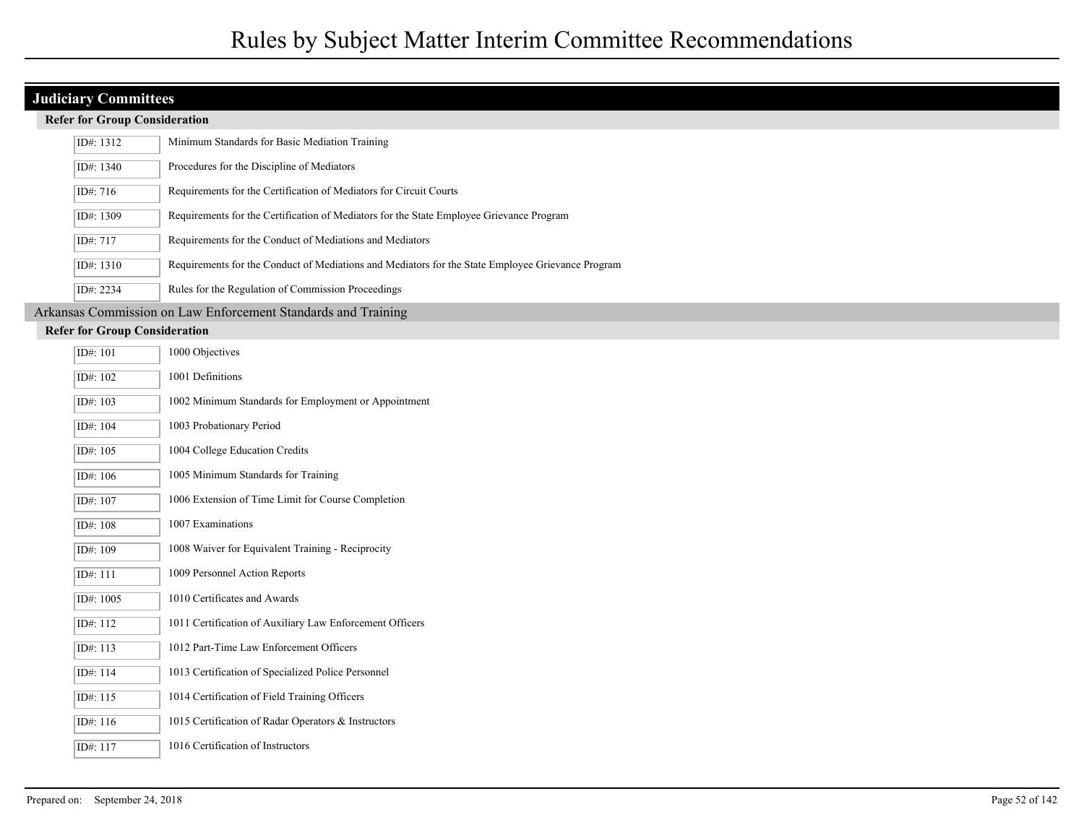### **Judiciary Committees**

| ID#: 1312                            | Minimum Standards for Basic Mediation Training                                                    |  |
|--------------------------------------|---------------------------------------------------------------------------------------------------|--|
| ID#: 1340                            | Procedures for the Discipline of Mediators                                                        |  |
| ID#: 716                             | Requirements for the Certification of Mediators for Circuit Courts                                |  |
| ID#: 1309                            | Requirements for the Certification of Mediators for the State Employee Grievance Program          |  |
| ID#: 717                             | Requirements for the Conduct of Mediations and Mediators                                          |  |
| ID#: 1310                            | Requirements for the Conduct of Mediations and Mediators for the State Employee Grievance Program |  |
| ID#: 2234                            | Rules for the Regulation of Commission Proceedings                                                |  |
|                                      | Arkansas Commission on Law Enforcement Standards and Training                                     |  |
| <b>Refer for Group Consideration</b> |                                                                                                   |  |

| ID#: 101               | 1000 Objectives                                          |
|------------------------|----------------------------------------------------------|
| ID#: 102               | 1001 Definitions                                         |
| ID#: 103               | 1002 Minimum Standards for Employment or Appointment     |
| ID#: 104               | 1003 Probationary Period                                 |
| ID#: 105               | 1004 College Education Credits                           |
| ID#: 106               | 1005 Minimum Standards for Training                      |
| ID#: 107               | 1006 Extension of Time Limit for Course Completion       |
| ID#: 108               | 1007 Examinations                                        |
| ID#: 109               | 1008 Waiver for Equivalent Training - Reciprocity        |
| $\overline{ID#}$ : 111 | 1009 Personnel Action Reports                            |
| ID#: 1005              | 1010 Certificates and Awards                             |
| ID#: 112               | 1011 Certification of Auxiliary Law Enforcement Officers |
| ID#: 113               | 1012 Part-Time Law Enforcement Officers                  |
| ID#: 114               | 1013 Certification of Specialized Police Personnel       |
| ID#: 115               | 1014 Certification of Field Training Officers            |
| ID#: 116               | 1015 Certification of Radar Operators & Instructors      |
| ID#: 117               | 1016 Certification of Instructors                        |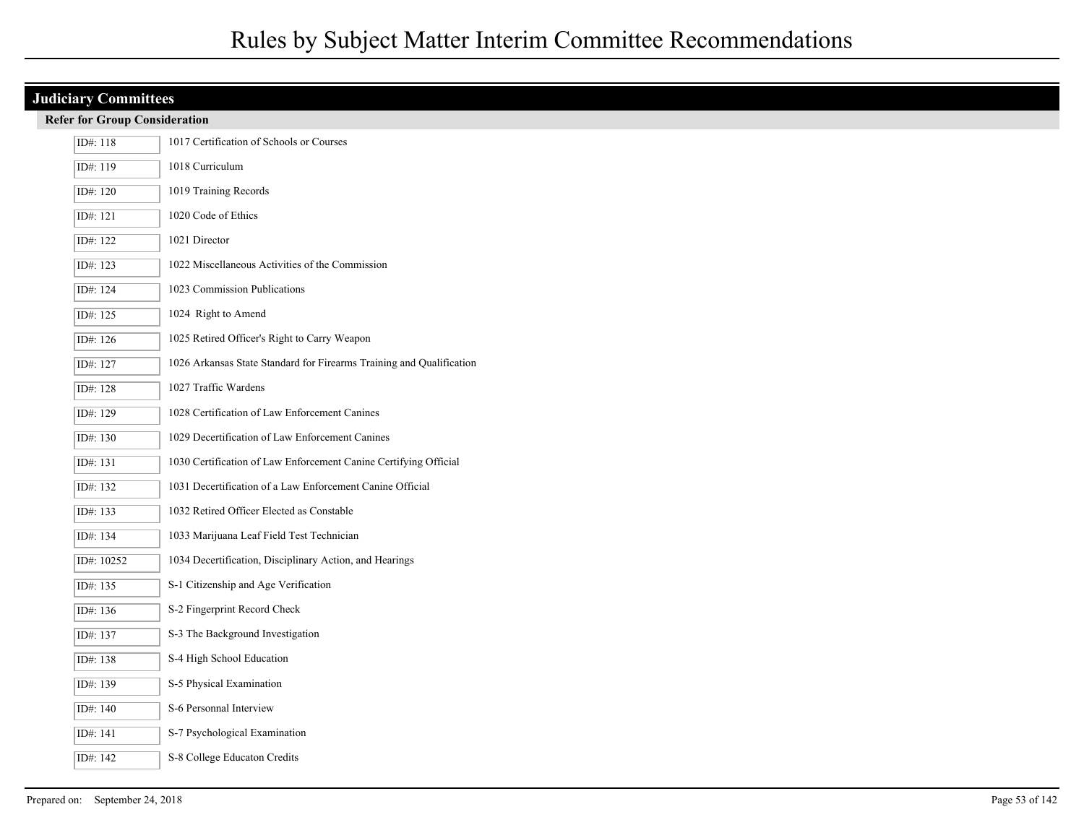| <b>Judiciary Committees</b>          |                                                                      |  |  |
|--------------------------------------|----------------------------------------------------------------------|--|--|
| <b>Refer for Group Consideration</b> |                                                                      |  |  |
| ID#: 118                             | 1017 Certification of Schools or Courses                             |  |  |
| ID#: 119                             | 1018 Curriculum                                                      |  |  |
| ID#: 120                             | 1019 Training Records                                                |  |  |
| ID#: 121                             | 1020 Code of Ethics                                                  |  |  |
| ID#: 122                             | 1021 Director                                                        |  |  |
| ID#: 123                             | 1022 Miscellaneous Activities of the Commission                      |  |  |
| ID#: 124                             | 1023 Commission Publications                                         |  |  |
| ID#: 125                             | 1024 Right to Amend                                                  |  |  |
| ID#: 126                             | 1025 Retired Officer's Right to Carry Weapon                         |  |  |
| ID#: 127                             | 1026 Arkansas State Standard for Firearms Training and Qualification |  |  |
| ID#: 128                             | 1027 Traffic Wardens                                                 |  |  |
| ID#: 129                             | 1028 Certification of Law Enforcement Canines                        |  |  |
| ID#: 130                             | 1029 Decertification of Law Enforcement Canines                      |  |  |
| ID#: 131                             | 1030 Certification of Law Enforcement Canine Certifying Official     |  |  |
| ID#: 132                             | 1031 Decertification of a Law Enforcement Canine Official            |  |  |
| ID#: 133                             | 1032 Retired Officer Elected as Constable                            |  |  |
| ID#: 134                             | 1033 Marijuana Leaf Field Test Technician                            |  |  |
| ID#: 10252                           | 1034 Decertification, Disciplinary Action, and Hearings              |  |  |
| ID#: 135                             | S-1 Citizenship and Age Verification                                 |  |  |
| ID#: 136                             | S-2 Fingerprint Record Check                                         |  |  |
| ID#: 137                             | S-3 The Background Investigation                                     |  |  |
| ID#: 138                             | S-4 High School Education                                            |  |  |
| ID#: 139                             | S-5 Physical Examination                                             |  |  |
| ID#: 140                             | S-6 Personnal Interview                                              |  |  |
| ID#: 141                             | S-7 Psychological Examination                                        |  |  |
| ID#: 142                             | S-8 College Educaton Credits                                         |  |  |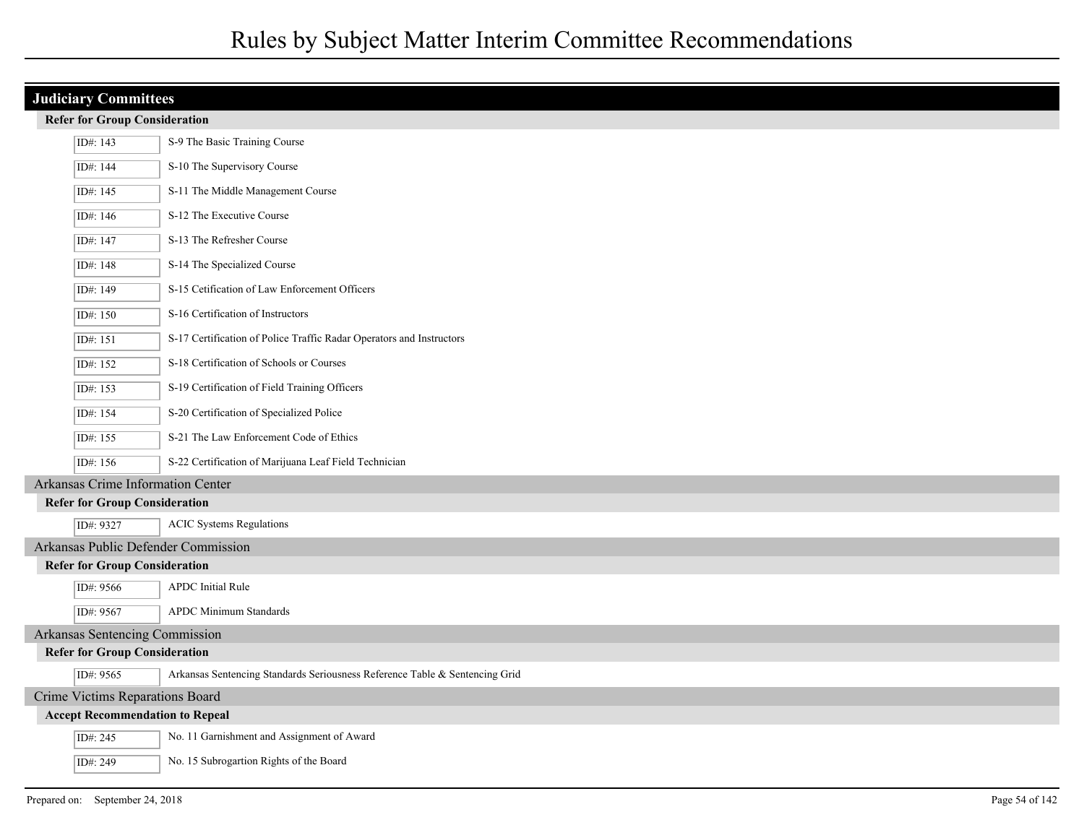## **Judiciary Committees Refer for Group Consideration** ID#: 143 S-9 The Basic Training Course ID#: 144 S-10 The Supervisory Course ID#: 145 S-11 The Middle Management Course ID#: 146 S-12 The Executive Course ID#: 147 S-13 The Refresher Course ID#: 148 S-14 The Specialized Course ID#: 149 S-15 Cetification of Law Enforcement Officers ID#: 150 S-16 Certification of Instructors ID#: 151 S-17 Certification of Police Traffic Radar Operators and Instructors ID#: 152 S-18 Certification of Schools or Courses ID#: 153 S-19 Certification of Field Training Officers ID#: 154 S-20 Certification of Specialized Police ID#: 155 S-21 The Law Enforcement Code of Ethics ID#: 156 S-22 Certification of Marijuana Leaf Field Technician Arkansas Crime Information Center **Refer for Group Consideration** ID#: 9327 ACIC Systems Regulations Arkansas Public Defender Commission **Refer for Group Consideration** ID#: 9566 APDC Initial Rule ID#: 9567 APDC Minimum Standards Arkansas Sentencing Commission **Refer for Group Consideration** ID#: 9565 Arkansas Sentencing Standards Seriousness Reference Table & Sentencing Grid Crime Victims Reparations Board **Accept Recommendation to Repeal** ID#: 245 No. 11 Garnishment and Assignment of Award ID#: 249 No. 15 Subrogartion Rights of the Board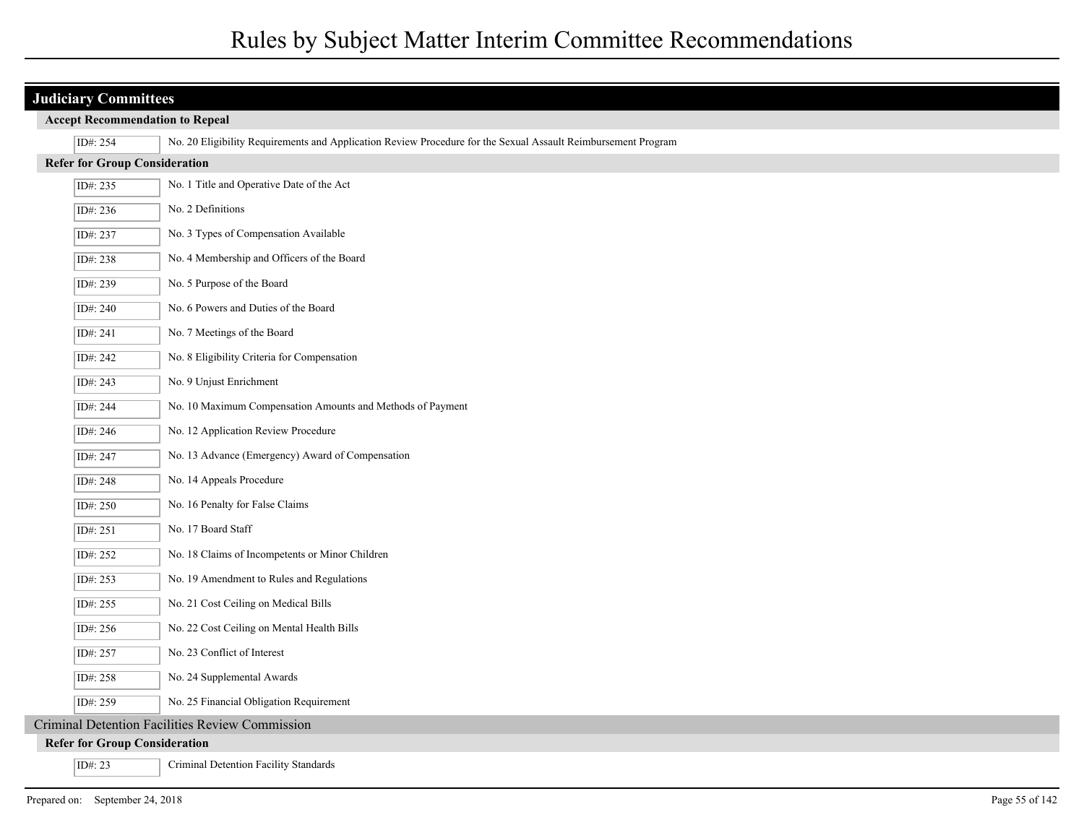| <b>Judiciary Committees</b>            |                                                                                                               |  |  |
|----------------------------------------|---------------------------------------------------------------------------------------------------------------|--|--|
| <b>Accept Recommendation to Repeal</b> |                                                                                                               |  |  |
| ID#: 254                               | No. 20 Eligibility Requirements and Application Review Procedure for the Sexual Assault Reimbursement Program |  |  |
| <b>Refer for Group Consideration</b>   |                                                                                                               |  |  |
| ID#: 235                               | No. 1 Title and Operative Date of the Act                                                                     |  |  |
| ID#: 236                               | No. 2 Definitions                                                                                             |  |  |
| ID#: 237                               | No. 3 Types of Compensation Available                                                                         |  |  |
| ID#: 238                               | No. 4 Membership and Officers of the Board                                                                    |  |  |
| ID#: 239                               | No. 5 Purpose of the Board                                                                                    |  |  |
| ID#: 240                               | No. 6 Powers and Duties of the Board                                                                          |  |  |
| ID#: 241                               | No. 7 Meetings of the Board                                                                                   |  |  |
| ID#: 242                               | No. 8 Eligibility Criteria for Compensation                                                                   |  |  |
| ID#: 243                               | No. 9 Unjust Enrichment                                                                                       |  |  |
| ID#: 244                               | No. 10 Maximum Compensation Amounts and Methods of Payment                                                    |  |  |
| ID#: 246                               | No. 12 Application Review Procedure                                                                           |  |  |
| ID#: 247                               | No. 13 Advance (Emergency) Award of Compensation                                                              |  |  |
| ID#: 248                               | No. 14 Appeals Procedure                                                                                      |  |  |
| ID#: 250                               | No. 16 Penalty for False Claims                                                                               |  |  |
| ID#: 251                               | No. 17 Board Staff                                                                                            |  |  |
| ID#: 252                               | No. 18 Claims of Incompetents or Minor Children                                                               |  |  |
| ID#: 253                               | No. 19 Amendment to Rules and Regulations                                                                     |  |  |
| ID#: 255                               | No. 21 Cost Ceiling on Medical Bills                                                                          |  |  |
| ID#: 256                               | No. 22 Cost Ceiling on Mental Health Bills                                                                    |  |  |
| ID#: 257                               | No. 23 Conflict of Interest                                                                                   |  |  |
| ID#: 258                               | No. 24 Supplemental Awards                                                                                    |  |  |
| ID#: 259                               | No. 25 Financial Obligation Requirement                                                                       |  |  |
|                                        | Criminal Detention Facilities Review Commission                                                               |  |  |
| <b>Refer for Group Consideration</b>   |                                                                                                               |  |  |
| ID#: 23                                | Criminal Detention Facility Standards                                                                         |  |  |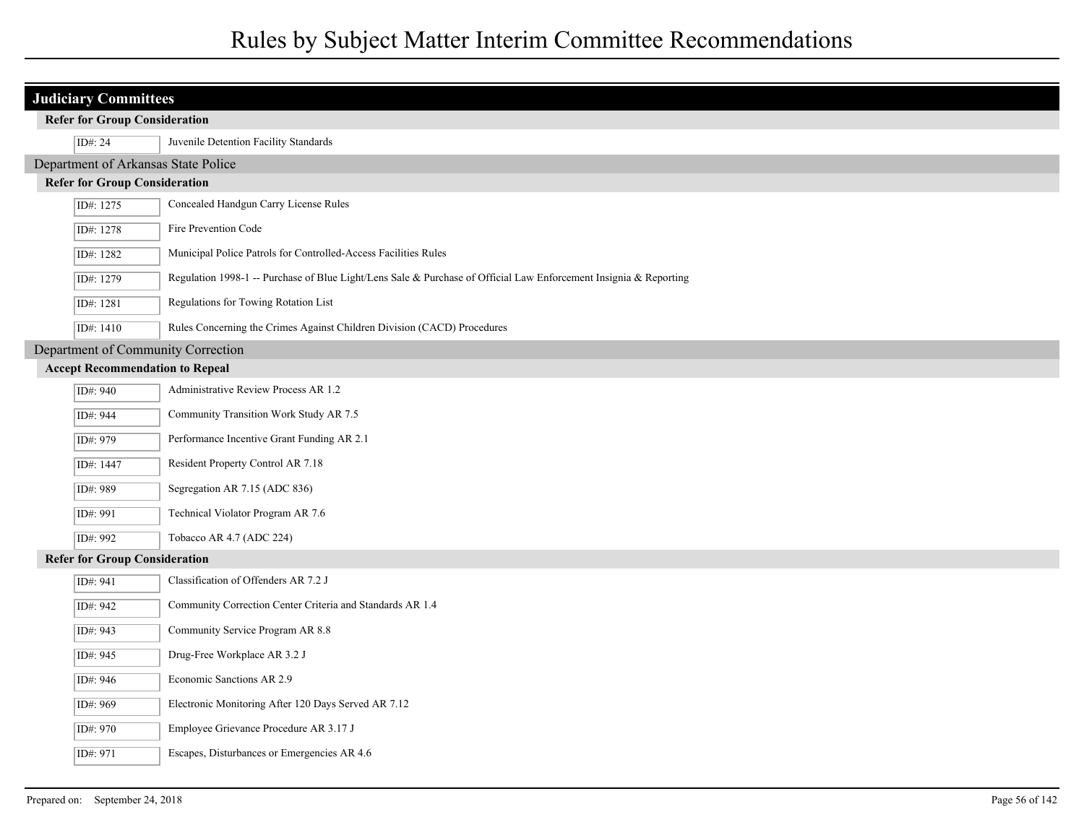| <b>Judiciary Committees</b><br><b>Refer for Group Consideration</b> |                                                                                                                   |  |  |
|---------------------------------------------------------------------|-------------------------------------------------------------------------------------------------------------------|--|--|
| ID#: 24                                                             | Juvenile Detention Facility Standards                                                                             |  |  |
|                                                                     | Department of Arkansas State Police                                                                               |  |  |
| <b>Refer for Group Consideration</b>                                |                                                                                                                   |  |  |
| ID#: 1275                                                           | Concealed Handgun Carry License Rules                                                                             |  |  |
| ID#: 1278                                                           | Fire Prevention Code                                                                                              |  |  |
| ID#: 1282                                                           | Municipal Police Patrols for Controlled-Access Facilities Rules                                                   |  |  |
| ID#: 1279                                                           | Regulation 1998-1 -- Purchase of Blue Light/Lens Sale & Purchase of Official Law Enforcement Insignia & Reporting |  |  |
| ID#: 1281                                                           | Regulations for Towing Rotation List                                                                              |  |  |
| ID#: 1410                                                           | Rules Concerning the Crimes Against Children Division (CACD) Procedures                                           |  |  |
| Department of Community Correction                                  |                                                                                                                   |  |  |
| <b>Accept Recommendation to Repeal</b>                              |                                                                                                                   |  |  |
| ID#: 940                                                            | Administrative Review Process AR 1.2                                                                              |  |  |
| ID#: 944                                                            | Community Transition Work Study AR 7.5                                                                            |  |  |
| ID#: 979                                                            | Performance Incentive Grant Funding AR 2.1                                                                        |  |  |
| ID#: 1447                                                           | Resident Property Control AR 7.18                                                                                 |  |  |
| ID#: 989                                                            | Segregation AR 7.15 (ADC 836)                                                                                     |  |  |
| ID#: 991                                                            | Technical Violator Program AR 7.6                                                                                 |  |  |
| ID#: 992                                                            | Tobacco AR 4.7 (ADC 224)                                                                                          |  |  |
| <b>Refer for Group Consideration</b>                                |                                                                                                                   |  |  |
| ID#: 941                                                            | Classification of Offenders AR 7.2 J                                                                              |  |  |
| ID#: 942                                                            | Community Correction Center Criteria and Standards AR 1.4                                                         |  |  |
| ID#: 943                                                            | Community Service Program AR 8.8                                                                                  |  |  |
| ID#: 945                                                            | Drug-Free Workplace AR 3.2 J                                                                                      |  |  |
| ID#: 946                                                            | Economic Sanctions AR 2.9                                                                                         |  |  |
| ID#: 969                                                            | Electronic Monitoring After 120 Days Served AR 7.12                                                               |  |  |
| ID#: 970                                                            | Employee Grievance Procedure AR 3.17 J                                                                            |  |  |
| ID#: 971                                                            | Escapes, Disturbances or Emergencies AR 4.6                                                                       |  |  |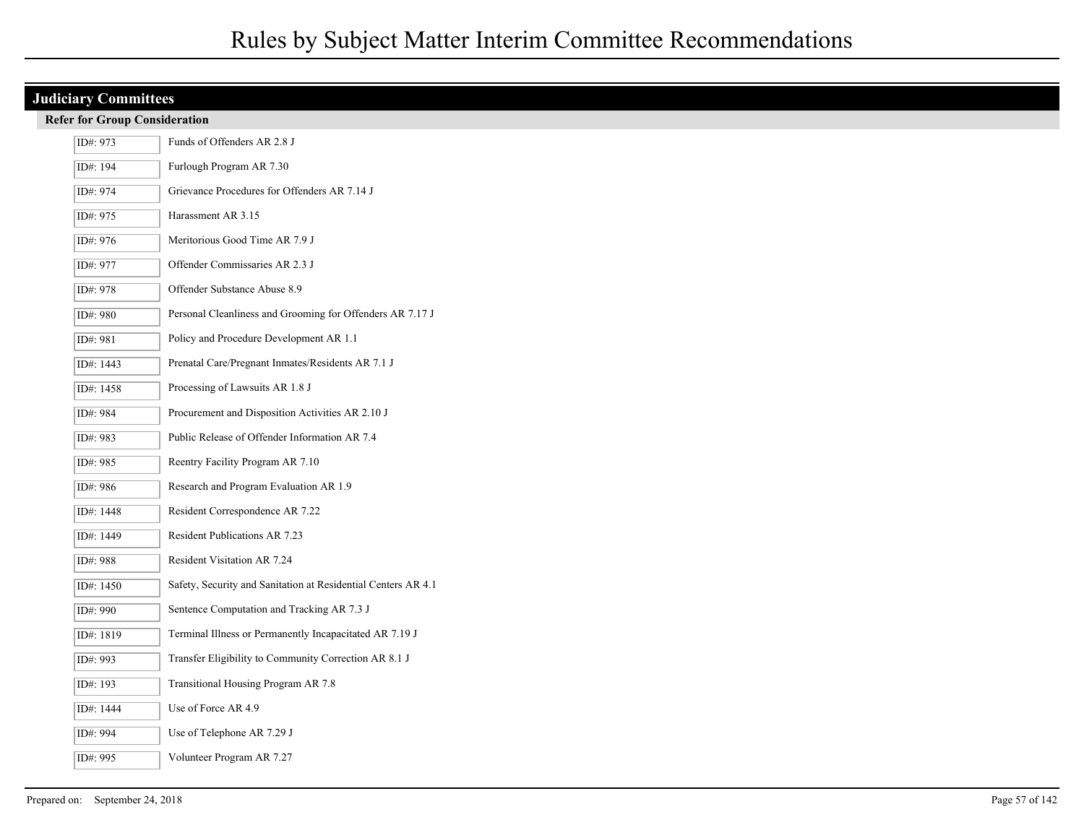|  | <b>Judiciary Committees</b>          |                                                               |  |  |
|--|--------------------------------------|---------------------------------------------------------------|--|--|
|  | <b>Refer for Group Consideration</b> |                                                               |  |  |
|  | ID#: 973                             | Funds of Offenders AR 2.8 J                                   |  |  |
|  | ID#: 194                             | Furlough Program AR 7.30                                      |  |  |
|  | ID#: 974                             | Grievance Procedures for Offenders AR 7.14 J                  |  |  |
|  | ID#: 975                             | Harassment AR 3.15                                            |  |  |
|  | ID#: 976                             | Meritorious Good Time AR 7.9 J                                |  |  |
|  | ID#: 977                             | Offender Commissaries AR 2.3 J                                |  |  |
|  | ID#: 978                             | Offender Substance Abuse 8.9                                  |  |  |
|  | ID#: 980                             | Personal Cleanliness and Grooming for Offenders AR 7.17 J     |  |  |
|  | ID#: 981                             | Policy and Procedure Development AR 1.1                       |  |  |
|  | ID#: 1443                            | Prenatal Care/Pregnant Inmates/Residents AR 7.1 J             |  |  |
|  | ID#: 1458                            | Processing of Lawsuits AR 1.8 J                               |  |  |
|  | ID#: 984                             | Procurement and Disposition Activities AR 2.10 J              |  |  |
|  | ID#: 983                             | Public Release of Offender Information AR 7.4                 |  |  |
|  | ID#: 985                             | Reentry Facility Program AR 7.10                              |  |  |
|  | ID#: 986                             | Research and Program Evaluation AR 1.9                        |  |  |
|  | ID#: 1448                            | Resident Correspondence AR 7.22                               |  |  |
|  | ID#: 1449                            | Resident Publications AR 7.23                                 |  |  |
|  | ID#: 988                             | Resident Visitation AR 7.24                                   |  |  |
|  | ID#: 1450                            | Safety, Security and Sanitation at Residential Centers AR 4.1 |  |  |
|  | ID#: 990                             | Sentence Computation and Tracking AR 7.3 J                    |  |  |
|  | ID#: 1819                            | Terminal Illness or Permanently Incapacitated AR 7.19 J       |  |  |
|  | ID#: 993                             | Transfer Eligibility to Community Correction AR 8.1 J         |  |  |
|  | ID#: 193                             | Transitional Housing Program AR 7.8                           |  |  |
|  | ID#: 1444                            | Use of Force AR 4.9                                           |  |  |
|  | ID#: 994                             | Use of Telephone AR 7.29 J                                    |  |  |
|  | ID#: 995                             | Volunteer Program AR 7.27                                     |  |  |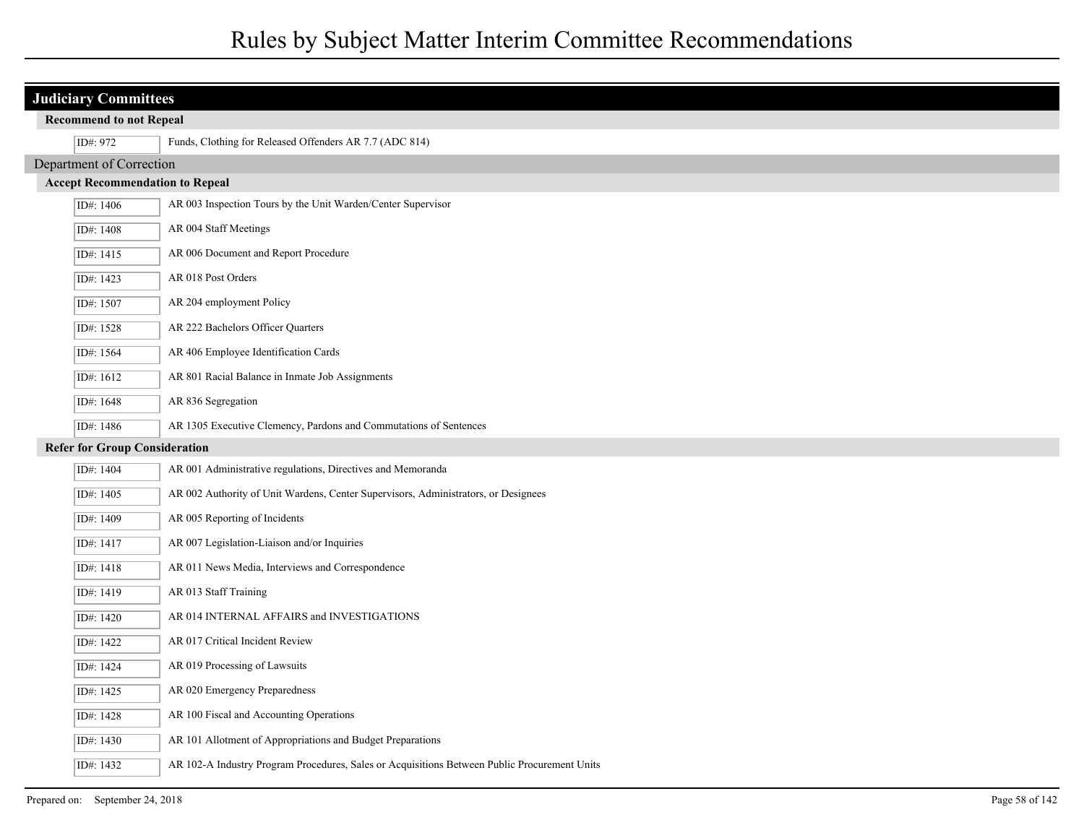| <b>Judiciary Committees</b>          |                                                                                              |  |  |
|--------------------------------------|----------------------------------------------------------------------------------------------|--|--|
| <b>Recommend to not Repeal</b>       |                                                                                              |  |  |
| ID#: 972                             | Funds, Clothing for Released Offenders AR 7.7 (ADC 814)                                      |  |  |
| Department of Correction             |                                                                                              |  |  |
|                                      |                                                                                              |  |  |
| ID#: 1406                            | AR 003 Inspection Tours by the Unit Warden/Center Supervisor                                 |  |  |
| ID#: 1408                            | AR 004 Staff Meetings                                                                        |  |  |
| ID#: 1415                            | AR 006 Document and Report Procedure                                                         |  |  |
| ID#: 1423                            | AR 018 Post Orders                                                                           |  |  |
| ID#: 1507                            | AR 204 employment Policy                                                                     |  |  |
| ID#: 1528                            | AR 222 Bachelors Officer Quarters                                                            |  |  |
| ID#: 1564                            | AR 406 Employee Identification Cards                                                         |  |  |
| ID#: 1612                            | AR 801 Racial Balance in Inmate Job Assignments                                              |  |  |
| ID#: 1648                            | AR 836 Segregation                                                                           |  |  |
| ID#: 1486                            | AR 1305 Executive Clemency, Pardons and Commutations of Sentences                            |  |  |
| <b>Refer for Group Consideration</b> |                                                                                              |  |  |
| ID#: 1404                            | AR 001 Administrative regulations, Directives and Memoranda                                  |  |  |
| ID#: 1405                            | AR 002 Authority of Unit Wardens, Center Supervisors, Administrators, or Designees           |  |  |
| ID#: 1409                            | AR 005 Reporting of Incidents                                                                |  |  |
| ID#: 1417                            | AR 007 Legislation-Liaison and/or Inquiries                                                  |  |  |
| ID#: 1418                            | AR 011 News Media, Interviews and Correspondence                                             |  |  |
| ID#: 1419                            | AR 013 Staff Training                                                                        |  |  |
| ID#: 1420                            | AR 014 INTERNAL AFFAIRS and INVESTIGATIONS                                                   |  |  |
| ID#: 1422                            | AR 017 Critical Incident Review                                                              |  |  |
| ID#: 1424                            | AR 019 Processing of Lawsuits                                                                |  |  |
| ID#: 1425                            | AR 020 Emergency Preparedness                                                                |  |  |
| ID#: 1428                            | AR 100 Fiscal and Accounting Operations                                                      |  |  |
| ID#: 1430                            | AR 101 Allotment of Appropriations and Budget Preparations                                   |  |  |
| ID#: 1432                            | AR 102-A Industry Program Procedures, Sales or Acquisitions Between Public Procurement Units |  |  |
|                                      | <b>Accept Recommendation to Repeal</b>                                                       |  |  |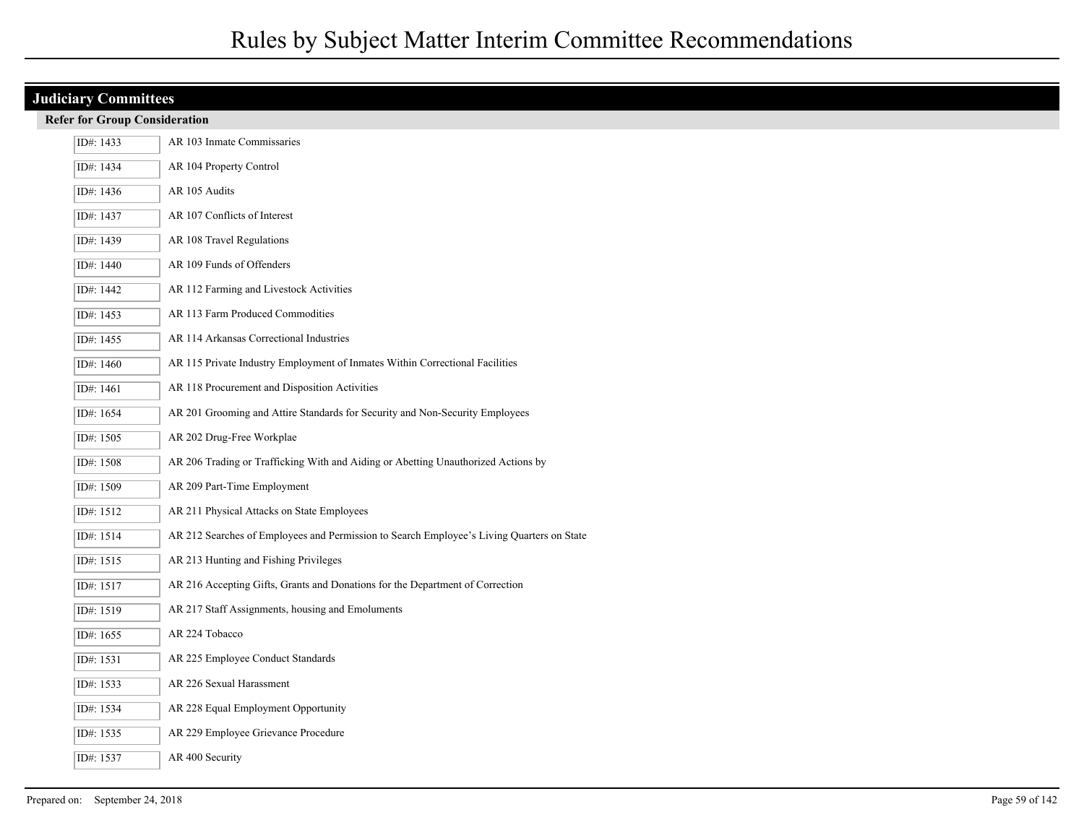| <b>Judiciary Committees</b> |                                                                                           |  |  |  |
|-----------------------------|-------------------------------------------------------------------------------------------|--|--|--|
|                             | <b>Refer for Group Consideration</b>                                                      |  |  |  |
| ID#: 1433                   | AR 103 Inmate Commissaries                                                                |  |  |  |
| ID#: 1434                   | AR 104 Property Control                                                                   |  |  |  |
| ID#: 1436                   | AR 105 Audits                                                                             |  |  |  |
| ID#: 1437                   | AR 107 Conflicts of Interest                                                              |  |  |  |
| ID#: 1439                   | AR 108 Travel Regulations                                                                 |  |  |  |
| ID#: 1440                   | AR 109 Funds of Offenders                                                                 |  |  |  |
| ID#: 1442                   | AR 112 Farming and Livestock Activities                                                   |  |  |  |
| ID#: 1453                   | AR 113 Farm Produced Commodities                                                          |  |  |  |
| ID#: 1455                   | AR 114 Arkansas Correctional Industries                                                   |  |  |  |
| ID#: 1460                   | AR 115 Private Industry Employment of Inmates Within Correctional Facilities              |  |  |  |
| ID#: 1461                   | AR 118 Procurement and Disposition Activities                                             |  |  |  |
| ID#: 1654                   | AR 201 Grooming and Attire Standards for Security and Non-Security Employees              |  |  |  |
| ID#: 1505                   | AR 202 Drug-Free Workplae                                                                 |  |  |  |
| ID#: 1508                   | AR 206 Trading or Trafficking With and Aiding or Abetting Unauthorized Actions by         |  |  |  |
| ID#: 1509                   | AR 209 Part-Time Employment                                                               |  |  |  |
| ID#: 1512                   | AR 211 Physical Attacks on State Employees                                                |  |  |  |
| ID#: 1514                   | AR 212 Searches of Employees and Permission to Search Employee's Living Quarters on State |  |  |  |
| ID#: 1515                   | AR 213 Hunting and Fishing Privileges                                                     |  |  |  |
| ID#: 1517                   | AR 216 Accepting Gifts, Grants and Donations for the Department of Correction             |  |  |  |
| ID#: 1519                   | AR 217 Staff Assignments, housing and Emoluments                                          |  |  |  |
| ID#: 1655                   | AR 224 Tobacco                                                                            |  |  |  |
| ID#: 1531                   | AR 225 Employee Conduct Standards                                                         |  |  |  |
| ID#: 1533                   | AR 226 Sexual Harassment                                                                  |  |  |  |
| ID#: 1534                   | AR 228 Equal Employment Opportunity                                                       |  |  |  |
| ID#: 1535                   | AR 229 Employee Grievance Procedure                                                       |  |  |  |
| ID#: 1537                   | AR 400 Security                                                                           |  |  |  |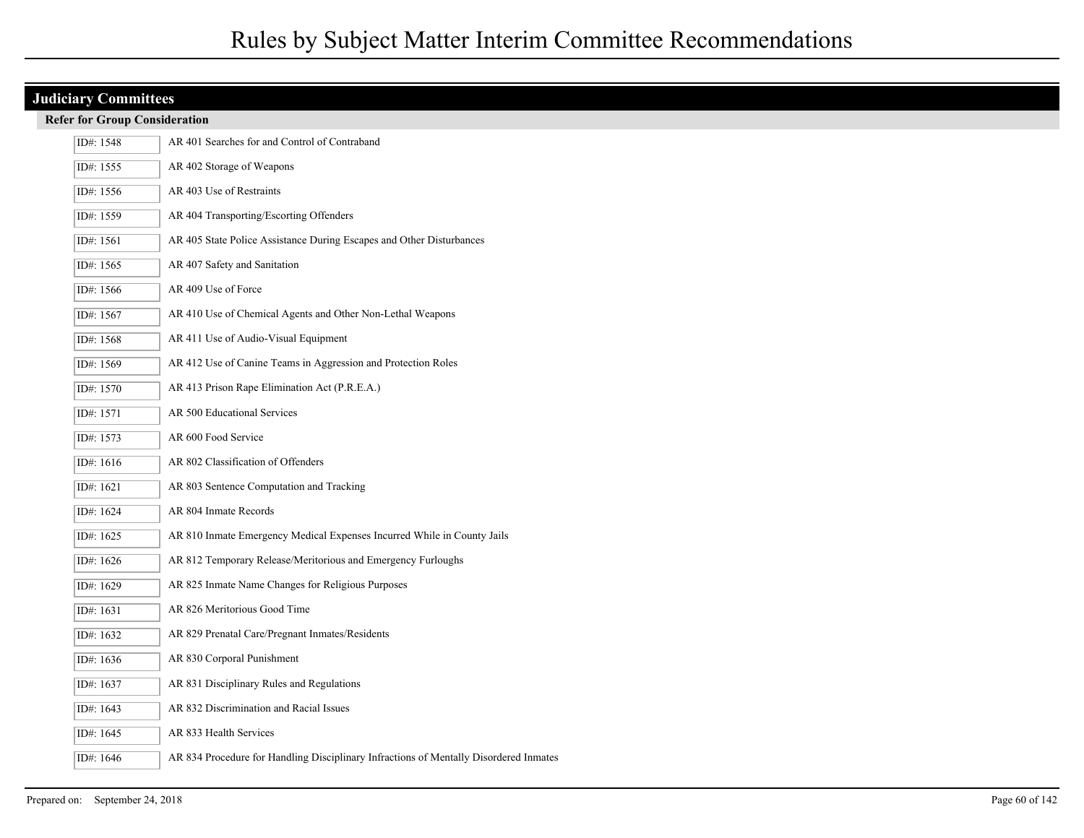## **Judiciary Committees**

|  |  | <b>Refer for Group Consideration</b> |  |
|--|--|--------------------------------------|--|
|--|--|--------------------------------------|--|

| ID#: 1548 | AR 401 Searches for and Control of Contraband                                         |
|-----------|---------------------------------------------------------------------------------------|
| ID#: 1555 | AR 402 Storage of Weapons                                                             |
| ID#: 1556 | AR 403 Use of Restraints                                                              |
| ID#: 1559 | AR 404 Transporting/Escorting Offenders                                               |
| ID#: 1561 | AR 405 State Police Assistance During Escapes and Other Disturbances                  |
| ID#: 1565 | AR 407 Safety and Sanitation                                                          |
| ID#: 1566 | AR 409 Use of Force                                                                   |
| ID#: 1567 | AR 410 Use of Chemical Agents and Other Non-Lethal Weapons                            |
| ID#: 1568 | AR 411 Use of Audio-Visual Equipment                                                  |
| ID#: 1569 | AR 412 Use of Canine Teams in Aggression and Protection Roles                         |
| ID#: 1570 | AR 413 Prison Rape Elimination Act (P.R.E.A.)                                         |
| ID#: 1571 | AR 500 Educational Services                                                           |
| ID#: 1573 | AR 600 Food Service                                                                   |
| ID#: 1616 | AR 802 Classification of Offenders                                                    |
| ID#: 1621 | AR 803 Sentence Computation and Tracking                                              |
| ID#: 1624 | AR 804 Inmate Records                                                                 |
| ID#: 1625 | AR 810 Inmate Emergency Medical Expenses Incurred While in County Jails               |
| ID#: 1626 | AR 812 Temporary Release/Meritorious and Emergency Furloughs                          |
| ID#: 1629 | AR 825 Inmate Name Changes for Religious Purposes                                     |
| ID#: 1631 | AR 826 Meritorious Good Time                                                          |
| ID#: 1632 | AR 829 Prenatal Care/Pregnant Inmates/Residents                                       |
| ID#: 1636 | AR 830 Corporal Punishment                                                            |
| ID#: 1637 | AR 831 Disciplinary Rules and Regulations                                             |
| ID#: 1643 | AR 832 Discrimination and Racial Issues                                               |
| ID#: 1645 | AR 833 Health Services                                                                |
| ID#: 1646 | AR 834 Procedure for Handling Disciplinary Infractions of Mentally Disordered Inmates |
|           |                                                                                       |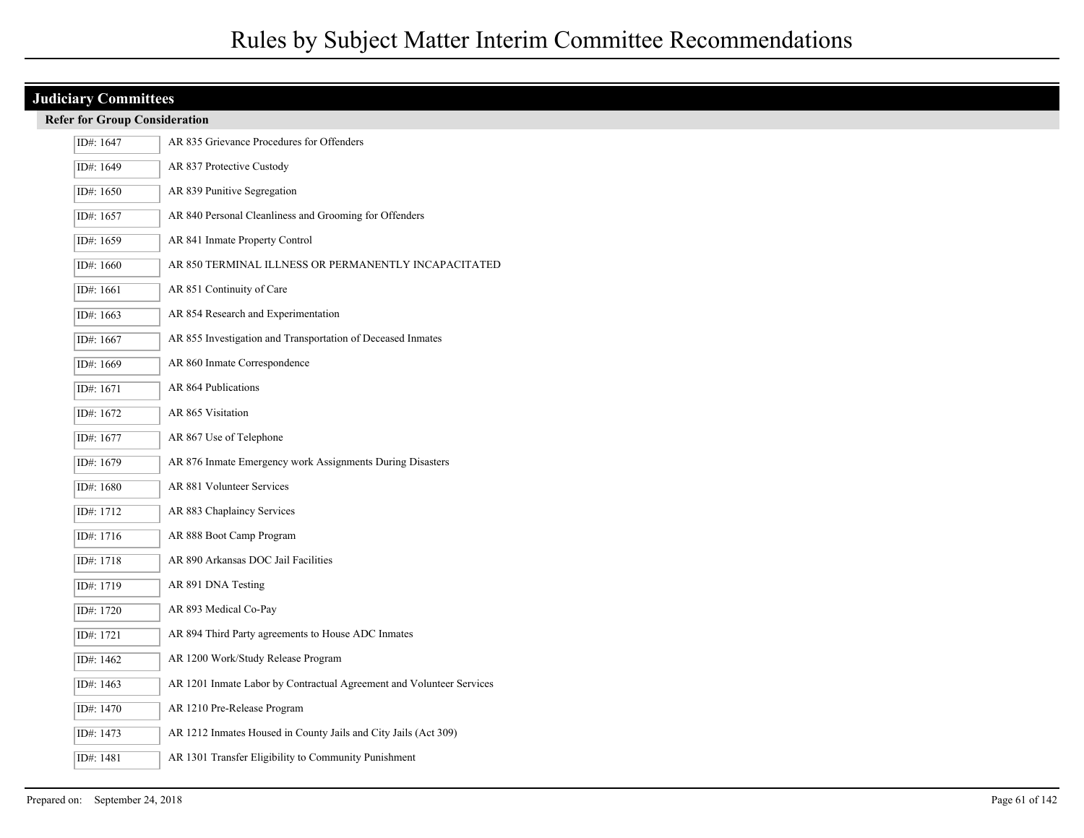## **Judiciary Committees**

|  |  | <b>Refer for Group Consideration</b> |  |
|--|--|--------------------------------------|--|
|--|--|--------------------------------------|--|

| ID#: 1647 | AR 835 Grievance Procedures for Offenders                            |
|-----------|----------------------------------------------------------------------|
| ID#: 1649 | AR 837 Protective Custody                                            |
| ID#: 1650 | AR 839 Punitive Segregation                                          |
| ID#: 1657 | AR 840 Personal Cleanliness and Grooming for Offenders               |
| ID#: 1659 | AR 841 Inmate Property Control                                       |
| ID#: 1660 | AR 850 TERMINAL ILLNESS OR PERMANENTLY INCAPACITATED                 |
| ID#: 1661 | AR 851 Continuity of Care                                            |
| ID#: 1663 | AR 854 Research and Experimentation                                  |
| ID#: 1667 | AR 855 Investigation and Transportation of Deceased Inmates          |
| ID#: 1669 | AR 860 Inmate Correspondence                                         |
| ID#: 1671 | AR 864 Publications                                                  |
| ID#: 1672 | AR 865 Visitation                                                    |
| ID#: 1677 | AR 867 Use of Telephone                                              |
| ID#: 1679 | AR 876 Inmate Emergency work Assignments During Disasters            |
| ID#: 1680 | AR 881 Volunteer Services                                            |
| ID#: 1712 | AR 883 Chaplaincy Services                                           |
| ID#: 1716 | AR 888 Boot Camp Program                                             |
| ID#: 1718 | AR 890 Arkansas DOC Jail Facilities                                  |
| ID#: 1719 | AR 891 DNA Testing                                                   |
| ID#: 1720 | AR 893 Medical Co-Pay                                                |
| ID#: 1721 | AR 894 Third Party agreements to House ADC Inmates                   |
| ID#: 1462 | AR 1200 Work/Study Release Program                                   |
| ID#: 1463 | AR 1201 Inmate Labor by Contractual Agreement and Volunteer Services |
| ID#: 1470 | AR 1210 Pre-Release Program                                          |
| ID#: 1473 | AR 1212 Inmates Housed in County Jails and City Jails (Act 309)      |
| ID#: 1481 | AR 1301 Transfer Eligibility to Community Punishment                 |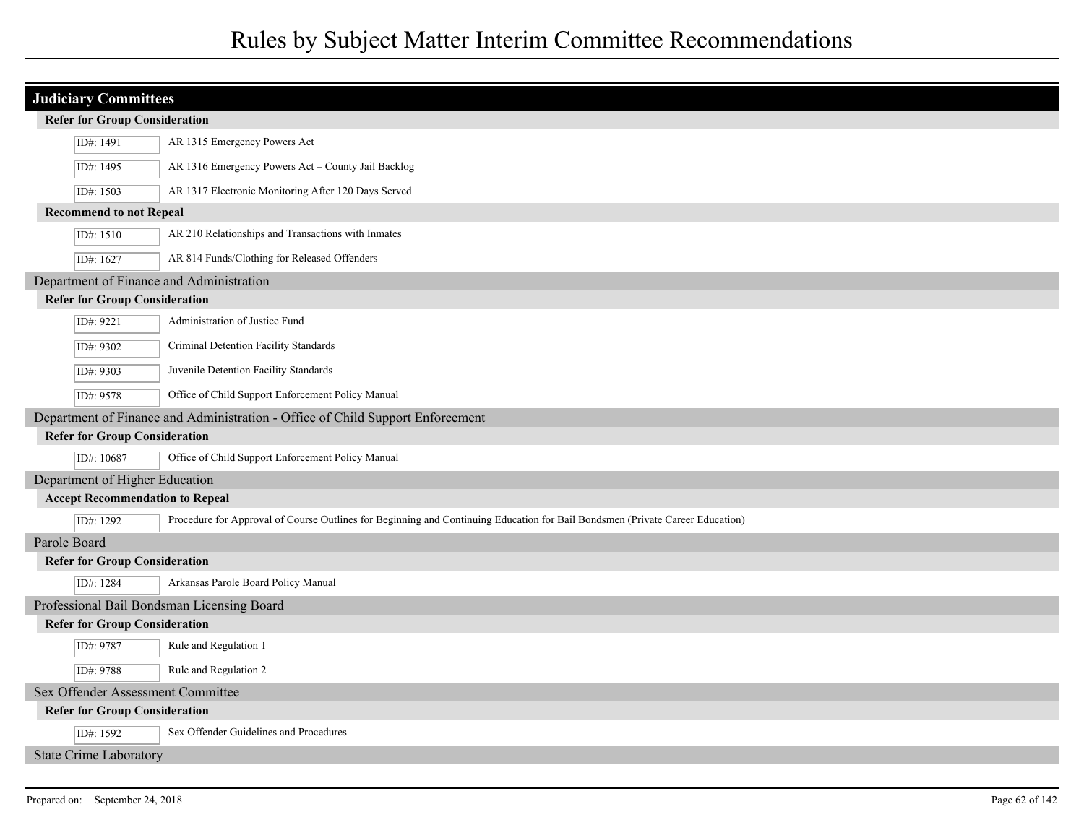|                                        | <b>Judiciary Committees</b>          |                                                                                                                               |  |
|----------------------------------------|--------------------------------------|-------------------------------------------------------------------------------------------------------------------------------|--|
|                                        | <b>Refer for Group Consideration</b> |                                                                                                                               |  |
|                                        | ID#: 1491                            | AR 1315 Emergency Powers Act                                                                                                  |  |
|                                        | ID#: 1495                            | AR 1316 Emergency Powers Act - County Jail Backlog                                                                            |  |
|                                        | ID#: 1503                            | AR 1317 Electronic Monitoring After 120 Days Served                                                                           |  |
|                                        | <b>Recommend to not Repeal</b>       |                                                                                                                               |  |
|                                        | ID#: 1510                            | AR 210 Relationships and Transactions with Inmates                                                                            |  |
|                                        | ID#: 1627                            | AR 814 Funds/Clothing for Released Offenders                                                                                  |  |
|                                        |                                      | Department of Finance and Administration                                                                                      |  |
|                                        | <b>Refer for Group Consideration</b> |                                                                                                                               |  |
|                                        | ID#: 9221                            | Administration of Justice Fund                                                                                                |  |
|                                        | ID#: 9302                            | Criminal Detention Facility Standards                                                                                         |  |
|                                        | ID#: 9303                            | Juvenile Detention Facility Standards                                                                                         |  |
|                                        | ID#: 9578                            | Office of Child Support Enforcement Policy Manual                                                                             |  |
|                                        |                                      | Department of Finance and Administration - Office of Child Support Enforcement                                                |  |
|                                        | <b>Refer for Group Consideration</b> |                                                                                                                               |  |
|                                        | ID#: 10687                           | Office of Child Support Enforcement Policy Manual                                                                             |  |
|                                        | Department of Higher Education       |                                                                                                                               |  |
| <b>Accept Recommendation to Repeal</b> |                                      |                                                                                                                               |  |
|                                        | ID#: 1292                            | Procedure for Approval of Course Outlines for Beginning and Continuing Education for Bail Bondsmen (Private Career Education) |  |
| Parole Board                           |                                      |                                                                                                                               |  |
|                                        | <b>Refer for Group Consideration</b> |                                                                                                                               |  |
|                                        | ID#: 1284                            | Arkansas Parole Board Policy Manual                                                                                           |  |
|                                        |                                      | Professional Bail Bondsman Licensing Board                                                                                    |  |
|                                        | <b>Refer for Group Consideration</b> |                                                                                                                               |  |
|                                        | ID#: 9787                            | Rule and Regulation 1                                                                                                         |  |
|                                        | ID#: 9788                            | Rule and Regulation 2                                                                                                         |  |
| Sex Offender Assessment Committee      |                                      |                                                                                                                               |  |
|                                        | <b>Refer for Group Consideration</b> |                                                                                                                               |  |
|                                        | ID#: 1592                            | Sex Offender Guidelines and Procedures                                                                                        |  |
|                                        | <b>State Crime Laboratory</b>        |                                                                                                                               |  |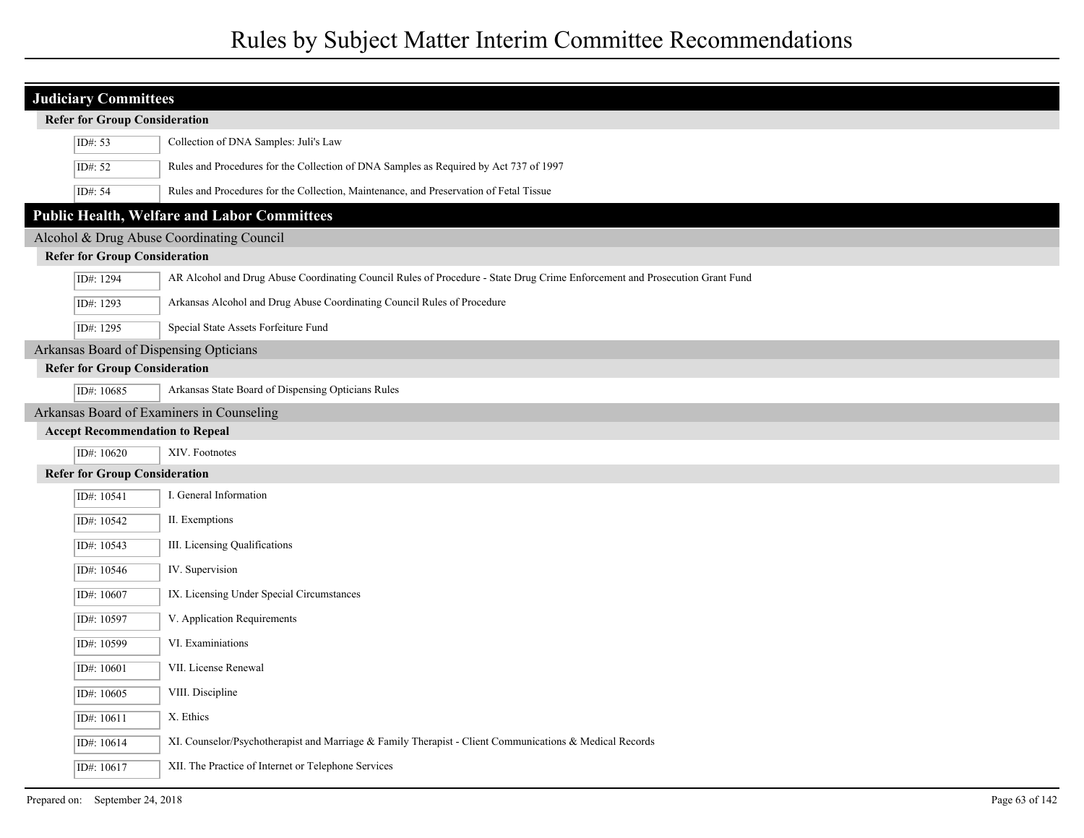| <b>Judiciary Committees</b>               |                                        |                                                                                                                             |  |
|-------------------------------------------|----------------------------------------|-----------------------------------------------------------------------------------------------------------------------------|--|
|                                           | <b>Refer for Group Consideration</b>   |                                                                                                                             |  |
|                                           | ID#: 53                                | Collection of DNA Samples: Juli's Law                                                                                       |  |
|                                           | ID#: 52                                | Rules and Procedures for the Collection of DNA Samples as Required by Act 737 of 1997                                       |  |
|                                           | ID#: 54                                | Rules and Procedures for the Collection, Maintenance, and Preservation of Fetal Tissue                                      |  |
|                                           |                                        | <b>Public Health, Welfare and Labor Committees</b>                                                                          |  |
|                                           |                                        | Alcohol & Drug Abuse Coordinating Council                                                                                   |  |
|                                           | <b>Refer for Group Consideration</b>   |                                                                                                                             |  |
|                                           | ID#: 1294                              | AR Alcohol and Drug Abuse Coordinating Council Rules of Procedure - State Drug Crime Enforcement and Prosecution Grant Fund |  |
|                                           | ID#: 1293                              | Arkansas Alcohol and Drug Abuse Coordinating Council Rules of Procedure                                                     |  |
|                                           | ID#: 1295                              | Special State Assets Forfeiture Fund                                                                                        |  |
|                                           |                                        | Arkansas Board of Dispensing Opticians                                                                                      |  |
|                                           | <b>Refer for Group Consideration</b>   |                                                                                                                             |  |
|                                           | ID#: 10685                             | Arkansas State Board of Dispensing Opticians Rules                                                                          |  |
| Arkansas Board of Examiners in Counseling |                                        |                                                                                                                             |  |
|                                           | <b>Accept Recommendation to Repeal</b> |                                                                                                                             |  |
|                                           | ID#: 10620                             | XIV. Footnotes                                                                                                              |  |
|                                           | <b>Refer for Group Consideration</b>   |                                                                                                                             |  |
|                                           | ID#: 10541                             | I. General Information                                                                                                      |  |
|                                           | ID#: 10542                             | II. Exemptions                                                                                                              |  |
|                                           | ID#: 10543                             | III. Licensing Qualifications                                                                                               |  |
|                                           | ID#: 10546                             | IV. Supervision                                                                                                             |  |
|                                           | ID#: 10607                             | IX. Licensing Under Special Circumstances                                                                                   |  |
|                                           | ID#: 10597                             | V. Application Requirements                                                                                                 |  |
|                                           | ID#: 10599                             | VI. Examiniations                                                                                                           |  |
|                                           | ID#: 10601                             | VII. License Renewal                                                                                                        |  |
|                                           | ID#: 10605                             | VIII. Discipline                                                                                                            |  |
|                                           | ID#: 10611                             | X. Ethics                                                                                                                   |  |
|                                           | ID#: 10614                             | XI. Counselor/Psychotherapist and Marriage & Family Therapist - Client Communications & Medical Records                     |  |
|                                           | ID#: $10617$                           | XII. The Practice of Internet or Telephone Services                                                                         |  |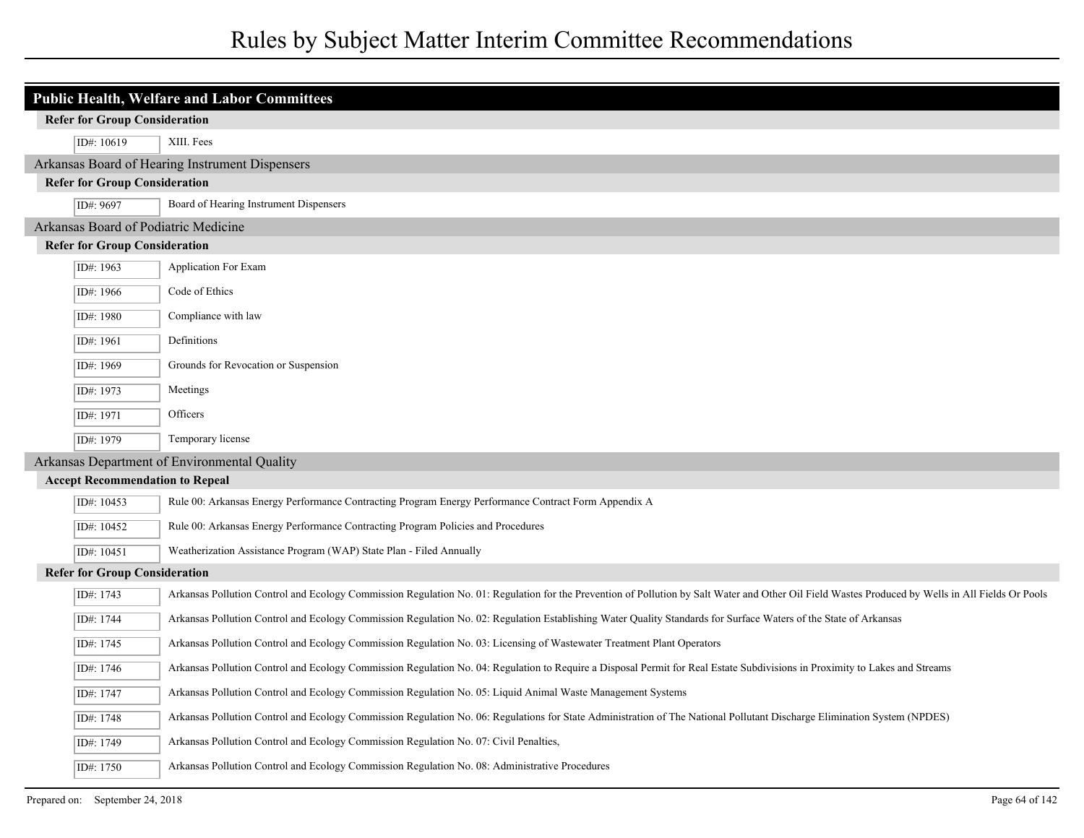| <b>Public Health, Welfare and Labor Committees</b> |                                                                                                                                                                                                   |  |
|----------------------------------------------------|---------------------------------------------------------------------------------------------------------------------------------------------------------------------------------------------------|--|
| <b>Refer for Group Consideration</b>               |                                                                                                                                                                                                   |  |
| ID#: 10619                                         | XIII. Fees                                                                                                                                                                                        |  |
|                                                    | Arkansas Board of Hearing Instrument Dispensers                                                                                                                                                   |  |
| <b>Refer for Group Consideration</b>               |                                                                                                                                                                                                   |  |
| ID#: 9697                                          | Board of Hearing Instrument Dispensers                                                                                                                                                            |  |
| Arkansas Board of Podiatric Medicine               |                                                                                                                                                                                                   |  |
| <b>Refer for Group Consideration</b>               |                                                                                                                                                                                                   |  |
| ID#: 1963                                          | Application For Exam                                                                                                                                                                              |  |
| ID#: 1966                                          | Code of Ethics                                                                                                                                                                                    |  |
| ID#: 1980                                          | Compliance with law                                                                                                                                                                               |  |
| ID#: 1961                                          | Definitions                                                                                                                                                                                       |  |
| ID#: 1969                                          | Grounds for Revocation or Suspension                                                                                                                                                              |  |
| ID#: 1973                                          | Meetings                                                                                                                                                                                          |  |
| ID#: 1971                                          | Officers                                                                                                                                                                                          |  |
| ID#: 1979                                          | Temporary license                                                                                                                                                                                 |  |
| Arkansas Department of Environmental Quality       |                                                                                                                                                                                                   |  |
| <b>Accept Recommendation to Repeal</b>             |                                                                                                                                                                                                   |  |
| ID#: 10453                                         | Rule 00: Arkansas Energy Performance Contracting Program Energy Performance Contract Form Appendix A                                                                                              |  |
| ID#: 10452                                         | Rule 00: Arkansas Energy Performance Contracting Program Policies and Procedures                                                                                                                  |  |
| ID#: 10451                                         | Weatherization Assistance Program (WAP) State Plan - Filed Annually                                                                                                                               |  |
| <b>Refer for Group Consideration</b>               |                                                                                                                                                                                                   |  |
| ID#: 1743                                          | Arkansas Pollution Control and Ecology Commission Regulation No. 01: Regulation for the Prevention of Pollution by Salt Water and Other Oil Field Wastes Produced by Wells in All Fields Or Pools |  |
| ID#: 1744                                          | Arkansas Pollution Control and Ecology Commission Regulation No. 02: Regulation Establishing Water Quality Standards for Surface Waters of the State of Arkansas                                  |  |
| ID#: 1745                                          | Arkansas Pollution Control and Ecology Commission Regulation No. 03: Licensing of Wastewater Treatment Plant Operators                                                                            |  |
| ID#: 1746                                          | Arkansas Pollution Control and Ecology Commission Regulation No. 04: Regulation to Require a Disposal Permit for Real Estate Subdivisions in Proximity to Lakes and Streams                       |  |
| ID#: 1747                                          | Arkansas Pollution Control and Ecology Commission Regulation No. 05: Liquid Animal Waste Management Systems                                                                                       |  |
| ID#: 1748                                          | Arkansas Pollution Control and Ecology Commission Regulation No. 06: Regulations for State Administration of The National Pollutant Discharge Elimination System (NPDES)                          |  |
| ID#: 1749                                          | Arkansas Pollution Control and Ecology Commission Regulation No. 07: Civil Penalties,                                                                                                             |  |
| ID#: 1750                                          | Arkansas Pollution Control and Ecology Commission Regulation No. 08: Administrative Procedures                                                                                                    |  |
|                                                    |                                                                                                                                                                                                   |  |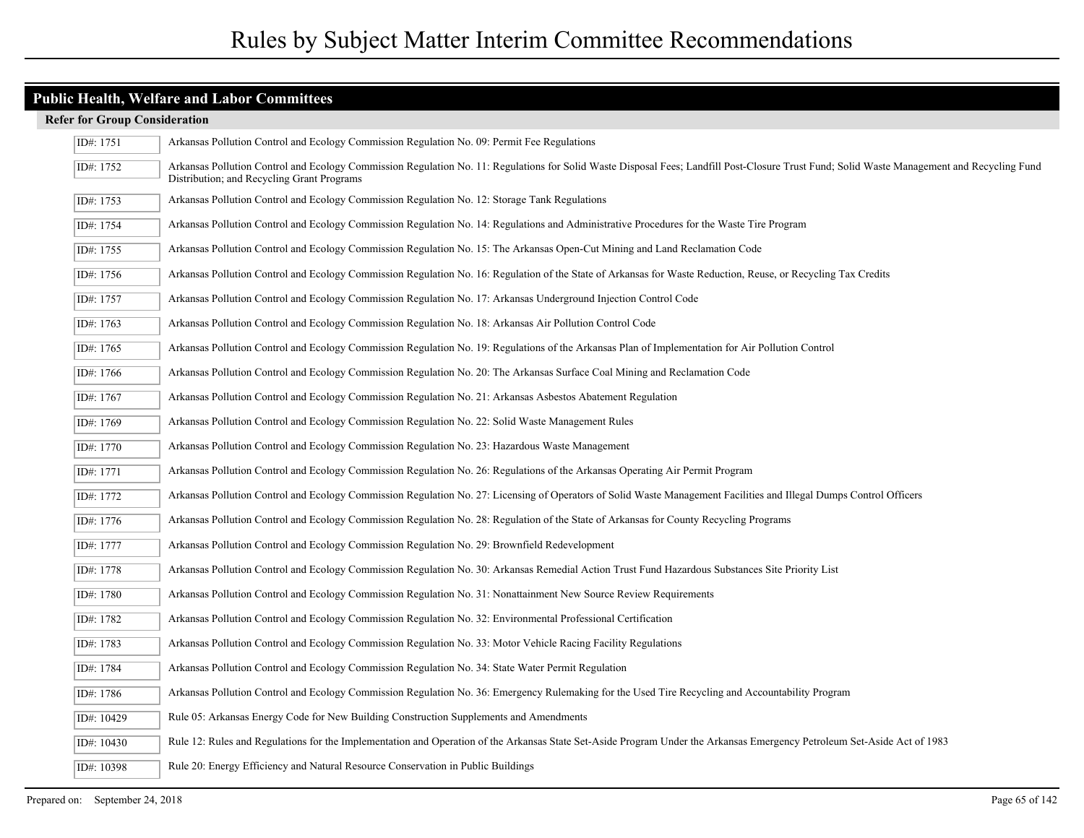### **Public Health, Welfare and Labor Committees**

| ID#: 1751   | Arkansas Pollution Control and Ecology Commission Regulation No. 09: Permit Fee Regulations                                                                                                                                               |
|-------------|-------------------------------------------------------------------------------------------------------------------------------------------------------------------------------------------------------------------------------------------|
| ID#: 1752   | Arkansas Pollution Control and Ecology Commission Regulation No. 11: Regulations for Solid Waste Disposal Fees; Landfill Post-Closure Trust Fund; Solid Waste Management and Recycling Fund<br>Distribution; and Recycling Grant Programs |
| ID#: 1753   | Arkansas Pollution Control and Ecology Commission Regulation No. 12: Storage Tank Regulations                                                                                                                                             |
| ID#: 1754   | Arkansas Pollution Control and Ecology Commission Regulation No. 14: Regulations and Administrative Procedures for the Waste Tire Program                                                                                                 |
| ID#: 1755   | Arkansas Pollution Control and Ecology Commission Regulation No. 15: The Arkansas Open-Cut Mining and Land Reclamation Code                                                                                                               |
| ID#: 1756   | Arkansas Pollution Control and Ecology Commission Regulation No. 16: Regulation of the State of Arkansas for Waste Reduction, Reuse, or Recycling Tax Credits                                                                             |
| ID#: 1757   | Arkansas Pollution Control and Ecology Commission Regulation No. 17: Arkansas Underground Injection Control Code                                                                                                                          |
| ID#: 1763   | Arkansas Pollution Control and Ecology Commission Regulation No. 18: Arkansas Air Pollution Control Code                                                                                                                                  |
| ID#: 1765   | Arkansas Pollution Control and Ecology Commission Regulation No. 19: Regulations of the Arkansas Plan of Implementation for Air Pollution Control                                                                                         |
| ID#: 1766   | Arkansas Pollution Control and Ecology Commission Regulation No. 20: The Arkansas Surface Coal Mining and Reclamation Code                                                                                                                |
| ID#: 1767   | Arkansas Pollution Control and Ecology Commission Regulation No. 21: Arkansas Asbestos Abatement Regulation                                                                                                                               |
| ID#: 1769   | Arkansas Pollution Control and Ecology Commission Regulation No. 22: Solid Waste Management Rules                                                                                                                                         |
| ID#: 1770   | Arkansas Pollution Control and Ecology Commission Regulation No. 23: Hazardous Waste Management                                                                                                                                           |
| ID#: 1771   | Arkansas Pollution Control and Ecology Commission Regulation No. 26: Regulations of the Arkansas Operating Air Permit Program                                                                                                             |
| ID#: 1772   | Arkansas Pollution Control and Ecology Commission Regulation No. 27: Licensing of Operators of Solid Waste Management Facilities and Illegal Dumps Control Officers                                                                       |
| ID#: $1776$ | Arkansas Pollution Control and Ecology Commission Regulation No. 28: Regulation of the State of Arkansas for County Recycling Programs                                                                                                    |
| ID#: 1777   | Arkansas Pollution Control and Ecology Commission Regulation No. 29: Brownfield Redevelopment                                                                                                                                             |
| ID#: 1778   | Arkansas Pollution Control and Ecology Commission Regulation No. 30: Arkansas Remedial Action Trust Fund Hazardous Substances Site Priority List                                                                                          |
| ID#: 1780   | Arkansas Pollution Control and Ecology Commission Regulation No. 31: Nonattainment New Source Review Requirements                                                                                                                         |
| ID#: 1782   | Arkansas Pollution Control and Ecology Commission Regulation No. 32: Environmental Professional Certification                                                                                                                             |
| ID#: 1783   | Arkansas Pollution Control and Ecology Commission Regulation No. 33: Motor Vehicle Racing Facility Regulations                                                                                                                            |
| ID#: 1784   | Arkansas Pollution Control and Ecology Commission Regulation No. 34: State Water Permit Regulation                                                                                                                                        |
| ID#: 1786   | Arkansas Pollution Control and Ecology Commission Regulation No. 36: Emergency Rulemaking for the Used Tire Recycling and Accountability Program                                                                                          |
| ID#: 10429  | Rule 05: Arkansas Energy Code for New Building Construction Supplements and Amendments                                                                                                                                                    |
| ID#: 10430  | Rule 12: Rules and Regulations for the Implementation and Operation of the Arkansas State Set-Aside Program Under the Arkansas Emergency Petroleum Set-Aside Act of 1983                                                                  |
| ID#: 10398  | Rule 20: Energy Efficiency and Natural Resource Conservation in Public Buildings                                                                                                                                                          |
|             |                                                                                                                                                                                                                                           |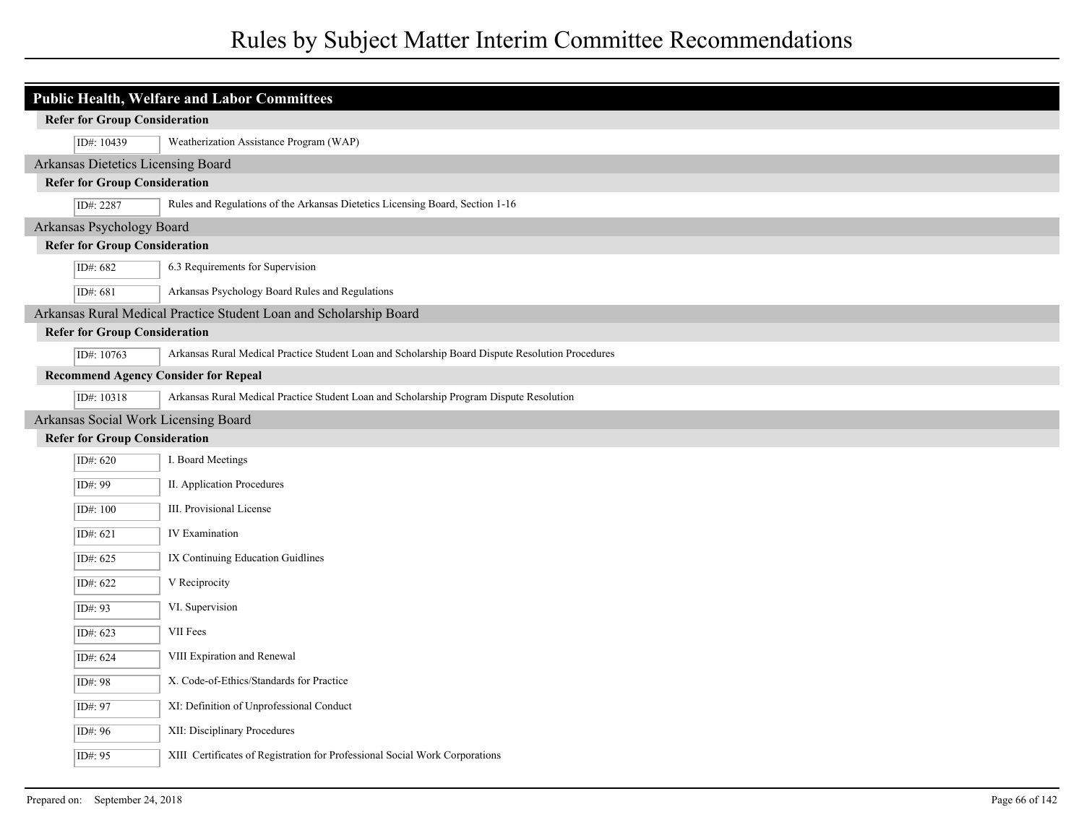| <b>Public Health, Welfare and Labor Committees</b> |                                      |                                                                                                  |
|----------------------------------------------------|--------------------------------------|--------------------------------------------------------------------------------------------------|
|                                                    | <b>Refer for Group Consideration</b> |                                                                                                  |
|                                                    | ID#: 10439                           | Weatherization Assistance Program (WAP)                                                          |
|                                                    | Arkansas Dietetics Licensing Board   |                                                                                                  |
|                                                    | <b>Refer for Group Consideration</b> |                                                                                                  |
|                                                    | ID#: 2287                            | Rules and Regulations of the Arkansas Dietetics Licensing Board, Section 1-16                    |
|                                                    | Arkansas Psychology Board            |                                                                                                  |
|                                                    | <b>Refer for Group Consideration</b> |                                                                                                  |
|                                                    | ID#: 682                             | 6.3 Requirements for Supervision                                                                 |
|                                                    | ID#: 681                             | Arkansas Psychology Board Rules and Regulations                                                  |
|                                                    |                                      | Arkansas Rural Medical Practice Student Loan and Scholarship Board                               |
|                                                    | <b>Refer for Group Consideration</b> |                                                                                                  |
|                                                    | ID#: 10763                           | Arkansas Rural Medical Practice Student Loan and Scholarship Board Dispute Resolution Procedures |
|                                                    |                                      | <b>Recommend Agency Consider for Repeal</b>                                                      |
|                                                    | ID#: 10318                           | Arkansas Rural Medical Practice Student Loan and Scholarship Program Dispute Resolution          |
|                                                    |                                      | Arkansas Social Work Licensing Board                                                             |
|                                                    | <b>Refer for Group Consideration</b> |                                                                                                  |
|                                                    | ID#: 620                             | I. Board Meetings                                                                                |
|                                                    | ID#: 99                              | II. Application Procedures                                                                       |
|                                                    | ID#: 100                             | III. Provisional License                                                                         |
|                                                    | ID#: 621                             | <b>IV</b> Examination                                                                            |
|                                                    | ID#: 625                             | IX Continuing Education Guidlines                                                                |
|                                                    | ID#: 622                             | V Reciprocity                                                                                    |
|                                                    | ID#: 93                              | VI. Supervision                                                                                  |
|                                                    | ID#: 623                             | VII Fees                                                                                         |
|                                                    | ID#: 624                             | VIII Expiration and Renewal                                                                      |
|                                                    | ID#: 98                              | X. Code-of-Ethics/Standards for Practice                                                         |
|                                                    | ID#: 97                              | XI: Definition of Unprofessional Conduct                                                         |
|                                                    | ID#: 96                              | XII: Disciplinary Procedures                                                                     |
|                                                    | ID#: 95                              | XIII Certificates of Registration for Professional Social Work Corporations                      |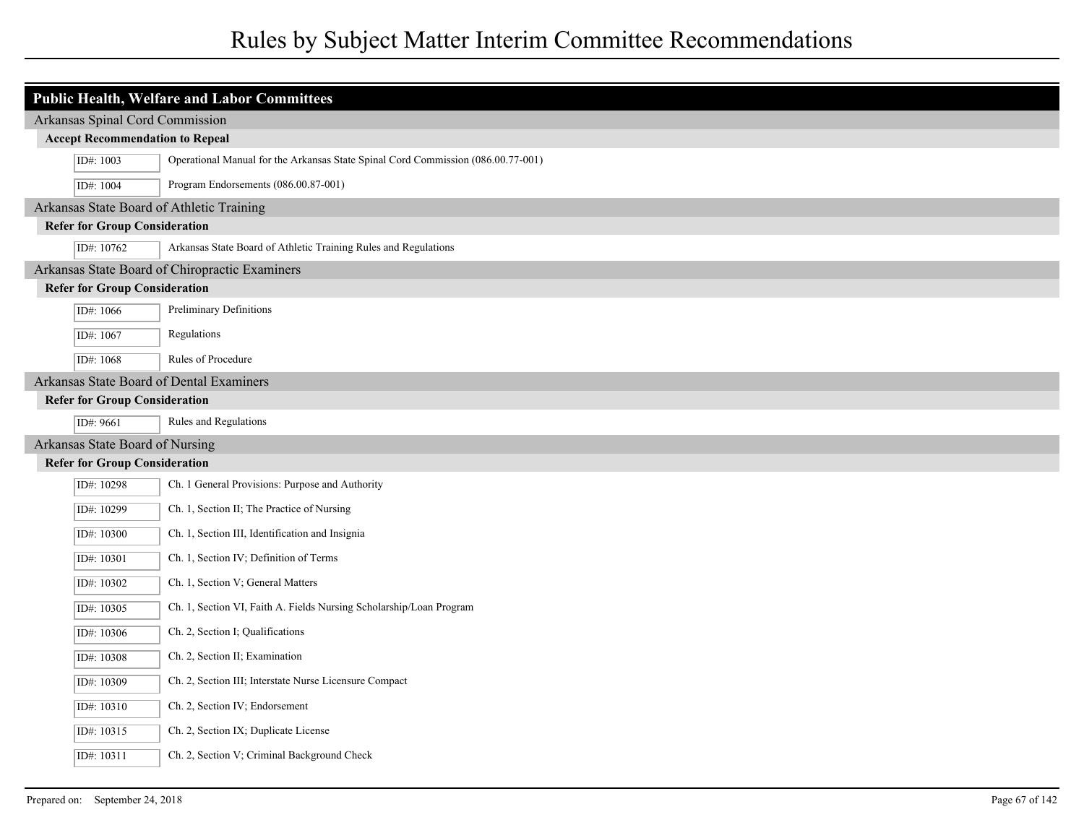| <b>Public Health, Welfare and Labor Committees</b> |                                                                                  |  |
|----------------------------------------------------|----------------------------------------------------------------------------------|--|
| Arkansas Spinal Cord Commission                    |                                                                                  |  |
| <b>Accept Recommendation to Repeal</b>             |                                                                                  |  |
| ID#: 1003                                          | Operational Manual for the Arkansas State Spinal Cord Commission (086.00.77-001) |  |
| ID#: 1004                                          | Program Endorsements (086.00.87-001)                                             |  |
| Arkansas State Board of Athletic Training          |                                                                                  |  |
| <b>Refer for Group Consideration</b>               |                                                                                  |  |
| ID#: 10762                                         | Arkansas State Board of Athletic Training Rules and Regulations                  |  |
|                                                    | Arkansas State Board of Chiropractic Examiners                                   |  |
| <b>Refer for Group Consideration</b>               |                                                                                  |  |
| ID#: 1066                                          | Preliminary Definitions                                                          |  |
| ID#: 1067                                          | Regulations                                                                      |  |
| ID#: 1068                                          | Rules of Procedure                                                               |  |
| Arkansas State Board of Dental Examiners           |                                                                                  |  |
| <b>Refer for Group Consideration</b>               |                                                                                  |  |
| ID#: 9661                                          | Rules and Regulations                                                            |  |
| Arkansas State Board of Nursing                    |                                                                                  |  |
| <b>Refer for Group Consideration</b>               |                                                                                  |  |
| ID#: 10298                                         | Ch. 1 General Provisions: Purpose and Authority                                  |  |
| ID#: 10299                                         | Ch. 1, Section II; The Practice of Nursing                                       |  |
| ID#: 10300                                         | Ch. 1, Section III, Identification and Insignia                                  |  |
| ID#: 10301                                         | Ch. 1, Section IV; Definition of Terms                                           |  |
| ID#: 10302                                         | Ch. 1, Section V; General Matters                                                |  |
| ID#: 10305                                         | Ch. 1, Section VI, Faith A. Fields Nursing Scholarship/Loan Program              |  |
| ID#: 10306                                         | Ch. 2, Section I; Qualifications                                                 |  |
| ID#: 10308                                         | Ch. 2, Section II; Examination                                                   |  |
| ID#: 10309                                         | Ch. 2, Section III; Interstate Nurse Licensure Compact                           |  |
| ID#: 10310                                         | Ch. 2, Section IV; Endorsement                                                   |  |
| ID#: 10315                                         | Ch. 2, Section IX; Duplicate License                                             |  |
| ID#: 10311                                         | Ch. 2, Section V; Criminal Background Check                                      |  |
|                                                    |                                                                                  |  |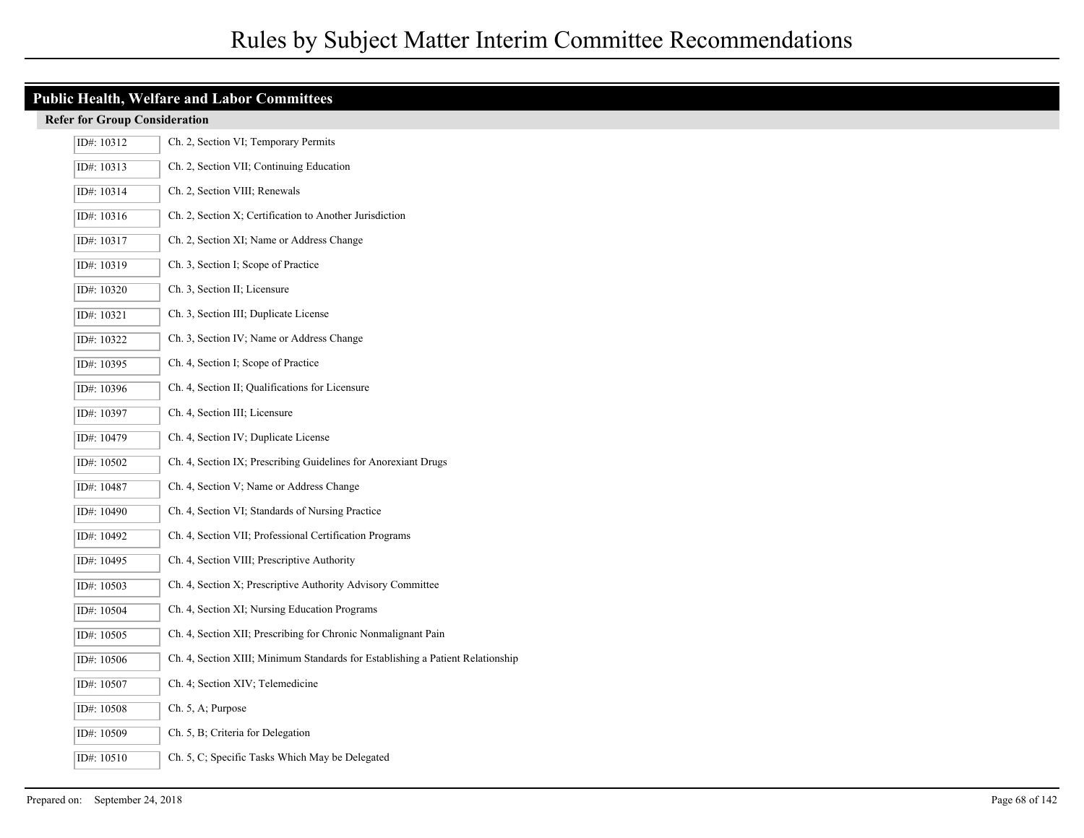| <b>Public Health, Welfare and Labor Committees</b> |                                                                                |  |
|----------------------------------------------------|--------------------------------------------------------------------------------|--|
| <b>Refer for Group Consideration</b>               |                                                                                |  |
| ID#: 10312                                         | Ch. 2, Section VI; Temporary Permits                                           |  |
| ID#: 10313                                         | Ch. 2, Section VII; Continuing Education                                       |  |
| ID#: 10314                                         | Ch. 2, Section VIII; Renewals                                                  |  |
| ID#: 10316                                         | Ch. 2, Section X; Certification to Another Jurisdiction                        |  |
| ID#: 10317                                         | Ch. 2, Section XI; Name or Address Change                                      |  |
| ID#: 10319                                         | Ch. 3, Section I; Scope of Practice                                            |  |
| ID#: 10320                                         | Ch. 3, Section II; Licensure                                                   |  |
| ID#: 10321                                         | Ch. 3, Section III; Duplicate License                                          |  |
| ID#: 10322                                         | Ch. 3, Section IV; Name or Address Change                                      |  |
| ID#: 10395                                         | Ch. 4, Section I; Scope of Practice                                            |  |
| ID#: 10396                                         | Ch. 4, Section II; Qualifications for Licensure                                |  |
| ID#: 10397                                         | Ch. 4, Section III; Licensure                                                  |  |
| ID#: 10479                                         | Ch. 4, Section IV; Duplicate License                                           |  |
| ID#: 10502                                         | Ch. 4, Section IX; Prescribing Guidelines for Anorexiant Drugs                 |  |
| ID#: 10487                                         | Ch. 4, Section V; Name or Address Change                                       |  |
| ID#: 10490                                         | Ch. 4, Section VI; Standards of Nursing Practice                               |  |
| ID#: 10492                                         | Ch. 4, Section VII; Professional Certification Programs                        |  |
| ID#: 10495                                         | Ch. 4, Section VIII; Prescriptive Authority                                    |  |
| ID#: 10503                                         | Ch. 4, Section X; Prescriptive Authority Advisory Committee                    |  |
| ID#: 10504                                         | Ch. 4, Section XI; Nursing Education Programs                                  |  |
| ID#: 10505                                         | Ch. 4, Section XII; Prescribing for Chronic Nonmalignant Pain                  |  |
| ID#: 10506                                         | Ch. 4, Section XIII; Minimum Standards for Establishing a Patient Relationship |  |
| ID#: 10507                                         | Ch. 4; Section XIV; Telemedicine                                               |  |
| ID#: 10508                                         | Ch. 5, A; Purpose                                                              |  |
| ID#: 10509                                         | Ch. 5, B; Criteria for Delegation                                              |  |
| ID#: 10510                                         | Ch. 5, C; Specific Tasks Which May be Delegated                                |  |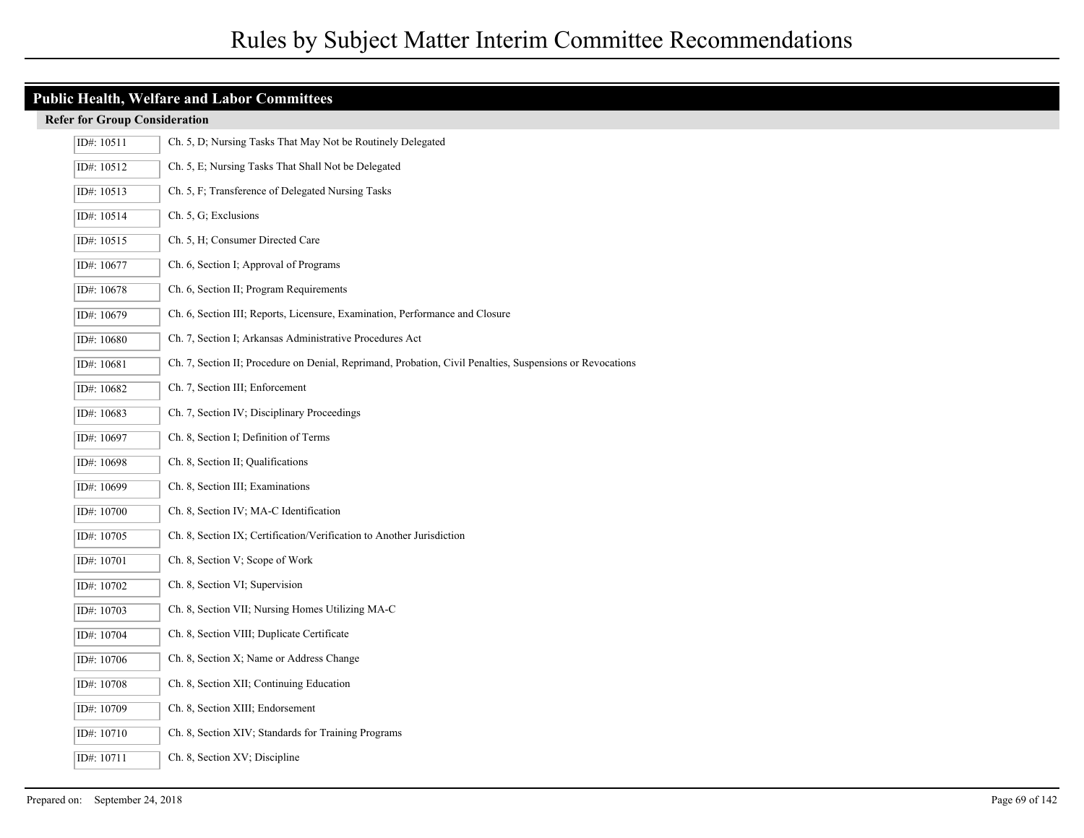| <b>Public Health, Welfare and Labor Committees</b> |                                                                                                           |  |
|----------------------------------------------------|-----------------------------------------------------------------------------------------------------------|--|
| <b>Refer for Group Consideration</b>               |                                                                                                           |  |
| ID#: 10511                                         | Ch. 5, D; Nursing Tasks That May Not be Routinely Delegated                                               |  |
| ID#: 10512                                         | Ch. 5, E; Nursing Tasks That Shall Not be Delegated                                                       |  |
| ID#: 10513                                         | Ch. 5, F; Transference of Delegated Nursing Tasks                                                         |  |
| ID#: 10514                                         | Ch. 5, G; Exclusions                                                                                      |  |
| ID#: 10515                                         | Ch. 5, H; Consumer Directed Care                                                                          |  |
| ID#: 10677                                         | Ch. 6, Section I; Approval of Programs                                                                    |  |
| ID#: 10678                                         | Ch. 6, Section II; Program Requirements                                                                   |  |
| ID#: 10679                                         | Ch. 6, Section III; Reports, Licensure, Examination, Performance and Closure                              |  |
| ID#: 10680                                         | Ch. 7, Section I; Arkansas Administrative Procedures Act                                                  |  |
| ID#: 10681                                         | Ch. 7, Section II; Procedure on Denial, Reprimand, Probation, Civil Penalties, Suspensions or Revocations |  |
| ID#: 10682                                         | Ch. 7, Section III; Enforcement                                                                           |  |
| ID#: 10683                                         | Ch. 7, Section IV; Disciplinary Proceedings                                                               |  |
| ID#: 10697                                         | Ch. 8, Section I; Definition of Terms                                                                     |  |
| ID#: 10698                                         | Ch. 8, Section II; Qualifications                                                                         |  |
| ID#: 10699                                         | Ch. 8, Section III; Examinations                                                                          |  |
| ID#: 10700                                         | Ch. 8, Section IV; MA-C Identification                                                                    |  |
| ID#: 10705                                         | Ch. 8, Section IX; Certification/Verification to Another Jurisdiction                                     |  |
| ID#: 10701                                         | Ch. 8, Section V; Scope of Work                                                                           |  |
| ID#: 10702                                         | Ch. 8, Section VI; Supervision                                                                            |  |
| ID#: 10703                                         | Ch. 8, Section VII; Nursing Homes Utilizing MA-C                                                          |  |
| ID#: 10704                                         | Ch. 8, Section VIII; Duplicate Certificate                                                                |  |
| ID#: 10706                                         | Ch. 8, Section X; Name or Address Change                                                                  |  |
| ID#: 10708                                         | Ch. 8, Section XII; Continuing Education                                                                  |  |
| ID#: 10709                                         | Ch. 8, Section XIII; Endorsement                                                                          |  |
| ID#: 10710                                         | Ch. 8, Section XIV; Standards for Training Programs                                                       |  |
| ID#: 10711                                         | Ch. 8, Section XV; Discipline                                                                             |  |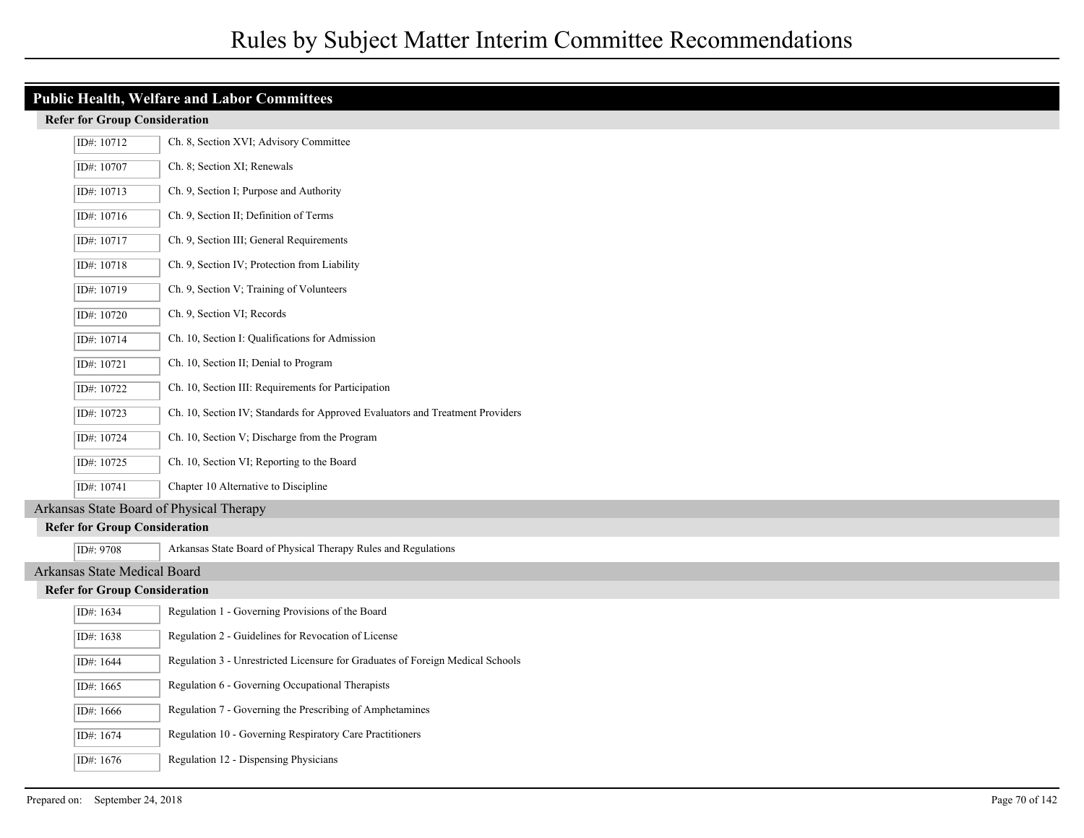| <b>Public Health, Welfare and Labor Committees</b> |                                      |                                                                                |
|----------------------------------------------------|--------------------------------------|--------------------------------------------------------------------------------|
| <b>Refer for Group Consideration</b>               |                                      |                                                                                |
|                                                    | ID#: 10712                           | Ch. 8, Section XVI; Advisory Committee                                         |
|                                                    | ID#: 10707                           | Ch. 8; Section XI; Renewals                                                    |
|                                                    | ID#: 10713                           | Ch. 9, Section I; Purpose and Authority                                        |
|                                                    | ID#: 10716                           | Ch. 9, Section II; Definition of Terms                                         |
|                                                    | ID#: 10717                           | Ch. 9, Section III; General Requirements                                       |
|                                                    | ID#: 10718                           | Ch. 9, Section IV; Protection from Liability                                   |
|                                                    | ID#: 10719                           | Ch. 9, Section V; Training of Volunteers                                       |
|                                                    | ID#: 10720                           | Ch. 9, Section VI; Records                                                     |
|                                                    | ID#: 10714                           | Ch. 10, Section I: Qualifications for Admission                                |
|                                                    | ID#: 10721                           | Ch. 10, Section II; Denial to Program                                          |
|                                                    | ID#: 10722                           | Ch. 10, Section III: Requirements for Participation                            |
|                                                    | ID#: 10723                           | Ch. 10, Section IV; Standards for Approved Evaluators and Treatment Providers  |
|                                                    | ID#: 10724                           | Ch. 10, Section V; Discharge from the Program                                  |
|                                                    | ID#: 10725                           | Ch. 10, Section VI; Reporting to the Board                                     |
|                                                    | ID#: 10741                           | Chapter 10 Alternative to Discipline                                           |
|                                                    |                                      | Arkansas State Board of Physical Therapy                                       |
|                                                    | <b>Refer for Group Consideration</b> |                                                                                |
|                                                    | ID#: 9708                            | Arkansas State Board of Physical Therapy Rules and Regulations                 |
|                                                    | Arkansas State Medical Board         |                                                                                |
|                                                    | <b>Refer for Group Consideration</b> |                                                                                |
|                                                    | ID#: 1634                            | Regulation 1 - Governing Provisions of the Board                               |
|                                                    | ID#: 1638                            | Regulation 2 - Guidelines for Revocation of License                            |
|                                                    | ID#: 1644                            | Regulation 3 - Unrestricted Licensure for Graduates of Foreign Medical Schools |
|                                                    | ID#: 1665                            | Regulation 6 - Governing Occupational Therapists                               |
|                                                    | ID#: 1666                            | Regulation 7 - Governing the Prescribing of Amphetamines                       |
|                                                    | ID#: 1674                            | Regulation 10 - Governing Respiratory Care Practitioners                       |
|                                                    | ID#: 1676                            | Regulation 12 - Dispensing Physicians                                          |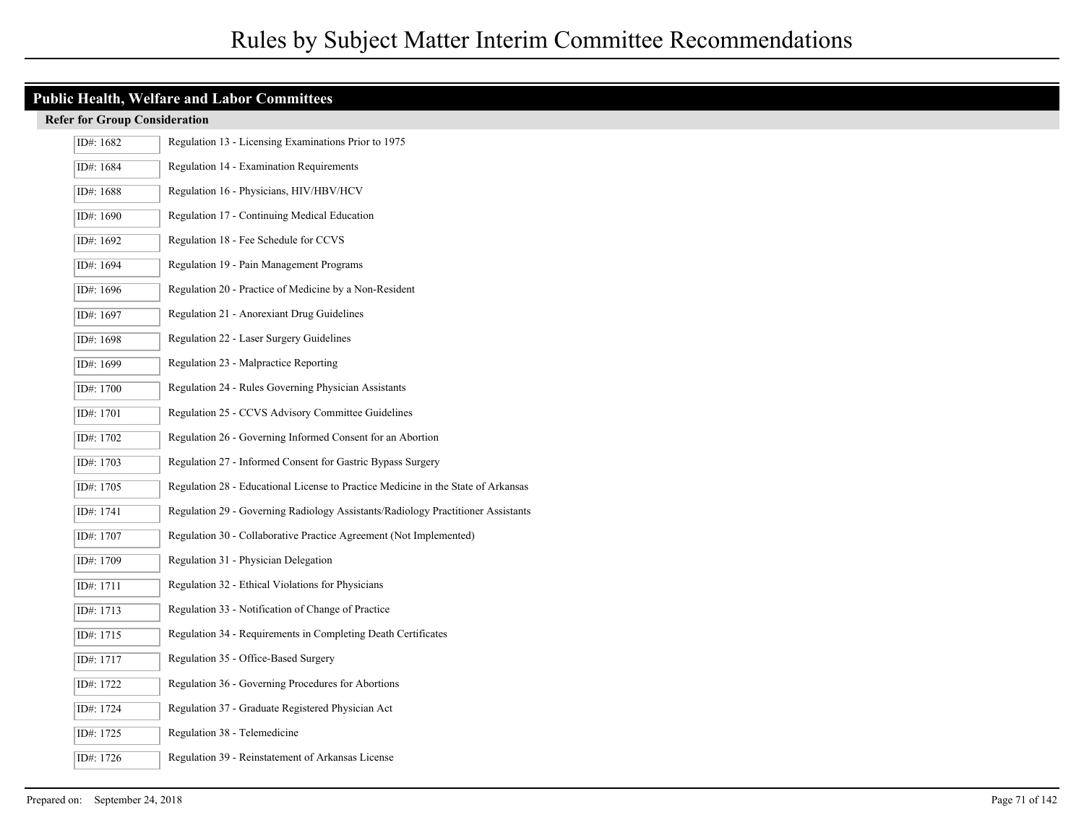| <b>Public Health, Welfare and Labor Committees</b> |                                                                                   |  |  |
|----------------------------------------------------|-----------------------------------------------------------------------------------|--|--|
| <b>Refer for Group Consideration</b>               |                                                                                   |  |  |
| ID#: 1682                                          | Regulation 13 - Licensing Examinations Prior to 1975                              |  |  |
| ID#: 1684                                          | Regulation 14 - Examination Requirements                                          |  |  |
| ID#: 1688                                          | Regulation 16 - Physicians, HIV/HBV/HCV                                           |  |  |
| ID#: 1690                                          | Regulation 17 - Continuing Medical Education                                      |  |  |
| ID#: 1692                                          | Regulation 18 - Fee Schedule for CCVS                                             |  |  |
| ID#: 1694                                          | Regulation 19 - Pain Management Programs                                          |  |  |
| ID#: 1696                                          | Regulation 20 - Practice of Medicine by a Non-Resident                            |  |  |
| ID#: 1697                                          | Regulation 21 - Anorexiant Drug Guidelines                                        |  |  |
| ID#: 1698                                          | Regulation 22 - Laser Surgery Guidelines                                          |  |  |
| ID#: 1699                                          | Regulation 23 - Malpractice Reporting                                             |  |  |
| ID#: 1700                                          | Regulation 24 - Rules Governing Physician Assistants                              |  |  |
| ID#: 1701                                          | Regulation 25 - CCVS Advisory Committee Guidelines                                |  |  |
| ID#: 1702                                          | Regulation 26 - Governing Informed Consent for an Abortion                        |  |  |
| ID#: 1703                                          | Regulation 27 - Informed Consent for Gastric Bypass Surgery                       |  |  |
| ID#: 1705                                          | Regulation 28 - Educational License to Practice Medicine in the State of Arkansas |  |  |
| ID#: 1741                                          | Regulation 29 - Governing Radiology Assistants/Radiology Practitioner Assistants  |  |  |
| ID#: 1707                                          | Regulation 30 - Collaborative Practice Agreement (Not Implemented)                |  |  |
| ID#: 1709                                          | Regulation 31 - Physician Delegation                                              |  |  |
| ID#: 1711                                          | Regulation 32 - Ethical Violations for Physicians                                 |  |  |
| ID#: 1713                                          | Regulation 33 - Notification of Change of Practice                                |  |  |
| ID#: 1715                                          | Regulation 34 - Requirements in Completing Death Certificates                     |  |  |
| ID#: 1717                                          | Regulation 35 - Office-Based Surgery                                              |  |  |
| ID#: 1722                                          | Regulation 36 - Governing Procedures for Abortions                                |  |  |
| ID#: 1724                                          | Regulation 37 - Graduate Registered Physician Act                                 |  |  |
| ID#: 1725                                          | Regulation 38 - Telemedicine                                                      |  |  |
| ID#: 1726                                          | Regulation 39 - Reinstatement of Arkansas License                                 |  |  |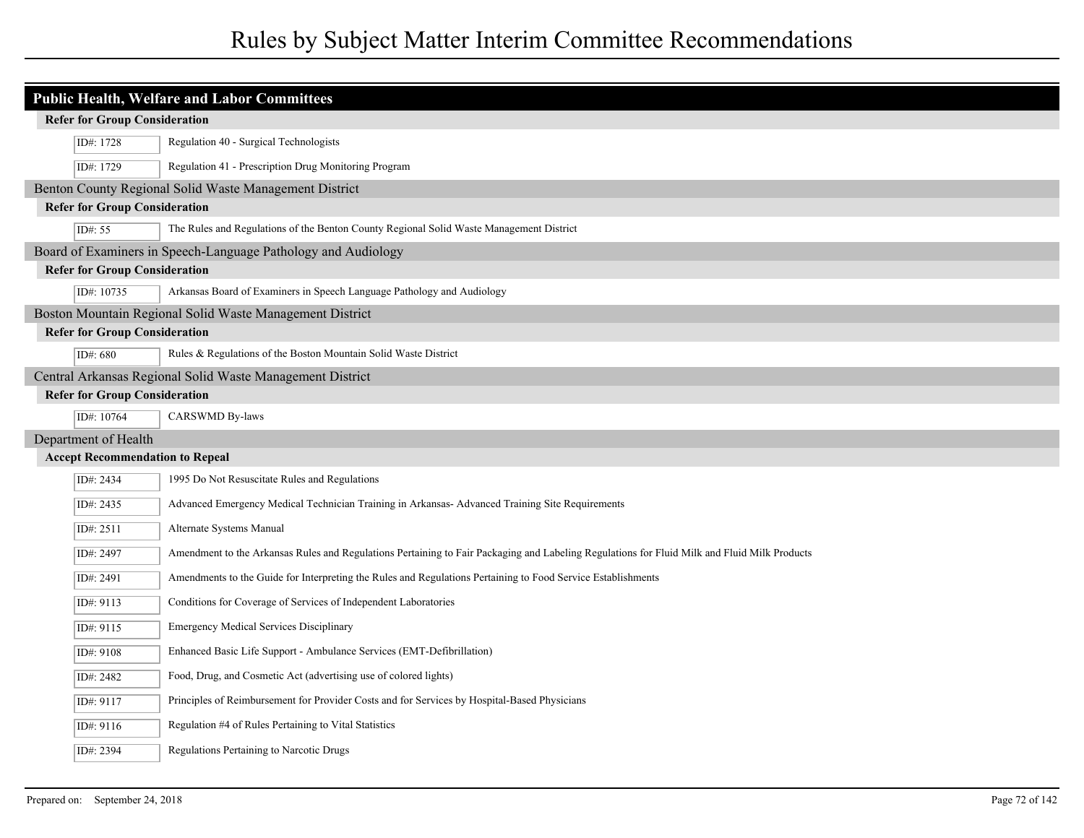| <b>Public Health, Welfare and Labor Committees</b>            |                                      |                                                                                                                                              |
|---------------------------------------------------------------|--------------------------------------|----------------------------------------------------------------------------------------------------------------------------------------------|
| <b>Refer for Group Consideration</b>                          |                                      |                                                                                                                                              |
|                                                               | ID#: 1728                            | Regulation 40 - Surgical Technologists                                                                                                       |
|                                                               | ID#: 1729                            | Regulation 41 - Prescription Drug Monitoring Program                                                                                         |
| Benton County Regional Solid Waste Management District        |                                      |                                                                                                                                              |
| <b>Refer for Group Consideration</b>                          |                                      |                                                                                                                                              |
|                                                               | ID#: 55                              | The Rules and Regulations of the Benton County Regional Solid Waste Management District                                                      |
| Board of Examiners in Speech-Language Pathology and Audiology |                                      |                                                                                                                                              |
| <b>Refer for Group Consideration</b>                          |                                      |                                                                                                                                              |
|                                                               | ID#: 10735                           | Arkansas Board of Examiners in Speech Language Pathology and Audiology                                                                       |
| Boston Mountain Regional Solid Waste Management District      |                                      |                                                                                                                                              |
| <b>Refer for Group Consideration</b>                          |                                      |                                                                                                                                              |
|                                                               | ID#: 680                             | Rules & Regulations of the Boston Mountain Solid Waste District                                                                              |
|                                                               |                                      | Central Arkansas Regional Solid Waste Management District                                                                                    |
|                                                               | <b>Refer for Group Consideration</b> |                                                                                                                                              |
|                                                               | ID#: 10764                           | CARSWMD By-laws                                                                                                                              |
| Department of Health                                          |                                      |                                                                                                                                              |
| <b>Accept Recommendation to Repeal</b>                        |                                      |                                                                                                                                              |
|                                                               | ID#: 2434                            | 1995 Do Not Resuscitate Rules and Regulations                                                                                                |
|                                                               | ID#: 2435                            | Advanced Emergency Medical Technician Training in Arkansas- Advanced Training Site Requirements                                              |
|                                                               | ID#: 2511                            | Alternate Systems Manual                                                                                                                     |
|                                                               | ID#: 2497                            | Amendment to the Arkansas Rules and Regulations Pertaining to Fair Packaging and Labeling Regulations for Fluid Milk and Fluid Milk Products |
|                                                               | ID#: 2491                            | Amendments to the Guide for Interpreting the Rules and Regulations Pertaining to Food Service Establishments                                 |
|                                                               | ID#: 9113                            | Conditions for Coverage of Services of Independent Laboratories                                                                              |
|                                                               | ID#: 9115                            | <b>Emergency Medical Services Disciplinary</b>                                                                                               |
|                                                               | ID#: 9108                            | Enhanced Basic Life Support - Ambulance Services (EMT-Defibrillation)                                                                        |
|                                                               | ID#: 2482                            | Food, Drug, and Cosmetic Act (advertising use of colored lights)                                                                             |
|                                                               | ID#: 9117                            | Principles of Reimbursement for Provider Costs and for Services by Hospital-Based Physicians                                                 |
|                                                               | ID#: 9116                            | Regulation #4 of Rules Pertaining to Vital Statistics                                                                                        |
|                                                               | ID#: 2394                            | Regulations Pertaining to Narcotic Drugs                                                                                                     |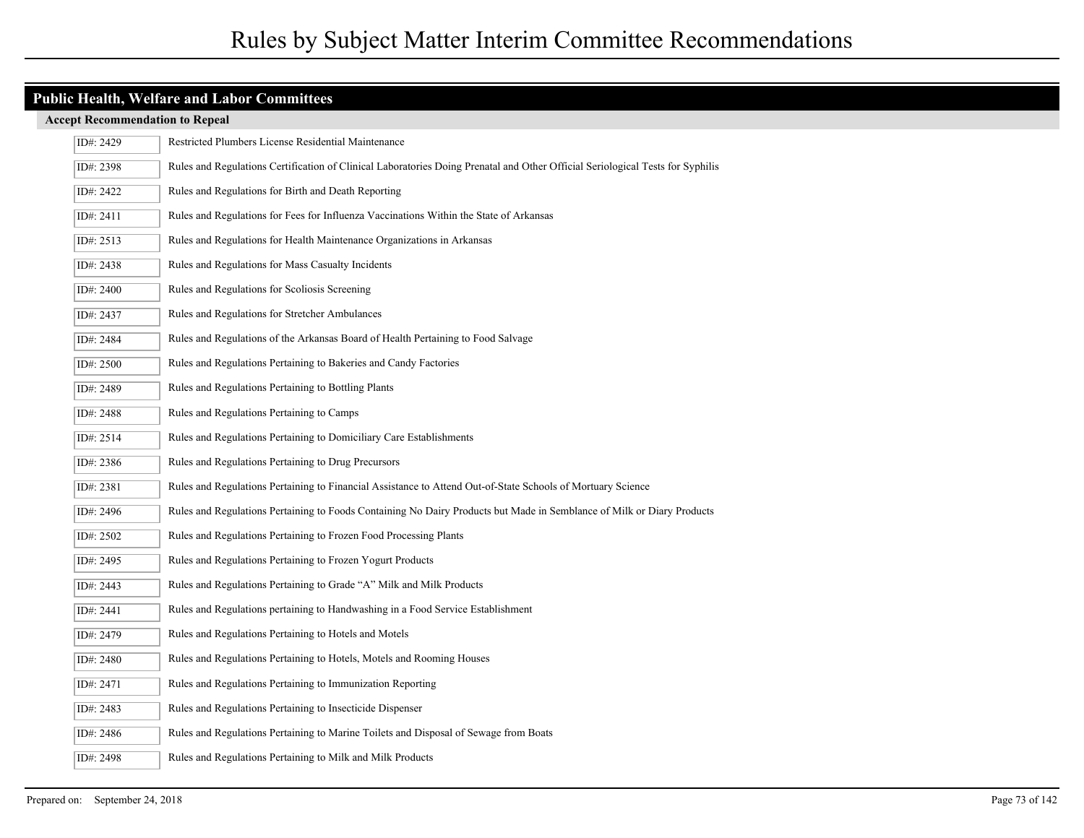| ID#: 2429 | Restricted Plumbers License Residential Maintenance                                                                            |
|-----------|--------------------------------------------------------------------------------------------------------------------------------|
| ID#: 2398 | Rules and Regulations Certification of Clinical Laboratories Doing Prenatal and Other Official Seriological Tests for Syphilis |
| ID#: 2422 | Rules and Regulations for Birth and Death Reporting                                                                            |
| ID#: 2411 | Rules and Regulations for Fees for Influenza Vaccinations Within the State of Arkansas                                         |
| ID#: 2513 | Rules and Regulations for Health Maintenance Organizations in Arkansas                                                         |
| ID#: 2438 | Rules and Regulations for Mass Casualty Incidents                                                                              |
| ID#: 2400 | Rules and Regulations for Scoliosis Screening                                                                                  |
| ID#: 2437 | Rules and Regulations for Stretcher Ambulances                                                                                 |
| ID#: 2484 | Rules and Regulations of the Arkansas Board of Health Pertaining to Food Salvage                                               |
| ID#: 2500 | Rules and Regulations Pertaining to Bakeries and Candy Factories                                                               |
| ID#: 2489 | Rules and Regulations Pertaining to Bottling Plants                                                                            |
| ID#: 2488 | Rules and Regulations Pertaining to Camps                                                                                      |
| ID#: 2514 | Rules and Regulations Pertaining to Domiciliary Care Establishments                                                            |
| ID#: 2386 | Rules and Regulations Pertaining to Drug Precursors                                                                            |
| ID#: 2381 | Rules and Regulations Pertaining to Financial Assistance to Attend Out-of-State Schools of Mortuary Science                    |
| ID#: 2496 | Rules and Regulations Pertaining to Foods Containing No Dairy Products but Made in Semblance of Milk or Diary Products         |
| ID#: 2502 | Rules and Regulations Pertaining to Frozen Food Processing Plants                                                              |
| ID#: 2495 | Rules and Regulations Pertaining to Frozen Yogurt Products                                                                     |
| ID#: 2443 | Rules and Regulations Pertaining to Grade "A" Milk and Milk Products                                                           |
| ID#: 2441 | Rules and Regulations pertaining to Handwashing in a Food Service Establishment                                                |
| ID#: 2479 | Rules and Regulations Pertaining to Hotels and Motels                                                                          |
| ID#: 2480 | Rules and Regulations Pertaining to Hotels, Motels and Rooming Houses                                                          |
| ID#: 2471 | Rules and Regulations Pertaining to Immunization Reporting                                                                     |
| ID#: 2483 | Rules and Regulations Pertaining to Insecticide Dispenser                                                                      |
| ID#: 2486 | Rules and Regulations Pertaining to Marine Toilets and Disposal of Sewage from Boats                                           |
| ID#: 2498 | Rules and Regulations Pertaining to Milk and Milk Products                                                                     |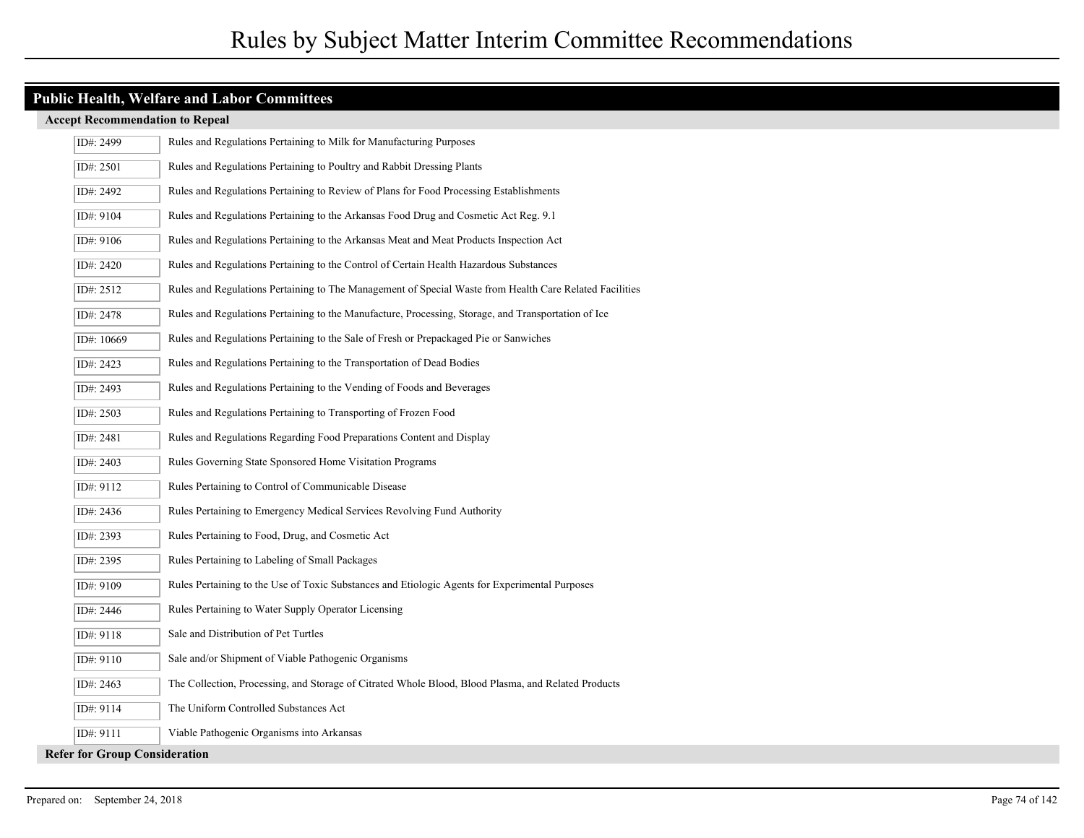| ID#: 2499                            | Rules and Regulations Pertaining to Milk for Manufacturing Purposes                                     |
|--------------------------------------|---------------------------------------------------------------------------------------------------------|
| ID#: 2501                            | Rules and Regulations Pertaining to Poultry and Rabbit Dressing Plants                                  |
| ID#: 2492                            | Rules and Regulations Pertaining to Review of Plans for Food Processing Establishments                  |
| ID#: 9104                            | Rules and Regulations Pertaining to the Arkansas Food Drug and Cosmetic Act Reg. 9.1                    |
| ID#: 9106                            | Rules and Regulations Pertaining to the Arkansas Meat and Meat Products Inspection Act                  |
| ID#: 2420                            | Rules and Regulations Pertaining to the Control of Certain Health Hazardous Substances                  |
| ID#: 2512                            | Rules and Regulations Pertaining to The Management of Special Waste from Health Care Related Facilities |
| ID#: 2478                            | Rules and Regulations Pertaining to the Manufacture, Processing, Storage, and Transportation of Ice     |
| ID#: 10669                           | Rules and Regulations Pertaining to the Sale of Fresh or Prepackaged Pie or Sanwiches                   |
| ID#: 2423                            | Rules and Regulations Pertaining to the Transportation of Dead Bodies                                   |
| ID#: 2493                            | Rules and Regulations Pertaining to the Vending of Foods and Beverages                                  |
| ID#: 2503                            | Rules and Regulations Pertaining to Transporting of Frozen Food                                         |
| ID#: 2481                            | Rules and Regulations Regarding Food Preparations Content and Display                                   |
| ID#: 2403                            | Rules Governing State Sponsored Home Visitation Programs                                                |
| ID#: 9112                            | Rules Pertaining to Control of Communicable Disease                                                     |
| ID#: 2436                            | Rules Pertaining to Emergency Medical Services Revolving Fund Authority                                 |
| ID#: 2393                            | Rules Pertaining to Food, Drug, and Cosmetic Act                                                        |
| ID#: 2395                            | Rules Pertaining to Labeling of Small Packages                                                          |
| ID#: 9109                            | Rules Pertaining to the Use of Toxic Substances and Etiologic Agents for Experimental Purposes          |
| ID#: 2446                            | Rules Pertaining to Water Supply Operator Licensing                                                     |
| ID#: 9118                            | Sale and Distribution of Pet Turtles                                                                    |
| ID#: 9110                            | Sale and/or Shipment of Viable Pathogenic Organisms                                                     |
| ID#: 2463                            | The Collection, Processing, and Storage of Citrated Whole Blood, Blood Plasma, and Related Products     |
| ID#: 9114                            | The Uniform Controlled Substances Act                                                                   |
| ID#: 9111                            | Viable Pathogenic Organisms into Arkansas                                                               |
| <b>Refer for Group Consideration</b> |                                                                                                         |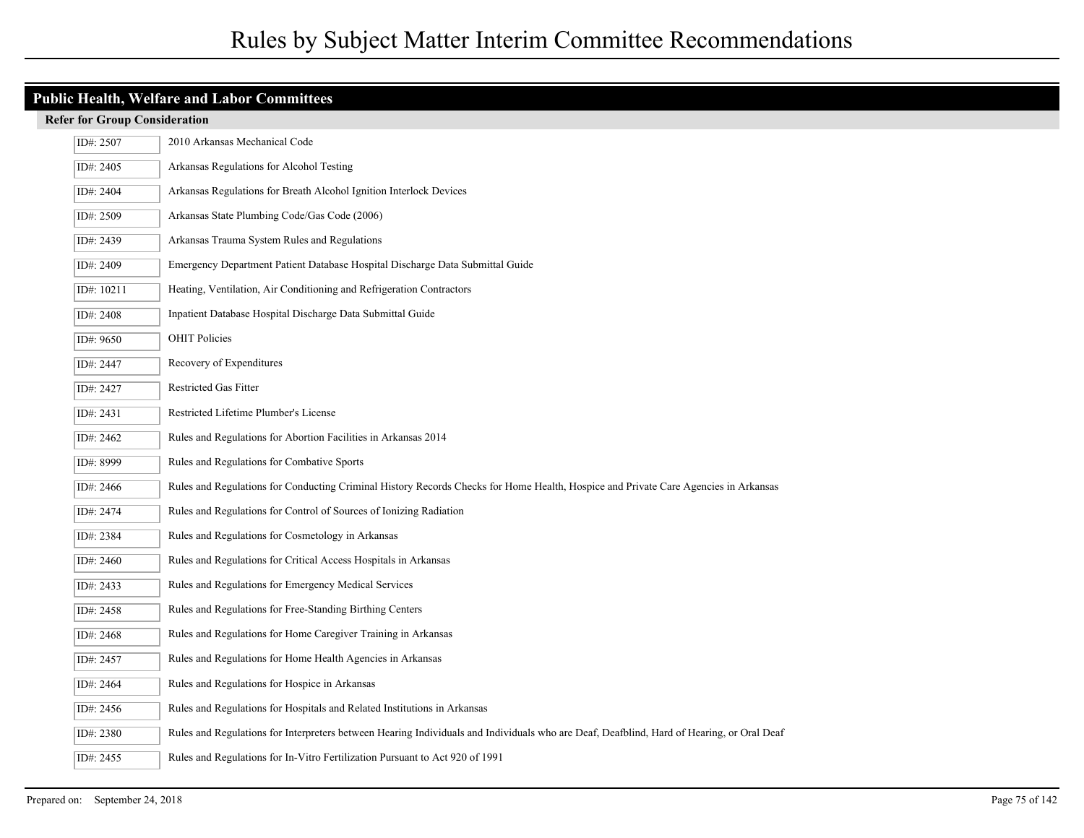## **Public Health, Welfare and Labor Committees**

| ID#: 2507  | 2010 Arkansas Mechanical Code                                                                                                             |
|------------|-------------------------------------------------------------------------------------------------------------------------------------------|
| ID#: 2405  | Arkansas Regulations for Alcohol Testing                                                                                                  |
| ID#: 2404  | Arkansas Regulations for Breath Alcohol Ignition Interlock Devices                                                                        |
| ID#: 2509  | Arkansas State Plumbing Code/Gas Code (2006)                                                                                              |
| ID#: 2439  | Arkansas Trauma System Rules and Regulations                                                                                              |
| ID#: 2409  | Emergency Department Patient Database Hospital Discharge Data Submittal Guide                                                             |
| ID#: 10211 | Heating, Ventilation, Air Conditioning and Refrigeration Contractors                                                                      |
| ID#: 2408  | Inpatient Database Hospital Discharge Data Submittal Guide                                                                                |
| ID#: 9650  | <b>OHIT Policies</b>                                                                                                                      |
| ID#: 2447  | Recovery of Expenditures                                                                                                                  |
| ID#: 2427  | Restricted Gas Fitter                                                                                                                     |
| ID#: 2431  | Restricted Lifetime Plumber's License                                                                                                     |
| ID#: 2462  | Rules and Regulations for Abortion Facilities in Arkansas 2014                                                                            |
| ID#: 8999  | Rules and Regulations for Combative Sports                                                                                                |
| ID#: 2466  | Rules and Regulations for Conducting Criminal History Records Checks for Home Health, Hospice and Private Care Agencies in Arkansas       |
| ID#: 2474  | Rules and Regulations for Control of Sources of Ionizing Radiation                                                                        |
| ID#: 2384  | Rules and Regulations for Cosmetology in Arkansas                                                                                         |
| ID#: 2460  | Rules and Regulations for Critical Access Hospitals in Arkansas                                                                           |
| ID#: 2433  | Rules and Regulations for Emergency Medical Services                                                                                      |
| ID#: 2458  | Rules and Regulations for Free-Standing Birthing Centers                                                                                  |
| ID#: 2468  | Rules and Regulations for Home Caregiver Training in Arkansas                                                                             |
| ID#: 2457  | Rules and Regulations for Home Health Agencies in Arkansas                                                                                |
| ID#: 2464  | Rules and Regulations for Hospice in Arkansas                                                                                             |
| ID#: 2456  | Rules and Regulations for Hospitals and Related Institutions in Arkansas                                                                  |
| ID#: 2380  | Rules and Regulations for Interpreters between Hearing Individuals and Individuals who are Deaf, Deafblind, Hard of Hearing, or Oral Deaf |
| ID#: 2455  | Rules and Regulations for In-Vitro Fertilization Pursuant to Act 920 of 1991                                                              |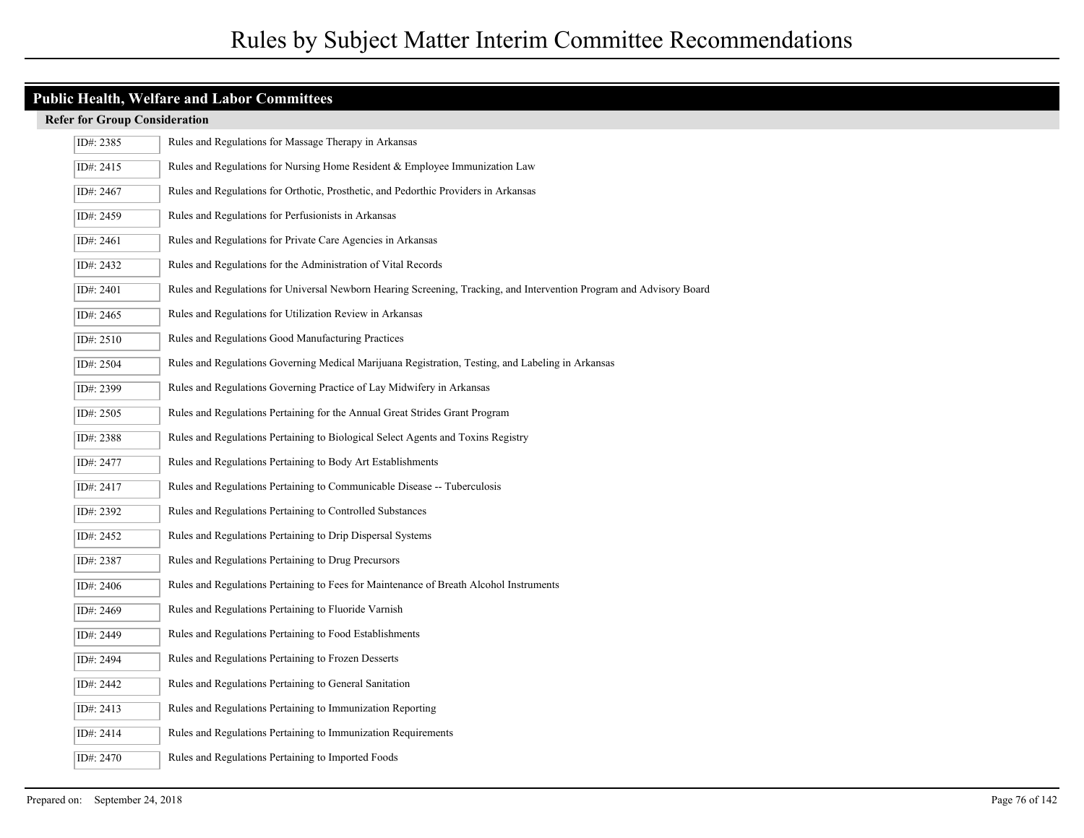| ID#: 2385 | Rules and Regulations for Massage Therapy in Arkansas                                                                |
|-----------|----------------------------------------------------------------------------------------------------------------------|
| ID#: 2415 | Rules and Regulations for Nursing Home Resident & Employee Immunization Law                                          |
| ID#: 2467 | Rules and Regulations for Orthotic, Prosthetic, and Pedorthic Providers in Arkansas                                  |
| ID#: 2459 | Rules and Regulations for Perfusionists in Arkansas                                                                  |
| ID#: 2461 | Rules and Regulations for Private Care Agencies in Arkansas                                                          |
| ID#: 2432 | Rules and Regulations for the Administration of Vital Records                                                        |
| ID#: 2401 | Rules and Regulations for Universal Newborn Hearing Screening, Tracking, and Intervention Program and Advisory Board |
| ID#: 2465 | Rules and Regulations for Utilization Review in Arkansas                                                             |
| ID#: 2510 | Rules and Regulations Good Manufacturing Practices                                                                   |
| ID#: 2504 | Rules and Regulations Governing Medical Marijuana Registration, Testing, and Labeling in Arkansas                    |
| ID#: 2399 | Rules and Regulations Governing Practice of Lay Midwifery in Arkansas                                                |
| ID#: 2505 | Rules and Regulations Pertaining for the Annual Great Strides Grant Program                                          |
| ID#: 2388 | Rules and Regulations Pertaining to Biological Select Agents and Toxins Registry                                     |
| ID#: 2477 | Rules and Regulations Pertaining to Body Art Establishments                                                          |
| ID#: 2417 | Rules and Regulations Pertaining to Communicable Disease -- Tuberculosis                                             |
| ID#: 2392 | Rules and Regulations Pertaining to Controlled Substances                                                            |
| ID#: 2452 | Rules and Regulations Pertaining to Drip Dispersal Systems                                                           |
| ID#: 2387 | Rules and Regulations Pertaining to Drug Precursors                                                                  |
| ID#: 2406 | Rules and Regulations Pertaining to Fees for Maintenance of Breath Alcohol Instruments                               |
| ID#: 2469 | Rules and Regulations Pertaining to Fluoride Varnish                                                                 |
| ID#: 2449 | Rules and Regulations Pertaining to Food Establishments                                                              |
| ID#: 2494 | Rules and Regulations Pertaining to Frozen Desserts                                                                  |
| ID#: 2442 | Rules and Regulations Pertaining to General Sanitation                                                               |
| ID#: 2413 | Rules and Regulations Pertaining to Immunization Reporting                                                           |
| ID#: 2414 | Rules and Regulations Pertaining to Immunization Requirements                                                        |
| ID#: 2470 | Rules and Regulations Pertaining to Imported Foods                                                                   |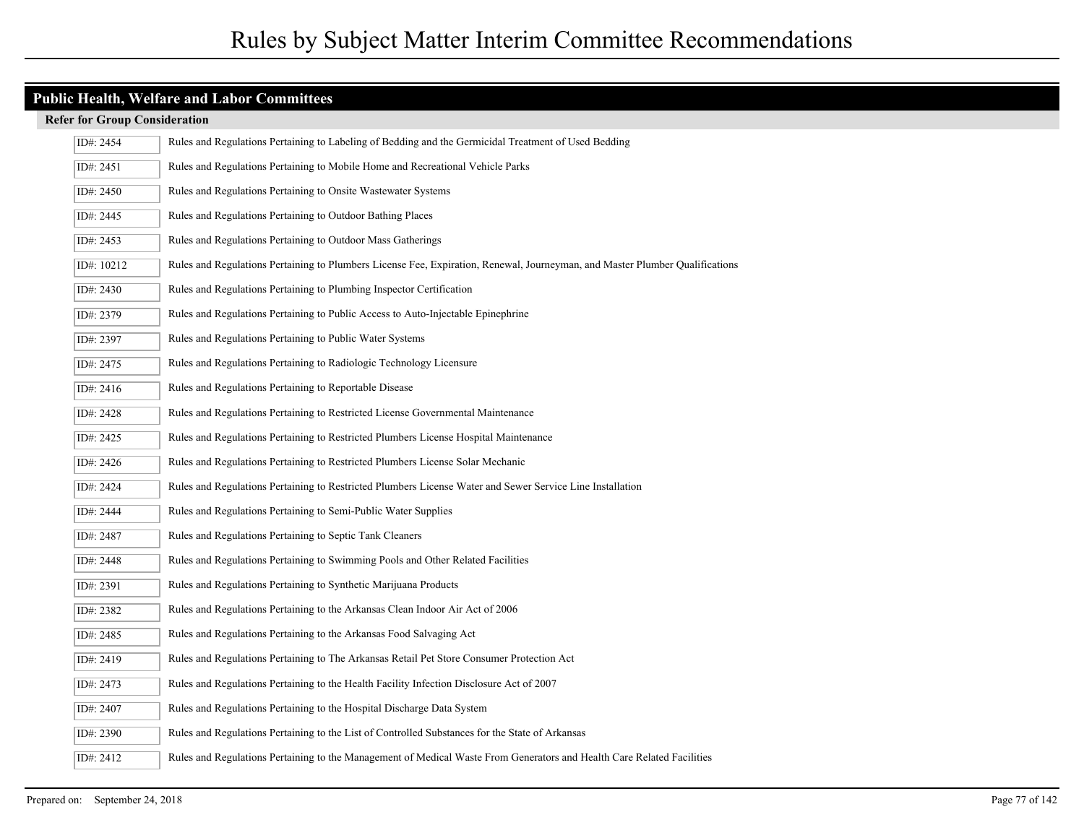| ID#: 2454  | Rules and Regulations Pertaining to Labeling of Bedding and the Germicidal Treatment of Used Bedding                         |
|------------|------------------------------------------------------------------------------------------------------------------------------|
| ID#: 2451  | Rules and Regulations Pertaining to Mobile Home and Recreational Vehicle Parks                                               |
| ID#: 2450  | Rules and Regulations Pertaining to Onsite Wastewater Systems                                                                |
| ID#: 2445  | Rules and Regulations Pertaining to Outdoor Bathing Places                                                                   |
| ID#: 2453  | Rules and Regulations Pertaining to Outdoor Mass Gatherings                                                                  |
| ID#: 10212 | Rules and Regulations Pertaining to Plumbers License Fee, Expiration, Renewal, Journeyman, and Master Plumber Qualifications |
| ID#: 2430  | Rules and Regulations Pertaining to Plumbing Inspector Certification                                                         |
| ID#: 2379  | Rules and Regulations Pertaining to Public Access to Auto-Injectable Epinephrine                                             |
| ID#: 2397  | Rules and Regulations Pertaining to Public Water Systems                                                                     |
| ID#: 2475  | Rules and Regulations Pertaining to Radiologic Technology Licensure                                                          |
| ID#: 2416  | Rules and Regulations Pertaining to Reportable Disease                                                                       |
| ID#: 2428  | Rules and Regulations Pertaining to Restricted License Governmental Maintenance                                              |
| ID#: 2425  | Rules and Regulations Pertaining to Restricted Plumbers License Hospital Maintenance                                         |
| ID#: 2426  | Rules and Regulations Pertaining to Restricted Plumbers License Solar Mechanic                                               |
| ID#: 2424  | Rules and Regulations Pertaining to Restricted Plumbers License Water and Sewer Service Line Installation                    |
| ID#: 2444  | Rules and Regulations Pertaining to Semi-Public Water Supplies                                                               |
| ID#: 2487  | Rules and Regulations Pertaining to Septic Tank Cleaners                                                                     |
| ID#: 2448  | Rules and Regulations Pertaining to Swimming Pools and Other Related Facilities                                              |
| ID#: 2391  | Rules and Regulations Pertaining to Synthetic Marijuana Products                                                             |
| ID#: 2382  | Rules and Regulations Pertaining to the Arkansas Clean Indoor Air Act of 2006                                                |
| ID#: 2485  | Rules and Regulations Pertaining to the Arkansas Food Salvaging Act                                                          |
| ID#: 2419  | Rules and Regulations Pertaining to The Arkansas Retail Pet Store Consumer Protection Act                                    |
| ID#: 2473  | Rules and Regulations Pertaining to the Health Facility Infection Disclosure Act of 2007                                     |
| ID#: 2407  | Rules and Regulations Pertaining to the Hospital Discharge Data System                                                       |
| ID#: 2390  | Rules and Regulations Pertaining to the List of Controlled Substances for the State of Arkansas                              |
| ID#: 2412  | Rules and Regulations Pertaining to the Management of Medical Waste From Generators and Health Care Related Facilities       |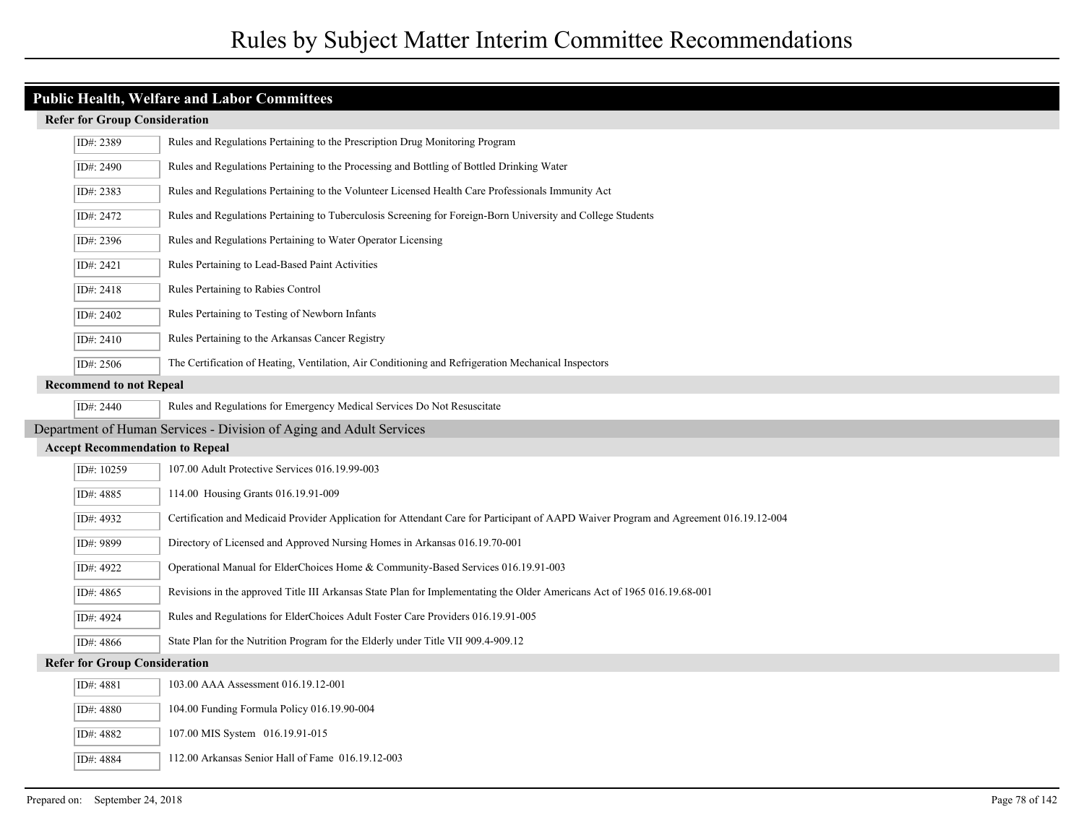#### **Refer for Group Consideration**

|                                        | ID#: 2389                                                           | Rules and Regulations Pertaining to the Prescription Drug Monitoring Program                                                          |  |
|----------------------------------------|---------------------------------------------------------------------|---------------------------------------------------------------------------------------------------------------------------------------|--|
|                                        | ID#: 2490                                                           | Rules and Regulations Pertaining to the Processing and Bottling of Bottled Drinking Water                                             |  |
|                                        | ID#: 2383                                                           | Rules and Regulations Pertaining to the Volunteer Licensed Health Care Professionals Immunity Act                                     |  |
|                                        | ID#: 2472                                                           | Rules and Regulations Pertaining to Tuberculosis Screening for Foreign-Born University and College Students                           |  |
|                                        | ID#: 2396                                                           | Rules and Regulations Pertaining to Water Operator Licensing                                                                          |  |
|                                        | ID#: 2421                                                           | Rules Pertaining to Lead-Based Paint Activities                                                                                       |  |
|                                        | ID#: 2418                                                           | Rules Pertaining to Rabies Control                                                                                                    |  |
|                                        | ID#: 2402                                                           | Rules Pertaining to Testing of Newborn Infants                                                                                        |  |
|                                        | ID#: 2410                                                           | Rules Pertaining to the Arkansas Cancer Registry                                                                                      |  |
|                                        | ID#: 2506                                                           | The Certification of Heating, Ventilation, Air Conditioning and Refrigeration Mechanical Inspectors                                   |  |
|                                        | <b>Recommend to not Repeal</b>                                      |                                                                                                                                       |  |
|                                        | ID#: 2440                                                           | Rules and Regulations for Emergency Medical Services Do Not Resuscitate                                                               |  |
|                                        | Department of Human Services - Division of Aging and Adult Services |                                                                                                                                       |  |
| <b>Accept Recommendation to Repeal</b> |                                                                     |                                                                                                                                       |  |
|                                        | ID#: 10259                                                          | 107.00 Adult Protective Services 016.19.99-003                                                                                        |  |
|                                        | ID#: 4885                                                           | 114.00 Housing Grants 016.19.91-009                                                                                                   |  |
|                                        | ID#: 4932                                                           | Certification and Medicaid Provider Application for Attendant Care for Participant of AAPD Waiver Program and Agreement 016.19.12-004 |  |
|                                        | ID#: 9899                                                           | Directory of Licensed and Approved Nursing Homes in Arkansas 016.19.70-001                                                            |  |
|                                        | ID#: 4922                                                           | Operational Manual for ElderChoices Home & Community-Based Services 016.19.91-003                                                     |  |
|                                        | ID#: 4865                                                           | Revisions in the approved Title III Arkansas State Plan for Implementating the Older Americans Act of 1965 016.19.68-001              |  |
|                                        | ID#: 4924                                                           | Rules and Regulations for ElderChoices Adult Foster Care Providers 016.19.91-005                                                      |  |
|                                        | ID#: 4866                                                           | State Plan for the Nutrition Program for the Elderly under Title VII 909.4-909.12                                                     |  |
| <b>Refer for Group Consideration</b>   |                                                                     |                                                                                                                                       |  |
|                                        | ID#: 4881                                                           | 103.00 AAA Assessment 016.19.12-001                                                                                                   |  |
|                                        | ID#: 4880                                                           | 104.00 Funding Formula Policy 016.19.90-004                                                                                           |  |
|                                        | ID#: 4882                                                           | 107.00 MIS System 016.19.91-015                                                                                                       |  |
|                                        | ID#: 4884                                                           | 112.00 Arkansas Senior Hall of Fame 016.19.12-003                                                                                     |  |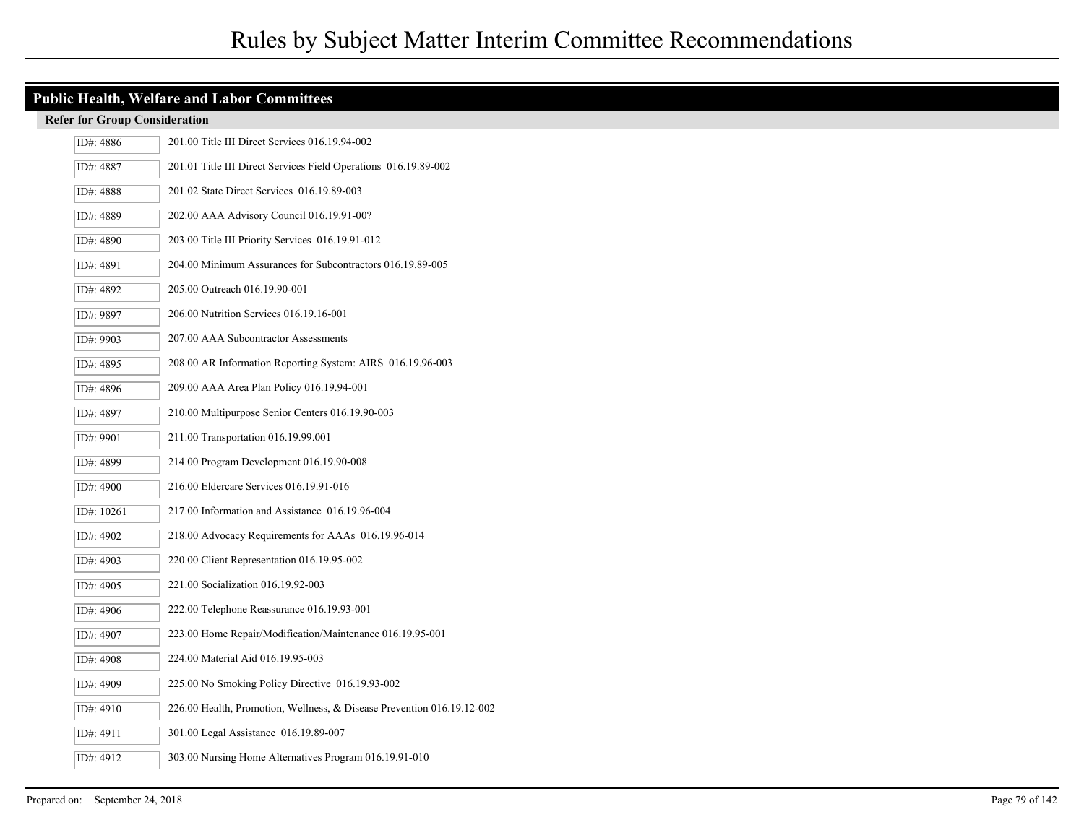| ID#: 4886  | 201.00 Title III Direct Services 016.19.94-002                         |
|------------|------------------------------------------------------------------------|
| ID#: 4887  | 201.01 Title III Direct Services Field Operations 016.19.89-002        |
| ID#: 4888  | 201.02 State Direct Services 016.19.89-003                             |
| ID#: 4889  | 202.00 AAA Advisory Council 016.19.91-00?                              |
| ID#: 4890  | 203.00 Title III Priority Services 016.19.91-012                       |
| ID#: 4891  | 204.00 Minimum Assurances for Subcontractors 016.19.89-005             |
| ID#: 4892  | 205.00 Outreach 016.19.90-001                                          |
| ID#: 9897  | 206.00 Nutrition Services 016.19.16-001                                |
| ID#: 9903  | 207.00 AAA Subcontractor Assessments                                   |
| ID#: 4895  | 208.00 AR Information Reporting System: AIRS 016.19.96-003             |
| ID#: 4896  | 209.00 AAA Area Plan Policy 016.19.94-001                              |
| ID#: 4897  | 210.00 Multipurpose Senior Centers 016.19.90-003                       |
| ID#: 9901  | 211.00 Transportation 016.19.99.001                                    |
| ID#: 4899  | 214.00 Program Development 016.19.90-008                               |
| ID#: 4900  | 216.00 Eldercare Services 016.19.91-016                                |
| ID#: 10261 | 217.00 Information and Assistance 016.19.96-004                        |
| ID#: 4902  | 218.00 Advocacy Requirements for AAAs 016.19.96-014                    |
| ID#: 4903  | 220.00 Client Representation 016.19.95-002                             |
| ID#: 4905  | 221.00 Socialization 016.19.92-003                                     |
| ID#: 4906  | 222.00 Telephone Reassurance 016.19.93-001                             |
| ID#: 4907  | 223.00 Home Repair/Modification/Maintenance 016.19.95-001              |
| ID#: 4908  | 224.00 Material Aid 016.19.95-003                                      |
| ID#: 4909  | 225.00 No Smoking Policy Directive 016.19.93-002                       |
| ID#: 4910  | 226.00 Health, Promotion, Wellness, & Disease Prevention 016.19.12-002 |
| ID#: 4911  | 301.00 Legal Assistance 016.19.89-007                                  |
| ID#: 4912  | 303.00 Nursing Home Alternatives Program 016.19.91-010                 |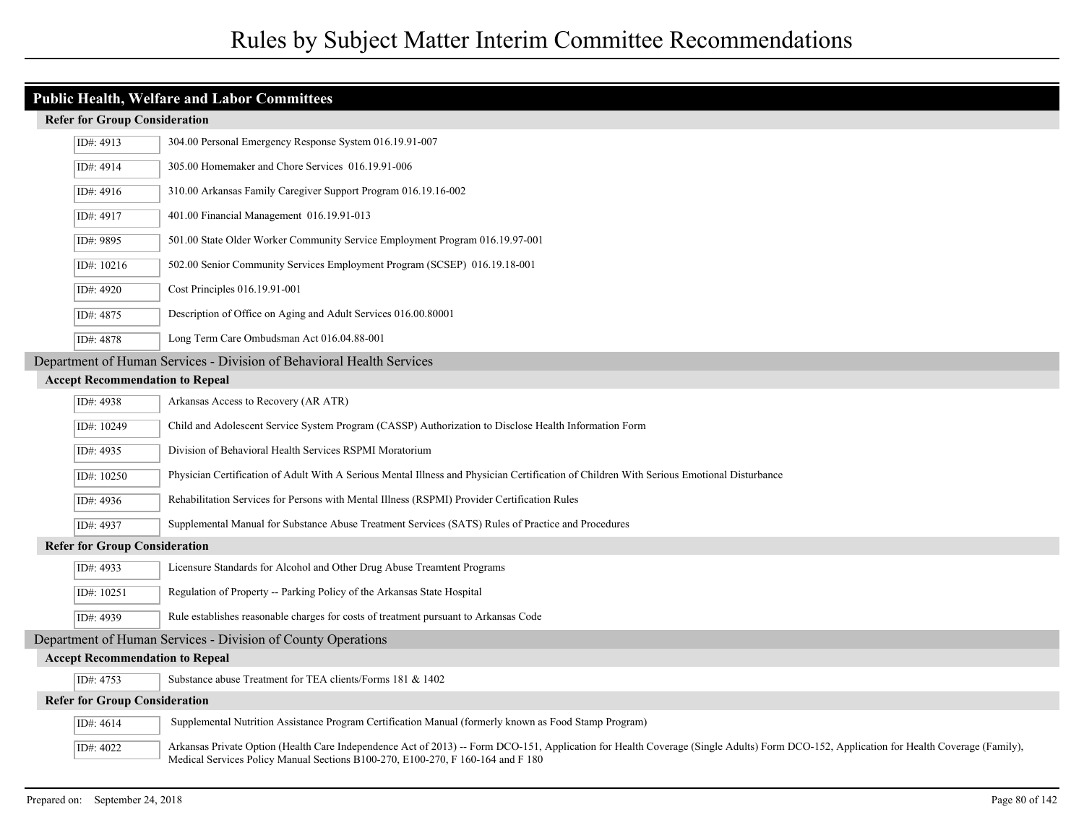|                                                                       | ID#: $4913$                                                  | 304.00 Personal Emergency Response System 016.19.91-007                                                                                                                                                                                                                    |  |
|-----------------------------------------------------------------------|--------------------------------------------------------------|----------------------------------------------------------------------------------------------------------------------------------------------------------------------------------------------------------------------------------------------------------------------------|--|
|                                                                       | ID#: 4914                                                    | 305.00 Homemaker and Chore Services 016.19.91-006                                                                                                                                                                                                                          |  |
|                                                                       | ID#: 4916                                                    | 310.00 Arkansas Family Caregiver Support Program 016.19.16-002                                                                                                                                                                                                             |  |
|                                                                       | ID#: 4917                                                    | 401.00 Financial Management 016.19.91-013                                                                                                                                                                                                                                  |  |
|                                                                       | ID#: 9895                                                    | 501.00 State Older Worker Community Service Employment Program 016.19.97-001                                                                                                                                                                                               |  |
|                                                                       | ID#: $10216$                                                 | 502.00 Senior Community Services Employment Program (SCSEP) 016.19.18-001                                                                                                                                                                                                  |  |
|                                                                       | ID#: 4920                                                    | Cost Principles 016.19.91-001                                                                                                                                                                                                                                              |  |
|                                                                       | ID#: 4875                                                    | Description of Office on Aging and Adult Services 016.00.80001                                                                                                                                                                                                             |  |
|                                                                       | ID#: 4878                                                    | Long Term Care Ombudsman Act 016.04.88-001                                                                                                                                                                                                                                 |  |
| Department of Human Services - Division of Behavioral Health Services |                                                              |                                                                                                                                                                                                                                                                            |  |
|                                                                       | <b>Accept Recommendation to Repeal</b>                       |                                                                                                                                                                                                                                                                            |  |
|                                                                       | ID#: 4938                                                    | Arkansas Access to Recovery (AR ATR)                                                                                                                                                                                                                                       |  |
|                                                                       | ID#: 10249                                                   | Child and Adolescent Service System Program (CASSP) Authorization to Disclose Health Information Form                                                                                                                                                                      |  |
|                                                                       | ID#: 4935                                                    | Division of Behavioral Health Services RSPMI Moratorium                                                                                                                                                                                                                    |  |
|                                                                       | ID#: 10250                                                   | Physician Certification of Adult With A Serious Mental Illness and Physician Certification of Children With Serious Emotional Disturbance                                                                                                                                  |  |
|                                                                       | ID#: 4936                                                    | Rehabilitation Services for Persons with Mental Illness (RSPMI) Provider Certification Rules                                                                                                                                                                               |  |
|                                                                       | ID#: 4937                                                    | Supplemental Manual for Substance Abuse Treatment Services (SATS) Rules of Practice and Procedures                                                                                                                                                                         |  |
|                                                                       | <b>Refer for Group Consideration</b>                         |                                                                                                                                                                                                                                                                            |  |
|                                                                       | ID#: 4933                                                    | Licensure Standards for Alcohol and Other Drug Abuse Treamtent Programs                                                                                                                                                                                                    |  |
|                                                                       | ID#: 10251                                                   | Regulation of Property -- Parking Policy of the Arkansas State Hospital                                                                                                                                                                                                    |  |
|                                                                       | ID#: 4939                                                    | Rule establishes reasonable charges for costs of treatment pursuant to Arkansas Code                                                                                                                                                                                       |  |
|                                                                       | Department of Human Services - Division of County Operations |                                                                                                                                                                                                                                                                            |  |
|                                                                       | <b>Accept Recommendation to Repeal</b>                       |                                                                                                                                                                                                                                                                            |  |
|                                                                       | ID#: $4753$                                                  | Substance abuse Treatment for TEA clients/Forms 181 & 1402                                                                                                                                                                                                                 |  |
|                                                                       | <b>Refer for Group Consideration</b>                         |                                                                                                                                                                                                                                                                            |  |
|                                                                       | ID#: 4614                                                    | Supplemental Nutrition Assistance Program Certification Manual (formerly known as Food Stamp Program)                                                                                                                                                                      |  |
|                                                                       | ID#: 4022                                                    | Arkansas Private Option (Health Care Independence Act of 2013) -- Form DCO-151, Application for Health Coverage (Single Adults) Form DCO-152, Application for Health Coverage (Family),<br>Medical Services Policy Manual Sections B100-270, E100-270, F 160-164 and F 180 |  |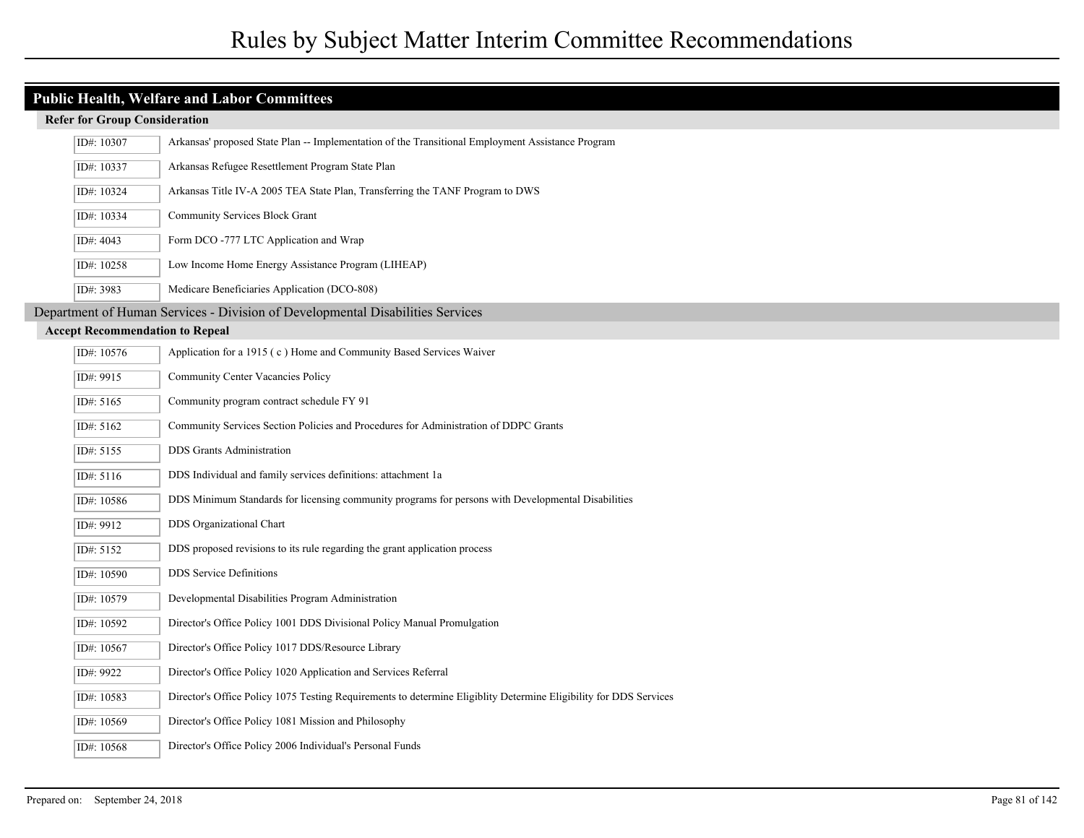| <b>Refer for Group Consideration</b>   |                                                                                                                   |
|----------------------------------------|-------------------------------------------------------------------------------------------------------------------|
| ID#: 10307                             | Arkansas' proposed State Plan -- Implementation of the Transitional Employment Assistance Program                 |
| ID#: 10337                             | Arkansas Refugee Resettlement Program State Plan                                                                  |
| ID#: 10324                             | Arkansas Title IV-A 2005 TEA State Plan, Transferring the TANF Program to DWS                                     |
| ID#: 10334                             | Community Services Block Grant                                                                                    |
| ID#: 4043                              | Form DCO -777 LTC Application and Wrap                                                                            |
| ID#: 10258                             | Low Income Home Energy Assistance Program (LIHEAP)                                                                |
| ID#: 3983                              | Medicare Beneficiaries Application (DCO-808)                                                                      |
|                                        | Department of Human Services - Division of Developmental Disabilities Services                                    |
| <b>Accept Recommendation to Repeal</b> |                                                                                                                   |
| ID#: 10576                             | Application for a 1915 (c) Home and Community Based Services Waiver                                               |
| ID#: 9915                              | Community Center Vacancies Policy                                                                                 |
| ID#: 5165                              | Community program contract schedule FY 91                                                                         |
| ID#: 5162                              | Community Services Section Policies and Procedures for Administration of DDPC Grants                              |
| ID#: 5155                              | <b>DDS</b> Grants Administration                                                                                  |
| ID#: 5116                              | DDS Individual and family services definitions: attachment 1a                                                     |
| ID#: 10586                             | DDS Minimum Standards for licensing community programs for persons with Developmental Disabilities                |
| ID#: 9912                              | DDS Organizational Chart                                                                                          |
| ID#: 5152                              | DDS proposed revisions to its rule regarding the grant application process                                        |
| ID#: 10590                             | <b>DDS</b> Service Definitions                                                                                    |
| ID#: 10579                             | Developmental Disabilities Program Administration                                                                 |
| ID#: 10592                             | Director's Office Policy 1001 DDS Divisional Policy Manual Promulgation                                           |
| ID#: 10567                             | Director's Office Policy 1017 DDS/Resource Library                                                                |
| ID#: 9922                              | Director's Office Policy 1020 Application and Services Referral                                                   |
| ID#: 10583                             | Director's Office Policy 1075 Testing Requirements to determine Eligiblity Determine Eligibility for DDS Services |
| ID#: 10569                             | Director's Office Policy 1081 Mission and Philosophy                                                              |
| ID#: 10568                             | Director's Office Policy 2006 Individual's Personal Funds                                                         |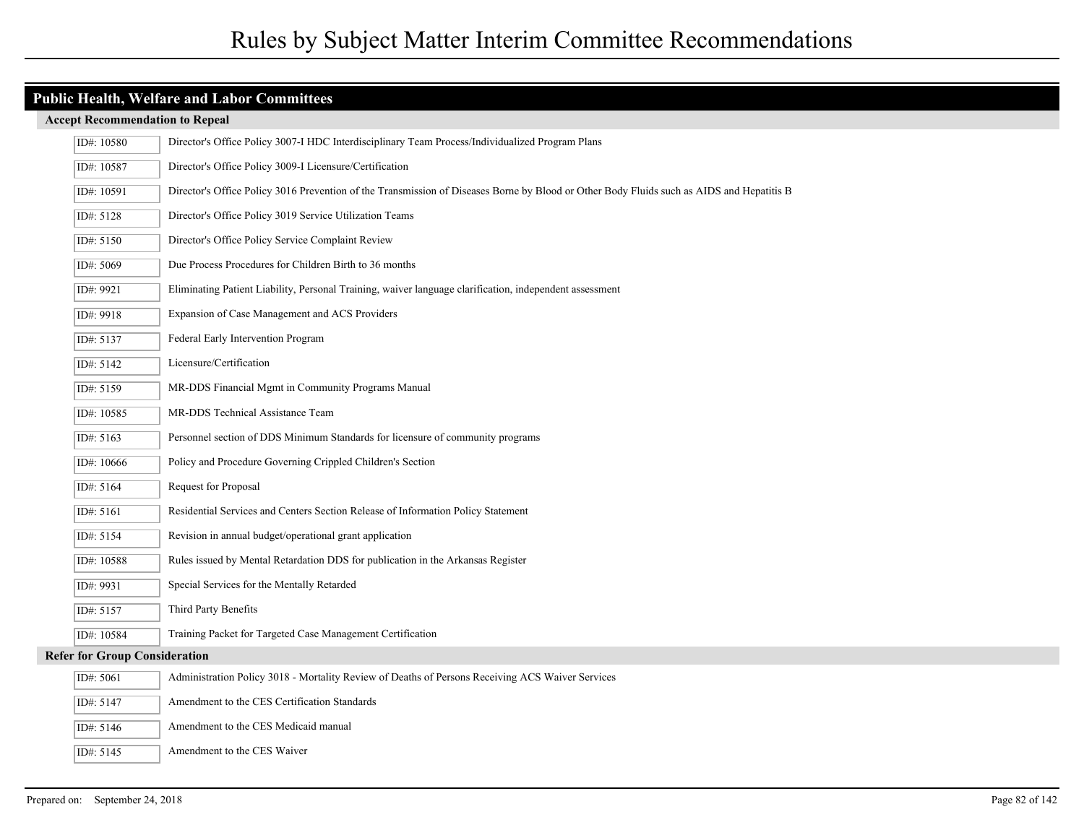## **Public Health, Welfare and Labor Committees**

|                                      | ID#: 10580 | Director's Office Policy 3007-I HDC Interdisciplinary Team Process/Individualized Program Plans                                           |
|--------------------------------------|------------|-------------------------------------------------------------------------------------------------------------------------------------------|
|                                      | ID#: 10587 | Director's Office Policy 3009-I Licensure/Certification                                                                                   |
|                                      | ID#: 10591 | Director's Office Policy 3016 Prevention of the Transmission of Diseases Borne by Blood or Other Body Fluids such as AIDS and Hepatitis B |
|                                      | ID#: 5128  | Director's Office Policy 3019 Service Utilization Teams                                                                                   |
|                                      | ID#: 5150  | Director's Office Policy Service Complaint Review                                                                                         |
|                                      | ID#: 5069  | Due Process Procedures for Children Birth to 36 months                                                                                    |
|                                      | ID#: 9921  | Eliminating Patient Liability, Personal Training, waiver language clarification, independent assessment                                   |
|                                      | ID#: 9918  | Expansion of Case Management and ACS Providers                                                                                            |
|                                      | ID#: 5137  | Federal Early Intervention Program                                                                                                        |
|                                      | ID#: 5142  | Licensure/Certification                                                                                                                   |
|                                      | ID#: 5159  | MR-DDS Financial Mgmt in Community Programs Manual                                                                                        |
|                                      | ID#: 10585 | MR-DDS Technical Assistance Team                                                                                                          |
|                                      | ID#: 5163  | Personnel section of DDS Minimum Standards for licensure of community programs                                                            |
|                                      | ID#: 10666 | Policy and Procedure Governing Crippled Children's Section                                                                                |
|                                      | ID#: 5164  | Request for Proposal                                                                                                                      |
|                                      | ID#: 5161  | Residential Services and Centers Section Release of Information Policy Statement                                                          |
|                                      | ID#: 5154  | Revision in annual budget/operational grant application                                                                                   |
|                                      | ID#: 10588 | Rules issued by Mental Retardation DDS for publication in the Arkansas Register                                                           |
|                                      | ID#: 9931  | Special Services for the Mentally Retarded                                                                                                |
|                                      | ID#: 5157  | Third Party Benefits                                                                                                                      |
|                                      | ID#: 10584 | Training Packet for Targeted Case Management Certification                                                                                |
| <b>Refer for Group Consideration</b> |            |                                                                                                                                           |
|                                      | ID#: 5061  | Administration Policy 3018 - Mortality Review of Deaths of Persons Receiving ACS Waiver Services                                          |
|                                      | ID#: 5147  | Amendment to the CES Certification Standards                                                                                              |
|                                      | ID#: 5146  | Amendment to the CES Medicaid manual                                                                                                      |
|                                      | ID#: 5145  | Amendment to the CES Waiver                                                                                                               |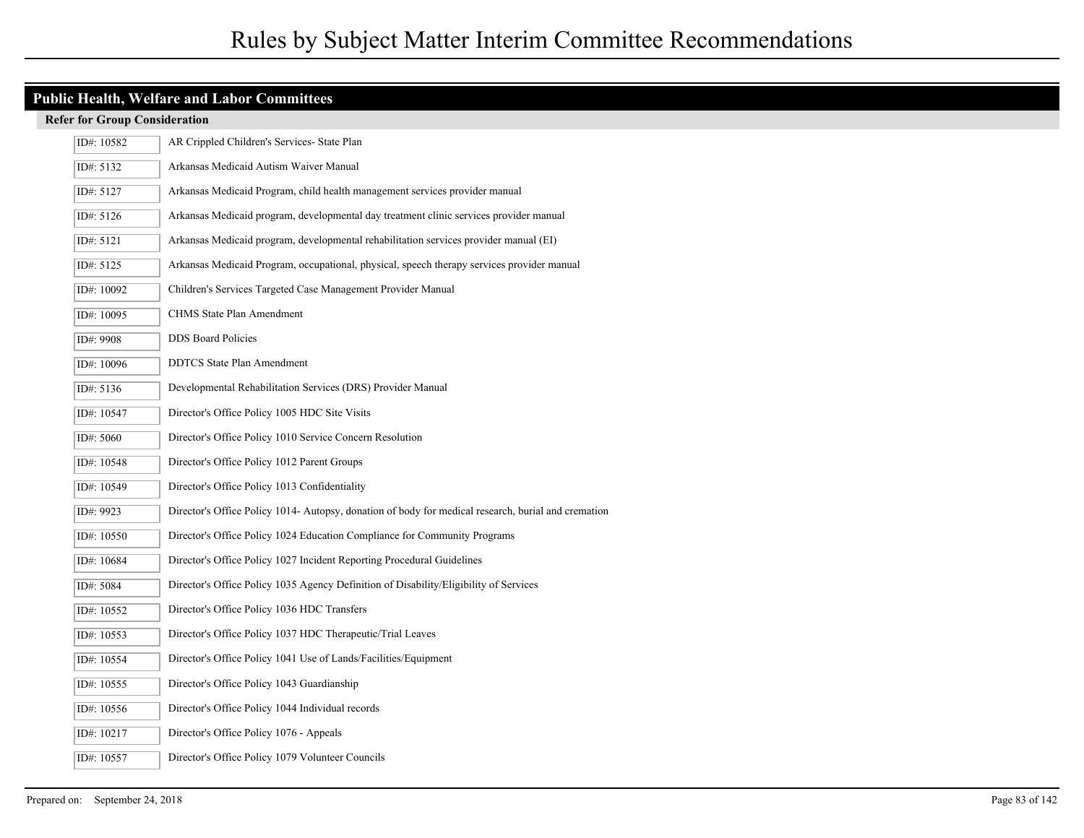| ID#: 10582 | AR Crippled Children's Services- State Plan                                                         |
|------------|-----------------------------------------------------------------------------------------------------|
| ID#: 5132  | Arkansas Medicaid Autism Waiver Manual                                                              |
| ID#: 5127  | Arkansas Medicaid Program, child health management services provider manual                         |
| ID#: 5126  | Arkansas Medicaid program, developmental day treatment clinic services provider manual              |
| ID#: 5121  | Arkansas Medicaid program, developmental rehabilitation services provider manual (EI)               |
| ID#: 5125  | Arkansas Medicaid Program, occupational, physical, speech therapy services provider manual          |
| ID#: 10092 | Children's Services Targeted Case Management Provider Manual                                        |
| ID#: 10095 | CHMS State Plan Amendment                                                                           |
| ID#: 9908  | <b>DDS</b> Board Policies                                                                           |
| ID#: 10096 | <b>DDTCS</b> State Plan Amendment                                                                   |
| ID#: 5136  | Developmental Rehabilitation Services (DRS) Provider Manual                                         |
| ID#: 10547 | Director's Office Policy 1005 HDC Site Visits                                                       |
| ID#: 5060  | Director's Office Policy 1010 Service Concern Resolution                                            |
| ID#: 10548 | Director's Office Policy 1012 Parent Groups                                                         |
| ID#: 10549 | Director's Office Policy 1013 Confidentiality                                                       |
| ID#: 9923  | Director's Office Policy 1014- Autopsy, donation of body for medical research, burial and cremation |
| ID#: 10550 | Director's Office Policy 1024 Education Compliance for Community Programs                           |
| ID#: 10684 | Director's Office Policy 1027 Incident Reporting Procedural Guidelines                              |
| ID#: 5084  | Director's Office Policy 1035 Agency Definition of Disability/Eligibility of Services               |
| ID#: 10552 | Director's Office Policy 1036 HDC Transfers                                                         |
| ID#: 10553 | Director's Office Policy 1037 HDC Therapeutic/Trial Leaves                                          |
| ID#: 10554 | Director's Office Policy 1041 Use of Lands/Facilities/Equipment                                     |
| ID#: 10555 | Director's Office Policy 1043 Guardianship                                                          |
| ID#: 10556 | Director's Office Policy 1044 Individual records                                                    |
| ID#: 10217 | Director's Office Policy 1076 - Appeals                                                             |
| ID#: 10557 | Director's Office Policy 1079 Volunteer Councils                                                    |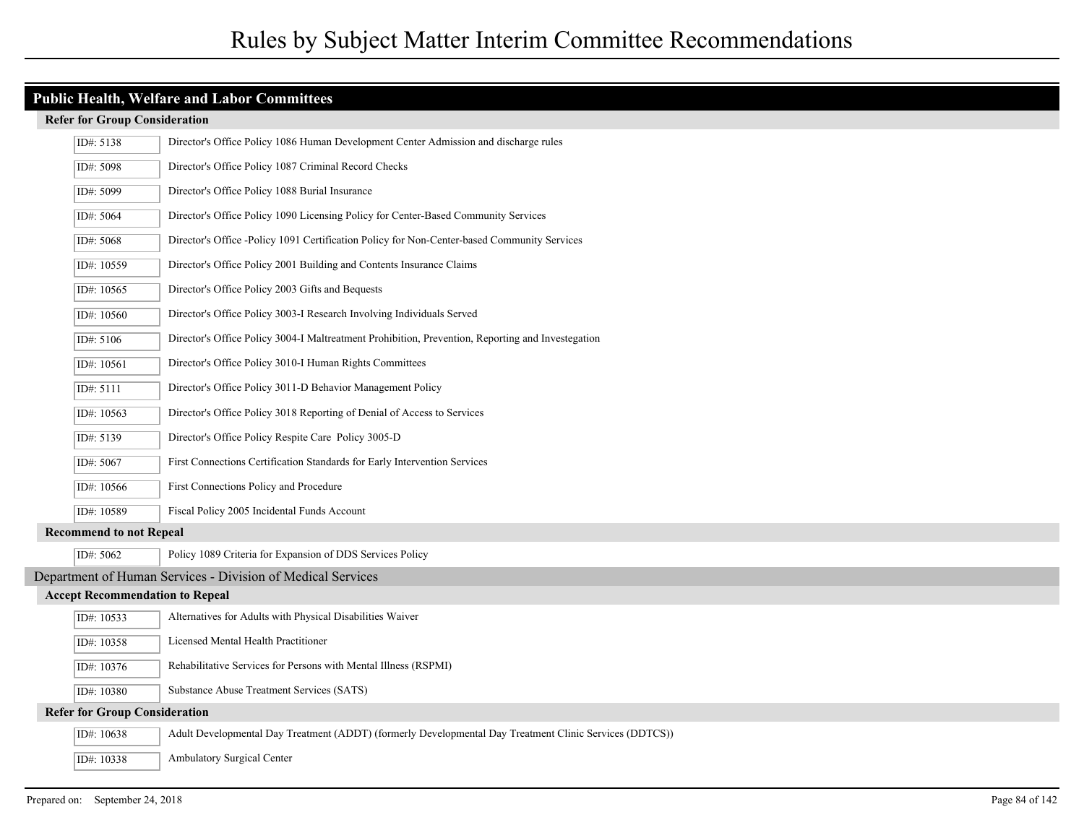| ID#: 5138                              | Director's Office Policy 1086 Human Development Center Admission and discharge rules                    |
|----------------------------------------|---------------------------------------------------------------------------------------------------------|
| ID#: 5098                              | Director's Office Policy 1087 Criminal Record Checks                                                    |
| ID#: 5099                              | Director's Office Policy 1088 Burial Insurance                                                          |
| ID#: 5064                              | Director's Office Policy 1090 Licensing Policy for Center-Based Community Services                      |
| ID#: 5068                              | Director's Office -Policy 1091 Certification Policy for Non-Center-based Community Services             |
| ID#: 10559                             | Director's Office Policy 2001 Building and Contents Insurance Claims                                    |
| ID#: 10565                             | Director's Office Policy 2003 Gifts and Bequests                                                        |
| ID#: 10560                             | Director's Office Policy 3003-I Research Involving Individuals Served                                   |
| ID#: 5106                              | Director's Office Policy 3004-I Maltreatment Prohibition, Prevention, Reporting and Investegation       |
| ID#: 10561                             | Director's Office Policy 3010-I Human Rights Committees                                                 |
| ID#: 5111                              | Director's Office Policy 3011-D Behavior Management Policy                                              |
| ID#: 10563                             | Director's Office Policy 3018 Reporting of Denial of Access to Services                                 |
| ID#: 5139                              | Director's Office Policy Respite Care Policy 3005-D                                                     |
| ID#: 5067                              | First Connections Certification Standards for Early Intervention Services                               |
| ID#: $10566$                           | First Connections Policy and Procedure                                                                  |
| ID#: 10589                             | Fiscal Policy 2005 Incidental Funds Account                                                             |
| <b>Recommend to not Repeal</b>         |                                                                                                         |
| ID#: 5062                              | Policy 1089 Criteria for Expansion of DDS Services Policy                                               |
|                                        | Department of Human Services - Division of Medical Services                                             |
| <b>Accept Recommendation to Repeal</b> |                                                                                                         |
| ID#: 10533                             | Alternatives for Adults with Physical Disabilities Waiver                                               |
| ID#: 10358                             | Licensed Mental Health Practitioner                                                                     |
| ID#: 10376                             | Rehabilitative Services for Persons with Mental Illness (RSPMI)                                         |
| ID#: 10380                             | Substance Abuse Treatment Services (SATS)                                                               |
| <b>Refer for Group Consideration</b>   |                                                                                                         |
| ID#: 10638                             | Adult Developmental Day Treatment (ADDT) (formerly Developmental Day Treatment Clinic Services (DDTCS)) |
| ID#: 10338                             | <b>Ambulatory Surgical Center</b>                                                                       |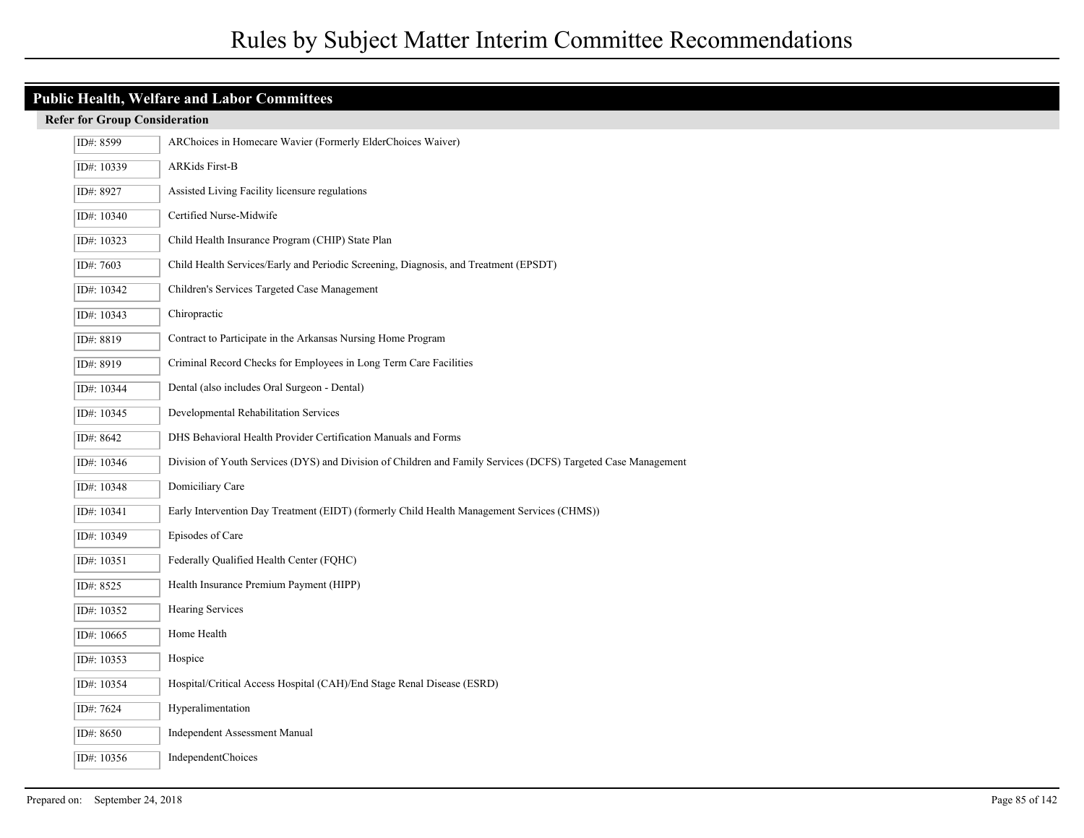| ID#: 8599  | ARChoices in Homecare Wavier (Formerly ElderChoices Waiver)                                                   |
|------------|---------------------------------------------------------------------------------------------------------------|
| ID#: 10339 | <b>ARKids First-B</b>                                                                                         |
| ID#: 8927  | Assisted Living Facility licensure regulations                                                                |
| ID#: 10340 | Certified Nurse-Midwife                                                                                       |
| ID#: 10323 | Child Health Insurance Program (CHIP) State Plan                                                              |
| ID#: 7603  | Child Health Services/Early and Periodic Screening, Diagnosis, and Treatment (EPSDT)                          |
| ID#: 10342 | Children's Services Targeted Case Management                                                                  |
| ID#: 10343 | Chiropractic                                                                                                  |
| ID#: 8819  | Contract to Participate in the Arkansas Nursing Home Program                                                  |
| ID#: 8919  | Criminal Record Checks for Employees in Long Term Care Facilities                                             |
| ID#: 10344 | Dental (also includes Oral Surgeon - Dental)                                                                  |
| ID#: 10345 | Developmental Rehabilitation Services                                                                         |
| ID#: 8642  | DHS Behavioral Health Provider Certification Manuals and Forms                                                |
| ID#: 10346 | Division of Youth Services (DYS) and Division of Children and Family Services (DCFS) Targeted Case Management |
| ID#: 10348 | Domiciliary Care                                                                                              |
| ID#: 10341 | Early Intervention Day Treatment (EIDT) (formerly Child Health Management Services (CHMS))                    |
| ID#: 10349 | Episodes of Care                                                                                              |
| ID#: 10351 | Federally Qualified Health Center (FQHC)                                                                      |
| ID#: 8525  | Health Insurance Premium Payment (HIPP)                                                                       |
| ID#: 10352 | <b>Hearing Services</b>                                                                                       |
| ID#: 10665 | Home Health                                                                                                   |
| ID#: 10353 | Hospice                                                                                                       |
| ID#: 10354 | Hospital/Critical Access Hospital (CAH)/End Stage Renal Disease (ESRD)                                        |
| ID#: 7624  | Hyperalimentation                                                                                             |
| ID#: 8650  | <b>Independent Assessment Manual</b>                                                                          |
| ID#: 10356 | <b>IndependentChoices</b>                                                                                     |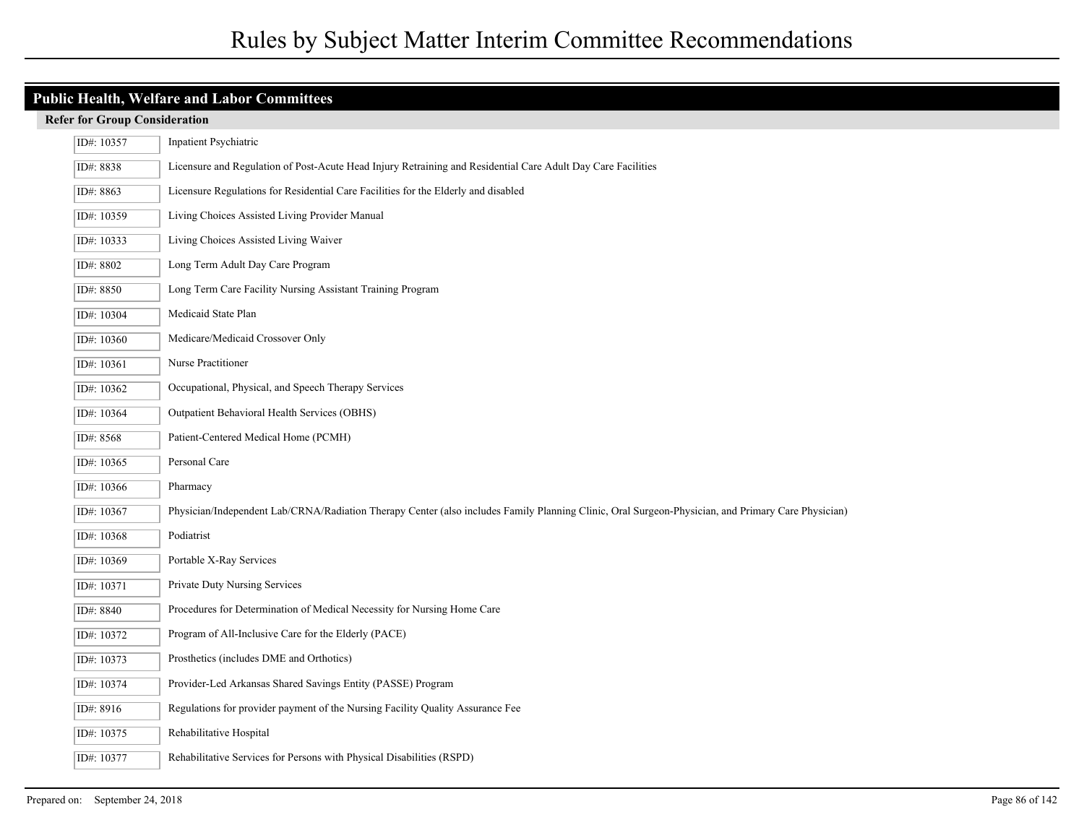## **Public Health, Welfare and Labor Committees**

| ID#: 10357 | Inpatient Psychiatric                                                                                                                              |
|------------|----------------------------------------------------------------------------------------------------------------------------------------------------|
| ID#: 8838  | Licensure and Regulation of Post-Acute Head Injury Retraining and Residential Care Adult Day Care Facilities                                       |
| ID#: 8863  | Licensure Regulations for Residential Care Facilities for the Elderly and disabled                                                                 |
| ID#: 10359 | Living Choices Assisted Living Provider Manual                                                                                                     |
| ID#: 10333 | Living Choices Assisted Living Waiver                                                                                                              |
| ID#: 8802  | Long Term Adult Day Care Program                                                                                                                   |
| ID#: 8850  | Long Term Care Facility Nursing Assistant Training Program                                                                                         |
| ID#: 10304 | Medicaid State Plan                                                                                                                                |
| ID#: 10360 | Medicare/Medicaid Crossover Only                                                                                                                   |
| ID#: 10361 | Nurse Practitioner                                                                                                                                 |
| ID#: 10362 | Occupational, Physical, and Speech Therapy Services                                                                                                |
| ID#: 10364 | Outpatient Behavioral Health Services (OBHS)                                                                                                       |
| ID#: 8568  | Patient-Centered Medical Home (PCMH)                                                                                                               |
| ID#: 10365 | Personal Care                                                                                                                                      |
| ID#: 10366 | Pharmacy                                                                                                                                           |
| ID#: 10367 | Physician/Independent Lab/CRNA/Radiation Therapy Center (also includes Family Planning Clinic, Oral Surgeon-Physician, and Primary Care Physician) |
| ID#: 10368 | Podiatrist                                                                                                                                         |
| ID#: 10369 | Portable X-Ray Services                                                                                                                            |
| ID#: 10371 | Private Duty Nursing Services                                                                                                                      |
| ID#: 8840  | Procedures for Determination of Medical Necessity for Nursing Home Care                                                                            |
| ID#: 10372 | Program of All-Inclusive Care for the Elderly (PACE)                                                                                               |
| ID#: 10373 | Prosthetics (includes DME and Orthotics)                                                                                                           |
| ID#: 10374 | Provider-Led Arkansas Shared Savings Entity (PASSE) Program                                                                                        |
| ID#: 8916  | Regulations for provider payment of the Nursing Facility Quality Assurance Fee                                                                     |
| ID#: 10375 | Rehabilitative Hospital                                                                                                                            |
| ID#: 10377 | Rehabilitative Services for Persons with Physical Disabilities (RSPD)                                                                              |
|            |                                                                                                                                                    |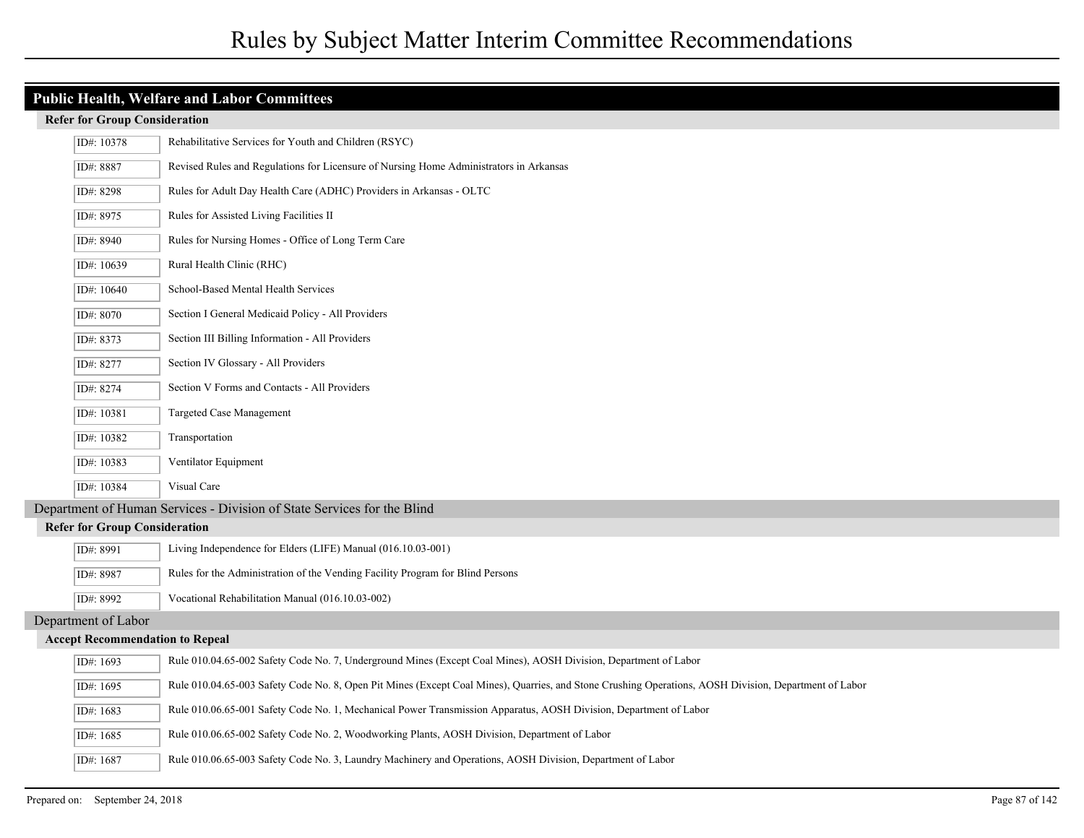| ID#: 10378                                                              | Rehabilitative Services for Youth and Children (RSYC)                                                                                                 |  |
|-------------------------------------------------------------------------|-------------------------------------------------------------------------------------------------------------------------------------------------------|--|
| ID#: 8887                                                               | Revised Rules and Regulations for Licensure of Nursing Home Administrators in Arkansas                                                                |  |
| ID#: 8298                                                               | Rules for Adult Day Health Care (ADHC) Providers in Arkansas - OLTC                                                                                   |  |
| ID#: 8975                                                               | Rules for Assisted Living Facilities II                                                                                                               |  |
| ID#: 8940                                                               | Rules for Nursing Homes - Office of Long Term Care                                                                                                    |  |
| ID#: 10639                                                              | Rural Health Clinic (RHC)                                                                                                                             |  |
| ID#: 10640                                                              | School-Based Mental Health Services                                                                                                                   |  |
| ID#: 8070                                                               | Section I General Medicaid Policy - All Providers                                                                                                     |  |
| ID#: 8373                                                               | Section III Billing Information - All Providers                                                                                                       |  |
| ID#: 8277                                                               | Section IV Glossary - All Providers                                                                                                                   |  |
| ID#: 8274                                                               | Section V Forms and Contacts - All Providers                                                                                                          |  |
| ID#: 10381                                                              | Targeted Case Management                                                                                                                              |  |
| ID#: 10382                                                              | Transportation                                                                                                                                        |  |
| ID#: 10383                                                              | Ventilator Equipment                                                                                                                                  |  |
| ID#: 10384                                                              | Visual Care                                                                                                                                           |  |
| Department of Human Services - Division of State Services for the Blind |                                                                                                                                                       |  |
| <b>Refer for Group Consideration</b>                                    |                                                                                                                                                       |  |
| ID#: 8991                                                               | Living Independence for Elders (LIFE) Manual (016.10.03-001)                                                                                          |  |
| ID#: 8987                                                               | Rules for the Administration of the Vending Facility Program for Blind Persons                                                                        |  |
| ID#: 8992                                                               | Vocational Rehabilitation Manual (016.10.03-002)                                                                                                      |  |
| Department of Labor                                                     |                                                                                                                                                       |  |
| <b>Accept Recommendation to Repeal</b>                                  |                                                                                                                                                       |  |
| ID#: 1693                                                               | Rule 010.04.65-002 Safety Code No. 7, Underground Mines (Except Coal Mines), AOSH Division, Department of Labor                                       |  |
| ID#: 1695                                                               | Rule 010.04.65-003 Safety Code No. 8, Open Pit Mines (Except Coal Mines), Quarries, and Stone Crushing Operations, AOSH Division, Department of Labor |  |
| ID#: 1683                                                               | Rule 010.06.65-001 Safety Code No. 1, Mechanical Power Transmission Apparatus, AOSH Division, Department of Labor                                     |  |
| ID#: 1685                                                               | Rule 010.06.65-002 Safety Code No. 2, Woodworking Plants, AOSH Division, Department of Labor                                                          |  |
| ID#: 1687                                                               | Rule 010.06.65-003 Safety Code No. 3, Laundry Machinery and Operations, AOSH Division, Department of Labor                                            |  |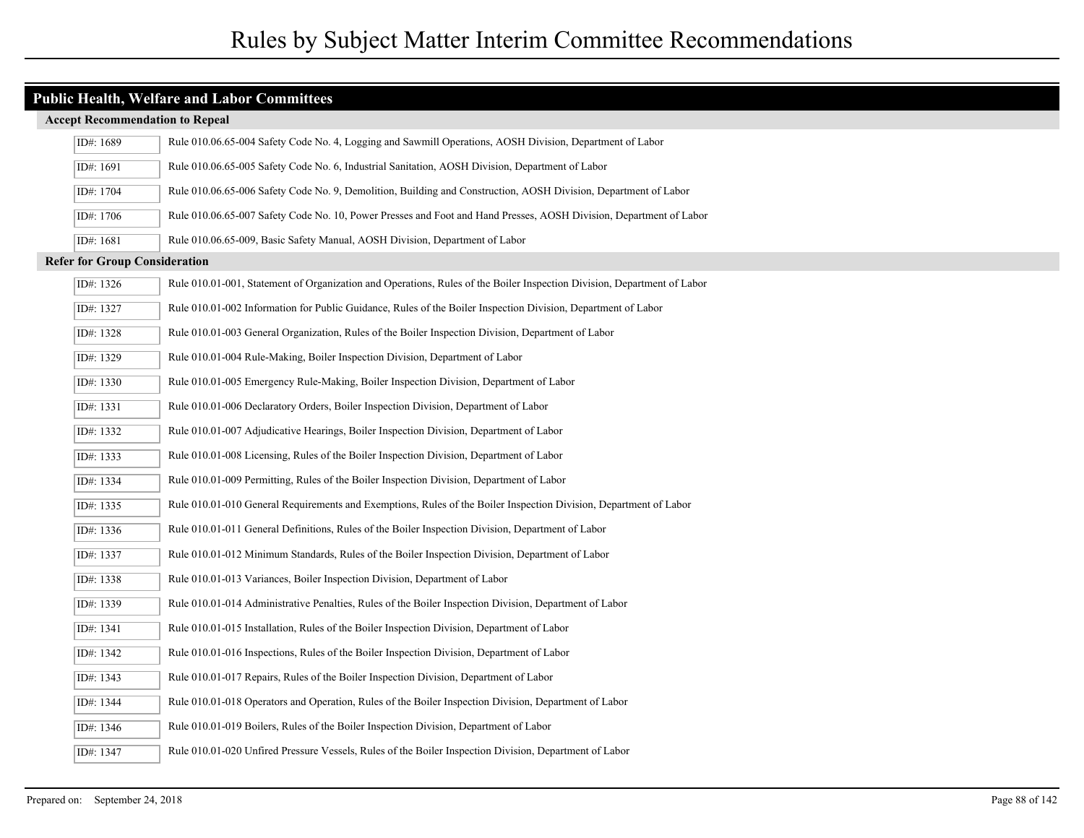| <b>Public Health, Welfare and Labor Committees</b> |                                                                                                                         |  |  |
|----------------------------------------------------|-------------------------------------------------------------------------------------------------------------------------|--|--|
| <b>Accept Recommendation to Repeal</b>             |                                                                                                                         |  |  |
| ID#: 1689                                          | Rule 010.06.65-004 Safety Code No. 4, Logging and Sawmill Operations, AOSH Division, Department of Labor                |  |  |
| ID#: 1691                                          | Rule 010.06.65-005 Safety Code No. 6, Industrial Sanitation, AOSH Division, Department of Labor                         |  |  |
| ID#: 1704                                          | Rule 010.06.65-006 Safety Code No. 9, Demolition, Building and Construction, AOSH Division, Department of Labor         |  |  |
| ID#: 1706                                          | Rule 010.06.65-007 Safety Code No. 10, Power Presses and Foot and Hand Presses, AOSH Division, Department of Labor      |  |  |
| ID#: 1681                                          | Rule 010.06.65-009, Basic Safety Manual, AOSH Division, Department of Labor                                             |  |  |
| <b>Refer for Group Consideration</b>               |                                                                                                                         |  |  |
| ID#: 1326                                          | Rule 010.01-001, Statement of Organization and Operations, Rules of the Boiler Inspection Division, Department of Labor |  |  |
| ID#: 1327                                          | Rule 010.01-002 Information for Public Guidance, Rules of the Boiler Inspection Division, Department of Labor           |  |  |
| ID#: 1328                                          | Rule 010.01-003 General Organization, Rules of the Boiler Inspection Division, Department of Labor                      |  |  |
| ID#: 1329                                          | Rule 010.01-004 Rule-Making, Boiler Inspection Division, Department of Labor                                            |  |  |
| ID#: 1330                                          | Rule 010.01-005 Emergency Rule-Making, Boiler Inspection Division, Department of Labor                                  |  |  |
| ID#: 1331                                          | Rule 010.01-006 Declaratory Orders, Boiler Inspection Division, Department of Labor                                     |  |  |
| ID#: 1332                                          | Rule 010.01-007 Adjudicative Hearings, Boiler Inspection Division, Department of Labor                                  |  |  |
| ID#: 1333                                          | Rule 010.01-008 Licensing, Rules of the Boiler Inspection Division, Department of Labor                                 |  |  |
| ID#: 1334                                          | Rule 010.01-009 Permitting, Rules of the Boiler Inspection Division, Department of Labor                                |  |  |
| ID#: 1335                                          | Rule 010.01-010 General Requirements and Exemptions, Rules of the Boiler Inspection Division, Department of Labor       |  |  |
| ID#: 1336                                          | Rule 010.01-011 General Definitions, Rules of the Boiler Inspection Division, Department of Labor                       |  |  |
| ID#: 1337                                          | Rule 010.01-012 Minimum Standards, Rules of the Boiler Inspection Division, Department of Labor                         |  |  |
| ID#: 1338                                          | Rule 010.01-013 Variances, Boiler Inspection Division, Department of Labor                                              |  |  |
| ID#: 1339                                          | Rule 010.01-014 Administrative Penalties, Rules of the Boiler Inspection Division, Department of Labor                  |  |  |
| ID#: 1341                                          | Rule 010.01-015 Installation, Rules of the Boiler Inspection Division, Department of Labor                              |  |  |
| ID#: 1342                                          | Rule 010.01-016 Inspections, Rules of the Boiler Inspection Division, Department of Labor                               |  |  |
| ID#: 1343                                          | Rule 010.01-017 Repairs, Rules of the Boiler Inspection Division, Department of Labor                                   |  |  |
| ID#: 1344                                          | Rule 010.01-018 Operators and Operation, Rules of the Boiler Inspection Division, Department of Labor                   |  |  |
| ID#: 1346                                          | Rule 010.01-019 Boilers, Rules of the Boiler Inspection Division, Department of Labor                                   |  |  |
| ID#: 1347                                          | Rule 010.01-020 Unfired Pressure Vessels, Rules of the Boiler Inspection Division, Department of Labor                  |  |  |
|                                                    |                                                                                                                         |  |  |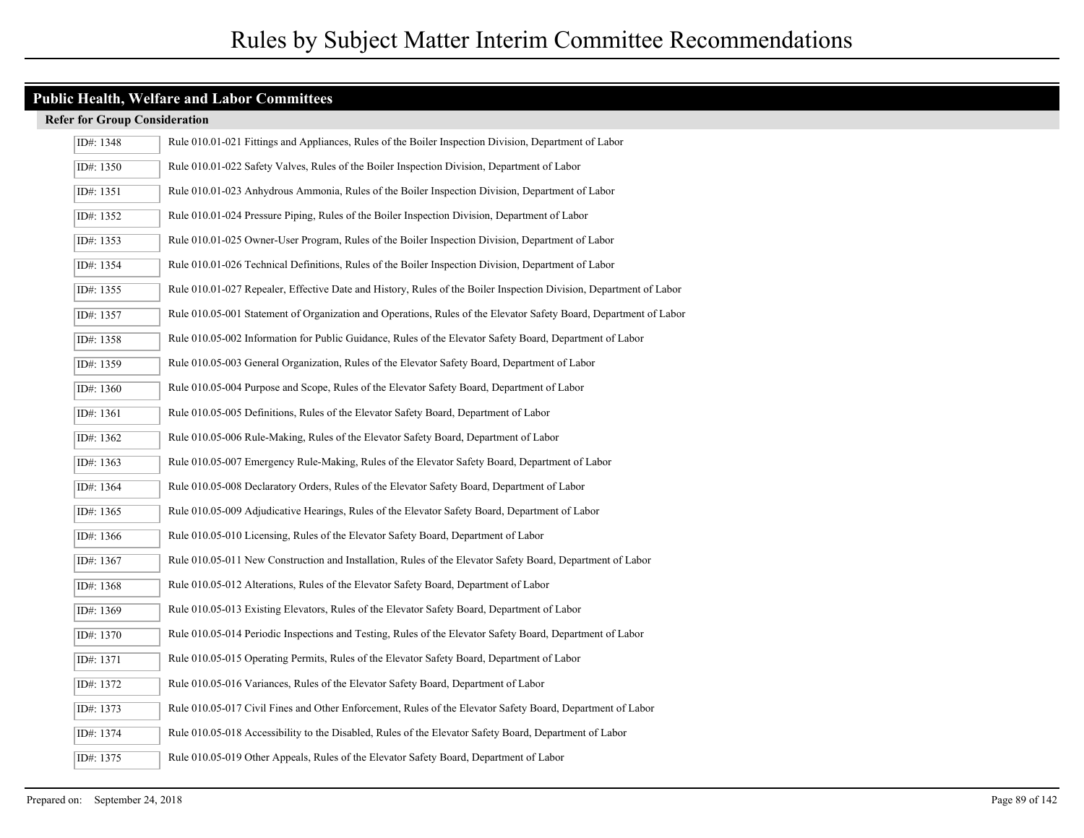| ID#: 1348 | Rule 010.01-021 Fittings and Appliances, Rules of the Boiler Inspection Division, Department of Labor              |
|-----------|--------------------------------------------------------------------------------------------------------------------|
| ID#: 1350 | Rule 010.01-022 Safety Valves, Rules of the Boiler Inspection Division, Department of Labor                        |
| ID#: 1351 | Rule 010.01-023 Anhydrous Ammonia, Rules of the Boiler Inspection Division, Department of Labor                    |
| ID#: 1352 | Rule 010.01-024 Pressure Piping, Rules of the Boiler Inspection Division, Department of Labor                      |
| ID#: 1353 | Rule 010.01-025 Owner-User Program, Rules of the Boiler Inspection Division, Department of Labor                   |
| ID#: 1354 | Rule 010.01-026 Technical Definitions, Rules of the Boiler Inspection Division, Department of Labor                |
| ID#: 1355 | Rule 010.01-027 Repealer, Effective Date and History, Rules of the Boiler Inspection Division, Department of Labor |
| ID#: 1357 | Rule 010.05-001 Statement of Organization and Operations, Rules of the Elevator Safety Board, Department of Labor  |
| ID#: 1358 | Rule 010.05-002 Information for Public Guidance, Rules of the Elevator Safety Board, Department of Labor           |
| ID#: 1359 | Rule 010.05-003 General Organization, Rules of the Elevator Safety Board, Department of Labor                      |
| ID#: 1360 | Rule 010.05-004 Purpose and Scope, Rules of the Elevator Safety Board, Department of Labor                         |
| ID#: 1361 | Rule 010.05-005 Definitions, Rules of the Elevator Safety Board, Department of Labor                               |
| ID#: 1362 | Rule 010.05-006 Rule-Making, Rules of the Elevator Safety Board, Department of Labor                               |
| ID#: 1363 | Rule 010.05-007 Emergency Rule-Making, Rules of the Elevator Safety Board, Department of Labor                     |
| ID#: 1364 | Rule 010.05-008 Declaratory Orders, Rules of the Elevator Safety Board, Department of Labor                        |
| ID#: 1365 | Rule 010.05-009 Adjudicative Hearings, Rules of the Elevator Safety Board, Department of Labor                     |
| ID#: 1366 | Rule 010.05-010 Licensing, Rules of the Elevator Safety Board, Department of Labor                                 |
| ID#: 1367 | Rule 010.05-011 New Construction and Installation, Rules of the Elevator Safety Board, Department of Labor         |
| ID#: 1368 | Rule 010.05-012 Alterations, Rules of the Elevator Safety Board, Department of Labor                               |
| ID#: 1369 | Rule 010.05-013 Existing Elevators, Rules of the Elevator Safety Board, Department of Labor                        |
| ID#: 1370 | Rule 010.05-014 Periodic Inspections and Testing, Rules of the Elevator Safety Board, Department of Labor          |
| ID#: 1371 | Rule 010.05-015 Operating Permits, Rules of the Elevator Safety Board, Department of Labor                         |
| ID#: 1372 | Rule 010.05-016 Variances, Rules of the Elevator Safety Board, Department of Labor                                 |
| ID#: 1373 | Rule 010.05-017 Civil Fines and Other Enforcement, Rules of the Elevator Safety Board, Department of Labor         |
| ID#: 1374 | Rule 010.05-018 Accessibility to the Disabled, Rules of the Elevator Safety Board, Department of Labor             |
| ID#: 1375 | Rule 010.05-019 Other Appeals, Rules of the Elevator Safety Board, Department of Labor                             |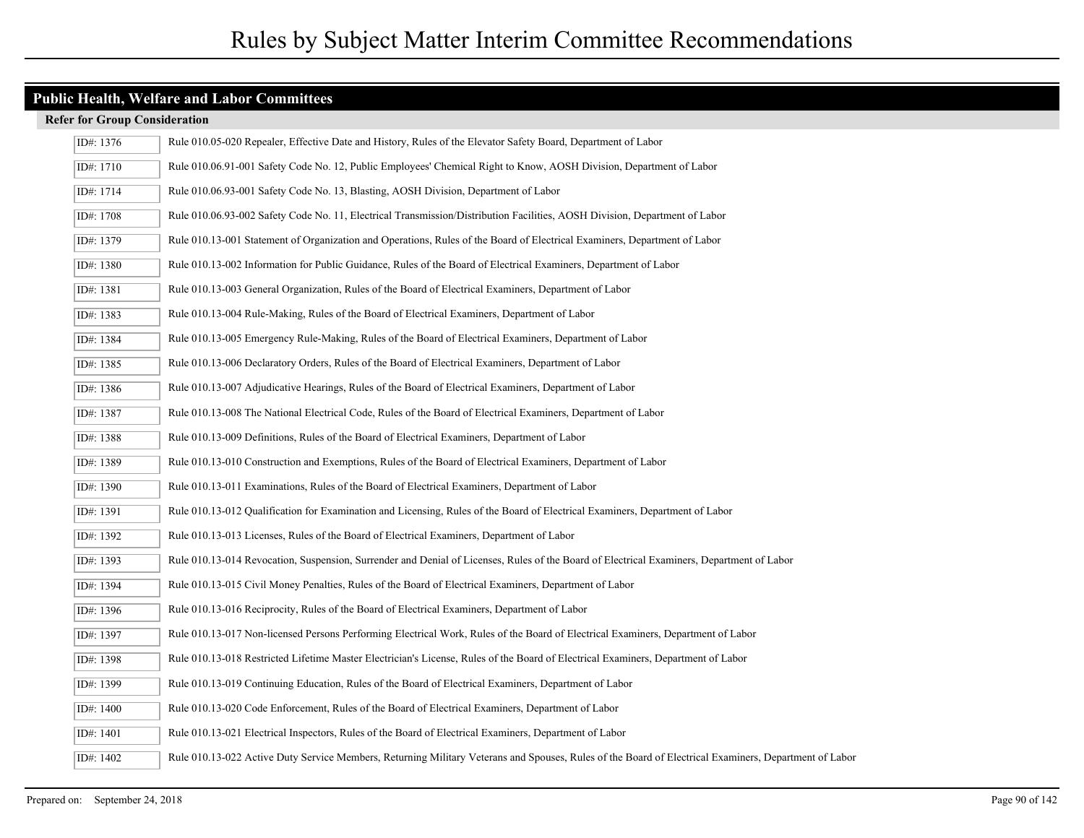| ID#: 1376 | Rule 010.05-020 Repealer, Effective Date and History, Rules of the Elevator Safety Board, Department of Labor                                         |
|-----------|-------------------------------------------------------------------------------------------------------------------------------------------------------|
| ID#: 1710 | Rule 010.06.91-001 Safety Code No. 12, Public Employees' Chemical Right to Know, AOSH Division, Department of Labor                                   |
| ID#: 1714 | Rule 010.06.93-001 Safety Code No. 13, Blasting, AOSH Division, Department of Labor                                                                   |
| ID#: 1708 | Rule 010.06.93-002 Safety Code No. 11, Electrical Transmission/Distribution Facilities, AOSH Division, Department of Labor                            |
| ID#: 1379 | Rule 010.13-001 Statement of Organization and Operations, Rules of the Board of Electrical Examiners, Department of Labor                             |
| ID#: 1380 | Rule 010.13-002 Information for Public Guidance, Rules of the Board of Electrical Examiners, Department of Labor                                      |
| ID#: 1381 | Rule 010.13-003 General Organization, Rules of the Board of Electrical Examiners, Department of Labor                                                 |
| ID#: 1383 | Rule 010.13-004 Rule-Making, Rules of the Board of Electrical Examiners, Department of Labor                                                          |
| ID#: 1384 | Rule 010.13-005 Emergency Rule-Making, Rules of the Board of Electrical Examiners, Department of Labor                                                |
| ID#: 1385 | Rule 010.13-006 Declaratory Orders, Rules of the Board of Electrical Examiners, Department of Labor                                                   |
| ID#: 1386 | Rule 010.13-007 Adjudicative Hearings, Rules of the Board of Electrical Examiners, Department of Labor                                                |
| ID#: 1387 | Rule 010.13-008 The National Electrical Code, Rules of the Board of Electrical Examiners, Department of Labor                                         |
| ID#: 1388 | Rule 010.13-009 Definitions, Rules of the Board of Electrical Examiners, Department of Labor                                                          |
| ID#: 1389 | Rule 010.13-010 Construction and Exemptions, Rules of the Board of Electrical Examiners, Department of Labor                                          |
| ID#: 1390 | Rule 010.13-011 Examinations, Rules of the Board of Electrical Examiners, Department of Labor                                                         |
| ID#: 1391 | Rule 010.13-012 Qualification for Examination and Licensing, Rules of the Board of Electrical Examiners, Department of Labor                          |
| ID#: 1392 | Rule 010.13-013 Licenses, Rules of the Board of Electrical Examiners, Department of Labor                                                             |
| ID#: 1393 | Rule 010.13-014 Revocation, Suspension, Surrender and Denial of Licenses, Rules of the Board of Electrical Examiners, Department of Labor             |
| ID#: 1394 | Rule 010.13-015 Civil Money Penalties, Rules of the Board of Electrical Examiners, Department of Labor                                                |
| ID#: 1396 | Rule 010.13-016 Reciprocity, Rules of the Board of Electrical Examiners, Department of Labor                                                          |
| ID#: 1397 | Rule 010.13-017 Non-licensed Persons Performing Electrical Work, Rules of the Board of Electrical Examiners, Department of Labor                      |
| ID#: 1398 | Rule 010.13-018 Restricted Lifetime Master Electrician's License, Rules of the Board of Electrical Examiners, Department of Labor                     |
| ID#: 1399 | Rule 010.13-019 Continuing Education, Rules of the Board of Electrical Examiners, Department of Labor                                                 |
| ID#: 1400 | Rule 010.13-020 Code Enforcement, Rules of the Board of Electrical Examiners, Department of Labor                                                     |
| ID#: 1401 | Rule 010.13-021 Electrical Inspectors, Rules of the Board of Electrical Examiners, Department of Labor                                                |
| ID#: 1402 | Rule 010.13-022 Active Duty Service Members, Returning Military Veterans and Spouses, Rules of the Board of Electrical Examiners, Department of Labor |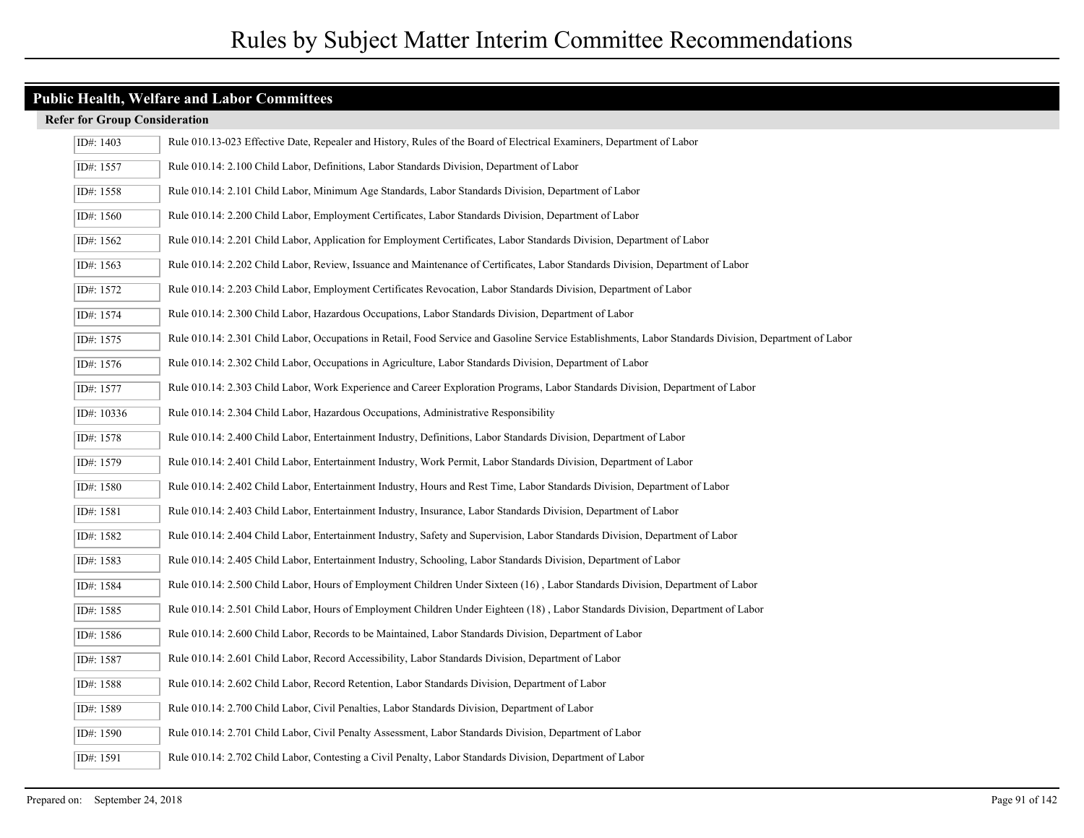| ID#: 1403  | Rule 010.13-023 Effective Date, Repealer and History, Rules of the Board of Electrical Examiners, Department of Labor                                  |
|------------|--------------------------------------------------------------------------------------------------------------------------------------------------------|
| ID#: 1557  | Rule 010.14: 2.100 Child Labor, Definitions, Labor Standards Division, Department of Labor                                                             |
| ID#: 1558  | Rule 010.14: 2.101 Child Labor, Minimum Age Standards, Labor Standards Division, Department of Labor                                                   |
| ID#: 1560  | Rule 010.14: 2.200 Child Labor, Employment Certificates, Labor Standards Division, Department of Labor                                                 |
| ID#: 1562  | Rule 010.14: 2.201 Child Labor, Application for Employment Certificates, Labor Standards Division, Department of Labor                                 |
| ID#: 1563  | Rule 010.14: 2.202 Child Labor, Review, Issuance and Maintenance of Certificates, Labor Standards Division, Department of Labor                        |
| ID#: 1572  | Rule 010.14: 2.203 Child Labor, Employment Certificates Revocation, Labor Standards Division, Department of Labor                                      |
| ID#: 1574  | Rule 010.14: 2.300 Child Labor, Hazardous Occupations, Labor Standards Division, Department of Labor                                                   |
| ID#: 1575  | Rule 010.14: 2.301 Child Labor, Occupations in Retail, Food Service and Gasoline Service Establishments, Labor Standards Division, Department of Labor |
| ID#: 1576  | Rule 010.14: 2.302 Child Labor, Occupations in Agriculture, Labor Standards Division, Department of Labor                                              |
| ID#: 1577  | Rule 010.14: 2.303 Child Labor, Work Experience and Career Exploration Programs, Labor Standards Division, Department of Labor                         |
| ID#: 10336 | Rule 010.14: 2.304 Child Labor, Hazardous Occupations, Administrative Responsibility                                                                   |
| ID#: 1578  | Rule 010.14: 2.400 Child Labor, Entertainment Industry, Definitions, Labor Standards Division, Department of Labor                                     |
| ID#: 1579  | Rule 010.14: 2.401 Child Labor, Entertainment Industry, Work Permit, Labor Standards Division, Department of Labor                                     |
| ID#: 1580  | Rule 010.14: 2.402 Child Labor, Entertainment Industry, Hours and Rest Time, Labor Standards Division, Department of Labor                             |
| ID#: 1581  | Rule 010.14: 2.403 Child Labor, Entertainment Industry, Insurance, Labor Standards Division, Department of Labor                                       |
| ID#: 1582  | Rule 010.14: 2.404 Child Labor, Entertainment Industry, Safety and Supervision, Labor Standards Division, Department of Labor                          |
| ID#: 1583  | Rule 010.14: 2.405 Child Labor, Entertainment Industry, Schooling, Labor Standards Division, Department of Labor                                       |
| ID#: 1584  | Rule 010.14: 2.500 Child Labor, Hours of Employment Children Under Sixteen (16), Labor Standards Division, Department of Labor                         |
| ID#: 1585  | Rule 010.14: 2.501 Child Labor, Hours of Employment Children Under Eighteen (18), Labor Standards Division, Department of Labor                        |
| ID#: 1586  | Rule 010.14: 2.600 Child Labor, Records to be Maintained, Labor Standards Division, Department of Labor                                                |
| ID#: 1587  | Rule 010.14: 2.601 Child Labor, Record Accessibility, Labor Standards Division, Department of Labor                                                    |
| ID#: 1588  | Rule 010.14: 2.602 Child Labor, Record Retention, Labor Standards Division, Department of Labor                                                        |
| ID#: 1589  | Rule 010.14: 2.700 Child Labor, Civil Penalties, Labor Standards Division, Department of Labor                                                         |
| ID#: 1590  | Rule 010.14: 2.701 Child Labor, Civil Penalty Assessment, Labor Standards Division, Department of Labor                                                |
| ID#: 1591  | Rule 010.14: 2.702 Child Labor, Contesting a Civil Penalty, Labor Standards Division, Department of Labor                                              |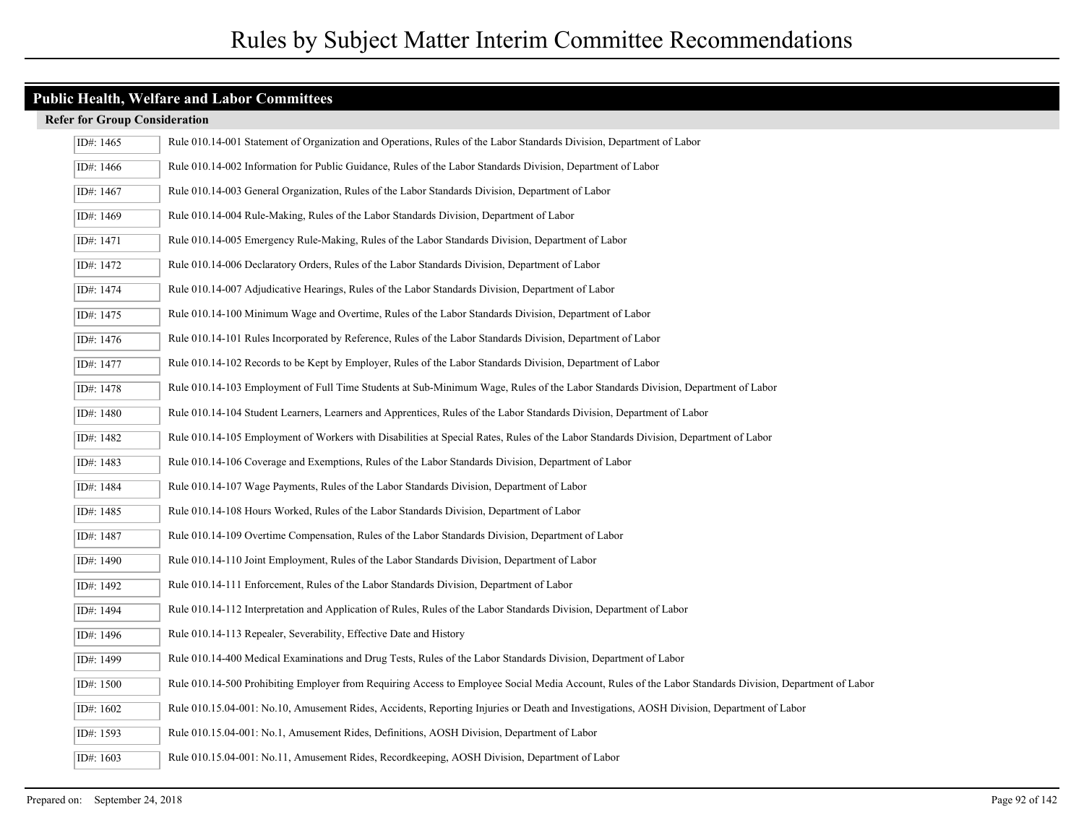| ID#: 1465   | Rule 010.14-001 Statement of Organization and Operations, Rules of the Labor Standards Division, Department of Labor                                    |
|-------------|---------------------------------------------------------------------------------------------------------------------------------------------------------|
| ID#: 1466   | Rule 010.14-002 Information for Public Guidance, Rules of the Labor Standards Division, Department of Labor                                             |
| ID#: 1467   | Rule 010.14-003 General Organization, Rules of the Labor Standards Division, Department of Labor                                                        |
| ID#: 1469   | Rule 010.14-004 Rule-Making, Rules of the Labor Standards Division, Department of Labor                                                                 |
| ID#: 1471   | Rule 010.14-005 Emergency Rule-Making, Rules of the Labor Standards Division, Department of Labor                                                       |
| ID#: 1472   | Rule 010.14-006 Declaratory Orders, Rules of the Labor Standards Division, Department of Labor                                                          |
| ID#: 1474   | Rule 010.14-007 Adjudicative Hearings, Rules of the Labor Standards Division, Department of Labor                                                       |
| ID#: 1475   | Rule 010.14-100 Minimum Wage and Overtime, Rules of the Labor Standards Division, Department of Labor                                                   |
| ID#: 1476   | Rule 010.14-101 Rules Incorporated by Reference, Rules of the Labor Standards Division, Department of Labor                                             |
| ID#: 1477   | Rule 010.14-102 Records to be Kept by Employer, Rules of the Labor Standards Division, Department of Labor                                              |
| ID#: 1478   | Rule 010.14-103 Employment of Full Time Students at Sub-Minimum Wage, Rules of the Labor Standards Division, Department of Labor                        |
| ID#: 1480   | Rule 010.14-104 Student Learners, Learners and Apprentices, Rules of the Labor Standards Division, Department of Labor                                  |
| ID#: 1482   | Rule 010.14-105 Employment of Workers with Disabilities at Special Rates, Rules of the Labor Standards Division, Department of Labor                    |
| ID#: 1483   | Rule 010.14-106 Coverage and Exemptions, Rules of the Labor Standards Division, Department of Labor                                                     |
| ID#: 1484   | Rule 010.14-107 Wage Payments, Rules of the Labor Standards Division, Department of Labor                                                               |
| ID#: 1485   | Rule 010.14-108 Hours Worked, Rules of the Labor Standards Division, Department of Labor                                                                |
| ID#: 1487   | Rule 010.14-109 Overtime Compensation, Rules of the Labor Standards Division, Department of Labor                                                       |
| ID#: 1490   | Rule 010.14-110 Joint Employment, Rules of the Labor Standards Division, Department of Labor                                                            |
| ID#: 1492   | Rule 010.14-111 Enforcement, Rules of the Labor Standards Division, Department of Labor                                                                 |
| ID#: 1494   | Rule 010.14-112 Interpretation and Application of Rules, Rules of the Labor Standards Division, Department of Labor                                     |
| ID#: 1496   | Rule 010.14-113 Repealer, Severability, Effective Date and History                                                                                      |
| ID#: 1499   | Rule 010.14-400 Medical Examinations and Drug Tests, Rules of the Labor Standards Division, Department of Labor                                         |
| ID#: 1500   | Rule 010.14-500 Prohibiting Employer from Requiring Access to Employee Social Media Account, Rules of the Labor Standards Division, Department of Labor |
| ID#: 1602   | Rule 010.15.04-001: No.10, Amusement Rides, Accidents, Reporting Injuries or Death and Investigations, AOSH Division, Department of Labor               |
| ID#: 1593   | Rule 010.15.04-001: No.1, Amusement Rides, Definitions, AOSH Division, Department of Labor                                                              |
| ID#: $1603$ | Rule 010.15.04-001: No.11, Amusement Rides, Recordkeeping, AOSH Division, Department of Labor                                                           |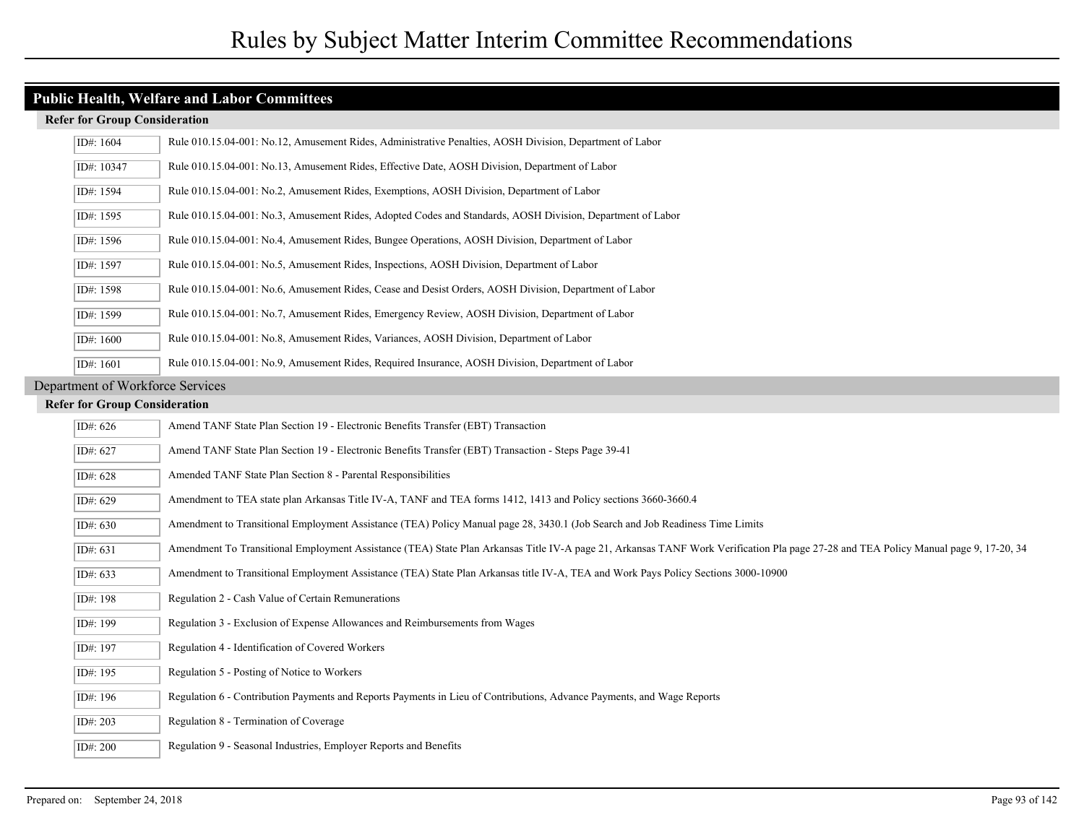|                                  | ID#: 1604                            | Rule 010.15.04-001: No.12, Amusement Rides, Administrative Penalties, AOSH Division, Department of Labor                                                                             |
|----------------------------------|--------------------------------------|--------------------------------------------------------------------------------------------------------------------------------------------------------------------------------------|
|                                  | ID#: 10347                           | Rule 010.15.04-001: No.13, Amusement Rides, Effective Date, AOSH Division, Department of Labor                                                                                       |
|                                  | ID#: 1594                            | Rule 010.15.04-001: No.2, Amusement Rides, Exemptions, AOSH Division, Department of Labor                                                                                            |
|                                  | ID#: 1595                            | Rule 010.15.04-001: No.3, Amusement Rides, Adopted Codes and Standards, AOSH Division, Department of Labor                                                                           |
|                                  | ID#: 1596                            | Rule 010.15.04-001: No.4, Amusement Rides, Bungee Operations, AOSH Division, Department of Labor                                                                                     |
|                                  | ID#: 1597                            | Rule 010.15.04-001: No.5, Amusement Rides, Inspections, AOSH Division, Department of Labor                                                                                           |
|                                  | ID#: 1598                            | Rule 010.15.04-001: No.6, Amusement Rides, Cease and Desist Orders, AOSH Division, Department of Labor                                                                               |
|                                  | ID#: 1599                            | Rule 010.15.04-001: No.7, Amusement Rides, Emergency Review, AOSH Division, Department of Labor                                                                                      |
|                                  | ID#: 1600                            | Rule 010.15.04-001: No.8, Amusement Rides, Variances, AOSH Division, Department of Labor                                                                                             |
|                                  | ID#: 1601                            | Rule 010.15.04-001: No.9, Amusement Rides, Required Insurance, AOSH Division, Department of Labor                                                                                    |
| Department of Workforce Services |                                      |                                                                                                                                                                                      |
|                                  | <b>Refer for Group Consideration</b> |                                                                                                                                                                                      |
|                                  | ID#: 626                             | Amend TANF State Plan Section 19 - Electronic Benefits Transfer (EBT) Transaction                                                                                                    |
|                                  | ID#: 627                             | Amend TANF State Plan Section 19 - Electronic Benefits Transfer (EBT) Transaction - Steps Page 39-41                                                                                 |
|                                  | ID#: 628                             | Amended TANF State Plan Section 8 - Parental Responsibilities                                                                                                                        |
|                                  | ID#: 629                             | Amendment to TEA state plan Arkansas Title IV-A, TANF and TEA forms 1412, 1413 and Policy sections 3660-3660.4                                                                       |
|                                  | ID#: 630                             | Amendment to Transitional Employment Assistance (TEA) Policy Manual page 28, 3430.1 (Job Search and Job Readiness Time Limits                                                        |
|                                  | ID#: 631                             | Amendment To Transitional Employment Assistance (TEA) State Plan Arkansas Title IV-A page 21, Arkansas TANF Work Verification Pla page 27-28 and TEA Policy Manual page 9, 17-20, 34 |
|                                  | ID#: 633                             | Amendment to Transitional Employment Assistance (TEA) State Plan Arkansas title IV-A, TEA and Work Pays Policy Sections 3000-10900                                                   |
|                                  | ID#: 198                             | Regulation 2 - Cash Value of Certain Remunerations                                                                                                                                   |
|                                  | ID#: 199                             | Regulation 3 - Exclusion of Expense Allowances and Reimbursements from Wages                                                                                                         |
|                                  | ID#: 197                             | Regulation 4 - Identification of Covered Workers                                                                                                                                     |
|                                  | ID#: 195                             | Regulation 5 - Posting of Notice to Workers                                                                                                                                          |
|                                  | ID#: 196                             | Regulation 6 - Contribution Payments and Reports Payments in Lieu of Contributions, Advance Payments, and Wage Reports                                                               |
|                                  | ID#: 203                             | Regulation 8 - Termination of Coverage                                                                                                                                               |
|                                  | ID#: 200                             | Regulation 9 - Seasonal Industries, Employer Reports and Benefits                                                                                                                    |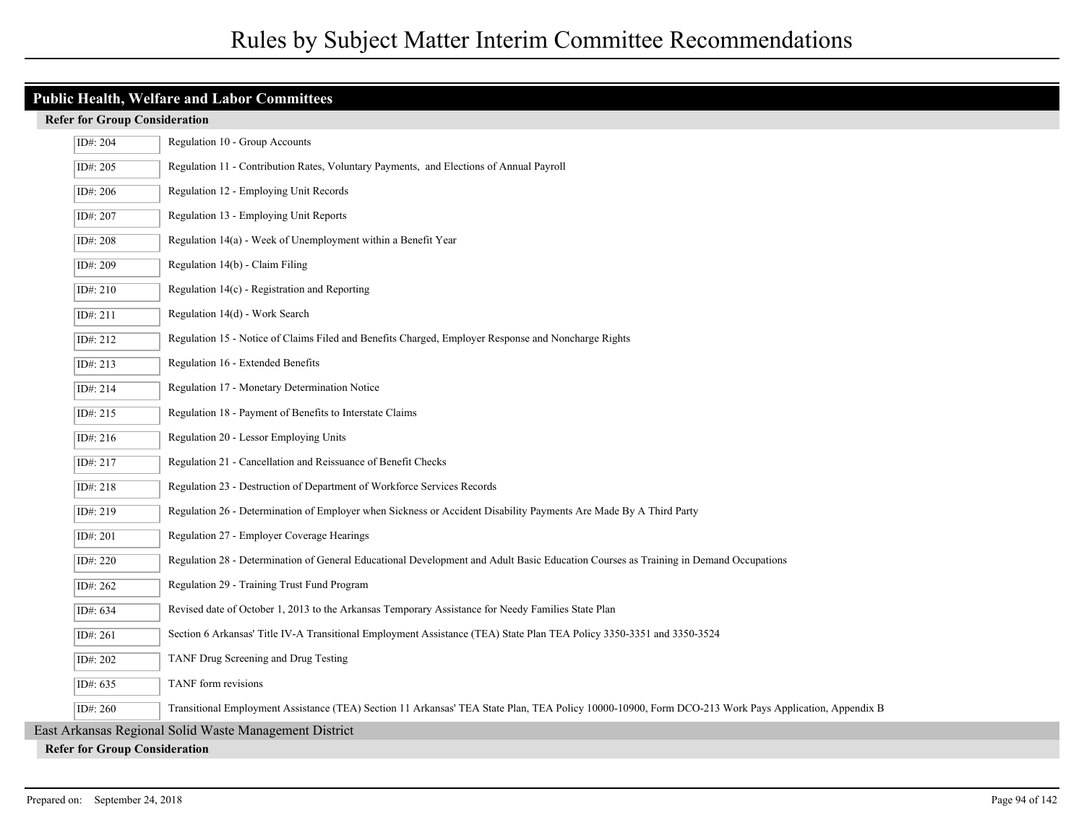## **Public Health, Welfare and Labor Committees**

| ID#: 204                                               | Regulation 10 - Group Accounts                                                                                                                       |  |  |
|--------------------------------------------------------|------------------------------------------------------------------------------------------------------------------------------------------------------|--|--|
| ID#: 205                                               | Regulation 11 - Contribution Rates, Voluntary Payments, and Elections of Annual Payroll                                                              |  |  |
| ID#: 206                                               | Regulation 12 - Employing Unit Records                                                                                                               |  |  |
| ID#: 207                                               | Regulation 13 - Employing Unit Reports                                                                                                               |  |  |
| ID#: 208                                               | Regulation 14(a) - Week of Unemployment within a Benefit Year                                                                                        |  |  |
| ID#: 209                                               | Regulation 14(b) - Claim Filing                                                                                                                      |  |  |
| ID#: 210                                               | Regulation 14(c) - Registration and Reporting                                                                                                        |  |  |
| ID#: 211                                               | Regulation 14(d) - Work Search                                                                                                                       |  |  |
| ID#: 212                                               | Regulation 15 - Notice of Claims Filed and Benefits Charged, Employer Response and Noncharge Rights                                                  |  |  |
| ID#: 213                                               | Regulation 16 - Extended Benefits                                                                                                                    |  |  |
| ID#: 214                                               | Regulation 17 - Monetary Determination Notice                                                                                                        |  |  |
| ID#: 215                                               | Regulation 18 - Payment of Benefits to Interstate Claims                                                                                             |  |  |
| ID#: 216                                               | Regulation 20 - Lessor Employing Units                                                                                                               |  |  |
| ID#: 217                                               | Regulation 21 - Cancellation and Reissuance of Benefit Checks                                                                                        |  |  |
| ID#: 218                                               | Regulation 23 - Destruction of Department of Workforce Services Records                                                                              |  |  |
| ID#: 219                                               | Regulation 26 - Determination of Employer when Sickness or Accident Disability Payments Are Made By A Third Party                                    |  |  |
| ID#: 201                                               | Regulation 27 - Employer Coverage Hearings                                                                                                           |  |  |
| ID#: 220                                               | Regulation 28 - Determination of General Educational Development and Adult Basic Education Courses as Training in Demand Occupations                 |  |  |
| ID#: 262                                               | Regulation 29 - Training Trust Fund Program                                                                                                          |  |  |
| ID#: 634                                               | Revised date of October 1, 2013 to the Arkansas Temporary Assistance for Needy Families State Plan                                                   |  |  |
| ID#: 261                                               | Section 6 Arkansas' Title IV-A Transitional Employment Assistance (TEA) State Plan TEA Policy 3350-3351 and 3350-3524                                |  |  |
| ID#: 202                                               | TANF Drug Screening and Drug Testing                                                                                                                 |  |  |
| ID#: 635                                               | TANF form revisions                                                                                                                                  |  |  |
| ID#: 260                                               | Transitional Employment Assistance (TEA) Section 11 Arkansas' TEA State Plan, TEA Policy 10000-10900, Form DCO-213 Work Pays Application, Appendix B |  |  |
| East Arkansas Regional Solid Waste Management District |                                                                                                                                                      |  |  |
|                                                        | <b>Refer for Group Consideration</b>                                                                                                                 |  |  |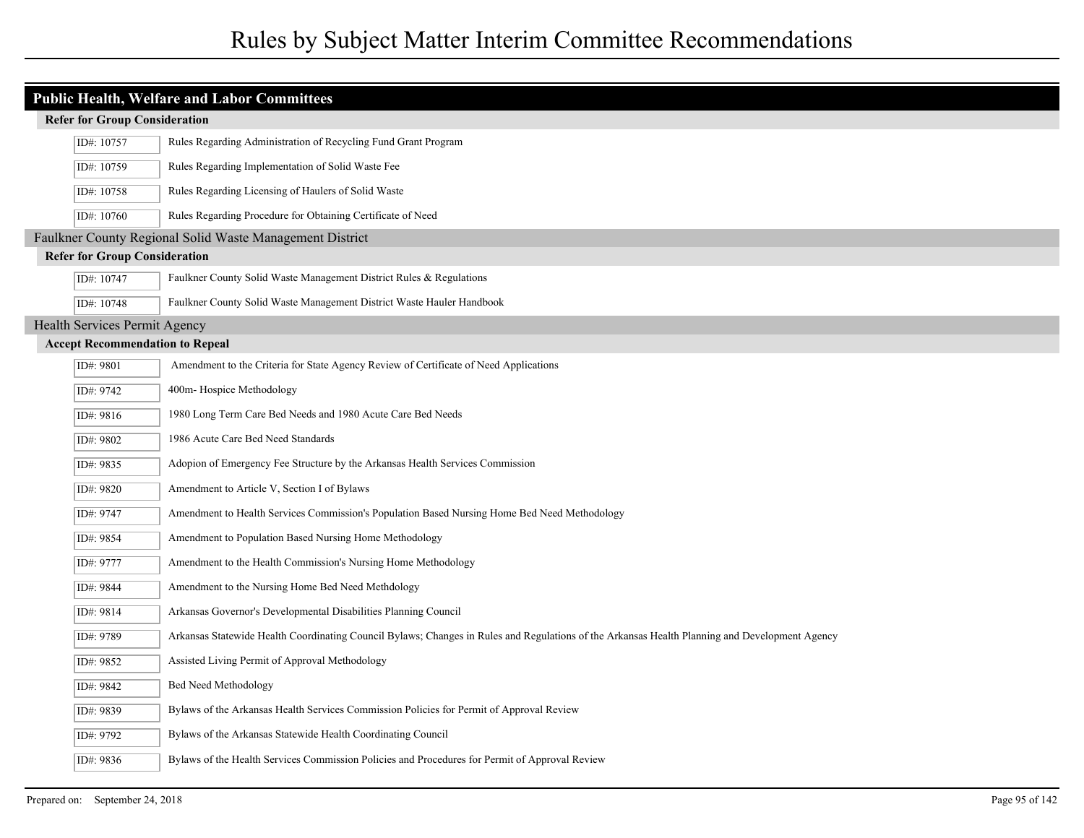|                                      | <b>Public Health, Welfare and Labor Committees</b> |                                                                                                                                                |  |
|--------------------------------------|----------------------------------------------------|------------------------------------------------------------------------------------------------------------------------------------------------|--|
|                                      | <b>Refer for Group Consideration</b>               |                                                                                                                                                |  |
| ID#: 10757                           |                                                    | Rules Regarding Administration of Recycling Fund Grant Program                                                                                 |  |
| ID#: 10759                           |                                                    | Rules Regarding Implementation of Solid Waste Fee                                                                                              |  |
| ID#: 10758                           |                                                    | Rules Regarding Licensing of Haulers of Solid Waste                                                                                            |  |
| ID#: 10760                           |                                                    | Rules Regarding Procedure for Obtaining Certificate of Need                                                                                    |  |
|                                      |                                                    | Faulkner County Regional Solid Waste Management District                                                                                       |  |
| <b>Refer for Group Consideration</b> |                                                    |                                                                                                                                                |  |
| ID#: 10747                           |                                                    | Faulkner County Solid Waste Management District Rules & Regulations                                                                            |  |
| ID#: 10748                           |                                                    | Faulkner County Solid Waste Management District Waste Hauler Handbook                                                                          |  |
| Health Services Permit Agency        |                                                    |                                                                                                                                                |  |
|                                      |                                                    | <b>Accept Recommendation to Repeal</b>                                                                                                         |  |
| ID#: 9801                            |                                                    | Amendment to the Criteria for State Agency Review of Certificate of Need Applications                                                          |  |
| ID#: 9742                            |                                                    | 400m-Hospice Methodology                                                                                                                       |  |
| ID#: 9816                            |                                                    | 1980 Long Term Care Bed Needs and 1980 Acute Care Bed Needs                                                                                    |  |
| ID#: 9802                            |                                                    | 1986 Acute Care Bed Need Standards                                                                                                             |  |
| ID#: 9835                            |                                                    | Adopion of Emergency Fee Structure by the Arkansas Health Services Commission                                                                  |  |
| ID#: 9820                            |                                                    | Amendment to Article V, Section I of Bylaws                                                                                                    |  |
| ID#: 9747                            |                                                    | Amendment to Health Services Commission's Population Based Nursing Home Bed Need Methodology                                                   |  |
| ID#: 9854                            |                                                    | Amendment to Population Based Nursing Home Methodology                                                                                         |  |
| ID#: 9777                            |                                                    | Amendment to the Health Commission's Nursing Home Methodology                                                                                  |  |
| ID#: 9844                            |                                                    | Amendment to the Nursing Home Bed Need Methdology                                                                                              |  |
| ID#: 9814                            |                                                    | Arkansas Governor's Developmental Disabilities Planning Council                                                                                |  |
| ID#: 9789                            |                                                    | Arkansas Statewide Health Coordinating Council Bylaws; Changes in Rules and Regulations of the Arkansas Health Planning and Development Agency |  |
| ID#: 9852                            |                                                    | Assisted Living Permit of Approval Methodology                                                                                                 |  |
| ID#: 9842                            |                                                    | <b>Bed Need Methodology</b>                                                                                                                    |  |
| ID#: 9839                            |                                                    | Bylaws of the Arkansas Health Services Commission Policies for Permit of Approval Review                                                       |  |
| ID#: 9792                            |                                                    | Bylaws of the Arkansas Statewide Health Coordinating Council                                                                                   |  |
| ID#: 9836                            |                                                    | Bylaws of the Health Services Commission Policies and Procedures for Permit of Approval Review                                                 |  |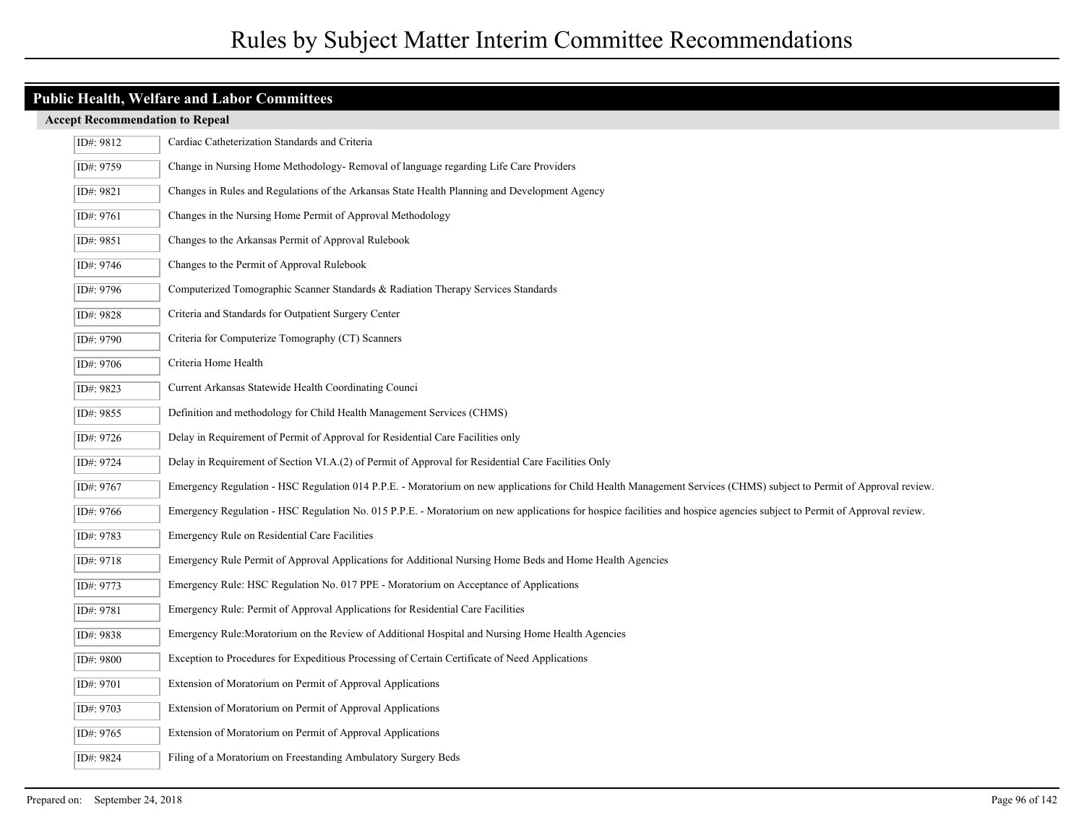| ID#: 9812 | Cardiac Catheterization Standards and Criteria                                                                                                                          |
|-----------|-------------------------------------------------------------------------------------------------------------------------------------------------------------------------|
| ID#: 9759 | Change in Nursing Home Methodology-Removal of language regarding Life Care Providers                                                                                    |
| ID#: 9821 | Changes in Rules and Regulations of the Arkansas State Health Planning and Development Agency                                                                           |
| ID#: 9761 | Changes in the Nursing Home Permit of Approval Methodology                                                                                                              |
| ID#: 9851 | Changes to the Arkansas Permit of Approval Rulebook                                                                                                                     |
| ID#: 9746 | Changes to the Permit of Approval Rulebook                                                                                                                              |
| ID#: 9796 | Computerized Tomographic Scanner Standards & Radiation Therapy Services Standards                                                                                       |
| ID#: 9828 | Criteria and Standards for Outpatient Surgery Center                                                                                                                    |
| ID#: 9790 | Criteria for Computerize Tomography (CT) Scanners                                                                                                                       |
| ID#: 9706 | Criteria Home Health                                                                                                                                                    |
| ID#: 9823 | Current Arkansas Statewide Health Coordinating Counci                                                                                                                   |
| ID#: 9855 | Definition and methodology for Child Health Management Services (CHMS)                                                                                                  |
| ID#: 9726 | Delay in Requirement of Permit of Approval for Residential Care Facilities only                                                                                         |
| ID#: 9724 | Delay in Requirement of Section VI.A.(2) of Permit of Approval for Residential Care Facilities Only                                                                     |
| ID#: 9767 | Emergency Regulation - HSC Regulation 014 P.P.E. - Moratorium on new applications for Child Health Management Services (CHMS) subject to Permit of Approval review.     |
| ID#: 9766 | Emergency Regulation - HSC Regulation No. 015 P.P.E. - Moratorium on new applications for hospice facilities and hospice agencies subject to Permit of Approval review. |
| ID#: 9783 | Emergency Rule on Residential Care Facilities                                                                                                                           |
| ID#: 9718 | Emergency Rule Permit of Approval Applications for Additional Nursing Home Beds and Home Health Agencies                                                                |
| ID#: 9773 | Emergency Rule: HSC Regulation No. 017 PPE - Moratorium on Acceptance of Applications                                                                                   |
| ID#: 9781 | Emergency Rule: Permit of Approval Applications for Residential Care Facilities                                                                                         |
| ID#: 9838 | Emergency Rule: Moratorium on the Review of Additional Hospital and Nursing Home Health Agencies                                                                        |
| ID#: 9800 | Exception to Procedures for Expeditious Processing of Certain Certificate of Need Applications                                                                          |
| ID#: 9701 | Extension of Moratorium on Permit of Approval Applications                                                                                                              |
| ID#: 9703 | Extension of Moratorium on Permit of Approval Applications                                                                                                              |
| ID#: 9765 | Extension of Moratorium on Permit of Approval Applications                                                                                                              |
| ID#: 9824 | Filing of a Moratorium on Freestanding Ambulatory Surgery Beds                                                                                                          |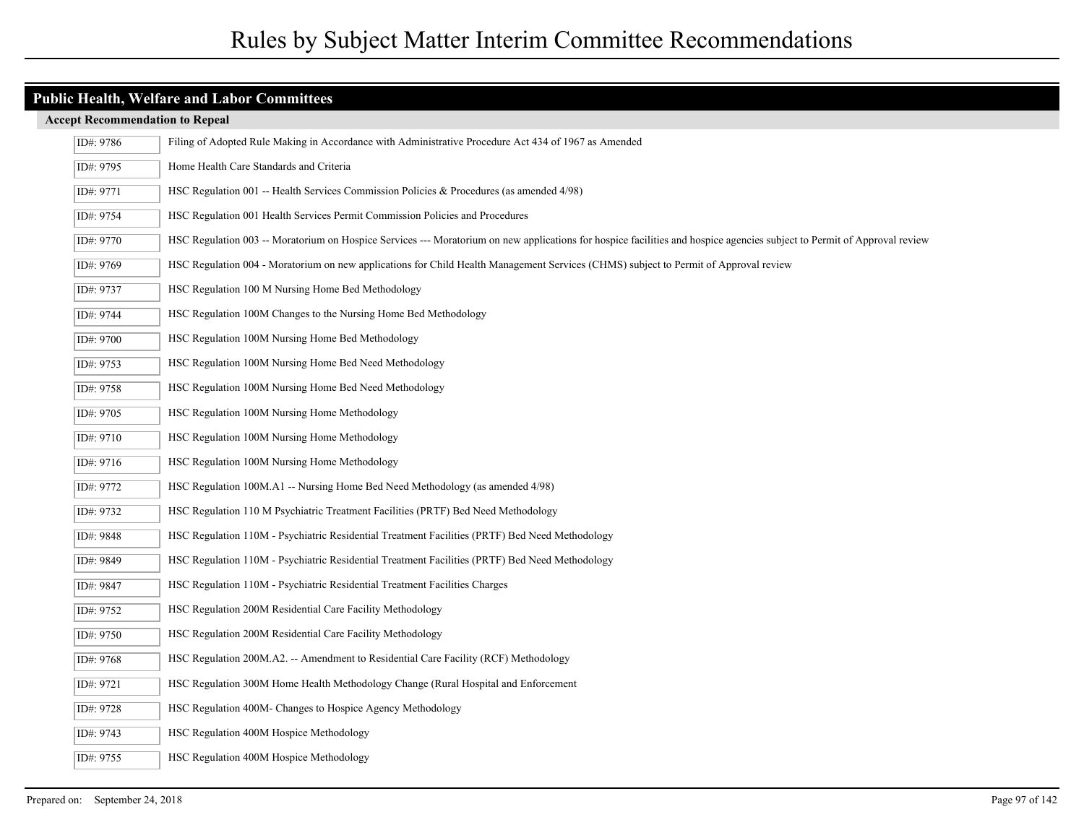| ID#: 9786 | Filing of Adopted Rule Making in Accordance with Administrative Procedure Act 434 of 1967 as Amended                                                                     |
|-----------|--------------------------------------------------------------------------------------------------------------------------------------------------------------------------|
| ID#: 9795 | Home Health Care Standards and Criteria                                                                                                                                  |
| ID#: 9771 | HSC Regulation 001 -- Health Services Commission Policies & Procedures (as amended $4/98$ )                                                                              |
| ID#: 9754 | HSC Regulation 001 Health Services Permit Commission Policies and Procedures                                                                                             |
| ID#: 9770 | HSC Regulation 003 -- Moratorium on Hospice Services --- Moratorium on new applications for hospice facilities and hospice agencies subject to Permit of Approval review |
| ID#: 9769 | HSC Regulation 004 - Moratorium on new applications for Child Health Management Services (CHMS) subject to Permit of Approval review                                     |
| ID#: 9737 | HSC Regulation 100 M Nursing Home Bed Methodology                                                                                                                        |
| ID#: 9744 | HSC Regulation 100M Changes to the Nursing Home Bed Methodology                                                                                                          |
| ID#: 9700 | HSC Regulation 100M Nursing Home Bed Methodology                                                                                                                         |
| ID#: 9753 | HSC Regulation 100M Nursing Home Bed Need Methodology                                                                                                                    |
| ID#: 9758 | HSC Regulation 100M Nursing Home Bed Need Methodology                                                                                                                    |
| ID#: 9705 | HSC Regulation 100M Nursing Home Methodology                                                                                                                             |
| ID#: 9710 | HSC Regulation 100M Nursing Home Methodology                                                                                                                             |
| ID#: 9716 | HSC Regulation 100M Nursing Home Methodology                                                                                                                             |
| ID#: 9772 | HSC Regulation 100M.A1 -- Nursing Home Bed Need Methodology (as amended 4/98)                                                                                            |
| ID#: 9732 | HSC Regulation 110 M Psychiatric Treatment Facilities (PRTF) Bed Need Methodology                                                                                        |
| ID#: 9848 | HSC Regulation 110M - Psychiatric Residential Treatment Facilities (PRTF) Bed Need Methodology                                                                           |
| ID#: 9849 | HSC Regulation 110M - Psychiatric Residential Treatment Facilities (PRTF) Bed Need Methodology                                                                           |
| ID#: 9847 | HSC Regulation 110M - Psychiatric Residential Treatment Facilities Charges                                                                                               |
| ID#: 9752 | HSC Regulation 200M Residential Care Facility Methodology                                                                                                                |
| ID#: 9750 | HSC Regulation 200M Residential Care Facility Methodology                                                                                                                |
| ID#: 9768 | HSC Regulation 200M.A2. -- Amendment to Residential Care Facility (RCF) Methodology                                                                                      |
| ID#: 9721 | HSC Regulation 300M Home Health Methodology Change (Rural Hospital and Enforcement                                                                                       |
| ID#: 9728 | HSC Regulation 400M- Changes to Hospice Agency Methodology                                                                                                               |
| ID#: 9743 | HSC Regulation 400M Hospice Methodology                                                                                                                                  |
| ID#: 9755 | HSC Regulation 400M Hospice Methodology                                                                                                                                  |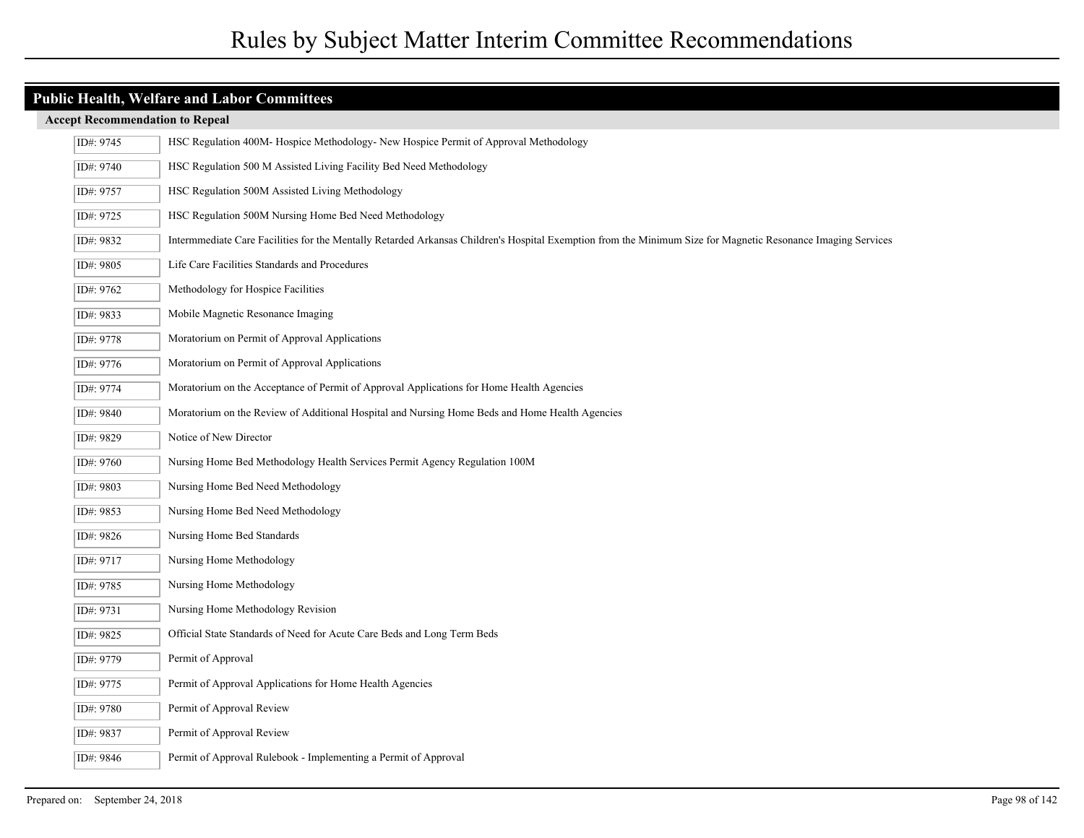| <b>Accept Recommendation to Repeal</b> |  |
|----------------------------------------|--|
|----------------------------------------|--|

| ID#: 9745 | HSC Regulation 400M-Hospice Methodology- New Hospice Permit of Approval Methodology                                                                          |
|-----------|--------------------------------------------------------------------------------------------------------------------------------------------------------------|
| ID#: 9740 | HSC Regulation 500 M Assisted Living Facility Bed Need Methodology                                                                                           |
| ID#: 9757 | HSC Regulation 500M Assisted Living Methodology                                                                                                              |
| ID#: 9725 | HSC Regulation 500M Nursing Home Bed Need Methodology                                                                                                        |
| ID#: 9832 | Intermmediate Care Facilities for the Mentally Retarded Arkansas Children's Hospital Exemption from the Minimum Size for Magnetic Resonance Imaging Services |
| ID#: 9805 | Life Care Facilities Standards and Procedures                                                                                                                |
| ID#: 9762 | Methodology for Hospice Facilities                                                                                                                           |
| ID#: 9833 | Mobile Magnetic Resonance Imaging                                                                                                                            |
| ID#: 9778 | Moratorium on Permit of Approval Applications                                                                                                                |
| ID#: 9776 | Moratorium on Permit of Approval Applications                                                                                                                |
| ID#: 9774 | Moratorium on the Acceptance of Permit of Approval Applications for Home Health Agencies                                                                     |
| ID#: 9840 | Moratorium on the Review of Additional Hospital and Nursing Home Beds and Home Health Agencies                                                               |
| ID#: 9829 | Notice of New Director                                                                                                                                       |
| ID#: 9760 | Nursing Home Bed Methodology Health Services Permit Agency Regulation 100M                                                                                   |
| ID#: 9803 | Nursing Home Bed Need Methodology                                                                                                                            |
| ID#: 9853 | Nursing Home Bed Need Methodology                                                                                                                            |
| ID#: 9826 | Nursing Home Bed Standards                                                                                                                                   |
| ID#: 9717 | Nursing Home Methodology                                                                                                                                     |
| ID#: 9785 | Nursing Home Methodology                                                                                                                                     |
| ID#: 9731 | Nursing Home Methodology Revision                                                                                                                            |
| ID#: 9825 | Official State Standards of Need for Acute Care Beds and Long Term Beds                                                                                      |
| ID#: 9779 | Permit of Approval                                                                                                                                           |
| ID#: 9775 | Permit of Approval Applications for Home Health Agencies                                                                                                     |
| ID#: 9780 | Permit of Approval Review                                                                                                                                    |
| ID#: 9837 | Permit of Approval Review                                                                                                                                    |
| ID#: 9846 | Permit of Approval Rulebook - Implementing a Permit of Approval                                                                                              |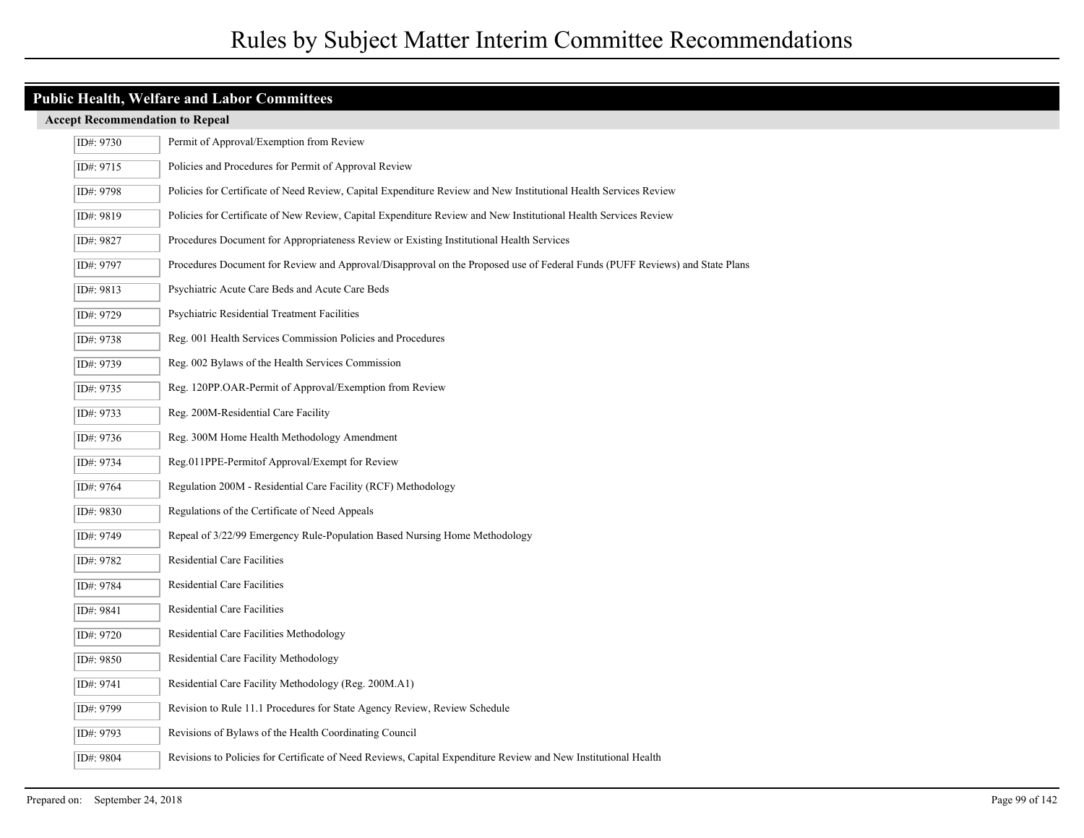| ID#: 9730 | Permit of Approval/Exemption from Review                                                                                    |
|-----------|-----------------------------------------------------------------------------------------------------------------------------|
| ID#: 9715 | Policies and Procedures for Permit of Approval Review                                                                       |
| ID#: 9798 | Policies for Certificate of Need Review, Capital Expenditure Review and New Institutional Health Services Review            |
| ID#: 9819 | Policies for Certificate of New Review, Capital Expenditure Review and New Institutional Health Services Review             |
| ID#: 9827 | Procedures Document for Appropriateness Review or Existing Institutional Health Services                                    |
| ID#: 9797 | Procedures Document for Review and Approval/Disapproval on the Proposed use of Federal Funds (PUFF Reviews) and State Plans |
| ID#: 9813 | Psychiatric Acute Care Beds and Acute Care Beds                                                                             |
| ID#: 9729 | Psychiatric Residential Treatment Facilities                                                                                |
| ID#: 9738 | Reg. 001 Health Services Commission Policies and Procedures                                                                 |
| ID#: 9739 | Reg. 002 Bylaws of the Health Services Commission                                                                           |
| ID#: 9735 | Reg. 120PP.OAR-Permit of Approval/Exemption from Review                                                                     |
| ID#: 9733 | Reg. 200M-Residential Care Facility                                                                                         |
| ID#: 9736 | Reg. 300M Home Health Methodology Amendment                                                                                 |
| ID#: 9734 | Reg.011PPE-Permitof Approval/Exempt for Review                                                                              |
| ID#: 9764 | Regulation 200M - Residential Care Facility (RCF) Methodology                                                               |
| ID#: 9830 | Regulations of the Certificate of Need Appeals                                                                              |
| ID#: 9749 | Repeal of 3/22/99 Emergency Rule-Population Based Nursing Home Methodology                                                  |
| ID#: 9782 | Residential Care Facilities                                                                                                 |
| ID#: 9784 | Residential Care Facilities                                                                                                 |
| ID#: 9841 | Residential Care Facilities                                                                                                 |
| ID#: 9720 | Residential Care Facilities Methodology                                                                                     |
| ID#: 9850 | Residential Care Facility Methodology                                                                                       |
| ID#: 9741 | Residential Care Facility Methodology (Reg. 200M.A1)                                                                        |
| ID#: 9799 | Revision to Rule 11.1 Procedures for State Agency Review, Review Schedule                                                   |
| ID#: 9793 | Revisions of Bylaws of the Health Coordinating Council                                                                      |
| ID#: 9804 | Revisions to Policies for Certificate of Need Reviews, Capital Expenditure Review and New Institutional Health              |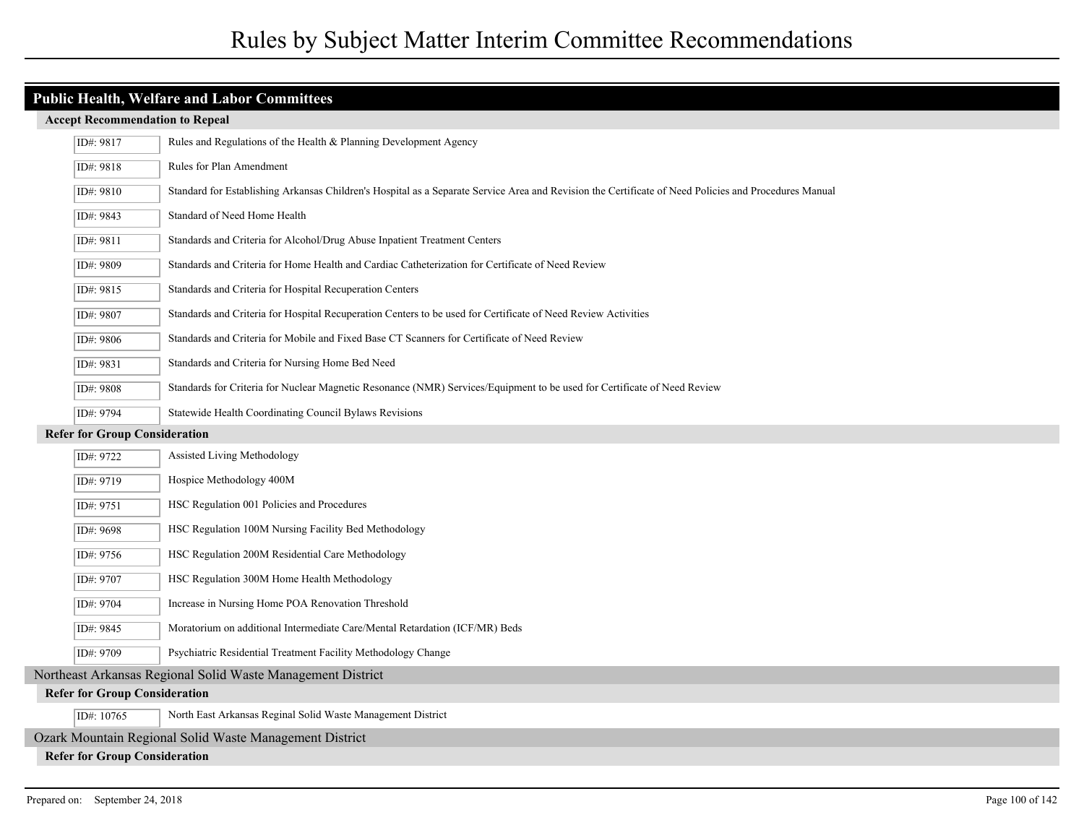## **Public Health, Welfare and Labor Committees**

| ID#: 9817                                                   | Rules and Regulations of the Health & Planning Development Agency                                                                                     |  |
|-------------------------------------------------------------|-------------------------------------------------------------------------------------------------------------------------------------------------------|--|
| ID#: 9818                                                   | Rules for Plan Amendment                                                                                                                              |  |
| ID#: 9810                                                   | Standard for Establishing Arkansas Children's Hospital as a Separate Service Area and Revision the Certificate of Need Policies and Procedures Manual |  |
| ID#: 9843                                                   | Standard of Need Home Health                                                                                                                          |  |
| ID#: 9811                                                   | Standards and Criteria for Alcohol/Drug Abuse Inpatient Treatment Centers                                                                             |  |
| ID#: 9809                                                   | Standards and Criteria for Home Health and Cardiac Catheterization for Certificate of Need Review                                                     |  |
| ID#: 9815                                                   | Standards and Criteria for Hospital Recuperation Centers                                                                                              |  |
| ID#: 9807                                                   | Standards and Criteria for Hospital Recuperation Centers to be used for Certificate of Need Review Activities                                         |  |
| ID#: 9806                                                   | Standards and Criteria for Mobile and Fixed Base CT Scanners for Certificate of Need Review                                                           |  |
| ID#: 9831                                                   | Standards and Criteria for Nursing Home Bed Need                                                                                                      |  |
| ID#: 9808                                                   | Standards for Criteria for Nuclear Magnetic Resonance (NMR) Services/Equipment to be used for Certificate of Need Review                              |  |
| ID#: 9794                                                   | Statewide Health Coordinating Council Bylaws Revisions                                                                                                |  |
| <b>Refer for Group Consideration</b>                        |                                                                                                                                                       |  |
| ID#: 9722                                                   | Assisted Living Methodology                                                                                                                           |  |
| ID#: 9719                                                   | Hospice Methodology 400M                                                                                                                              |  |
| ID#: 9751                                                   | HSC Regulation 001 Policies and Procedures                                                                                                            |  |
| ID#: 9698                                                   | HSC Regulation 100M Nursing Facility Bed Methodology                                                                                                  |  |
| ID#: 9756                                                   | HSC Regulation 200M Residential Care Methodology                                                                                                      |  |
| ID#: 9707                                                   | HSC Regulation 300M Home Health Methodology                                                                                                           |  |
| ID#: 9704                                                   | Increase in Nursing Home POA Renovation Threshold                                                                                                     |  |
| ID#: 9845                                                   | Moratorium on additional Intermediate Care/Mental Retardation (ICF/MR) Beds                                                                           |  |
| ID#: 9709                                                   | Psychiatric Residential Treatment Facility Methodology Change                                                                                         |  |
| Northeast Arkansas Regional Solid Waste Management District |                                                                                                                                                       |  |
| <b>Refer for Group Consideration</b>                        |                                                                                                                                                       |  |
| ID#: 10765                                                  | North East Arkansas Reginal Solid Waste Management District                                                                                           |  |
| Ozark Mountain Regional Solid Waste Management District     |                                                                                                                                                       |  |
| <b>Refer for Group Consideration</b>                        |                                                                                                                                                       |  |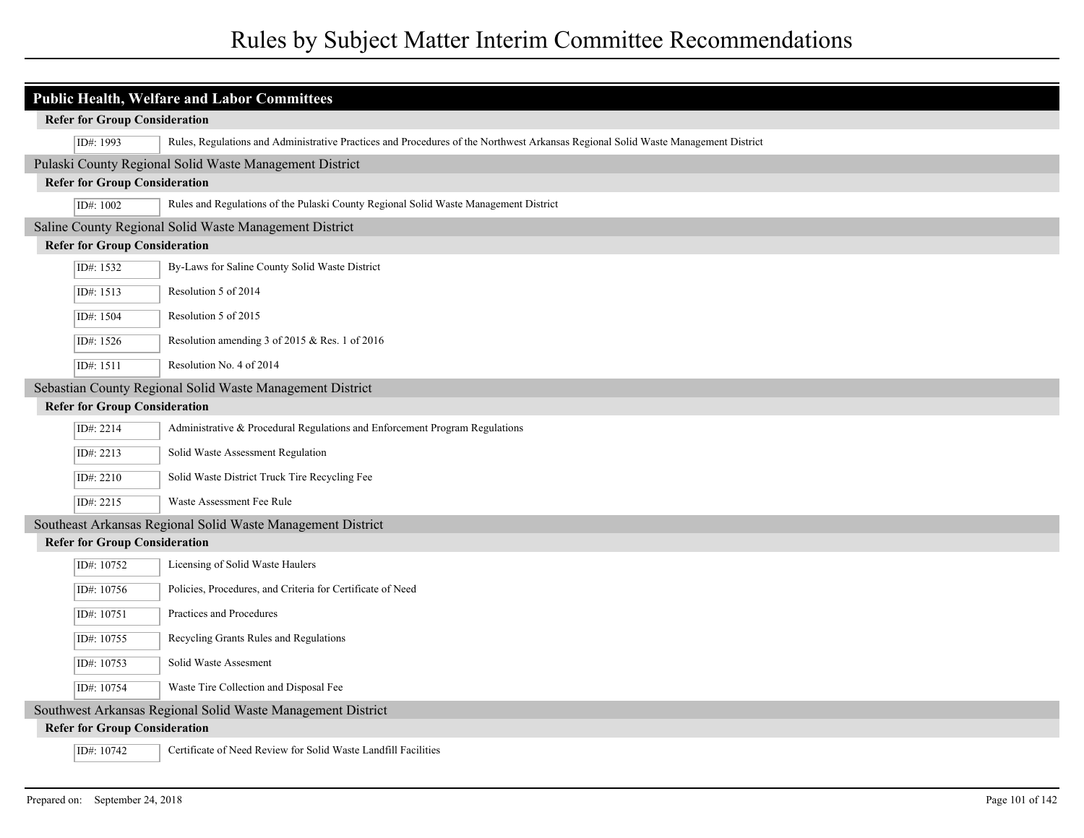|                                      | <b>Public Health, Welfare and Labor Committees</b>                                                                                |  |  |  |
|--------------------------------------|-----------------------------------------------------------------------------------------------------------------------------------|--|--|--|
|                                      | <b>Refer for Group Consideration</b>                                                                                              |  |  |  |
| ID#: 1993                            | Rules, Regulations and Administrative Practices and Procedures of the Northwest Arkansas Regional Solid Waste Management District |  |  |  |
|                                      | Pulaski County Regional Solid Waste Management District                                                                           |  |  |  |
|                                      | <b>Refer for Group Consideration</b>                                                                                              |  |  |  |
| ID#: 1002                            | Rules and Regulations of the Pulaski County Regional Solid Waste Management District                                              |  |  |  |
|                                      | Saline County Regional Solid Waste Management District                                                                            |  |  |  |
|                                      | <b>Refer for Group Consideration</b>                                                                                              |  |  |  |
| ID#: 1532                            | By-Laws for Saline County Solid Waste District                                                                                    |  |  |  |
| ID#: 1513                            | Resolution 5 of 2014                                                                                                              |  |  |  |
| ID#: 1504                            | Resolution 5 of 2015                                                                                                              |  |  |  |
| ID#: 1526                            | Resolution amending 3 of 2015 & Res. 1 of 2016                                                                                    |  |  |  |
| ID#: 1511                            | Resolution No. 4 of 2014                                                                                                          |  |  |  |
|                                      | Sebastian County Regional Solid Waste Management District                                                                         |  |  |  |
| <b>Refer for Group Consideration</b> |                                                                                                                                   |  |  |  |
| ID#: 2214                            | Administrative & Procedural Regulations and Enforcement Program Regulations                                                       |  |  |  |
| ID#: 2213                            | Solid Waste Assessment Regulation                                                                                                 |  |  |  |
| ID#: 2210                            | Solid Waste District Truck Tire Recycling Fee                                                                                     |  |  |  |
| ID#: 2215                            | Waste Assessment Fee Rule                                                                                                         |  |  |  |
|                                      | Southeast Arkansas Regional Solid Waste Management District                                                                       |  |  |  |
|                                      | <b>Refer for Group Consideration</b>                                                                                              |  |  |  |
| ID#: 10752                           | Licensing of Solid Waste Haulers                                                                                                  |  |  |  |
| ID#: 10756                           | Policies, Procedures, and Criteria for Certificate of Need                                                                        |  |  |  |
| ID#: 10751                           | Practices and Procedures                                                                                                          |  |  |  |
| ID#: $10755$                         | Recycling Grants Rules and Regulations                                                                                            |  |  |  |
| ID#: 10753                           | Solid Waste Assesment                                                                                                             |  |  |  |
| ID#: 10754                           | Waste Tire Collection and Disposal Fee                                                                                            |  |  |  |
|                                      | Southwest Arkansas Regional Solid Waste Management District                                                                       |  |  |  |
|                                      | <b>Refer for Group Consideration</b>                                                                                              |  |  |  |
| ID#: 10742                           | Certificate of Need Review for Solid Waste Landfill Facilities                                                                    |  |  |  |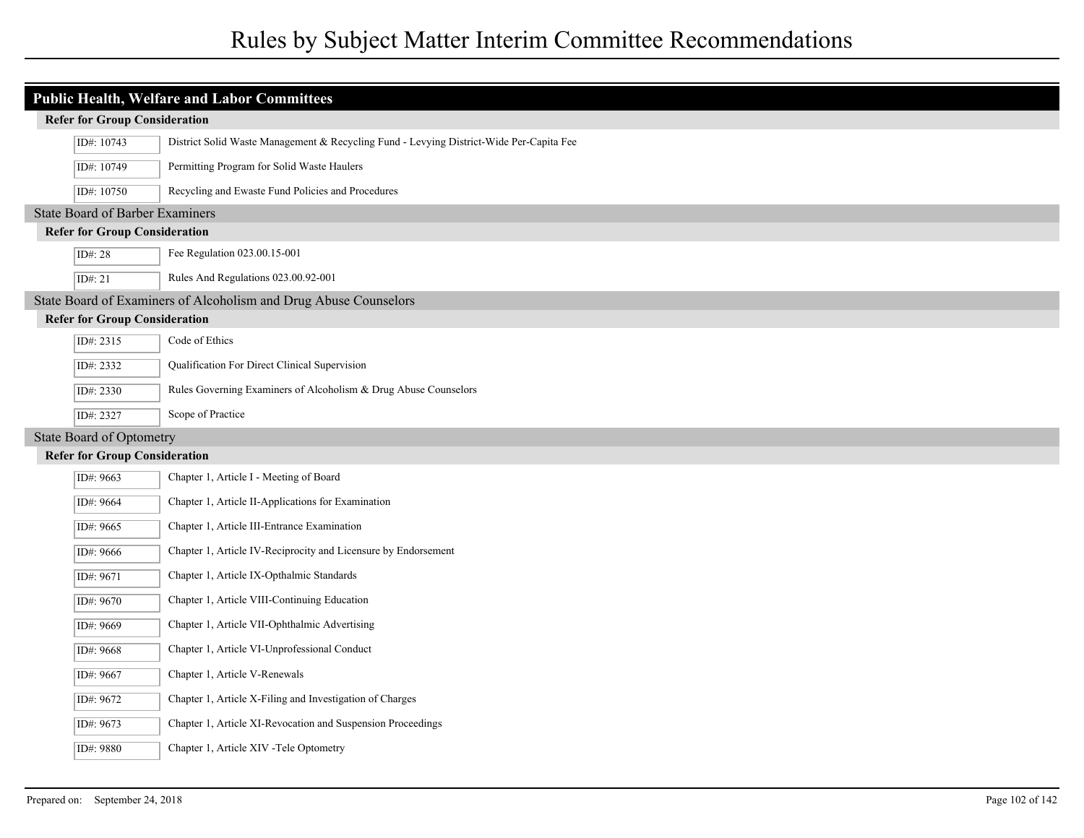| <b>Public Health, Welfare and Labor Committees</b> |                                                                                         |  |  |  |
|----------------------------------------------------|-----------------------------------------------------------------------------------------|--|--|--|
| <b>Refer for Group Consideration</b>               |                                                                                         |  |  |  |
| ID#: 10743                                         | District Solid Waste Management & Recycling Fund - Levying District-Wide Per-Capita Fee |  |  |  |
| ID#: 10749                                         | Permitting Program for Solid Waste Haulers                                              |  |  |  |
| ID#: 10750                                         | Recycling and Ewaste Fund Policies and Procedures                                       |  |  |  |
| <b>State Board of Barber Examiners</b>             |                                                                                         |  |  |  |
| <b>Refer for Group Consideration</b>               |                                                                                         |  |  |  |
| ID#: 28                                            | Fee Regulation 023.00.15-001                                                            |  |  |  |
| ID#: $21$                                          | Rules And Regulations 023.00.92-001                                                     |  |  |  |
|                                                    | State Board of Examiners of Alcoholism and Drug Abuse Counselors                        |  |  |  |
| <b>Refer for Group Consideration</b>               |                                                                                         |  |  |  |
| ID#: 2315                                          | Code of Ethics                                                                          |  |  |  |
| ID#: 2332                                          | Qualification For Direct Clinical Supervision                                           |  |  |  |
| ID#: 2330                                          | Rules Governing Examiners of Alcoholism & Drug Abuse Counselors                         |  |  |  |
| ID#: 2327                                          | Scope of Practice                                                                       |  |  |  |
| <b>State Board of Optometry</b>                    |                                                                                         |  |  |  |
| <b>Refer for Group Consideration</b>               |                                                                                         |  |  |  |
| ID#: 9663                                          | Chapter 1, Article I - Meeting of Board                                                 |  |  |  |
| ID#: 9664                                          | Chapter 1, Article II-Applications for Examination                                      |  |  |  |
| ID#: 9665                                          | Chapter 1, Article III-Entrance Examination                                             |  |  |  |
| ID#: 9666                                          | Chapter 1, Article IV-Reciprocity and Licensure by Endorsement                          |  |  |  |
| ID#: 9671                                          | Chapter 1, Article IX-Opthalmic Standards                                               |  |  |  |
| ID#: 9670                                          | Chapter 1, Article VIII-Continuing Education                                            |  |  |  |
| ID#: 9669                                          | Chapter 1, Article VII-Ophthalmic Advertising                                           |  |  |  |
| ID#: 9668                                          | Chapter 1, Article VI-Unprofessional Conduct                                            |  |  |  |
| ID#: 9667                                          | Chapter 1, Article V-Renewals                                                           |  |  |  |
| ID#: 9672                                          | Chapter 1, Article X-Filing and Investigation of Charges                                |  |  |  |
| ID#: 9673                                          | Chapter 1, Article XI-Revocation and Suspension Proceedings                             |  |  |  |
| ID#: 9880                                          | Chapter 1, Article XIV - Tele Optometry                                                 |  |  |  |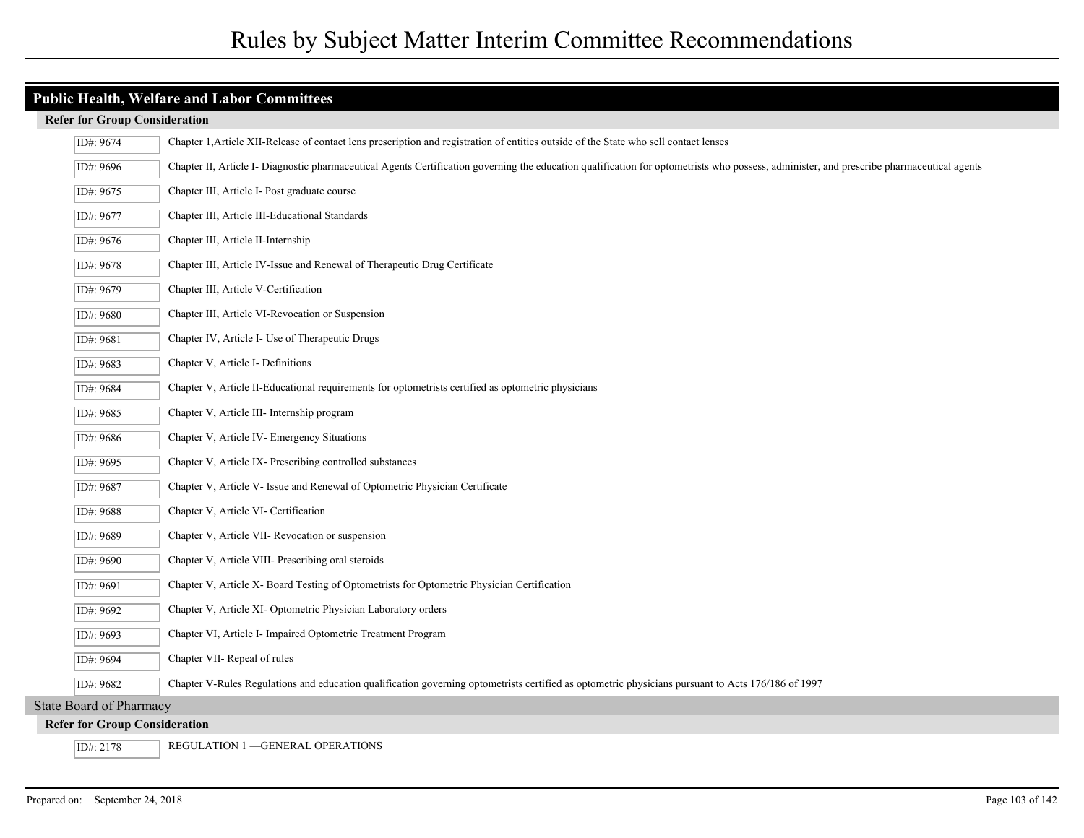| ID#: 9674                            | Chapter 1, Article XII-Release of contact lens prescription and registration of entities outside of the State who sell contact lenses                                                     |  |
|--------------------------------------|-------------------------------------------------------------------------------------------------------------------------------------------------------------------------------------------|--|
| ID#: 9696                            | Chapter II, Article I- Diagnostic pharmaceutical Agents Certification governing the education qualification for optometrists who possess, administer, and prescribe pharmaceutical agents |  |
| ID#: 9675                            | Chapter III, Article I- Post graduate course                                                                                                                                              |  |
| ID#: 9677                            | Chapter III, Article III-Educational Standards                                                                                                                                            |  |
| ID#: 9676                            | Chapter III, Article II-Internship                                                                                                                                                        |  |
| ID#: 9678                            | Chapter III, Article IV-Issue and Renewal of Therapeutic Drug Certificate                                                                                                                 |  |
| ID#: 9679                            | Chapter III, Article V-Certification                                                                                                                                                      |  |
| ID#: 9680                            | Chapter III, Article VI-Revocation or Suspension                                                                                                                                          |  |
| ID#: 9681                            | Chapter IV, Article I- Use of Therapeutic Drugs                                                                                                                                           |  |
| ID#: 9683                            | Chapter V, Article I- Definitions                                                                                                                                                         |  |
| ID#: 9684                            | Chapter V, Article II-Educational requirements for optometrists certified as optometric physicians                                                                                        |  |
| ID#: 9685                            | Chapter V, Article III- Internship program                                                                                                                                                |  |
| ID#: 9686                            | Chapter V, Article IV- Emergency Situations                                                                                                                                               |  |
| ID#: 9695                            | Chapter V, Article IX- Prescribing controlled substances                                                                                                                                  |  |
| ID#: 9687                            | Chapter V, Article V- Issue and Renewal of Optometric Physician Certificate                                                                                                               |  |
| ID#: 9688                            | Chapter V, Article VI- Certification                                                                                                                                                      |  |
| ID#: 9689                            | Chapter V, Article VII- Revocation or suspension                                                                                                                                          |  |
| ID#: 9690                            | Chapter V, Article VIII- Prescribing oral steroids                                                                                                                                        |  |
| ID#: 9691                            | Chapter V, Article X- Board Testing of Optometrists for Optometric Physician Certification                                                                                                |  |
| ID#: 9692                            | Chapter V, Article XI- Optometric Physician Laboratory orders                                                                                                                             |  |
| ID#: 9693                            | Chapter VI, Article I- Impaired Optometric Treatment Program                                                                                                                              |  |
| ID#: 9694                            | Chapter VII- Repeal of rules                                                                                                                                                              |  |
| ID#: 9682                            | Chapter V-Rules Regulations and education qualification governing optometrists certified as optometric physicians pursuant to Acts 176/186 of 1997                                        |  |
| <b>State Board of Pharmacy</b>       |                                                                                                                                                                                           |  |
| <b>Refer for Group Consideration</b> |                                                                                                                                                                                           |  |
| ID#: 2178                            | <b>REGULATION 1-GENERAL OPERATIONS</b>                                                                                                                                                    |  |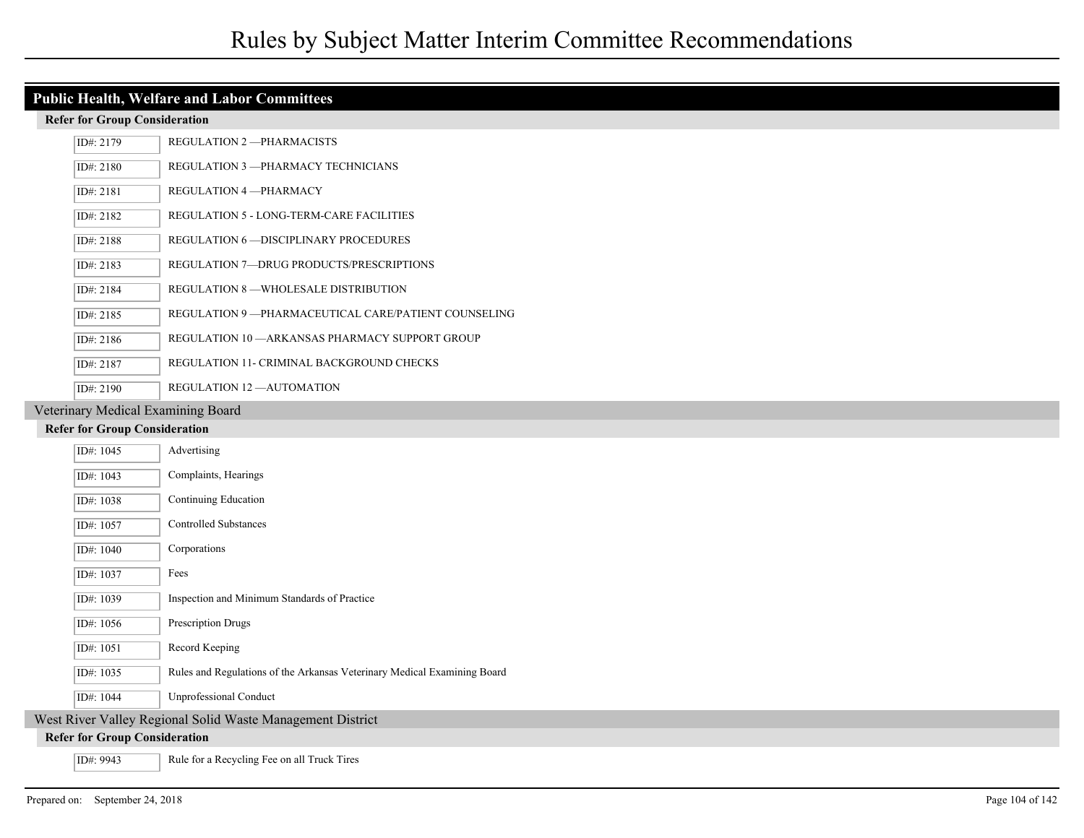#### **Refer for Group Consideration**

| ID#: 2179 | REGULATION 2-PHARMACISTS                             |
|-----------|------------------------------------------------------|
| ID#: 2180 | REGULATION 3 - PHARMACY TECHNICIANS                  |
| ID#: 2181 | REGULATION 4 - PHARMACY                              |
| ID#: 2182 | REGULATION 5 - LONG-TERM-CARE FACILITIES             |
| ID#: 2188 | REGULATION 6 - DISCIPLINARY PROCEDURES               |
| ID#: 2183 | REGULATION 7-DRUG PRODUCTS/PRESCRIPTIONS             |
| ID#: 2184 | REGULATION 8 —WHOLESALE DISTRIBUTION                 |
| ID#: 2185 | REGULATION 9 —PHARMACEUTICAL CARE/PATIENT COUNSELING |
| ID#: 2186 | REGULATION 10 —ARKANSAS PHARMACY SUPPORT GROUP       |
| ID#: 2187 | REGULATION 11- CRIMINAL BACKGROUND CHECKS            |
| ID#: 2190 | REGULATION 12 - AUTOMATION                           |

#### Veterinary Medical Examining Board

| .                                                          |                                                                          |  |
|------------------------------------------------------------|--------------------------------------------------------------------------|--|
| ID#: 1045                                                  | Advertising                                                              |  |
| ID#: 1043                                                  | Complaints, Hearings                                                     |  |
| ID#: 1038                                                  | Continuing Education                                                     |  |
| ID#: 1057                                                  | <b>Controlled Substances</b>                                             |  |
| ID#: 1040                                                  | Corporations                                                             |  |
| ID#: 1037                                                  | Fees                                                                     |  |
| ID#: 1039                                                  | Inspection and Minimum Standards of Practice                             |  |
| ID#: 1056                                                  | Prescription Drugs                                                       |  |
| ID#: 1051                                                  | Record Keeping                                                           |  |
| ID#: 1035                                                  | Rules and Regulations of the Arkansas Veterinary Medical Examining Board |  |
| ID#: 1044                                                  | <b>Unprofessional Conduct</b>                                            |  |
| West River Valley Regional Solid Waste Management District |                                                                          |  |
| <b>Refer for Group Consideration</b>                       |                                                                          |  |
| ID#: 9943                                                  | Rule for a Recycling Fee on all Truck Tires                              |  |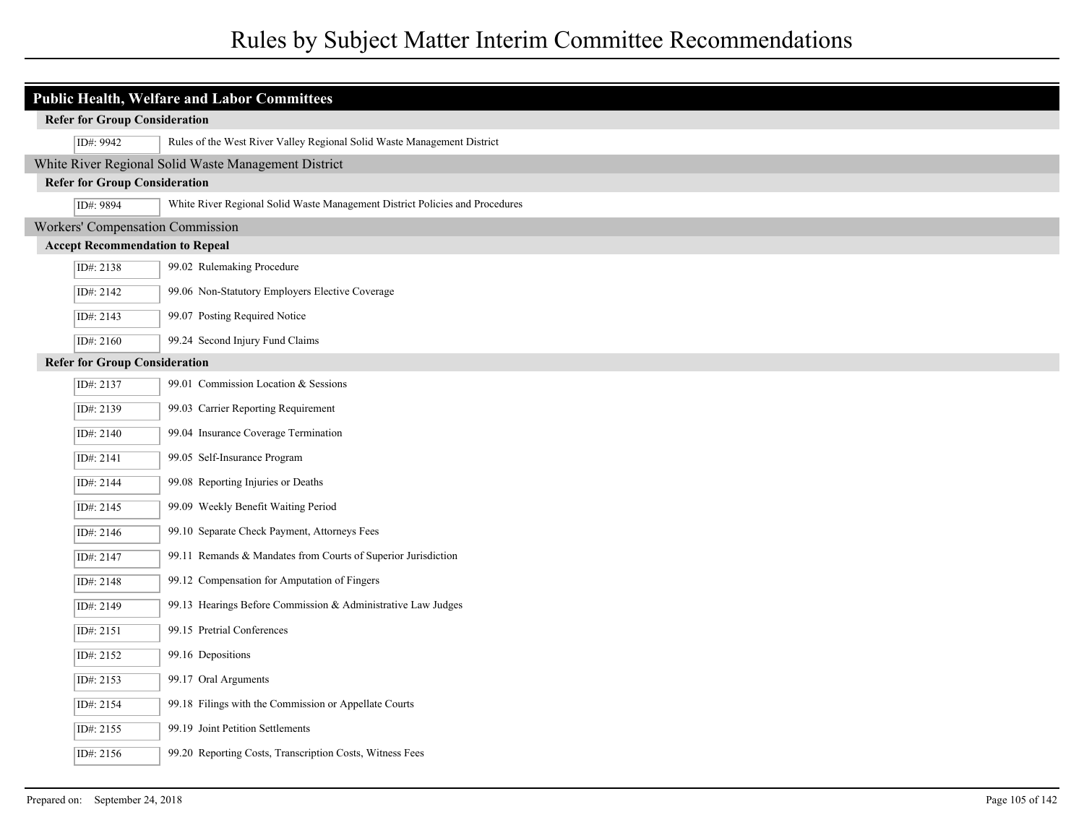|  | <b>Public Health, Welfare and Labor Committees</b> |                                                                              |  |  |  |
|--|----------------------------------------------------|------------------------------------------------------------------------------|--|--|--|
|  | <b>Refer for Group Consideration</b>               |                                                                              |  |  |  |
|  | ID#: 9942                                          | Rules of the West River Valley Regional Solid Waste Management District      |  |  |  |
|  |                                                    | White River Regional Solid Waste Management District                         |  |  |  |
|  | <b>Refer for Group Consideration</b>               |                                                                              |  |  |  |
|  | ID#: 9894                                          | White River Regional Solid Waste Management District Policies and Procedures |  |  |  |
|  |                                                    | Workers' Compensation Commission                                             |  |  |  |
|  | <b>Accept Recommendation to Repeal</b>             |                                                                              |  |  |  |
|  | ID#: 2138                                          | 99.02 Rulemaking Procedure                                                   |  |  |  |
|  | ID#: 2142                                          | 99.06 Non-Statutory Employers Elective Coverage                              |  |  |  |
|  | ID#: 2143                                          | 99.07 Posting Required Notice                                                |  |  |  |
|  | ID#: 2160                                          | 99.24 Second Injury Fund Claims                                              |  |  |  |
|  | <b>Refer for Group Consideration</b>               |                                                                              |  |  |  |
|  | ID#: 2137                                          | 99.01 Commission Location & Sessions                                         |  |  |  |
|  | ID#: 2139                                          | 99.03 Carrier Reporting Requirement                                          |  |  |  |
|  | ID#: 2140                                          | 99.04 Insurance Coverage Termination                                         |  |  |  |
|  | ID#: 2141                                          | 99.05 Self-Insurance Program                                                 |  |  |  |
|  | ID#: 2144                                          | 99.08 Reporting Injuries or Deaths                                           |  |  |  |
|  | ID#: 2145                                          | 99.09 Weekly Benefit Waiting Period                                          |  |  |  |
|  | ID#: 2146                                          | 99.10 Separate Check Payment, Attorneys Fees                                 |  |  |  |
|  | ID#: 2147                                          | 99.11 Remands & Mandates from Courts of Superior Jurisdiction                |  |  |  |
|  | ID#: 2148                                          | 99.12 Compensation for Amputation of Fingers                                 |  |  |  |
|  | ID#: 2149                                          | 99.13 Hearings Before Commission & Administrative Law Judges                 |  |  |  |
|  | ID#: 2151                                          | 99.15 Pretrial Conferences                                                   |  |  |  |
|  | ID#: 2152                                          | 99.16 Depositions                                                            |  |  |  |
|  | ID#: 2153                                          | 99.17 Oral Arguments                                                         |  |  |  |
|  | ID#: 2154                                          | 99.18 Filings with the Commission or Appellate Courts                        |  |  |  |
|  | ID#: 2155                                          | 99.19 Joint Petition Settlements                                             |  |  |  |
|  | ID#: 2156                                          | 99.20 Reporting Costs, Transcription Costs, Witness Fees                     |  |  |  |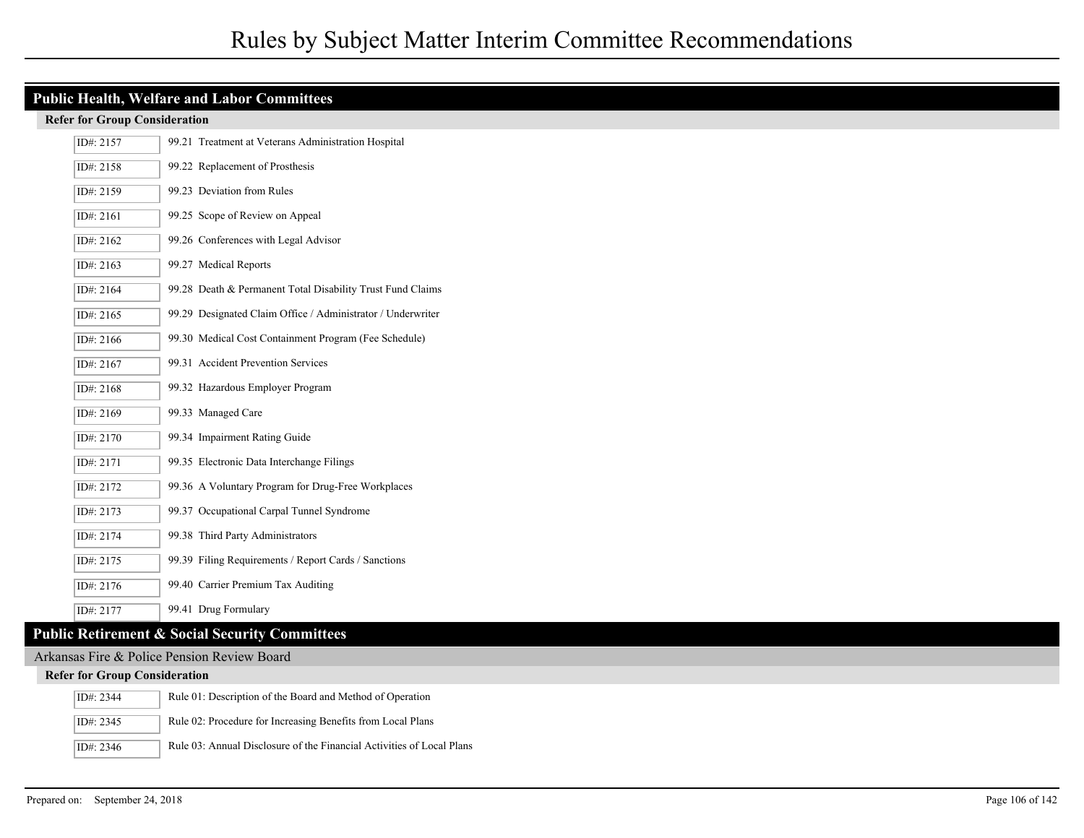| <b>Public Health, Welfare and Labor Committees</b> |                                                                       |  |  |  |  |
|----------------------------------------------------|-----------------------------------------------------------------------|--|--|--|--|
| <b>Refer for Group Consideration</b>               |                                                                       |  |  |  |  |
| ID#: 2157                                          | 99.21 Treatment at Veterans Administration Hospital                   |  |  |  |  |
| ID#: 2158                                          | 99.22 Replacement of Prosthesis                                       |  |  |  |  |
| ID#: 2159                                          | 99.23 Deviation from Rules                                            |  |  |  |  |
| ID#: 2161                                          | 99.25 Scope of Review on Appeal                                       |  |  |  |  |
| ID#: $2162$                                        | 99.26 Conferences with Legal Advisor                                  |  |  |  |  |
| ID#: 2163                                          | 99.27 Medical Reports                                                 |  |  |  |  |
| ID#: 2164                                          | 99.28 Death & Permanent Total Disability Trust Fund Claims            |  |  |  |  |
| ID#: 2165                                          | 99.29 Designated Claim Office / Administrator / Underwriter           |  |  |  |  |
| ID#: 2166                                          | 99.30 Medical Cost Containment Program (Fee Schedule)                 |  |  |  |  |
| ID#: 2167                                          | 99.31 Accident Prevention Services                                    |  |  |  |  |
| ID#: 2168                                          | 99.32 Hazardous Employer Program                                      |  |  |  |  |
| ID#: 2169                                          | 99.33 Managed Care                                                    |  |  |  |  |
| ID#: 2170                                          | 99.34 Impairment Rating Guide                                         |  |  |  |  |
| ID#: 2171                                          | 99.35 Electronic Data Interchange Filings                             |  |  |  |  |
| ID#: 2172                                          | 99.36 A Voluntary Program for Drug-Free Workplaces                    |  |  |  |  |
| ID#: 2173                                          | 99.37 Occupational Carpal Tunnel Syndrome                             |  |  |  |  |
| ID#: 2174                                          | 99.38 Third Party Administrators                                      |  |  |  |  |
| ID#: 2175                                          | 99.39 Filing Requirements / Report Cards / Sanctions                  |  |  |  |  |
| ID#: 2176                                          | 99.40 Carrier Premium Tax Auditing                                    |  |  |  |  |
| ID#: 2177                                          | 99.41 Drug Formulary                                                  |  |  |  |  |
|                                                    | <b>Public Retirement &amp; Social Security Committees</b>             |  |  |  |  |
|                                                    | Arkansas Fire & Police Pension Review Board                           |  |  |  |  |
| <b>Refer for Group Consideration</b>               |                                                                       |  |  |  |  |
| ID#: 2344                                          | Rule 01: Description of the Board and Method of Operation             |  |  |  |  |
| ID#: 2345                                          | Rule 02: Procedure for Increasing Benefits from Local Plans           |  |  |  |  |
| ID#: 2346                                          | Rule 03: Annual Disclosure of the Financial Activities of Local Plans |  |  |  |  |

I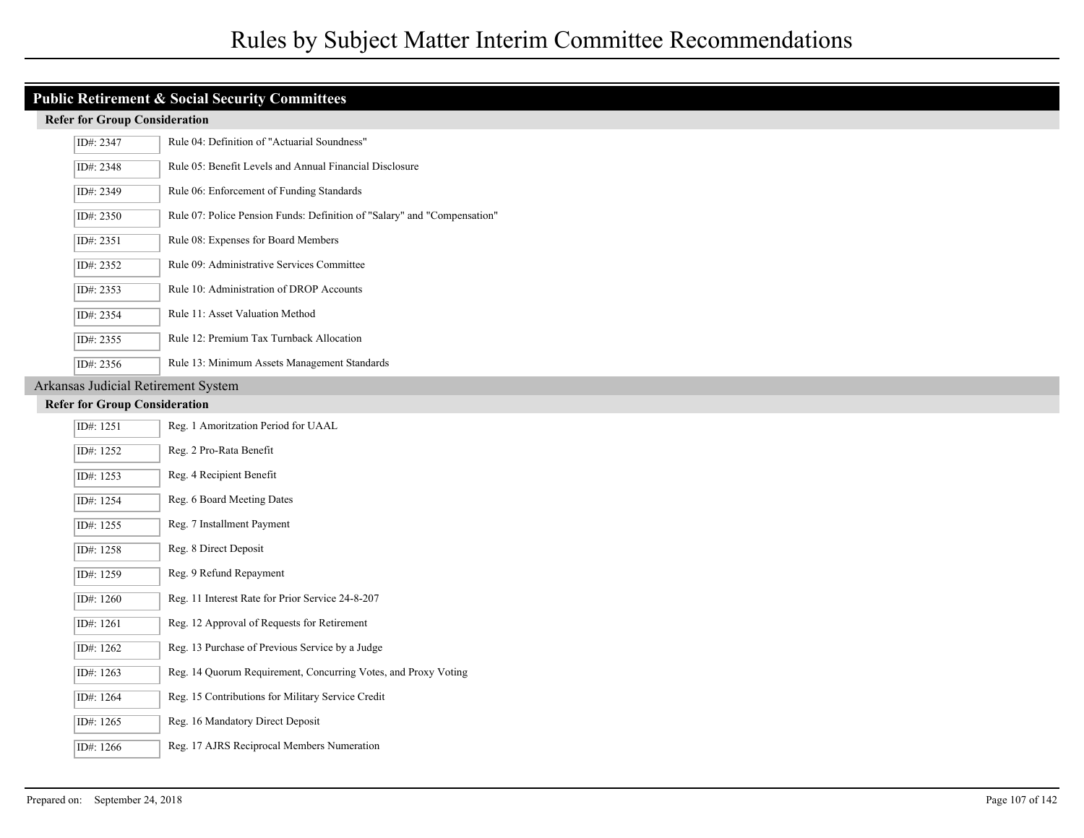## **Public Retirement & Social Security Committees**

#### **Refer for Group Consideration**

| ID#: 2347   | Rule 04: Definition of "Actuarial Soundness"                             |
|-------------|--------------------------------------------------------------------------|
| ID#: 2348   | Rule 05: Benefit Levels and Annual Financial Disclosure                  |
| ID#: 2349   | Rule 06: Enforcement of Funding Standards                                |
| ID#: 2350   | Rule 07: Police Pension Funds: Definition of "Salary" and "Compensation" |
| ID#: $2351$ | Rule 08: Expenses for Board Members                                      |
| ID#: 2352   | Rule 09: Administrative Services Committee                               |
| ID#: 2353   | Rule 10: Administration of DROP Accounts                                 |
| ID#: 2354   | Rule 11: Asset Valuation Method                                          |
| ID#: 2355   | Rule 12: Premium Tax Turnback Allocation                                 |
| ID#: $2356$ | Rule 13: Minimum Assets Management Standards                             |

### Arkansas Judicial Retirement System

| ID#: 1251 | Reg. 1 Amoritzation Period for UAAL                            |
|-----------|----------------------------------------------------------------|
| ID#: 1252 | Reg. 2 Pro-Rata Benefit                                        |
| ID#: 1253 | Reg. 4 Recipient Benefit                                       |
| ID#: 1254 | Reg. 6 Board Meeting Dates                                     |
| ID#: 1255 | Reg. 7 Installment Payment                                     |
| ID#: 1258 | Reg. 8 Direct Deposit                                          |
| ID#: 1259 | Reg. 9 Refund Repayment                                        |
| ID#: 1260 | Reg. 11 Interest Rate for Prior Service 24-8-207               |
| ID#: 1261 | Reg. 12 Approval of Requests for Retirement                    |
| ID#: 1262 | Reg. 13 Purchase of Previous Service by a Judge                |
| ID#: 1263 | Reg. 14 Quorum Requirement, Concurring Votes, and Proxy Voting |
| ID#: 1264 | Reg. 15 Contributions for Military Service Credit              |
| ID#: 1265 | Reg. 16 Mandatory Direct Deposit                               |
| ID#: 1266 | Reg. 17 AJRS Reciprocal Members Numeration                     |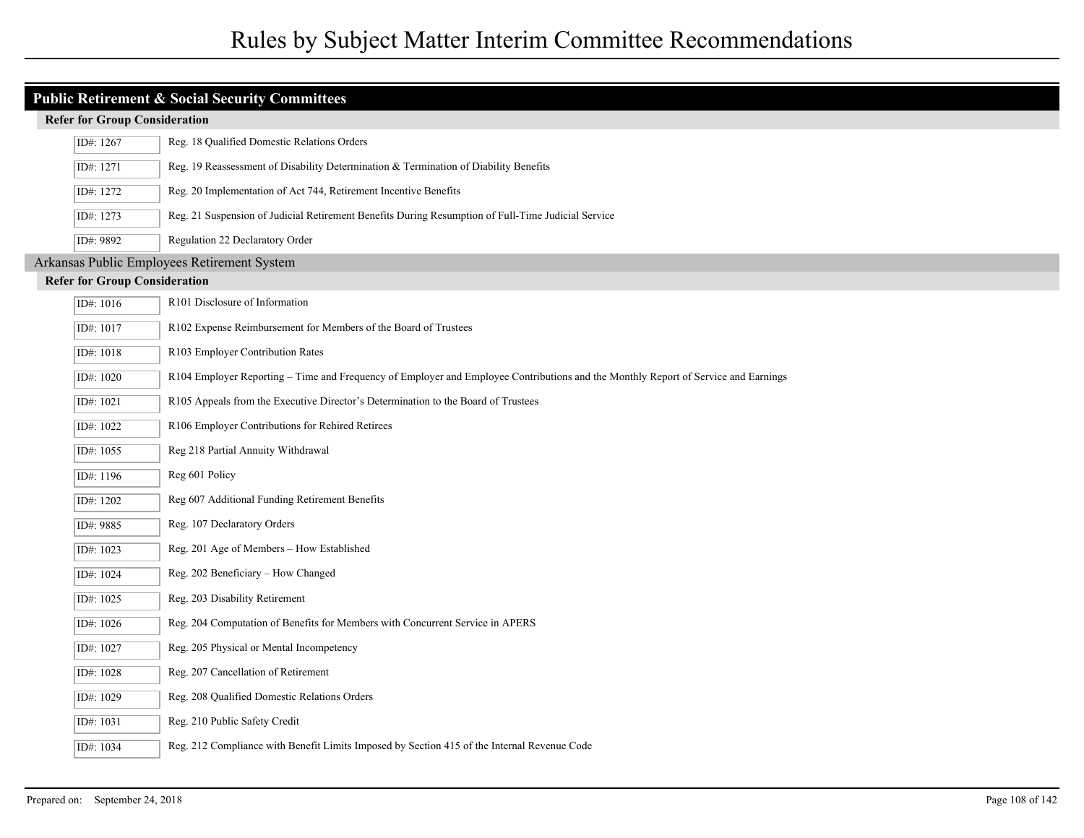| <b>Public Retirement &amp; Social Security Committees</b> |                                             |                                                                                                                                    |  |  |  |
|-----------------------------------------------------------|---------------------------------------------|------------------------------------------------------------------------------------------------------------------------------------|--|--|--|
|                                                           | <b>Refer for Group Consideration</b>        |                                                                                                                                    |  |  |  |
|                                                           | ID#: 1267                                   | Reg. 18 Qualified Domestic Relations Orders                                                                                        |  |  |  |
|                                                           | ID#: 1271                                   | Reg. 19 Reassessment of Disability Determination & Termination of Diability Benefits                                               |  |  |  |
|                                                           | ID#: 1272                                   | Reg. 20 Implementation of Act 744, Retirement Incentive Benefits                                                                   |  |  |  |
|                                                           | ID#: 1273                                   | Reg. 21 Suspension of Judicial Retirement Benefits During Resumption of Full-Time Judicial Service                                 |  |  |  |
|                                                           | ID#: 9892                                   | Regulation 22 Declaratory Order                                                                                                    |  |  |  |
|                                                           | Arkansas Public Employees Retirement System |                                                                                                                                    |  |  |  |
|                                                           | <b>Refer for Group Consideration</b>        |                                                                                                                                    |  |  |  |
|                                                           | ID#: 1016                                   | R101 Disclosure of Information                                                                                                     |  |  |  |
|                                                           | ID#: 1017                                   | R102 Expense Reimbursement for Members of the Board of Trustees                                                                    |  |  |  |
|                                                           | ID#: 1018                                   | R103 Employer Contribution Rates                                                                                                   |  |  |  |
|                                                           | ID#: 1020                                   | R104 Employer Reporting - Time and Frequency of Employer and Employee Contributions and the Monthly Report of Service and Earnings |  |  |  |
|                                                           | ID#: 1021                                   | R105 Appeals from the Executive Director's Determination to the Board of Trustees                                                  |  |  |  |
|                                                           | ID#: 1022                                   | R106 Employer Contributions for Rehired Retirees                                                                                   |  |  |  |
|                                                           | ID#: 1055                                   | Reg 218 Partial Annuity Withdrawal                                                                                                 |  |  |  |
|                                                           | ID#: 1196                                   | Reg 601 Policy                                                                                                                     |  |  |  |
|                                                           | ID#: 1202                                   | Reg 607 Additional Funding Retirement Benefits                                                                                     |  |  |  |
|                                                           | ID#: 9885                                   | Reg. 107 Declaratory Orders                                                                                                        |  |  |  |
|                                                           | ID#: 1023                                   | Reg. 201 Age of Members - How Established                                                                                          |  |  |  |
|                                                           | ID#: 1024                                   | Reg. 202 Beneficiary - How Changed                                                                                                 |  |  |  |
|                                                           | ID#: 1025                                   | Reg. 203 Disability Retirement                                                                                                     |  |  |  |
|                                                           | ID#: 1026                                   | Reg. 204 Computation of Benefits for Members with Concurrent Service in APERS                                                      |  |  |  |
|                                                           | ID#: 1027                                   | Reg. 205 Physical or Mental Incompetency                                                                                           |  |  |  |
|                                                           | ID#: 1028                                   | Reg. 207 Cancellation of Retirement                                                                                                |  |  |  |
|                                                           | ID#: 1029                                   | Reg. 208 Qualified Domestic Relations Orders                                                                                       |  |  |  |
|                                                           | ID#: 1031                                   | Reg. 210 Public Safety Credit                                                                                                      |  |  |  |
|                                                           | ID#: 1034                                   | Reg. 212 Compliance with Benefit Limits Imposed by Section 415 of the Internal Revenue Code                                        |  |  |  |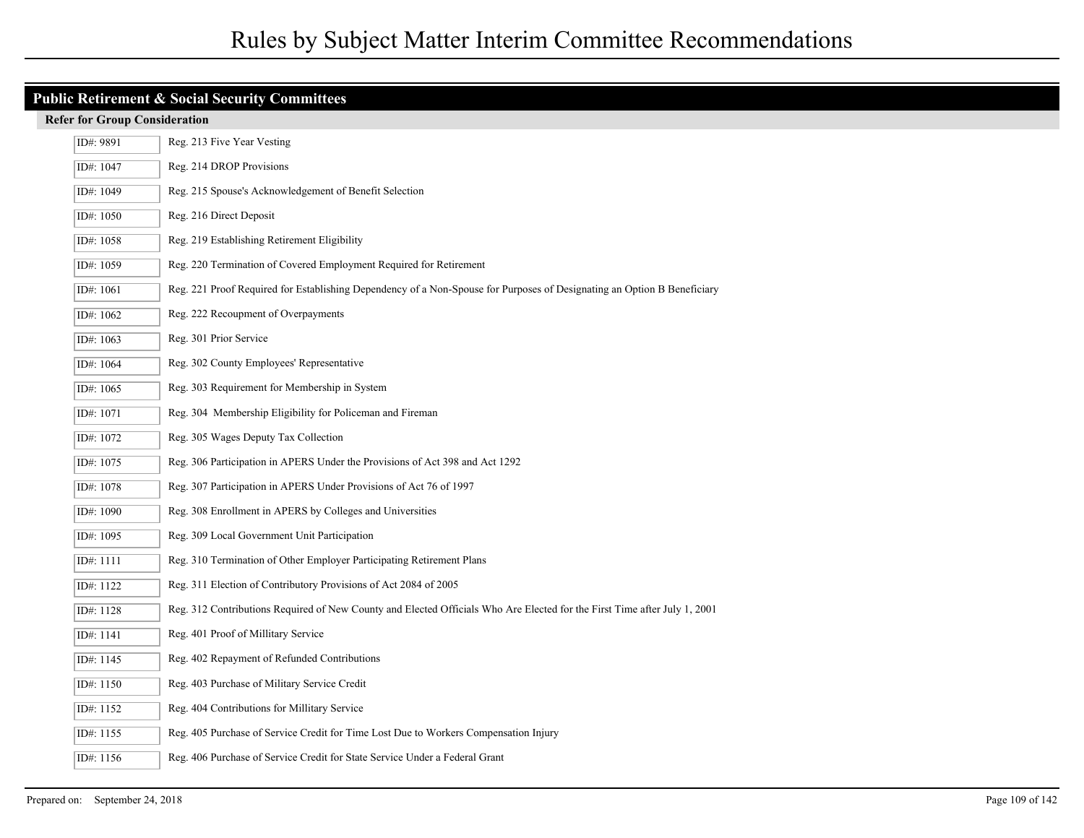| <b>Public Retirement &amp; Social Security Committees</b> |                                                                                                                           |  |  |
|-----------------------------------------------------------|---------------------------------------------------------------------------------------------------------------------------|--|--|
| <b>Refer for Group Consideration</b>                      |                                                                                                                           |  |  |
| ID#: 9891                                                 | Reg. 213 Five Year Vesting                                                                                                |  |  |
| ID#: 1047                                                 | Reg. 214 DROP Provisions                                                                                                  |  |  |
| ID#: 1049                                                 | Reg. 215 Spouse's Acknowledgement of Benefit Selection                                                                    |  |  |
| ID#: 1050                                                 | Reg. 216 Direct Deposit                                                                                                   |  |  |
| ID#: 1058                                                 | Reg. 219 Establishing Retirement Eligibility                                                                              |  |  |
| ID#: 1059                                                 | Reg. 220 Termination of Covered Employment Required for Retirement                                                        |  |  |
| ID#: 1061                                                 | Reg. 221 Proof Required for Establishing Dependency of a Non-Spouse for Purposes of Designating an Option B Beneficiary   |  |  |
| ID#: 1062                                                 | Reg. 222 Recoupment of Overpayments                                                                                       |  |  |
| ID#: $1063$                                               | Reg. 301 Prior Service                                                                                                    |  |  |
| ID#: 1064                                                 | Reg. 302 County Employees' Representative                                                                                 |  |  |
| ID#: 1065                                                 | Reg. 303 Requirement for Membership in System                                                                             |  |  |
| ID#: 1071                                                 | Reg. 304 Membership Eligibility for Policeman and Fireman                                                                 |  |  |
| ID#: 1072                                                 | Reg. 305 Wages Deputy Tax Collection                                                                                      |  |  |
| ID#: 1075                                                 | Reg. 306 Participation in APERS Under the Provisions of Act 398 and Act 1292                                              |  |  |
| ID#: 1078                                                 | Reg. 307 Participation in APERS Under Provisions of Act 76 of 1997                                                        |  |  |
| ID#: 1090                                                 | Reg. 308 Enrollment in APERS by Colleges and Universities                                                                 |  |  |
| ID#: 1095                                                 | Reg. 309 Local Government Unit Participation                                                                              |  |  |
| ID#: 1111                                                 | Reg. 310 Termination of Other Employer Participating Retirement Plans                                                     |  |  |
| ID#: 1122                                                 | Reg. 311 Election of Contributory Provisions of Act 2084 of 2005                                                          |  |  |
| ID#: 1128                                                 | Reg. 312 Contributions Required of New County and Elected Officials Who Are Elected for the First Time after July 1, 2001 |  |  |
| ID#: 1141                                                 | Reg. 401 Proof of Millitary Service                                                                                       |  |  |
| ID#: 1145                                                 | Reg. 402 Repayment of Refunded Contributions                                                                              |  |  |
| ID#: 1150                                                 | Reg. 403 Purchase of Military Service Credit                                                                              |  |  |
| ID#: 1152                                                 | Reg. 404 Contributions for Millitary Service                                                                              |  |  |
| ID#: 1155                                                 | Reg. 405 Purchase of Service Credit for Time Lost Due to Workers Compensation Injury                                      |  |  |
| ID#: $1156$                                               | Reg. 406 Purchase of Service Credit for State Service Under a Federal Grant                                               |  |  |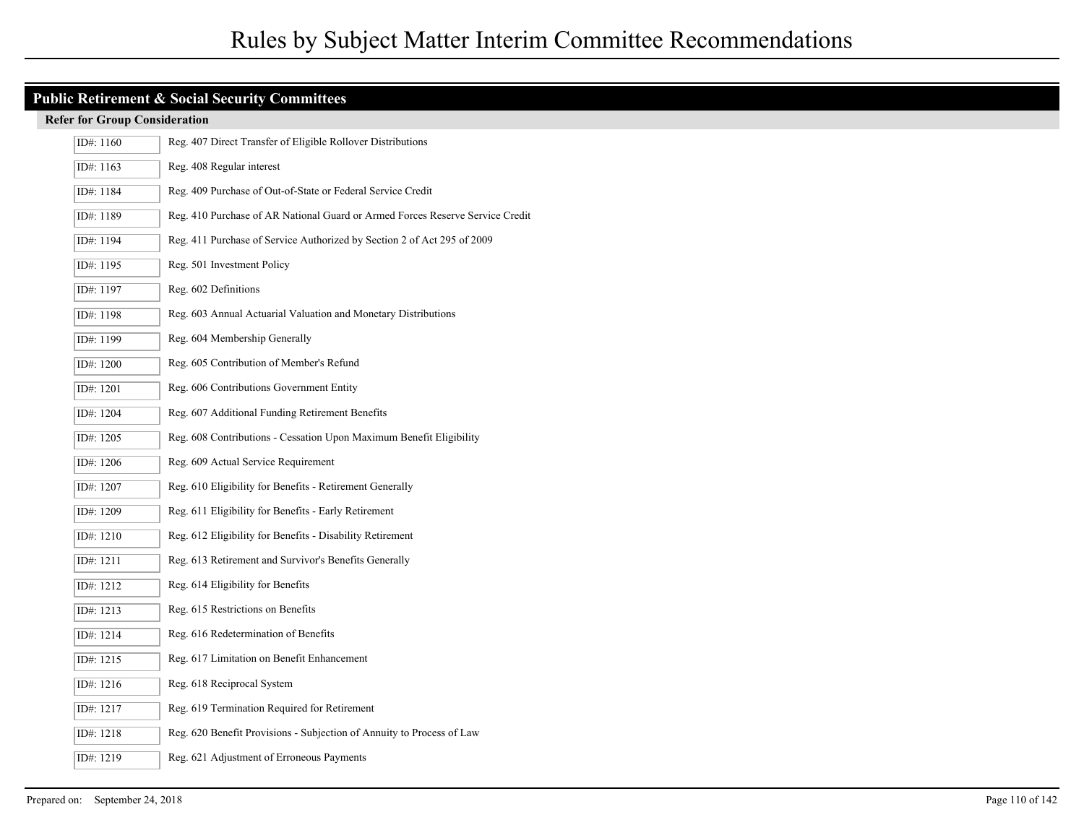# **Public Retirement & Social Security Committees**

| ID#: 1160 | Reg. 407 Direct Transfer of Eligible Rollover Distributions                   |
|-----------|-------------------------------------------------------------------------------|
| ID#: 1163 | Reg. 408 Regular interest                                                     |
| ID#: 1184 | Reg. 409 Purchase of Out-of-State or Federal Service Credit                   |
| ID#: 1189 | Reg. 410 Purchase of AR National Guard or Armed Forces Reserve Service Credit |
| ID#: 1194 | Reg. 411 Purchase of Service Authorized by Section 2 of Act 295 of 2009       |
| ID#: 1195 | Reg. 501 Investment Policy                                                    |
| ID#: 1197 | Reg. 602 Definitions                                                          |
| ID#: 1198 | Reg. 603 Annual Actuarial Valuation and Monetary Distributions                |
| ID#: 1199 | Reg. 604 Membership Generally                                                 |
| ID#: 1200 | Reg. 605 Contribution of Member's Refund                                      |
| ID#: 1201 | Reg. 606 Contributions Government Entity                                      |
| ID#: 1204 | Reg. 607 Additional Funding Retirement Benefits                               |
| ID#: 1205 | Reg. 608 Contributions - Cessation Upon Maximum Benefit Eligibility           |
| ID#: 1206 | Reg. 609 Actual Service Requirement                                           |
| ID#: 1207 | Reg. 610 Eligibility for Benefits - Retirement Generally                      |
| ID#: 1209 | Reg. 611 Eligibility for Benefits - Early Retirement                          |
| ID#: 1210 | Reg. 612 Eligibility for Benefits - Disability Retirement                     |
| ID#: 1211 | Reg. 613 Retirement and Survivor's Benefits Generally                         |
| ID#: 1212 | Reg. 614 Eligibility for Benefits                                             |
| ID#: 1213 | Reg. 615 Restrictions on Benefits                                             |
| ID#: 1214 | Reg. 616 Redetermination of Benefits                                          |
| ID#: 1215 | Reg. 617 Limitation on Benefit Enhancement                                    |
| ID#: 1216 | Reg. 618 Reciprocal System                                                    |
| ID#: 1217 | Reg. 619 Termination Required for Retirement                                  |
| ID#: 1218 | Reg. 620 Benefit Provisions - Subjection of Annuity to Process of Law         |
| ID#: 1219 | Reg. 621 Adjustment of Erroneous Payments                                     |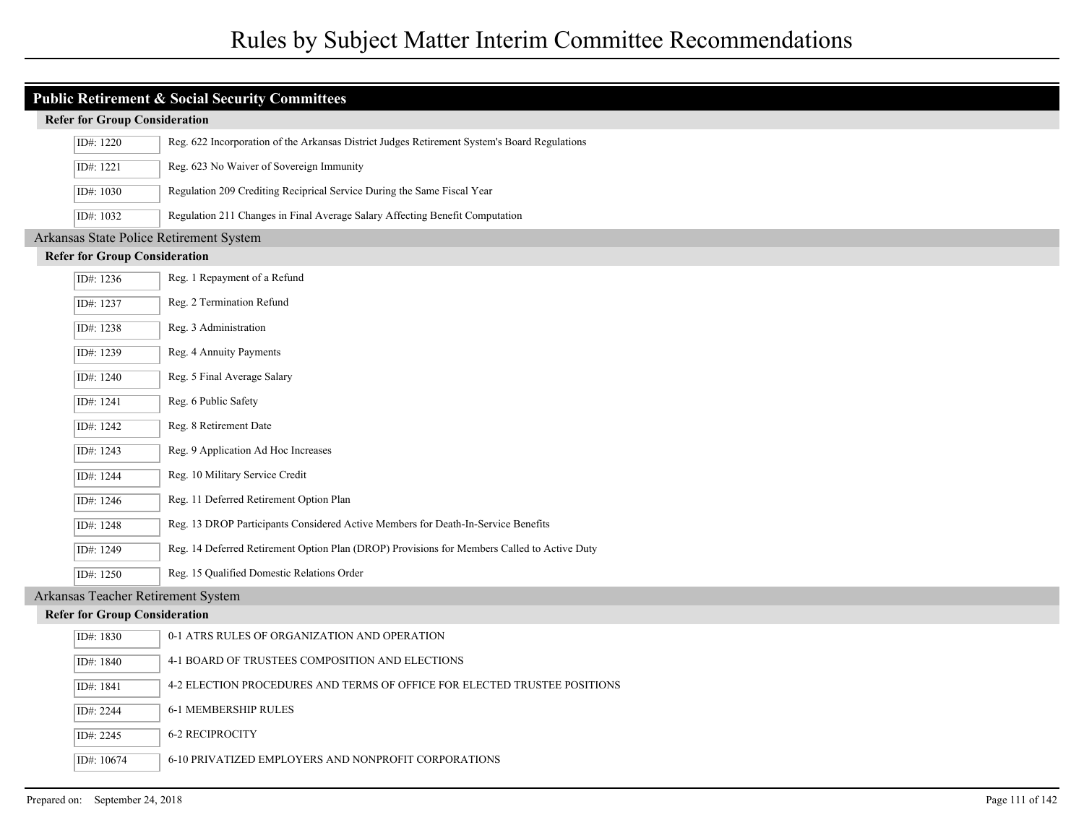| <b>Public Retirement &amp; Social Security Committees</b> |                                      |                                                                                              |  |  |
|-----------------------------------------------------------|--------------------------------------|----------------------------------------------------------------------------------------------|--|--|
|                                                           | <b>Refer for Group Consideration</b> |                                                                                              |  |  |
|                                                           | ID#: 1220                            | Reg. 622 Incorporation of the Arkansas District Judges Retirement System's Board Regulations |  |  |
|                                                           | ID#: 1221                            | Reg. 623 No Waiver of Sovereign Immunity                                                     |  |  |
|                                                           | ID#: 1030                            | Regulation 209 Crediting Reciprical Service During the Same Fiscal Year                      |  |  |
|                                                           | ID#: 1032                            | Regulation 211 Changes in Final Average Salary Affecting Benefit Computation                 |  |  |
|                                                           |                                      | Arkansas State Police Retirement System                                                      |  |  |
|                                                           | <b>Refer for Group Consideration</b> |                                                                                              |  |  |
|                                                           | ID#: 1236                            | Reg. 1 Repayment of a Refund                                                                 |  |  |
|                                                           | ID#: 1237                            | Reg. 2 Termination Refund                                                                    |  |  |
|                                                           | ID#: 1238                            | Reg. 3 Administration                                                                        |  |  |
|                                                           | ID#: 1239                            | Reg. 4 Annuity Payments                                                                      |  |  |
|                                                           | ID#: 1240                            | Reg. 5 Final Average Salary                                                                  |  |  |
|                                                           | ID#: 1241                            | Reg. 6 Public Safety                                                                         |  |  |
|                                                           | ID#: 1242                            | Reg. 8 Retirement Date                                                                       |  |  |
|                                                           | ID#: 1243                            | Reg. 9 Application Ad Hoc Increases                                                          |  |  |
|                                                           | ID#: 1244                            | Reg. 10 Military Service Credit                                                              |  |  |
|                                                           | ID#: 1246                            | Reg. 11 Deferred Retirement Option Plan                                                      |  |  |
|                                                           | ID#: 1248                            | Reg. 13 DROP Participants Considered Active Members for Death-In-Service Benefits            |  |  |
|                                                           | ID#: 1249                            | Reg. 14 Deferred Retirement Option Plan (DROP) Provisions for Members Called to Active Duty  |  |  |
|                                                           | ID#: $1250$                          | Reg. 15 Qualified Domestic Relations Order                                                   |  |  |
|                                                           |                                      | Arkansas Teacher Retirement System                                                           |  |  |
|                                                           | <b>Refer for Group Consideration</b> |                                                                                              |  |  |
|                                                           | ID#: 1830                            | 0-1 ATRS RULES OF ORGANIZATION AND OPERATION                                                 |  |  |
|                                                           | ID#: 1840                            | 4-1 BOARD OF TRUSTEES COMPOSITION AND ELECTIONS                                              |  |  |
|                                                           | ID#: 1841                            | 4-2 ELECTION PROCEDURES AND TERMS OF OFFICE FOR ELECTED TRUSTEE POSITIONS                    |  |  |
|                                                           | ID#: 2244                            | 6-1 MEMBERSHIP RULES                                                                         |  |  |
|                                                           | ID#: 2245                            | <b>6-2 RECIPROCITY</b>                                                                       |  |  |
|                                                           | ID#: 10674                           | 6-10 PRIVATIZED EMPLOYERS AND NONPROFIT CORPORATIONS                                         |  |  |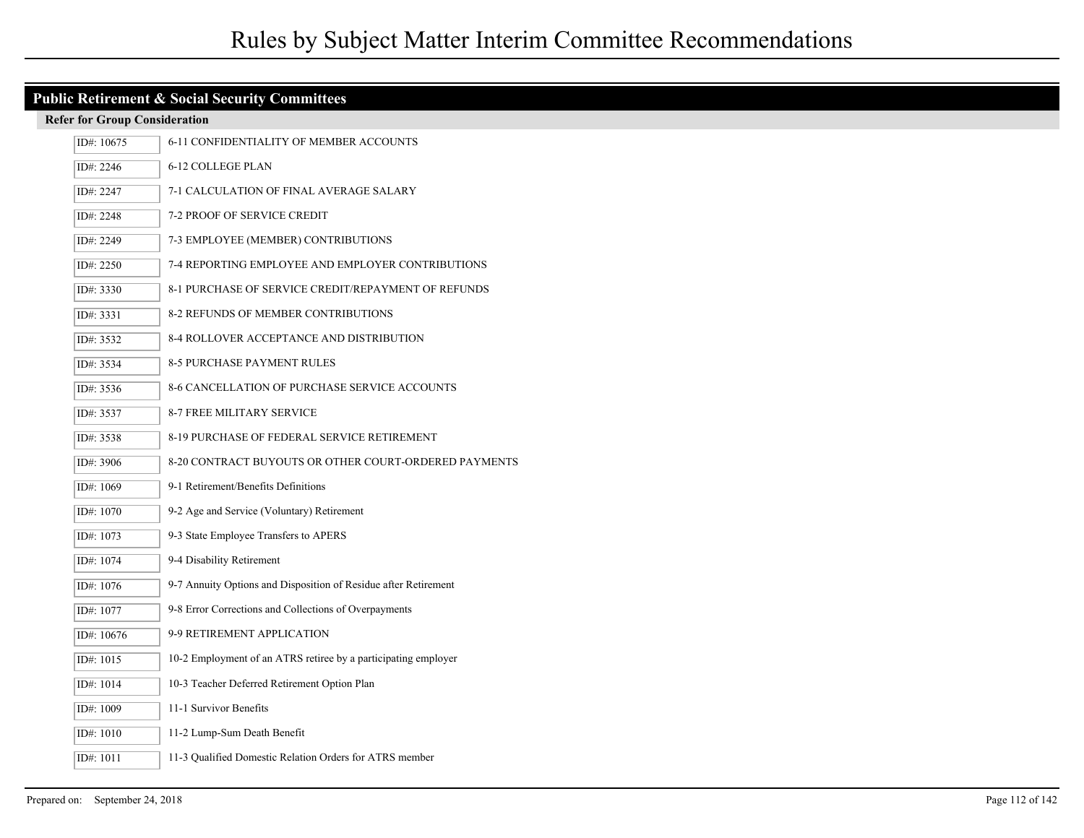| <b>Public Retirement &amp; Social Security Committees</b> |                                      |                                                                 |  |  |
|-----------------------------------------------------------|--------------------------------------|-----------------------------------------------------------------|--|--|
|                                                           | <b>Refer for Group Consideration</b> |                                                                 |  |  |
|                                                           | ID#: 10675                           | 6-11 CONFIDENTIALITY OF MEMBER ACCOUNTS                         |  |  |
|                                                           | ID#: 2246                            | 6-12 COLLEGE PLAN                                               |  |  |
|                                                           | ID#: 2247                            | 7-1 CALCULATION OF FINAL AVERAGE SALARY                         |  |  |
|                                                           | ID#: 2248                            | 7-2 PROOF OF SERVICE CREDIT                                     |  |  |
|                                                           | ID#: 2249                            | 7-3 EMPLOYEE (MEMBER) CONTRIBUTIONS                             |  |  |
|                                                           | ID#: 2250                            | 7-4 REPORTING EMPLOYEE AND EMPLOYER CONTRIBUTIONS               |  |  |
|                                                           | ID#: 3330                            | 8-1 PURCHASE OF SERVICE CREDIT/REPAYMENT OF REFUNDS             |  |  |
|                                                           | ID#: 3331                            | 8-2 REFUNDS OF MEMBER CONTRIBUTIONS                             |  |  |
|                                                           | ID#: 3532                            | 8-4 ROLLOVER ACCEPTANCE AND DISTRIBUTION                        |  |  |
|                                                           | ID#: 3534                            | <b>8-5 PURCHASE PAYMENT RULES</b>                               |  |  |
|                                                           | ID#: 3536                            | 8-6 CANCELLATION OF PURCHASE SERVICE ACCOUNTS                   |  |  |
|                                                           | ID#: 3537                            | 8-7 FREE MILITARY SERVICE                                       |  |  |
|                                                           | ID#: 3538                            | 8-19 PURCHASE OF FEDERAL SERVICE RETIREMENT                     |  |  |
|                                                           | ID#: 3906                            | 8-20 CONTRACT BUYOUTS OR OTHER COURT-ORDERED PAYMENTS           |  |  |
|                                                           | ID#: 1069                            | 9-1 Retirement/Benefits Definitions                             |  |  |
|                                                           | ID#: 1070                            | 9-2 Age and Service (Voluntary) Retirement                      |  |  |
|                                                           | ID#: 1073                            | 9-3 State Employee Transfers to APERS                           |  |  |
|                                                           | ID#: 1074                            | 9-4 Disability Retirement                                       |  |  |
|                                                           | ID#: 1076                            | 9-7 Annuity Options and Disposition of Residue after Retirement |  |  |
|                                                           | ID#: 1077                            | 9-8 Error Corrections and Collections of Overpayments           |  |  |
|                                                           | ID#: 10676                           | 9-9 RETIREMENT APPLICATION                                      |  |  |
|                                                           | ID#: 1015                            | 10-2 Employment of an ATRS retiree by a participating employer  |  |  |
|                                                           | ID#: 1014                            | 10-3 Teacher Deferred Retirement Option Plan                    |  |  |
|                                                           | ID#: 1009                            | 11-1 Survivor Benefits                                          |  |  |
|                                                           | ID#: 1010                            | 11-2 Lump-Sum Death Benefit                                     |  |  |
|                                                           | ID#: 1011                            | 11-3 Qualified Domestic Relation Orders for ATRS member         |  |  |

I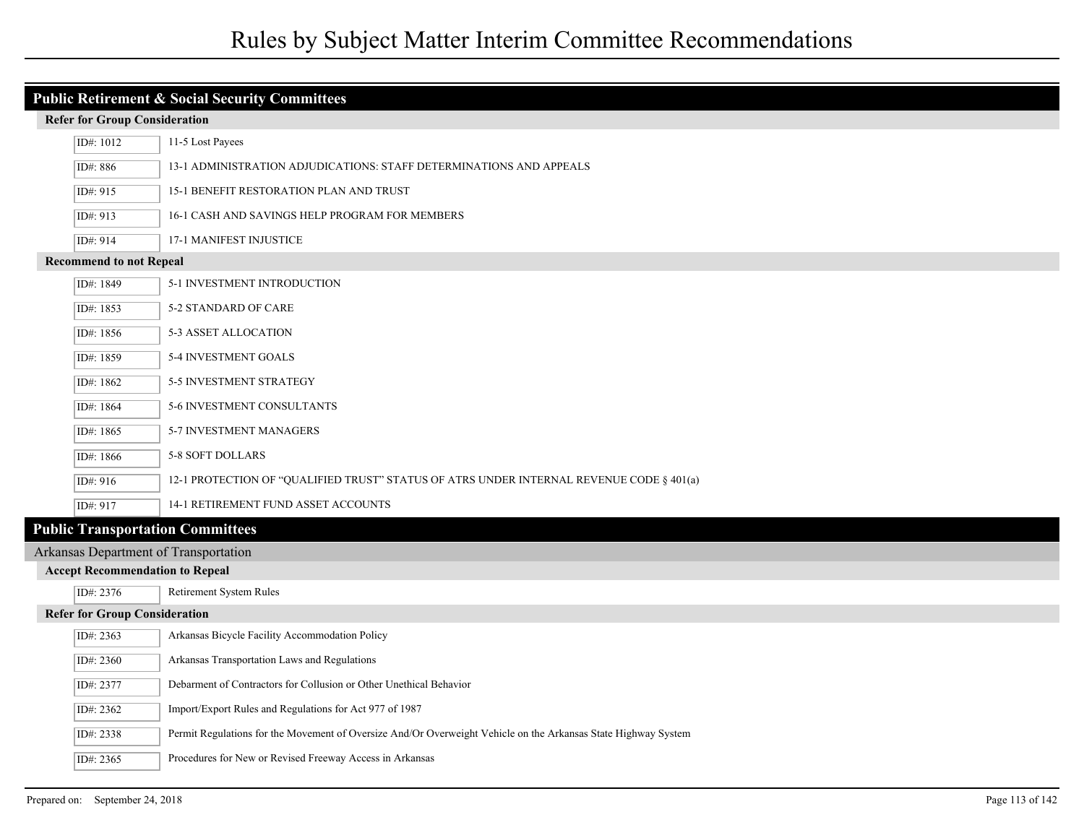# Rules by Subject Matter Interim Committee Recommendations

| <b>Public Retirement &amp; Social Security Committees</b> |                                        |                                                                                                                |  |  |
|-----------------------------------------------------------|----------------------------------------|----------------------------------------------------------------------------------------------------------------|--|--|
|                                                           | <b>Refer for Group Consideration</b>   |                                                                                                                |  |  |
|                                                           | ID#: 1012                              | 11-5 Lost Payees                                                                                               |  |  |
|                                                           | ID#: 886                               | 13-1 ADMINISTRATION ADJUDICATIONS: STAFF DETERMINATIONS AND APPEALS                                            |  |  |
|                                                           | ID#: 915                               | 15-1 BENEFIT RESTORATION PLAN AND TRUST                                                                        |  |  |
|                                                           | ID#: 913                               | 16-1 CASH AND SAVINGS HELP PROGRAM FOR MEMBERS                                                                 |  |  |
|                                                           | ID#: 914                               | <b>17-1 MANIFEST INJUSTICE</b>                                                                                 |  |  |
|                                                           | <b>Recommend to not Repeal</b>         |                                                                                                                |  |  |
|                                                           | ID#: 1849                              | 5-1 INVESTMENT INTRODUCTION                                                                                    |  |  |
|                                                           | ID#: 1853                              | 5-2 STANDARD OF CARE                                                                                           |  |  |
|                                                           | ID#: 1856                              | 5-3 ASSET ALLOCATION                                                                                           |  |  |
|                                                           | ID#: 1859                              | 5-4 INVESTMENT GOALS                                                                                           |  |  |
|                                                           | ID#: 1862                              | 5-5 INVESTMENT STRATEGY                                                                                        |  |  |
|                                                           | ID#: 1864                              | 5-6 INVESTMENT CONSULTANTS                                                                                     |  |  |
|                                                           | ID#: 1865                              | 5-7 INVESTMENT MANAGERS                                                                                        |  |  |
|                                                           | ID#: 1866                              | 5-8 SOFT DOLLARS                                                                                               |  |  |
|                                                           | ID#: 916                               | 12-1 PROTECTION OF "QUALIFIED TRUST" STATUS OF ATRS UNDER INTERNAL REVENUE CODE § 401(a)                       |  |  |
|                                                           | ID#: 917                               | 14-1 RETIREMENT FUND ASSET ACCOUNTS                                                                            |  |  |
|                                                           |                                        | <b>Public Transportation Committees</b>                                                                        |  |  |
|                                                           |                                        | Arkansas Department of Transportation                                                                          |  |  |
|                                                           | <b>Accept Recommendation to Repeal</b> |                                                                                                                |  |  |
|                                                           | ID#: 2376                              | Retirement System Rules                                                                                        |  |  |
|                                                           | <b>Refer for Group Consideration</b>   |                                                                                                                |  |  |
|                                                           | ID#: 2363                              | Arkansas Bicycle Facility Accommodation Policy                                                                 |  |  |
|                                                           | ID#: 2360                              | Arkansas Transportation Laws and Regulations                                                                   |  |  |
|                                                           | ID#: 2377                              | Debarment of Contractors for Collusion or Other Unethical Behavior                                             |  |  |
|                                                           | ID#: 2362                              | Import/Export Rules and Regulations for Act 977 of 1987                                                        |  |  |
|                                                           | ID#: 2338                              | Permit Regulations for the Movement of Oversize And/Or Overweight Vehicle on the Arkansas State Highway System |  |  |
|                                                           | ID#: 2365                              | Procedures for New or Revised Freeway Access in Arkansas                                                       |  |  |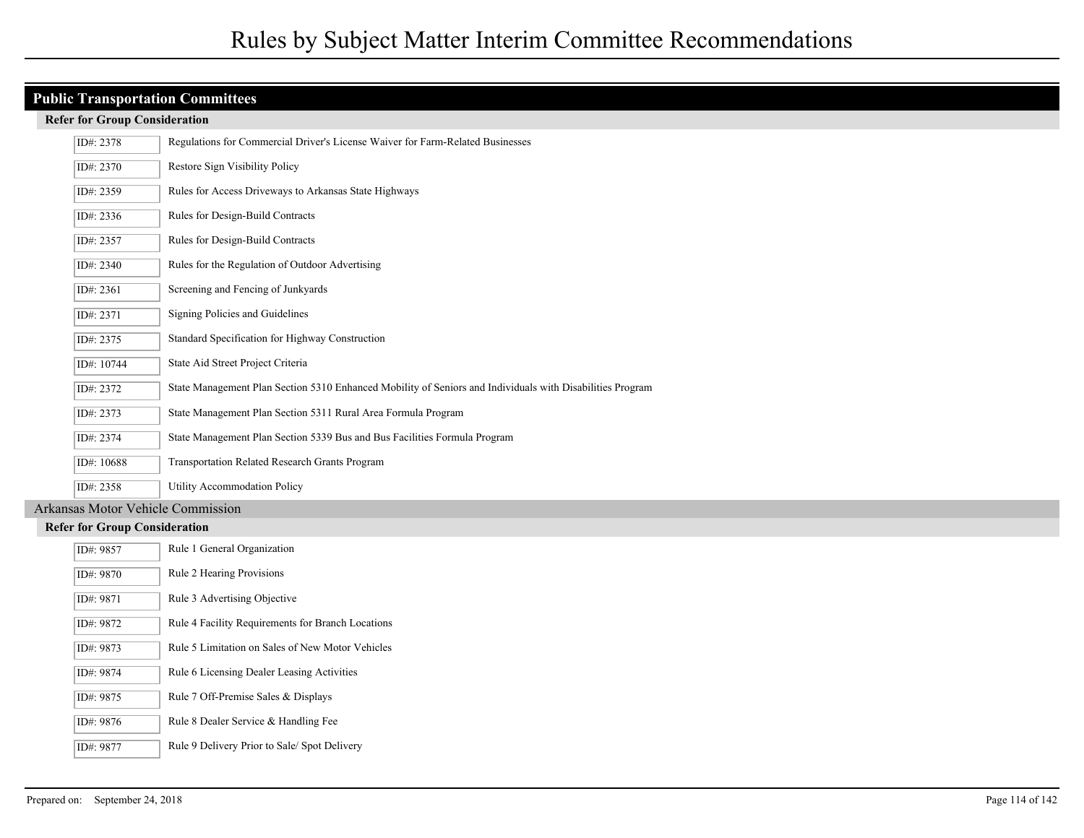# **Public Transportation Committees**

#### **Refer for Group Consideration**

| ID#: 2378  | Regulations for Commercial Driver's License Waiver for Farm-Related Businesses                            |
|------------|-----------------------------------------------------------------------------------------------------------|
| ID#: 2370  | Restore Sign Visibility Policy                                                                            |
| ID#: 2359  | Rules for Access Driveways to Arkansas State Highways                                                     |
| ID#: 2336  | Rules for Design-Build Contracts                                                                          |
| ID#: 2357  | Rules for Design-Build Contracts                                                                          |
| ID#: 2340  | Rules for the Regulation of Outdoor Advertising                                                           |
| ID#: 2361  | Screening and Fencing of Junkyards                                                                        |
| ID#: 2371  | Signing Policies and Guidelines                                                                           |
| ID#: 2375  | Standard Specification for Highway Construction                                                           |
| ID#: 10744 | State Aid Street Project Criteria                                                                         |
| ID#: 2372  | State Management Plan Section 5310 Enhanced Mobility of Seniors and Individuals with Disabilities Program |
| ID#: 2373  | State Management Plan Section 5311 Rural Area Formula Program                                             |
| ID#: 2374  | State Management Plan Section 5339 Bus and Bus Facilities Formula Program                                 |
| ID#: 10688 | <b>Transportation Related Research Grants Program</b>                                                     |
| ID#: 2358  | Utility Accommodation Policy                                                                              |

## Arkansas Motor Vehicle Commission

| ID#: 9857 | Rule 1 General Organization                       |
|-----------|---------------------------------------------------|
| ID#: 9870 | Rule 2 Hearing Provisions                         |
| ID#: 9871 | Rule 3 Advertising Objective                      |
| ID#: 9872 | Rule 4 Facility Requirements for Branch Locations |
| ID#: 9873 | Rule 5 Limitation on Sales of New Motor Vehicles  |
| ID#: 9874 | Rule 6 Licensing Dealer Leasing Activities        |
| ID#: 9875 | Rule 7 Off-Premise Sales & Displays               |
| ID#: 9876 | Rule 8 Dealer Service & Handling Fee              |
| ID#: 9877 | Rule 9 Delivery Prior to Sale/Spot Delivery       |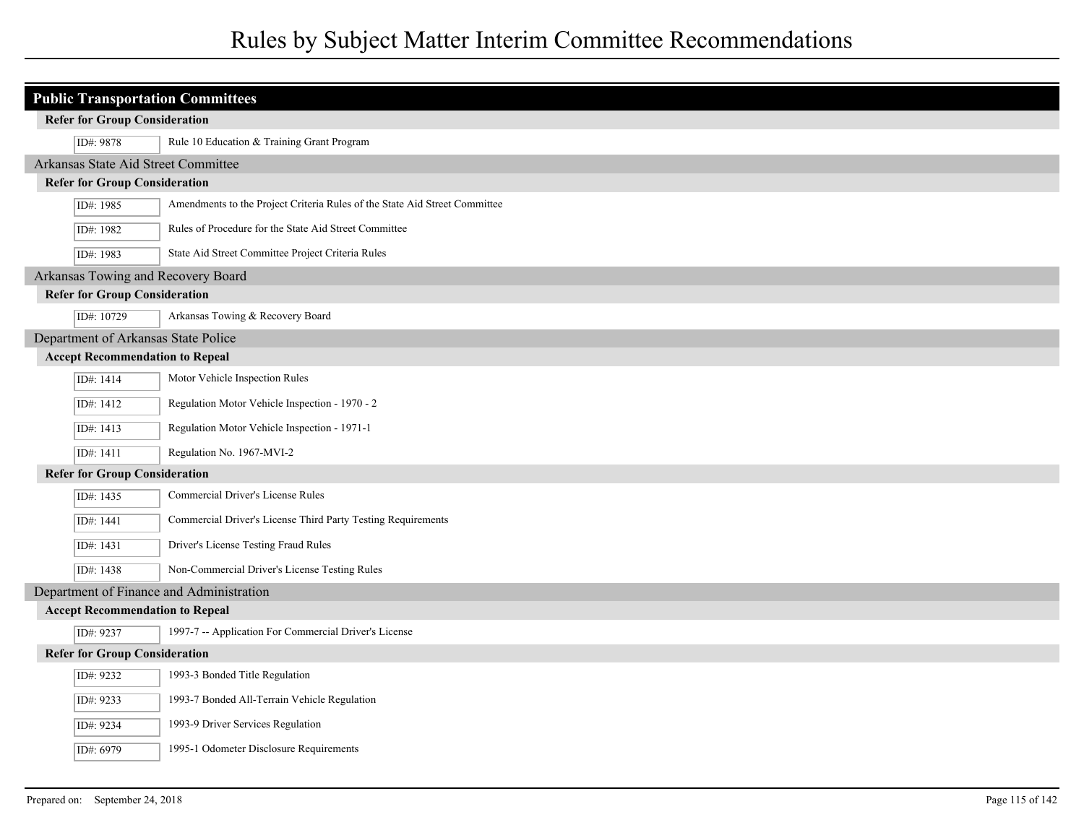# Rules by Subject Matter Interim Committee Recommendations

| <b>Public Transportation Committees</b>  |                                                                            |  |
|------------------------------------------|----------------------------------------------------------------------------|--|
| <b>Refer for Group Consideration</b>     |                                                                            |  |
| ID#: 9878                                | Rule 10 Education & Training Grant Program                                 |  |
| Arkansas State Aid Street Committee      |                                                                            |  |
| <b>Refer for Group Consideration</b>     |                                                                            |  |
| ID#: 1985                                | Amendments to the Project Criteria Rules of the State Aid Street Committee |  |
| ID#: 1982                                | Rules of Procedure for the State Aid Street Committee                      |  |
| ID#: 1983                                | State Aid Street Committee Project Criteria Rules                          |  |
| Arkansas Towing and Recovery Board       |                                                                            |  |
| <b>Refer for Group Consideration</b>     |                                                                            |  |
| ID#: 10729                               | Arkansas Towing & Recovery Board                                           |  |
| Department of Arkansas State Police      |                                                                            |  |
| <b>Accept Recommendation to Repeal</b>   |                                                                            |  |
| ID#: 1414                                | Motor Vehicle Inspection Rules                                             |  |
| ID#: 1412                                | Regulation Motor Vehicle Inspection - 1970 - 2                             |  |
| ID#: 1413                                | Regulation Motor Vehicle Inspection - 1971-1                               |  |
| ID#: 1411                                | Regulation No. 1967-MVI-2                                                  |  |
| <b>Refer for Group Consideration</b>     |                                                                            |  |
| ID#: 1435                                | Commercial Driver's License Rules                                          |  |
| ID#: 1441                                | Commercial Driver's License Third Party Testing Requirements               |  |
| ID#: 1431                                | Driver's License Testing Fraud Rules                                       |  |
| ID#: 1438                                | Non-Commercial Driver's License Testing Rules                              |  |
| Department of Finance and Administration |                                                                            |  |
| <b>Accept Recommendation to Repeal</b>   |                                                                            |  |
| ID#: 9237                                | 1997-7 -- Application For Commercial Driver's License                      |  |
| <b>Refer for Group Consideration</b>     |                                                                            |  |
| ID#: 9232                                | 1993-3 Bonded Title Regulation                                             |  |
| ID#: 9233                                | 1993-7 Bonded All-Terrain Vehicle Regulation                               |  |
| ID#: 9234                                | 1993-9 Driver Services Regulation                                          |  |
| ID#: 6979                                | 1995-1 Odometer Disclosure Requirements                                    |  |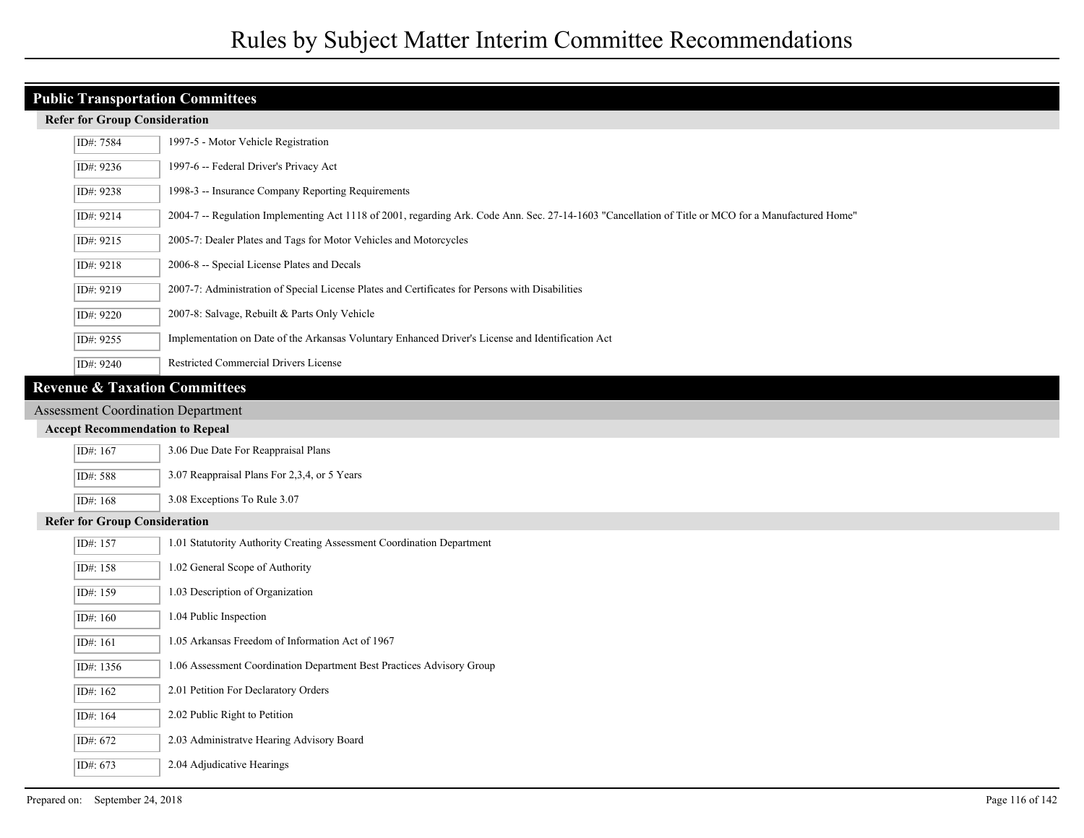# **Public Transportation Committees**

|                                        | ID#: 7584                                                                                                                                                        | 1997-5 - Motor Vehicle Registration                                                               |  |
|----------------------------------------|------------------------------------------------------------------------------------------------------------------------------------------------------------------|---------------------------------------------------------------------------------------------------|--|
|                                        | ID#: 9236                                                                                                                                                        | 1997-6 -- Federal Driver's Privacy Act                                                            |  |
|                                        | ID#: 9238                                                                                                                                                        | 1998-3 -- Insurance Company Reporting Requirements                                                |  |
|                                        | 2004-7 -- Regulation Implementing Act 1118 of 2001, regarding Ark. Code Ann. Sec. 27-14-1603 "Cancellation of Title or MCO for a Manufactured Home"<br>ID#: 9214 |                                                                                                   |  |
|                                        | ID#: 9215                                                                                                                                                        | 2005-7: Dealer Plates and Tags for Motor Vehicles and Motorcycles                                 |  |
|                                        | ID#: 9218                                                                                                                                                        | 2006-8 -- Special License Plates and Decals                                                       |  |
|                                        | ID#: 9219                                                                                                                                                        | 2007-7: Administration of Special License Plates and Certificates for Persons with Disabilities   |  |
|                                        | ID#: 9220                                                                                                                                                        | 2007-8: Salvage, Rebuilt & Parts Only Vehicle                                                     |  |
|                                        | ID#: 9255                                                                                                                                                        | Implementation on Date of the Arkansas Voluntary Enhanced Driver's License and Identification Act |  |
|                                        | ID#: 9240                                                                                                                                                        | Restricted Commercial Drivers License                                                             |  |
|                                        | <b>Revenue &amp; Taxation Committees</b>                                                                                                                         |                                                                                                   |  |
|                                        | <b>Assessment Coordination Department</b>                                                                                                                        |                                                                                                   |  |
| <b>Accept Recommendation to Repeal</b> |                                                                                                                                                                  |                                                                                                   |  |
|                                        | 3.06 Due Date For Reappraisal Plans<br>ID#: 167                                                                                                                  |                                                                                                   |  |
|                                        | ID#: 588                                                                                                                                                         | 3.07 Reappraisal Plans For 2,3,4, or 5 Years                                                      |  |
|                                        | ID#: 168                                                                                                                                                         | 3.08 Exceptions To Rule 3.07                                                                      |  |
| <b>Refer for Group Consideration</b>   |                                                                                                                                                                  |                                                                                                   |  |
|                                        | ID#: 157                                                                                                                                                         | 1.01 Statutority Authority Creating Assessment Coordination Department                            |  |
|                                        | ID#: 158                                                                                                                                                         | 1.02 General Scope of Authority                                                                   |  |
|                                        | ID#: 159                                                                                                                                                         | 1.03 Description of Organization                                                                  |  |
|                                        | ID#: 160                                                                                                                                                         | 1.04 Public Inspection                                                                            |  |
|                                        | ID#: 161                                                                                                                                                         | 1.05 Arkansas Freedom of Information Act of 1967                                                  |  |
|                                        |                                                                                                                                                                  |                                                                                                   |  |

- ID#: 1356 1.06 Assessment Coordination Department Best Practices Advisory Group
- ID#: 162 2.01 Petition For Declaratory Orders
- ID#: 164 2.02 Public Right to Petition
- ID#: 672 2.03 Administratve Hearing Advisory Board
- ID#: 673 2.04 Adjudicative Hearings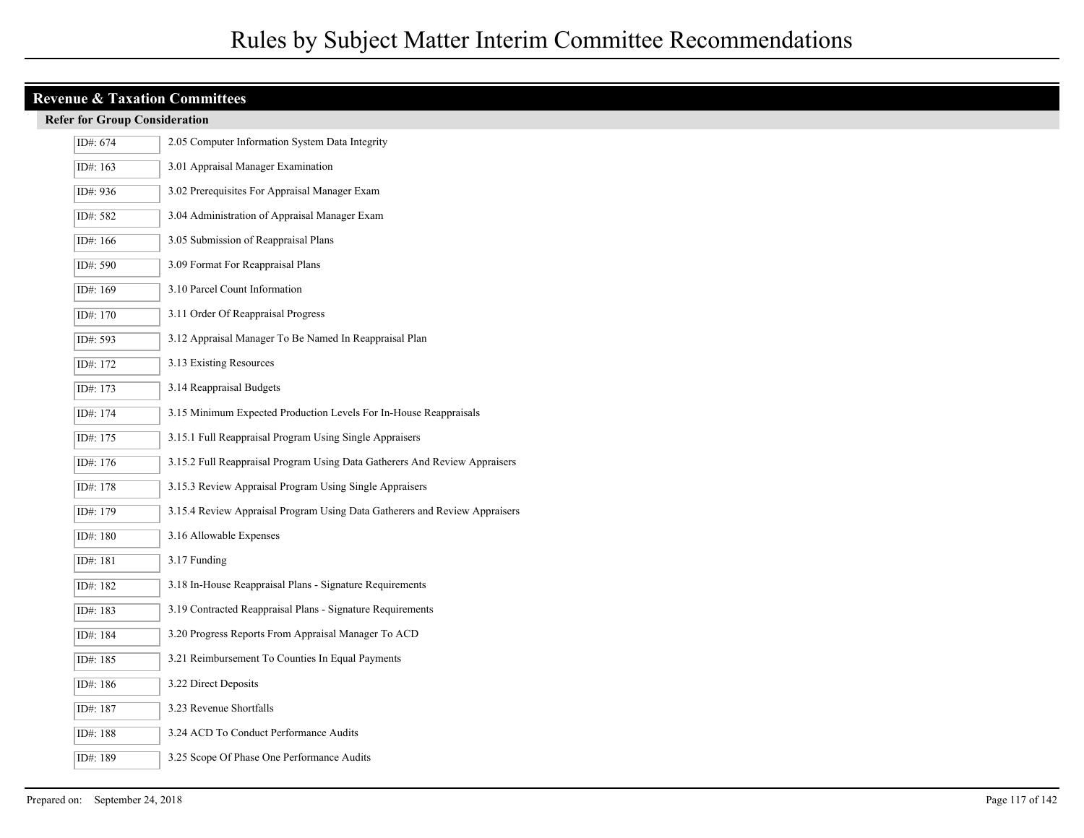| <b>Revenue &amp; Taxation Committees</b> |                                                                            |  |  |
|------------------------------------------|----------------------------------------------------------------------------|--|--|
| <b>Refer for Group Consideration</b>     |                                                                            |  |  |
| ID#: 674                                 | 2.05 Computer Information System Data Integrity                            |  |  |
| ID#: 163                                 | 3.01 Appraisal Manager Examination                                         |  |  |
| ID#: 936                                 | 3.02 Prerequisites For Appraisal Manager Exam                              |  |  |
| ID#: 582                                 | 3.04 Administration of Appraisal Manager Exam                              |  |  |
| ID#: $166$                               | 3.05 Submission of Reappraisal Plans                                       |  |  |
| ID#: 590                                 | 3.09 Format For Reappraisal Plans                                          |  |  |
| ID#: 169                                 | 3.10 Parcel Count Information                                              |  |  |
| ID#: 170                                 | 3.11 Order Of Reappraisal Progress                                         |  |  |
| ID#: 593                                 | 3.12 Appraisal Manager To Be Named In Reappraisal Plan                     |  |  |
| ID#: 172                                 | 3.13 Existing Resources                                                    |  |  |
| ID#: 173                                 | 3.14 Reappraisal Budgets                                                   |  |  |
| ID#: 174                                 | 3.15 Minimum Expected Production Levels For In-House Reappraisals          |  |  |
| ID#: 175                                 | 3.15.1 Full Reappraisal Program Using Single Appraisers                    |  |  |
| ID#: 176                                 | 3.15.2 Full Reappraisal Program Using Data Gatherers And Review Appraisers |  |  |
| ID#: 178                                 | 3.15.3 Review Appraisal Program Using Single Appraisers                    |  |  |
| ID#: 179                                 | 3.15.4 Review Appraisal Program Using Data Gatherers and Review Appraisers |  |  |
| ID#: 180                                 | 3.16 Allowable Expenses                                                    |  |  |
| ID#: 181                                 | 3.17 Funding                                                               |  |  |
| ID#: 182                                 | 3.18 In-House Reappraisal Plans - Signature Requirements                   |  |  |
| ID#: 183                                 | 3.19 Contracted Reappraisal Plans - Signature Requirements                 |  |  |
| ID#: 184                                 | 3.20 Progress Reports From Appraisal Manager To ACD                        |  |  |
| ID#: 185                                 | 3.21 Reimbursement To Counties In Equal Payments                           |  |  |
| ID#: 186                                 | 3.22 Direct Deposits                                                       |  |  |
| ID#: 187                                 | 3.23 Revenue Shortfalls                                                    |  |  |
| ID#: 188                                 | 3.24 ACD To Conduct Performance Audits                                     |  |  |
| ID#: 189                                 | 3.25 Scope Of Phase One Performance Audits                                 |  |  |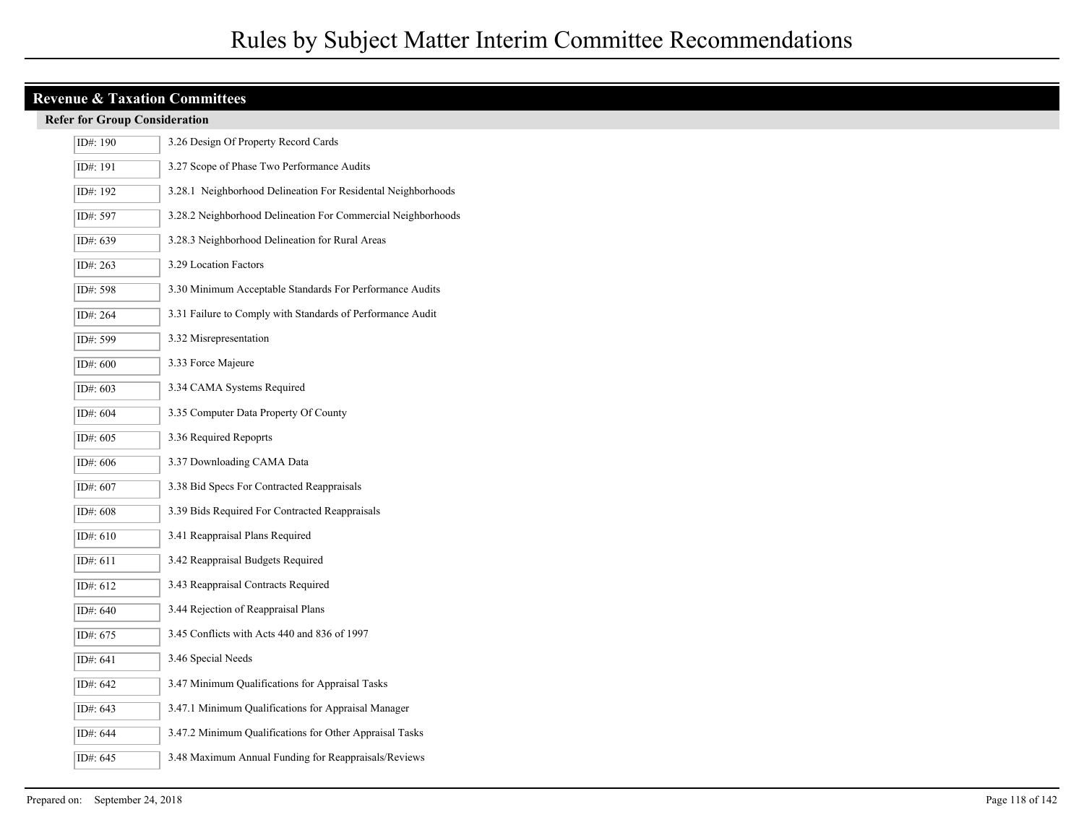| ID#: 190 | 3.26 Design Of Property Record Cards                         |
|----------|--------------------------------------------------------------|
| ID#: 191 | 3.27 Scope of Phase Two Performance Audits                   |
| ID#: 192 | 3.28.1 Neighborhood Delineation For Residental Neighborhoods |
| ID#: 597 | 3.28.2 Neighborhood Delineation For Commercial Neighborhoods |
| ID#: 639 | 3.28.3 Neighborhood Delineation for Rural Areas              |
| ID#: 263 | 3.29 Location Factors                                        |
| ID#: 598 | 3.30 Minimum Acceptable Standards For Performance Audits     |
| ID#: 264 | 3.31 Failure to Comply with Standards of Performance Audit   |
| ID#: 599 | 3.32 Misrepresentation                                       |
| ID#: 600 | 3.33 Force Majeure                                           |
| ID#: 603 | 3.34 CAMA Systems Required                                   |
| ID#: 604 | 3.35 Computer Data Property Of County                        |
| ID#: 605 | 3.36 Required Repoprts                                       |
| ID#: 606 | 3.37 Downloading CAMA Data                                   |
| ID#: 607 | 3.38 Bid Specs For Contracted Reappraisals                   |
| ID#: 608 | 3.39 Bids Required For Contracted Reappraisals               |
| ID#: 610 | 3.41 Reappraisal Plans Required                              |
| ID#: 611 | 3.42 Reappraisal Budgets Required                            |
| ID#: 612 | 3.43 Reappraisal Contracts Required                          |
| ID#: 640 | 3.44 Rejection of Reappraisal Plans                          |
| ID#: 675 | 3.45 Conflicts with Acts 440 and 836 of 1997                 |
| ID#: 641 | 3.46 Special Needs                                           |
| ID#: 642 | 3.47 Minimum Qualifications for Appraisal Tasks              |
| ID#: 643 | 3.47.1 Minimum Qualifications for Appraisal Manager          |
| ID#: 644 | 3.47.2 Minimum Qualifications for Other Appraisal Tasks      |
| ID#: 645 | 3.48 Maximum Annual Funding for Reappraisals/Reviews         |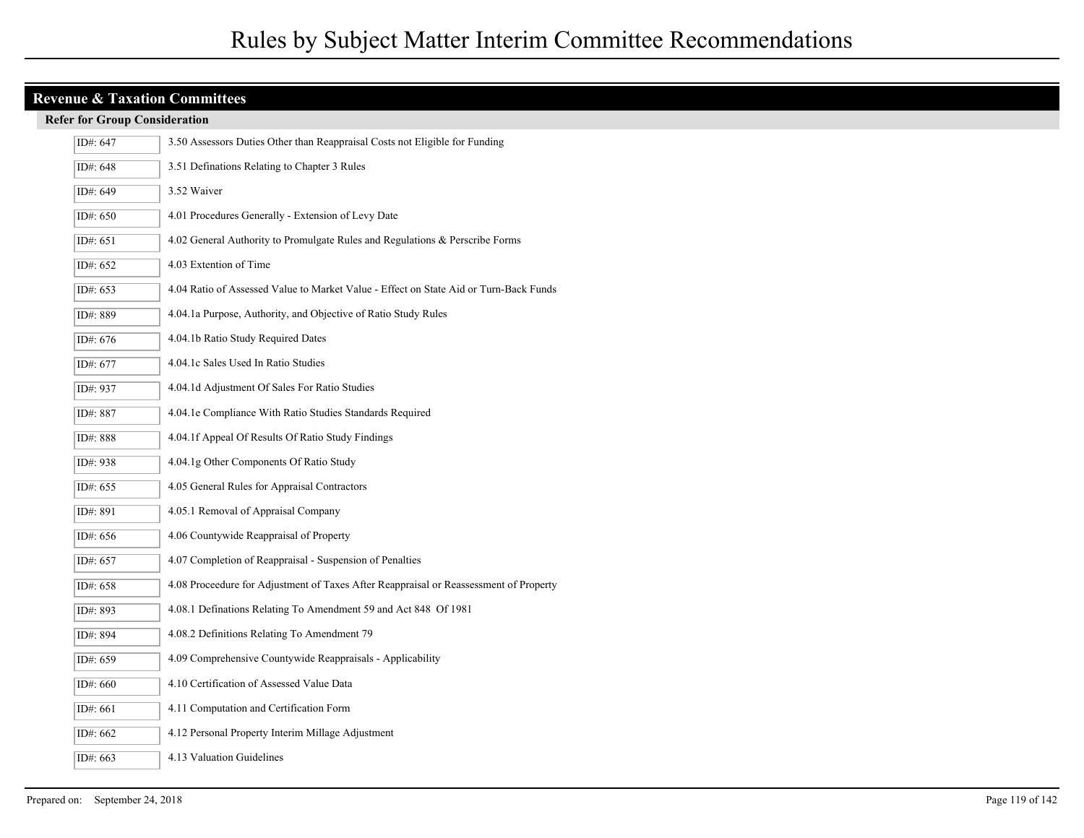| ID#: 647   | 3.50 Assessors Duties Other than Reappraisal Costs not Eligible for Funding           |
|------------|---------------------------------------------------------------------------------------|
| ID#: 648   | 3.51 Definations Relating to Chapter 3 Rules                                          |
| ID#: 649   | 3.52 Waiver                                                                           |
| ID#: 650   | 4.01 Procedures Generally - Extension of Levy Date                                    |
| ID#: $651$ | 4.02 General Authority to Promulgate Rules and Regulations & Perscribe Forms          |
| ID#: 652   | 4.03 Extention of Time                                                                |
| ID#: 653   | 4.04 Ratio of Assessed Value to Market Value - Effect on State Aid or Turn-Back Funds |
| ID#: 889   | 4.04.1a Purpose, Authority, and Objective of Ratio Study Rules                        |
| ID#: 676   | 4.04.1b Ratio Study Required Dates                                                    |
| ID#: 677   | 4.04.1c Sales Used In Ratio Studies                                                   |
| ID#: 937   | 4.04.1d Adjustment Of Sales For Ratio Studies                                         |
| ID#: 887   | 4.04.1e Compliance With Ratio Studies Standards Required                              |
| ID#: 888   | 4.04.1f Appeal Of Results Of Ratio Study Findings                                     |
| ID#: 938   | 4.04.1g Other Components Of Ratio Study                                               |
| ID#: 655   | 4.05 General Rules for Appraisal Contractors                                          |
| ID#: 891   | 4.05.1 Removal of Appraisal Company                                                   |
| ID#: 656   | 4.06 Countywide Reappraisal of Property                                               |
| ID#: 657   | 4.07 Completion of Reappraisal - Suspension of Penalties                              |
| ID#: 658   | 4.08 Proceedure for Adjustment of Taxes After Reappraisal or Reassessment of Property |
| ID#: 893   | 4.08.1 Definations Relating To Amendment 59 and Act 848 Of 1981                       |
| ID#: 894   | 4.08.2 Definitions Relating To Amendment 79                                           |
| ID#: 659   | 4.09 Comprehensive Countywide Reappraisals - Applicability                            |
| ID#: 660   | 4.10 Certification of Assessed Value Data                                             |
| ID#: 661   | 4.11 Computation and Certification Form                                               |
| ID#: 662   | 4.12 Personal Property Interim Millage Adjustment                                     |
| ID#: 663   | 4.13 Valuation Guidelines                                                             |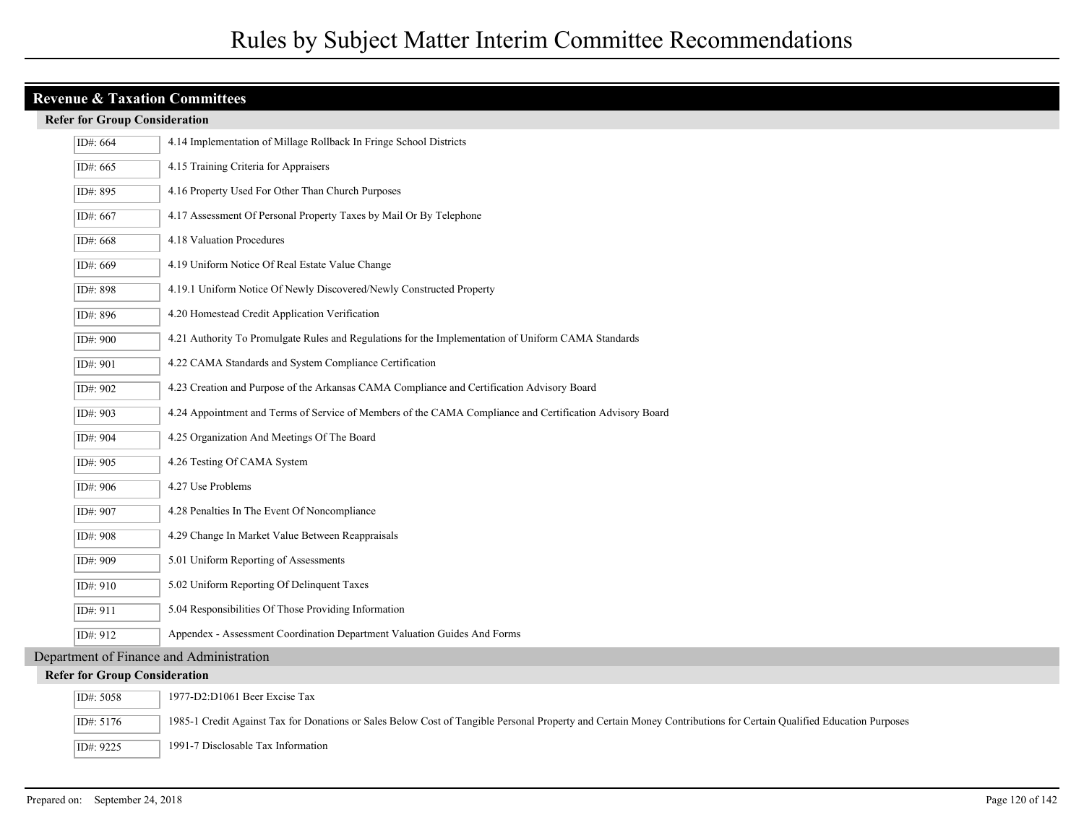| ID#: 664   | 4.14 Implementation of Millage Rollback In Fringe School Districts                                                                                                 |  |
|------------|--------------------------------------------------------------------------------------------------------------------------------------------------------------------|--|
| ID#: 665   | 4.15 Training Criteria for Appraisers                                                                                                                              |  |
| ID#: 895   | 4.16 Property Used For Other Than Church Purposes                                                                                                                  |  |
| ID#: $667$ | 4.17 Assessment Of Personal Property Taxes by Mail Or By Telephone                                                                                                 |  |
| ID#: 668   | 4.18 Valuation Procedures                                                                                                                                          |  |
| ID#: 669   | 4.19 Uniform Notice Of Real Estate Value Change                                                                                                                    |  |
| ID#: 898   | 4.19.1 Uniform Notice Of Newly Discovered/Newly Constructed Property                                                                                               |  |
| ID#: 896   | 4.20 Homestead Credit Application Verification                                                                                                                     |  |
| ID#: 900   | 4.21 Authority To Promulgate Rules and Regulations for the Implementation of Uniform CAMA Standards                                                                |  |
| ID#: 901   | 4.22 CAMA Standards and System Compliance Certification                                                                                                            |  |
| ID#: 902   | 4.23 Creation and Purpose of the Arkansas CAMA Compliance and Certification Advisory Board                                                                         |  |
| ID#: 903   | 4.24 Appointment and Terms of Service of Members of the CAMA Compliance and Certification Advisory Board                                                           |  |
| ID#: 904   | 4.25 Organization And Meetings Of The Board                                                                                                                        |  |
| ID#: 905   | 4.26 Testing Of CAMA System                                                                                                                                        |  |
| ID#: 906   | 4.27 Use Problems                                                                                                                                                  |  |
| ID#: 907   | 4.28 Penalties In The Event Of Noncompliance                                                                                                                       |  |
| ID#: 908   | 4.29 Change In Market Value Between Reappraisals                                                                                                                   |  |
| ID#: 909   | 5.01 Uniform Reporting of Assessments                                                                                                                              |  |
| ID#: 910   | 5.02 Uniform Reporting Of Delinquent Taxes                                                                                                                         |  |
| ID#: 911   | 5.04 Responsibilities Of Those Providing Information                                                                                                               |  |
| ID#: 912   | Appendex - Assessment Coordination Department Valuation Guides And Forms                                                                                           |  |
|            | Department of Finance and Administration                                                                                                                           |  |
|            | <b>Refer for Group Consideration</b>                                                                                                                               |  |
| ID#: 5058  | 1977-D2:D1061 Beer Excise Tax                                                                                                                                      |  |
| ID#: 5176  | 1985-1 Credit Against Tax for Donations or Sales Below Cost of Tangible Personal Property and Certain Money Contributions for Certain Qualified Education Purposes |  |
| ID#: 9225  | 1991-7 Disclosable Tax Information                                                                                                                                 |  |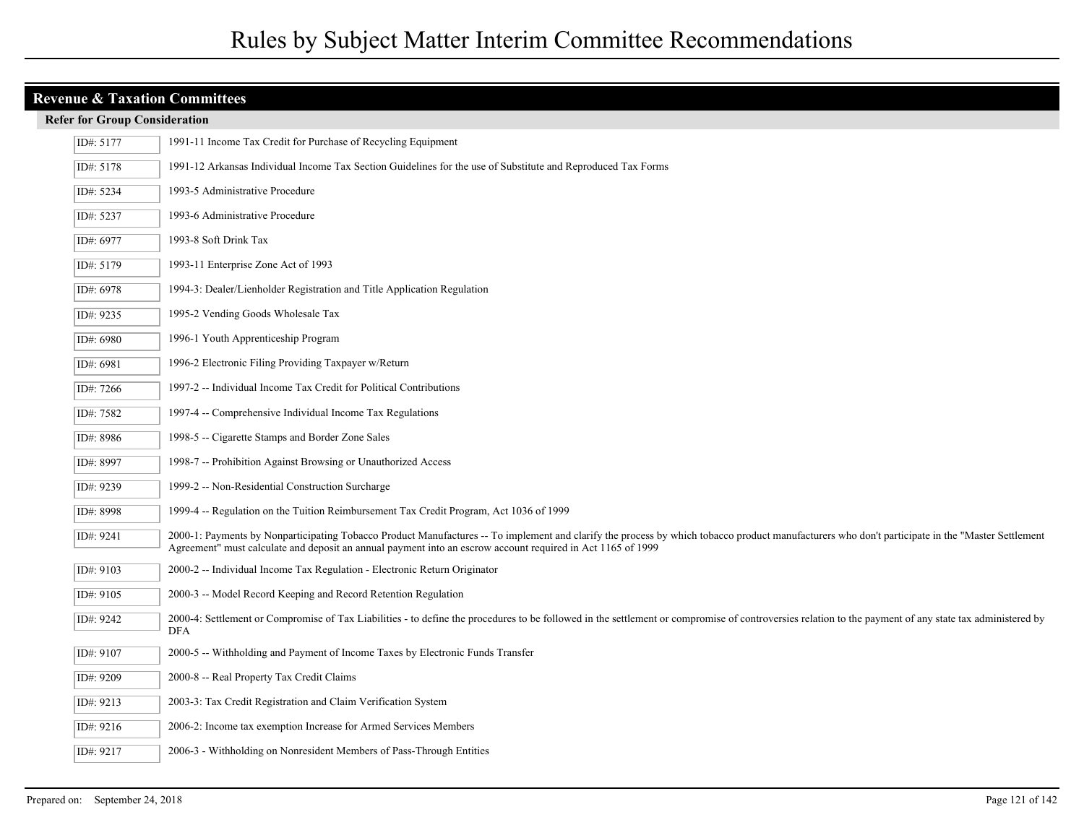| ID#: 5177 | 1991-11 Income Tax Credit for Purchase of Recycling Equipment                                                                                                                                                                                                                                                   |
|-----------|-----------------------------------------------------------------------------------------------------------------------------------------------------------------------------------------------------------------------------------------------------------------------------------------------------------------|
| ID#: 5178 | 1991-12 Arkansas Individual Income Tax Section Guidelines for the use of Substitute and Reproduced Tax Forms                                                                                                                                                                                                    |
| ID#: 5234 | 1993-5 Administrative Procedure                                                                                                                                                                                                                                                                                 |
| ID#: 5237 | 1993-6 Administrative Procedure                                                                                                                                                                                                                                                                                 |
| ID#: 6977 | 1993-8 Soft Drink Tax                                                                                                                                                                                                                                                                                           |
| ID#: 5179 | 1993-11 Enterprise Zone Act of 1993                                                                                                                                                                                                                                                                             |
| ID#: 6978 | 1994-3: Dealer/Lienholder Registration and Title Application Regulation                                                                                                                                                                                                                                         |
| ID#: 9235 | 1995-2 Vending Goods Wholesale Tax                                                                                                                                                                                                                                                                              |
| ID#: 6980 | 1996-1 Youth Apprenticeship Program                                                                                                                                                                                                                                                                             |
| ID#: 6981 | 1996-2 Electronic Filing Providing Taxpayer w/Return                                                                                                                                                                                                                                                            |
| ID#: 7266 | 1997-2 -- Individual Income Tax Credit for Political Contributions                                                                                                                                                                                                                                              |
| ID#: 7582 | 1997-4 -- Comprehensive Individual Income Tax Regulations                                                                                                                                                                                                                                                       |
| ID#: 8986 | 1998-5 -- Cigarette Stamps and Border Zone Sales                                                                                                                                                                                                                                                                |
| ID#: 8997 | 1998-7 -- Prohibition Against Browsing or Unauthorized Access                                                                                                                                                                                                                                                   |
| ID#: 9239 | 1999-2 -- Non-Residential Construction Surcharge                                                                                                                                                                                                                                                                |
| ID#: 8998 | 1999-4 -- Regulation on the Tuition Reimbursement Tax Credit Program, Act 1036 of 1999                                                                                                                                                                                                                          |
| ID#: 9241 | 2000-1: Payments by Nonparticipating Tobacco Product Manufactures -- To implement and clarify the process by which tobacco product manufacturers who don't participate in the "Master Settlement<br>Agreement" must calculate and deposit an annual payment into an escrow account required in Act 1165 of 1999 |
| ID#: 9103 | 2000-2 -- Individual Income Tax Regulation - Electronic Return Originator                                                                                                                                                                                                                                       |
| ID#: 9105 | 2000-3 -- Model Record Keeping and Record Retention Regulation                                                                                                                                                                                                                                                  |
| ID#: 9242 | 2000-4: Settlement or Compromise of Tax Liabilities - to define the procedures to be followed in the settlement or compromise of controversies relation to the payment of any state tax administered by<br><b>DFA</b>                                                                                           |
| ID#: 9107 | 2000-5 -- Withholding and Payment of Income Taxes by Electronic Funds Transfer                                                                                                                                                                                                                                  |
| ID#: 9209 | 2000-8 -- Real Property Tax Credit Claims                                                                                                                                                                                                                                                                       |
| ID#: 9213 | 2003-3: Tax Credit Registration and Claim Verification System                                                                                                                                                                                                                                                   |
| ID#: 9216 | 2006-2: Income tax exemption Increase for Armed Services Members                                                                                                                                                                                                                                                |
| ID#: 9217 | 2006-3 - Withholding on Nonresident Members of Pass-Through Entities                                                                                                                                                                                                                                            |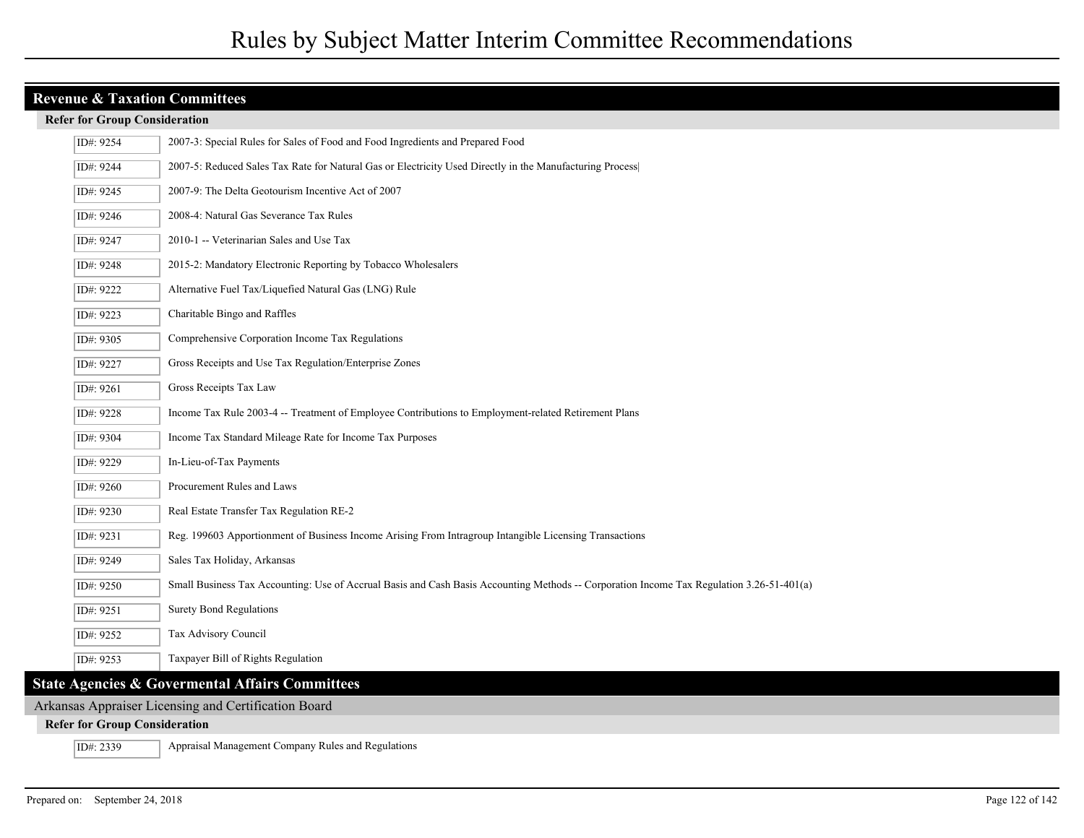#### **Refer for Group Consideration**

| ID#: 9254 | 2007-3: Special Rules for Sales of Food and Food Ingredients and Prepared Food                                                            |
|-----------|-------------------------------------------------------------------------------------------------------------------------------------------|
| ID#: 9244 | 2007-5: Reduced Sales Tax Rate for Natural Gas or Electricity Used Directly in the Manufacturing Process                                  |
| ID#: 9245 | 2007-9: The Delta Geotourism Incentive Act of 2007                                                                                        |
| ID#: 9246 | 2008-4: Natural Gas Severance Tax Rules                                                                                                   |
| ID#: 9247 | 2010-1 -- Veterinarian Sales and Use Tax                                                                                                  |
| ID#: 9248 | 2015-2: Mandatory Electronic Reporting by Tobacco Wholesalers                                                                             |
| ID#: 9222 | Alternative Fuel Tax/Liquefied Natural Gas (LNG) Rule                                                                                     |
| ID#: 9223 | Charitable Bingo and Raffles                                                                                                              |
| ID#: 9305 | Comprehensive Corporation Income Tax Regulations                                                                                          |
| ID#: 9227 | Gross Receipts and Use Tax Regulation/Enterprise Zones                                                                                    |
| ID#: 9261 | Gross Receipts Tax Law                                                                                                                    |
| ID#: 9228 | Income Tax Rule 2003-4 -- Treatment of Employee Contributions to Employment-related Retirement Plans                                      |
| ID#: 9304 | Income Tax Standard Mileage Rate for Income Tax Purposes                                                                                  |
| ID#: 9229 | In-Lieu-of-Tax Payments                                                                                                                   |
| ID#: 9260 | Procurement Rules and Laws                                                                                                                |
| ID#: 9230 | Real Estate Transfer Tax Regulation RE-2                                                                                                  |
| ID#: 9231 | Reg. 199603 Apportionment of Business Income Arising From Intragroup Intangible Licensing Transactions                                    |
| ID#: 9249 | Sales Tax Holiday, Arkansas                                                                                                               |
| ID#: 9250 | Small Business Tax Accounting: Use of Accrual Basis and Cash Basis Accounting Methods -- Corporation Income Tax Regulation 3.26-51-401(a) |
| ID#: 9251 | <b>Surety Bond Regulations</b>                                                                                                            |
| ID#: 9252 | Tax Advisory Council                                                                                                                      |
| ID#: 9253 | Taxpayer Bill of Rights Regulation                                                                                                        |
|           | <b>State Agencies &amp; Govermental Affairs Committees</b>                                                                                |
|           |                                                                                                                                           |

## Arkansas Appraiser Licensing and Certification Board

#### **Refer for Group Consideration**

ID#: 2339 Appraisal Management Company Rules and Regulations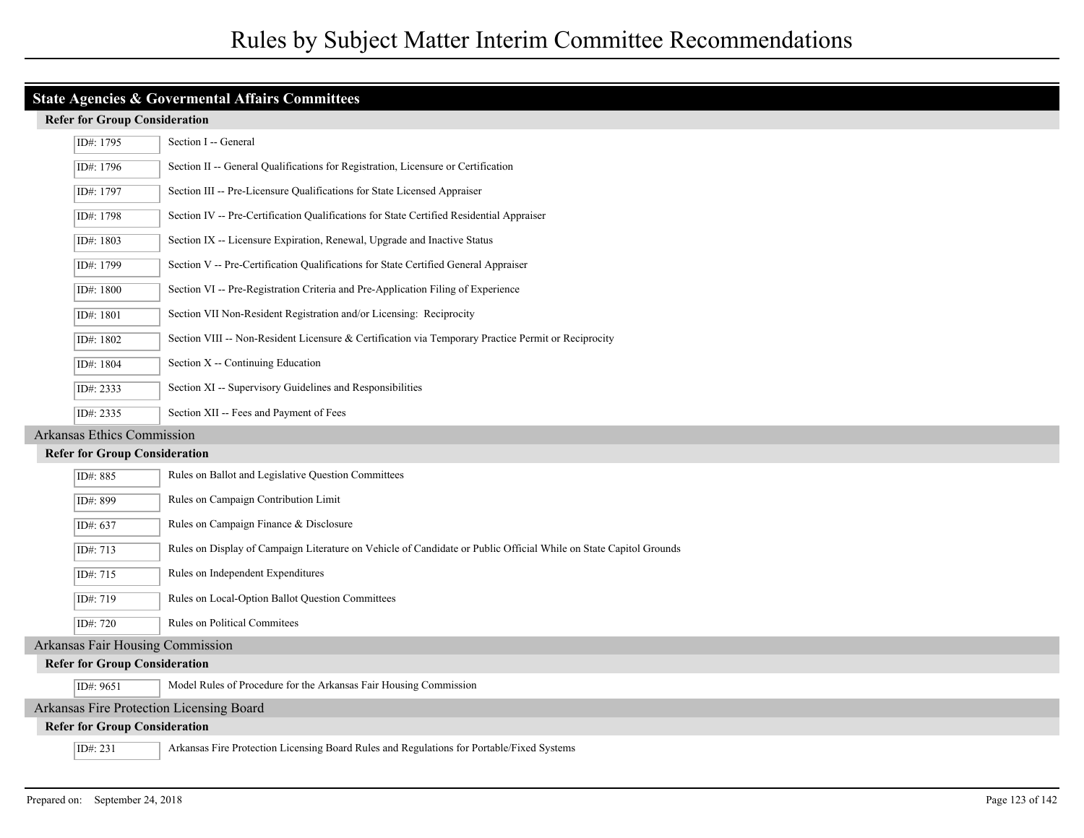|                                          | ID#: 1795 | Section I -- General                                                                                              |
|------------------------------------------|-----------|-------------------------------------------------------------------------------------------------------------------|
|                                          | ID#: 1796 | Section II -- General Qualifications for Registration, Licensure or Certification                                 |
|                                          | ID#: 1797 | Section III -- Pre-Licensure Qualifications for State Licensed Appraiser                                          |
|                                          | ID#: 1798 | Section IV -- Pre-Certification Qualifications for State Certified Residential Appraiser                          |
|                                          | ID#: 1803 | Section IX -- Licensure Expiration, Renewal, Upgrade and Inactive Status                                          |
|                                          | ID#: 1799 | Section V -- Pre-Certification Qualifications for State Certified General Appraiser                               |
|                                          | ID#: 1800 | Section VI -- Pre-Registration Criteria and Pre-Application Filing of Experience                                  |
|                                          | ID#: 1801 | Section VII Non-Resident Registration and/or Licensing: Reciprocity                                               |
|                                          | ID#: 1802 | Section VIII -- Non-Resident Licensure & Certification via Temporary Practice Permit or Reciprocity               |
|                                          | ID#: 1804 | Section X -- Continuing Education                                                                                 |
|                                          | ID#: 2333 | Section XI -- Supervisory Guidelines and Responsibilities                                                         |
|                                          | ID#: 2335 | Section XII -- Fees and Payment of Fees                                                                           |
| <b>Arkansas Ethics Commission</b>        |           |                                                                                                                   |
| <b>Refer for Group Consideration</b>     |           |                                                                                                                   |
|                                          | ID#: 885  | Rules on Ballot and Legislative Question Committees                                                               |
|                                          | ID#: 899  | Rules on Campaign Contribution Limit                                                                              |
|                                          | ID#: 637  | Rules on Campaign Finance & Disclosure                                                                            |
|                                          | ID#: 713  | Rules on Display of Campaign Literature on Vehicle of Candidate or Public Official While on State Capitol Grounds |
|                                          | ID#: 715  | Rules on Independent Expenditures                                                                                 |
|                                          | ID#: 719  | Rules on Local-Option Ballot Question Committees                                                                  |
|                                          | ID#: 720  | Rules on Political Commitees                                                                                      |
| <b>Arkansas Fair Housing Commission</b>  |           |                                                                                                                   |
| <b>Refer for Group Consideration</b>     |           |                                                                                                                   |
|                                          | ID#: 9651 | Model Rules of Procedure for the Arkansas Fair Housing Commission                                                 |
| Arkansas Fire Protection Licensing Board |           |                                                                                                                   |
| <b>Refer for Group Consideration</b>     |           |                                                                                                                   |
|                                          | ID#: 231  | Arkansas Fire Protection Licensing Board Rules and Regulations for Portable/Fixed Systems                         |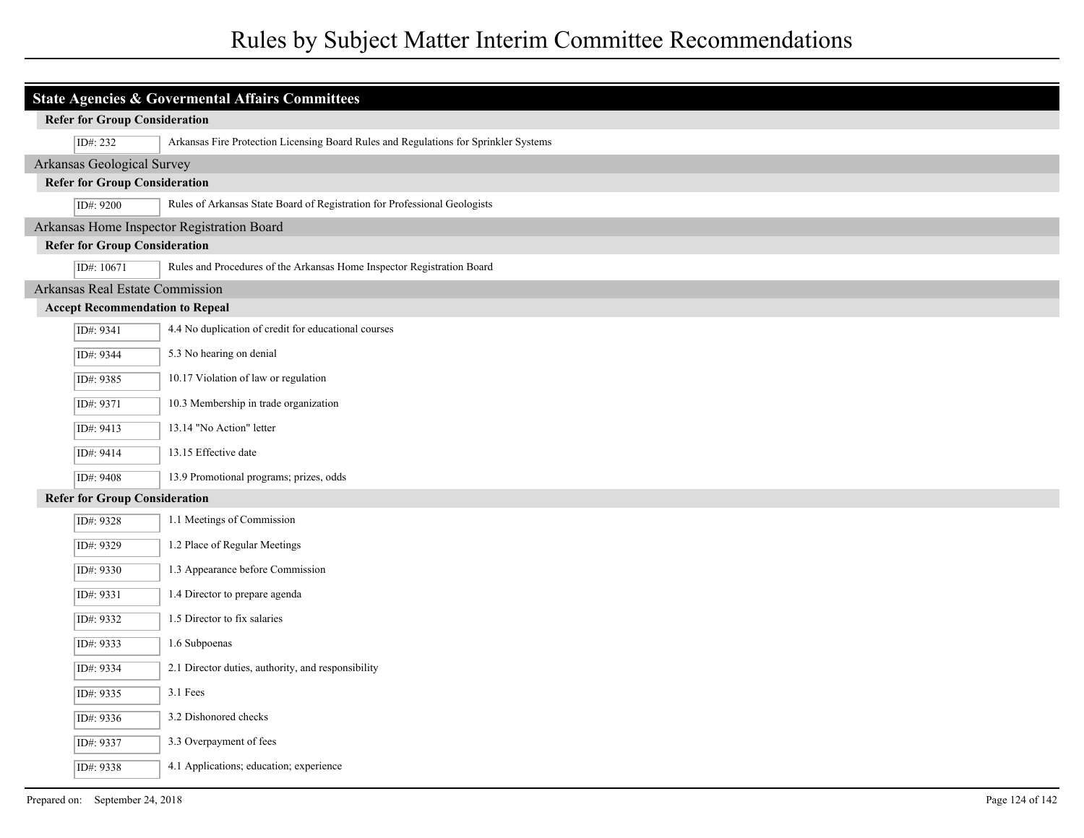# Rules by Subject Matter Interim Committee Recommendations

| <b>State Agencies &amp; Govermental Affairs Committees</b> |                                                                                        |                                                                                      |
|------------------------------------------------------------|----------------------------------------------------------------------------------------|--------------------------------------------------------------------------------------|
| <b>Refer for Group Consideration</b>                       |                                                                                        |                                                                                      |
|                                                            | ID#: 232                                                                               | Arkansas Fire Protection Licensing Board Rules and Regulations for Sprinkler Systems |
|                                                            | Arkansas Geological Survey                                                             |                                                                                      |
|                                                            | <b>Refer for Group Consideration</b>                                                   |                                                                                      |
|                                                            | Rules of Arkansas State Board of Registration for Professional Geologists<br>ID#: 9200 |                                                                                      |
|                                                            |                                                                                        | Arkansas Home Inspector Registration Board                                           |
|                                                            | <b>Refer for Group Consideration</b>                                                   |                                                                                      |
|                                                            | ID#: 10671                                                                             | Rules and Procedures of the Arkansas Home Inspector Registration Board               |
|                                                            | Arkansas Real Estate Commission                                                        |                                                                                      |
|                                                            | <b>Accept Recommendation to Repeal</b>                                                 |                                                                                      |
|                                                            | ID#: 9341                                                                              | 4.4 No duplication of credit for educational courses                                 |
|                                                            | ID#: 9344                                                                              | 5.3 No hearing on denial                                                             |
|                                                            | ID#: 9385                                                                              | 10.17 Violation of law or regulation                                                 |
|                                                            | ID#: 9371                                                                              | 10.3 Membership in trade organization                                                |
|                                                            | ID#: 9413                                                                              | 13.14 "No Action" letter                                                             |
|                                                            | ID#: 9414                                                                              | 13.15 Effective date                                                                 |
|                                                            | ID#: 9408                                                                              | 13.9 Promotional programs; prizes, odds                                              |
|                                                            | <b>Refer for Group Consideration</b>                                                   |                                                                                      |
|                                                            | ID#: 9328                                                                              | 1.1 Meetings of Commission                                                           |
|                                                            | ID#: 9329                                                                              | 1.2 Place of Regular Meetings                                                        |
|                                                            | ID#: 9330                                                                              | 1.3 Appearance before Commission                                                     |
|                                                            | ID#: 9331                                                                              | 1.4 Director to prepare agenda                                                       |
|                                                            | ID#: 9332                                                                              | 1.5 Director to fix salaries                                                         |
|                                                            | ID#: 9333                                                                              | 1.6 Subpoenas                                                                        |
|                                                            | ID#: 9334                                                                              | 2.1 Director duties, authority, and responsibility                                   |
|                                                            | ID#: 9335                                                                              | 3.1 Fees                                                                             |
|                                                            | ID#: 9336                                                                              | 3.2 Dishonored checks                                                                |
|                                                            | ID#: 9337                                                                              | 3.3 Overpayment of fees                                                              |
|                                                            | ID#: 9338                                                                              | 4.1 Applications; education; experience                                              |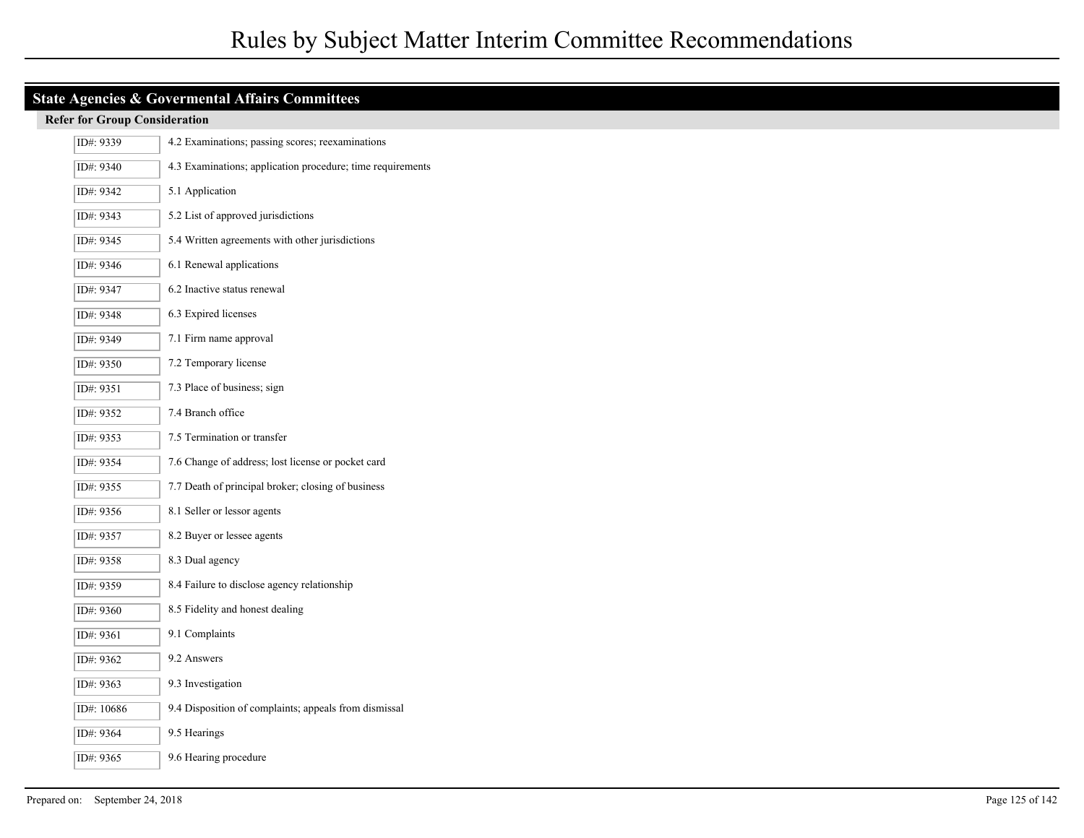| ID#: 9339  | 4.2 Examinations; passing scores; reexaminations           |
|------------|------------------------------------------------------------|
| ID#: 9340  | 4.3 Examinations; application procedure; time requirements |
| ID#: 9342  | 5.1 Application                                            |
| ID#: 9343  | 5.2 List of approved jurisdictions                         |
| ID#: 9345  | 5.4 Written agreements with other jurisdictions            |
| ID#: 9346  | 6.1 Renewal applications                                   |
| ID#: 9347  | 6.2 Inactive status renewal                                |
| ID#: 9348  | 6.3 Expired licenses                                       |
| ID#: 9349  | 7.1 Firm name approval                                     |
| ID#: 9350  | 7.2 Temporary license                                      |
| ID#: 9351  | 7.3 Place of business; sign                                |
| ID#: 9352  | 7.4 Branch office                                          |
| ID#: 9353  | 7.5 Termination or transfer                                |
| ID#: 9354  | 7.6 Change of address; lost license or pocket card         |
| ID#: 9355  | 7.7 Death of principal broker; closing of business         |
| ID#: 9356  | 8.1 Seller or lessor agents                                |
| ID#: 9357  | 8.2 Buyer or lessee agents                                 |
| ID#: 9358  | 8.3 Dual agency                                            |
| ID#: 9359  | 8.4 Failure to disclose agency relationship                |
| ID#: 9360  | 8.5 Fidelity and honest dealing                            |
| ID#: 9361  | 9.1 Complaints                                             |
| ID#: 9362  | 9.2 Answers                                                |
| ID#: 9363  | 9.3 Investigation                                          |
| ID#: 10686 | 9.4 Disposition of complaints; appeals from dismissal      |
| ID#: 9364  | 9.5 Hearings                                               |
| ID#: 9365  | 9.6 Hearing procedure                                      |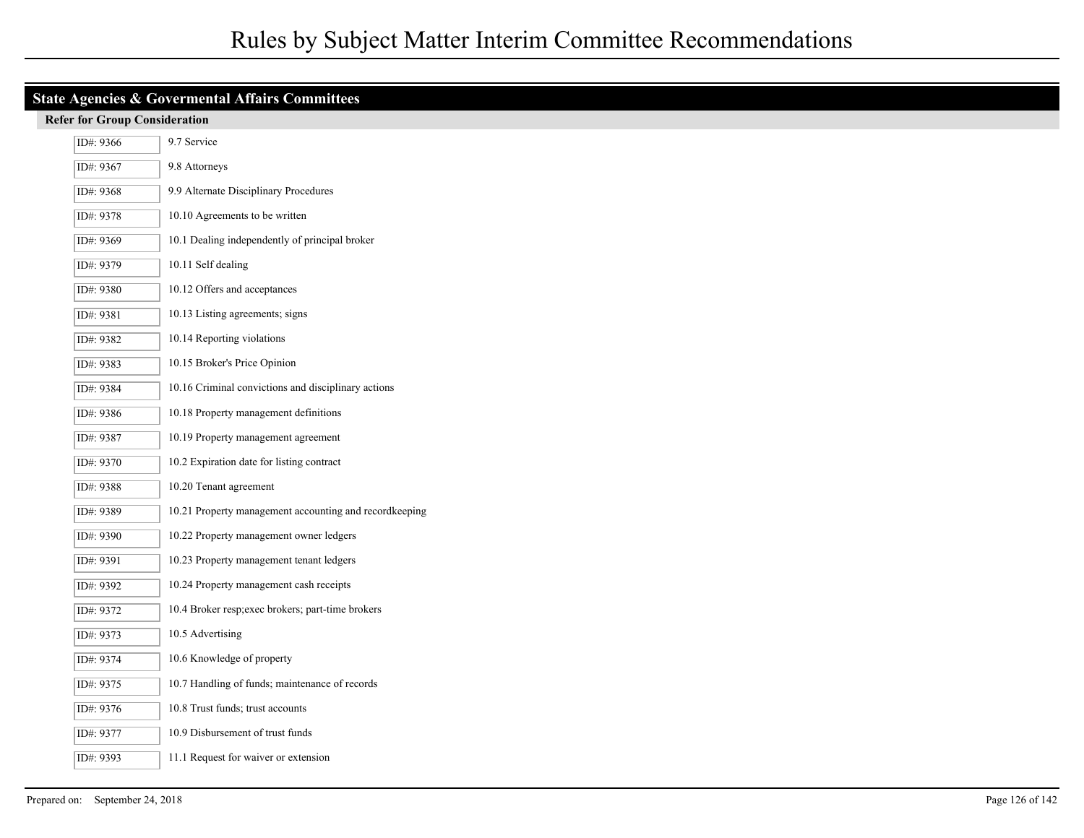| <b>State Agencies &amp; Govermental Affairs Committees</b> |                                                        |  |  |
|------------------------------------------------------------|--------------------------------------------------------|--|--|
|                                                            | <b>Refer for Group Consideration</b>                   |  |  |
| ID#: 9366                                                  | 9.7 Service                                            |  |  |
| ID#: 9367                                                  | 9.8 Attorneys                                          |  |  |
| ID#: 9368                                                  | 9.9 Alternate Disciplinary Procedures                  |  |  |
| ID#: 9378                                                  | 10.10 Agreements to be written                         |  |  |
| ID#: 9369                                                  | 10.1 Dealing independently of principal broker         |  |  |
| ID#: 9379                                                  | 10.11 Self dealing                                     |  |  |
| ID#: 9380                                                  | 10.12 Offers and acceptances                           |  |  |
| ID#: 9381                                                  | 10.13 Listing agreements; signs                        |  |  |
| ID#: 9382                                                  | 10.14 Reporting violations                             |  |  |
| ID#: 9383                                                  | 10.15 Broker's Price Opinion                           |  |  |
| ID#: 9384                                                  | 10.16 Criminal convictions and disciplinary actions    |  |  |
| ID#: 9386                                                  | 10.18 Property management definitions                  |  |  |
| ID#: 9387                                                  | 10.19 Property management agreement                    |  |  |
| ID#: 9370                                                  | 10.2 Expiration date for listing contract              |  |  |
| ID#: 9388                                                  | 10.20 Tenant agreement                                 |  |  |
| ID#: 9389                                                  | 10.21 Property management accounting and recordkeeping |  |  |
| ID#: 9390                                                  | 10.22 Property management owner ledgers                |  |  |
| ID#: 9391                                                  | 10.23 Property management tenant ledgers               |  |  |
| ID#: 9392                                                  | 10.24 Property management cash receipts                |  |  |
| ID#: 9372                                                  | 10.4 Broker resp;exec brokers; part-time brokers       |  |  |
| ID#: 9373                                                  | 10.5 Advertising                                       |  |  |
| ID#: 9374                                                  | 10.6 Knowledge of property                             |  |  |
| ID#: 9375                                                  | 10.7 Handling of funds; maintenance of records         |  |  |
| ID#: 9376                                                  | 10.8 Trust funds; trust accounts                       |  |  |
| ID#: 9377                                                  | 10.9 Disbursement of trust funds                       |  |  |
| ID#: 9393                                                  | 11.1 Request for waiver or extension                   |  |  |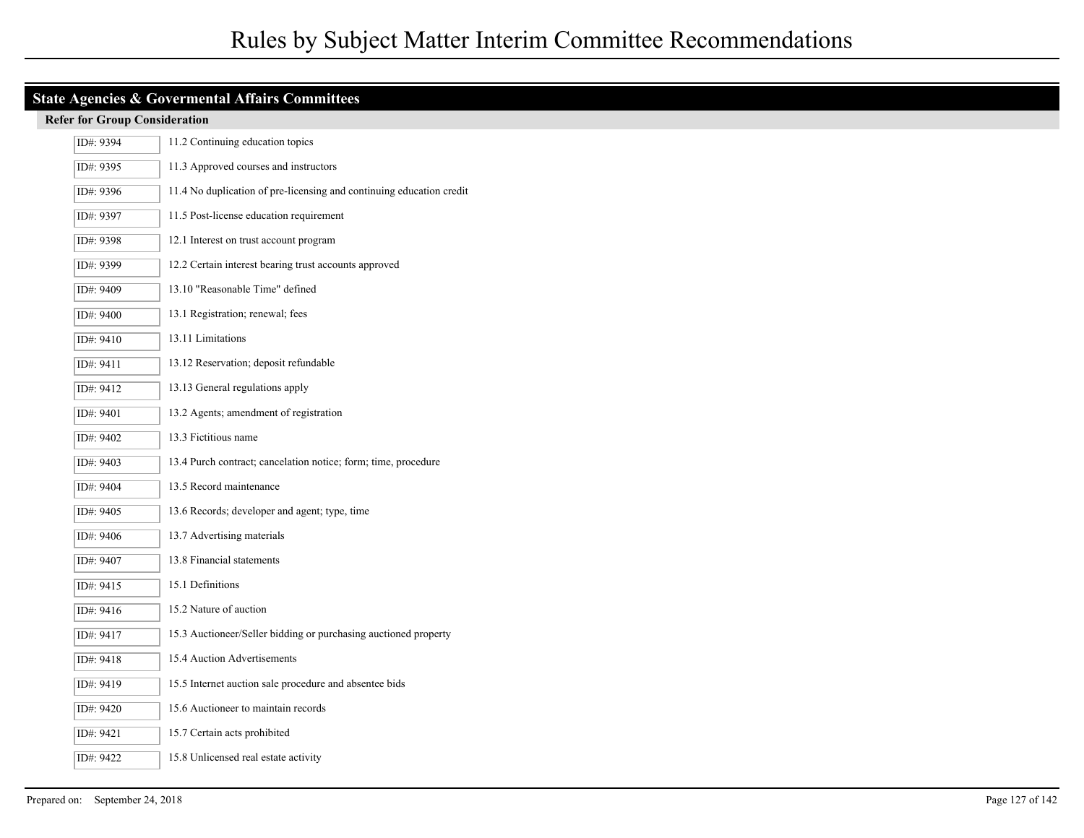| ID#: 9394 | 11.2 Continuing education topics                                     |
|-----------|----------------------------------------------------------------------|
| ID#: 9395 | 11.3 Approved courses and instructors                                |
| ID#: 9396 | 11.4 No duplication of pre-licensing and continuing education credit |
| ID#: 9397 | 11.5 Post-license education requirement                              |
| ID#: 9398 | 12.1 Interest on trust account program                               |
| ID#: 9399 | 12.2 Certain interest bearing trust accounts approved                |
| ID#: 9409 | 13.10 "Reasonable Time" defined                                      |
| ID#: 9400 | 13.1 Registration; renewal; fees                                     |
| ID#: 9410 | 13.11 Limitations                                                    |
| ID#: 9411 | 13.12 Reservation; deposit refundable                                |
| ID#: 9412 | 13.13 General regulations apply                                      |
| ID#: 9401 | 13.2 Agents; amendment of registration                               |
| ID#: 9402 | 13.3 Fictitious name                                                 |
| ID#: 9403 | 13.4 Purch contract; cancelation notice; form; time, procedure       |
| ID#: 9404 | 13.5 Record maintenance                                              |
| ID#: 9405 | 13.6 Records; developer and agent; type, time                        |
| ID#: 9406 | 13.7 Advertising materials                                           |
| ID#: 9407 | 13.8 Financial statements                                            |
| ID#: 9415 | 15.1 Definitions                                                     |
| ID#: 9416 | 15.2 Nature of auction                                               |
| ID#: 9417 | 15.3 Auctioneer/Seller bidding or purchasing auctioned property      |
| ID#: 9418 | 15.4 Auction Advertisements                                          |
| ID#: 9419 | 15.5 Internet auction sale procedure and absentee bids               |
| ID#: 9420 | 15.6 Auctioneer to maintain records                                  |
| ID#: 9421 | 15.7 Certain acts prohibited                                         |
| ID#: 9422 | 15.8 Unlicensed real estate activity                                 |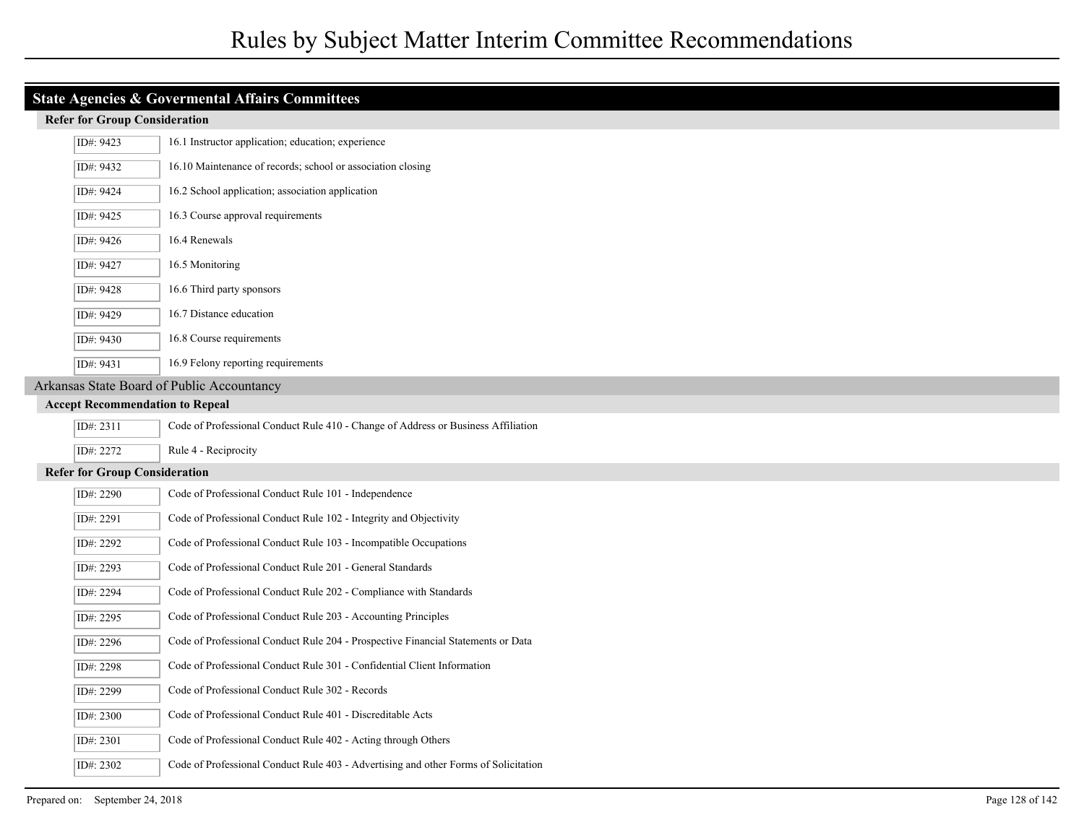|                                      | <b>Refer Tor Oroup Consideration</b>   |                                                                                     |
|--------------------------------------|----------------------------------------|-------------------------------------------------------------------------------------|
|                                      | ID#: 9423                              | 16.1 Instructor application; education; experience                                  |
|                                      | ID#: 9432                              | 16.10 Maintenance of records; school or association closing                         |
|                                      | ID#: 9424                              | 16.2 School application; association application                                    |
|                                      | ID#: 9425                              | 16.3 Course approval requirements                                                   |
|                                      | ID#: 9426                              | 16.4 Renewals                                                                       |
|                                      | ID#: 9427                              | 16.5 Monitoring                                                                     |
|                                      | ID#: 9428                              | 16.6 Third party sponsors                                                           |
|                                      | ID#: 9429                              | 16.7 Distance education                                                             |
|                                      | ID#: 9430                              | 16.8 Course requirements                                                            |
|                                      | ID#: 9431                              | 16.9 Felony reporting requirements                                                  |
|                                      |                                        | Arkansas State Board of Public Accountancy                                          |
|                                      | <b>Accept Recommendation to Repeal</b> |                                                                                     |
|                                      | ID#: 2311                              | Code of Professional Conduct Rule 410 - Change of Address or Business Affiliation   |
|                                      | ID#: 2272                              | Rule 4 - Reciprocity                                                                |
| <b>Refer for Group Consideration</b> |                                        |                                                                                     |
|                                      | ID#: 2290                              | Code of Professional Conduct Rule 101 - Independence                                |
|                                      | ID#: 2291                              | Code of Professional Conduct Rule 102 - Integrity and Objectivity                   |
|                                      | ID#: 2292                              | Code of Professional Conduct Rule 103 - Incompatible Occupations                    |
|                                      | ID#: 2293                              | Code of Professional Conduct Rule 201 - General Standards                           |
|                                      | ID#: 2294                              | Code of Professional Conduct Rule 202 - Compliance with Standards                   |
|                                      | ID#: 2295                              | Code of Professional Conduct Rule 203 - Accounting Principles                       |
|                                      | ID#: 2296                              | Code of Professional Conduct Rule 204 - Prospective Financial Statements or Data    |
|                                      | ID#: 2298                              | Code of Professional Conduct Rule 301 - Confidential Client Information             |
|                                      | ID#: 2299                              | Code of Professional Conduct Rule 302 - Records                                     |
|                                      | ID#: 2300                              | Code of Professional Conduct Rule 401 - Discreditable Acts                          |
|                                      | ID#: 2301                              | Code of Professional Conduct Rule 402 - Acting through Others                       |
|                                      | ID#: 2302                              | Code of Professional Conduct Rule 403 - Advertising and other Forms of Solicitation |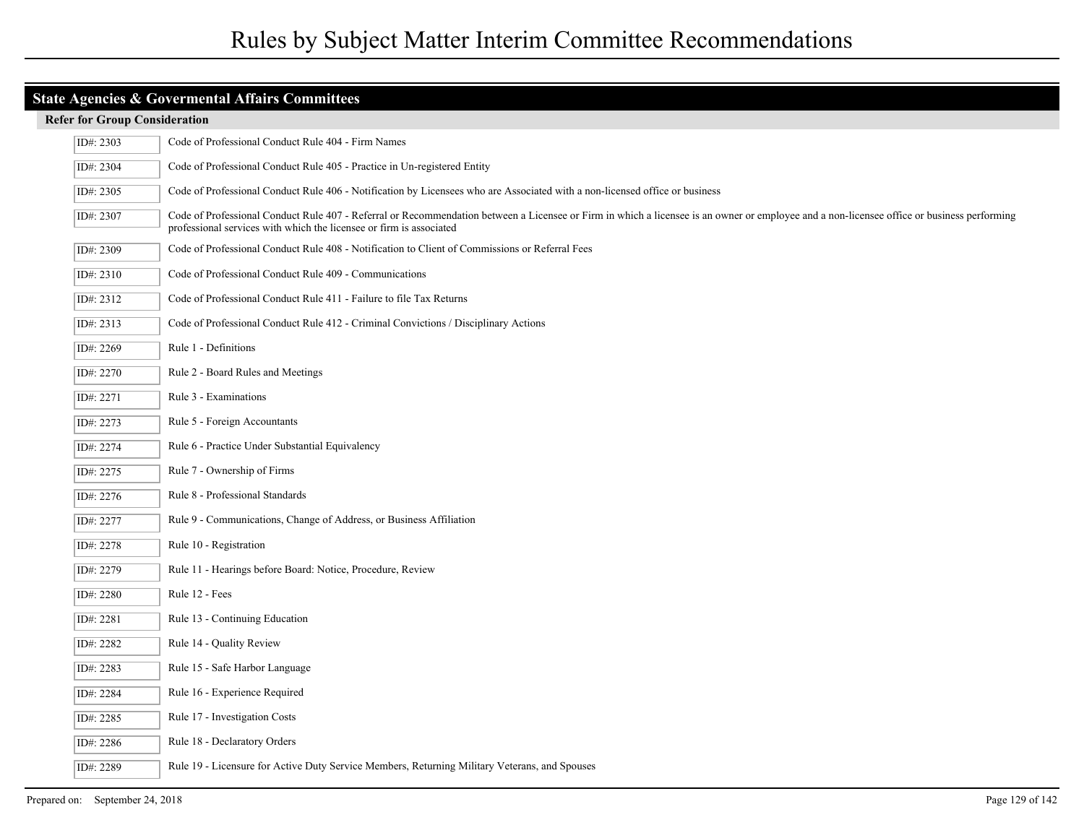| ID#: 2303 | Code of Professional Conduct Rule 404 - Firm Names                                                                                                                                                                                                                |
|-----------|-------------------------------------------------------------------------------------------------------------------------------------------------------------------------------------------------------------------------------------------------------------------|
| ID#: 2304 | Code of Professional Conduct Rule 405 - Practice in Un-registered Entity                                                                                                                                                                                          |
| ID#: 2305 | Code of Professional Conduct Rule 406 - Notification by Licensees who are Associated with a non-licensed office or business                                                                                                                                       |
| ID#: 2307 | Code of Professional Conduct Rule 407 - Referral or Recommendation between a Licensee or Firm in which a licensee is an owner or employee and a non-licensee office or business performing<br>professional services with which the licensee or firm is associated |
| ID#: 2309 | Code of Professional Conduct Rule 408 - Notification to Client of Commissions or Referral Fees                                                                                                                                                                    |
| ID#: 2310 | Code of Professional Conduct Rule 409 - Communications                                                                                                                                                                                                            |
| ID#: 2312 | Code of Professional Conduct Rule 411 - Failure to file Tax Returns                                                                                                                                                                                               |
| ID#: 2313 | Code of Professional Conduct Rule 412 - Criminal Convictions / Disciplinary Actions                                                                                                                                                                               |
| ID#: 2269 | Rule 1 - Definitions                                                                                                                                                                                                                                              |
| ID#: 2270 | Rule 2 - Board Rules and Meetings                                                                                                                                                                                                                                 |
| ID#: 2271 | Rule 3 - Examinations                                                                                                                                                                                                                                             |
| ID#: 2273 | Rule 5 - Foreign Accountants                                                                                                                                                                                                                                      |
| ID#: 2274 | Rule 6 - Practice Under Substantial Equivalency                                                                                                                                                                                                                   |
| ID#: 2275 | Rule 7 - Ownership of Firms                                                                                                                                                                                                                                       |
| ID#: 2276 | Rule 8 - Professional Standards                                                                                                                                                                                                                                   |
| ID#: 2277 | Rule 9 - Communications, Change of Address, or Business Affiliation                                                                                                                                                                                               |
| ID#: 2278 | Rule 10 - Registration                                                                                                                                                                                                                                            |
| ID#: 2279 | Rule 11 - Hearings before Board: Notice, Procedure, Review                                                                                                                                                                                                        |
| ID#: 2280 | Rule 12 - Fees                                                                                                                                                                                                                                                    |
| ID#: 2281 | Rule 13 - Continuing Education                                                                                                                                                                                                                                    |
| ID#: 2282 | Rule 14 - Quality Review                                                                                                                                                                                                                                          |
| ID#: 2283 | Rule 15 - Safe Harbor Language                                                                                                                                                                                                                                    |
| ID#: 2284 | Rule 16 - Experience Required                                                                                                                                                                                                                                     |
| ID#: 2285 | Rule 17 - Investigation Costs                                                                                                                                                                                                                                     |
| ID#: 2286 | Rule 18 - Declaratory Orders                                                                                                                                                                                                                                      |
| ID#: 2289 | Rule 19 - Licensure for Active Duty Service Members, Returning Military Veterans, and Spouses                                                                                                                                                                     |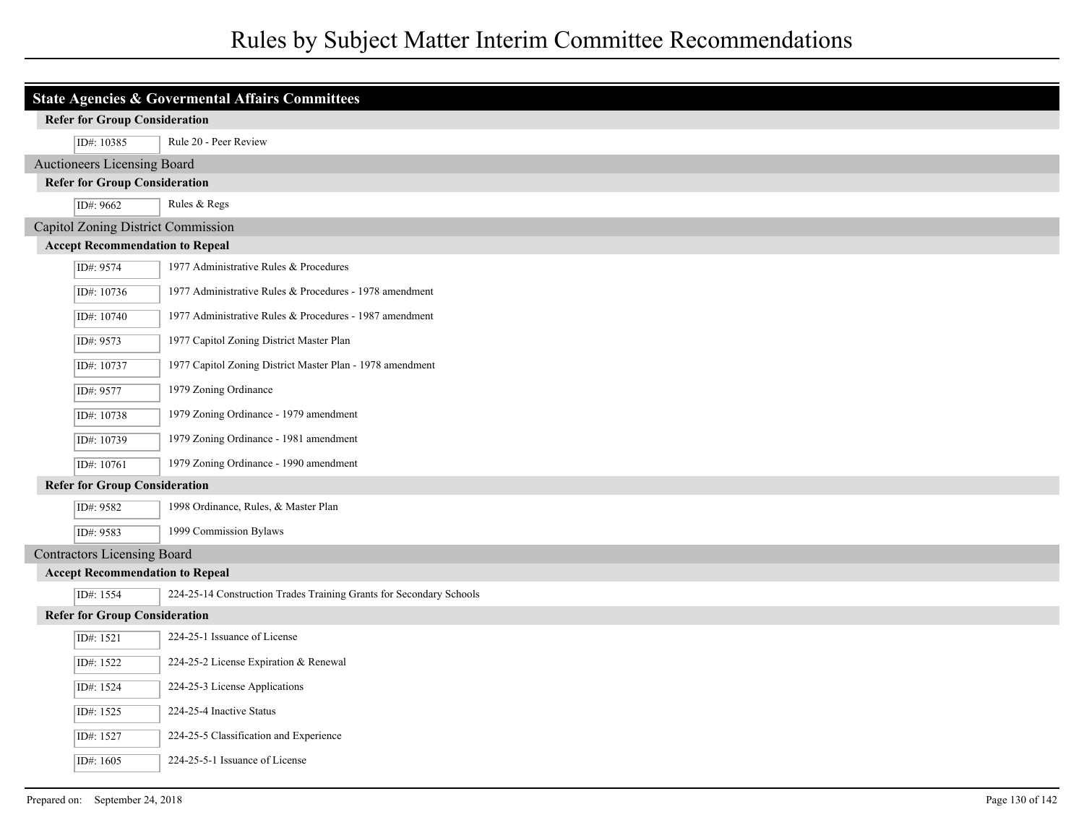| State Agencies & Govermental Affairs Committees |                                                                     |  |
|-------------------------------------------------|---------------------------------------------------------------------|--|
| <b>Refer for Group Consideration</b>            |                                                                     |  |
| ID#: 10385                                      | Rule 20 - Peer Review                                               |  |
| Auctioneers Licensing Board                     |                                                                     |  |
| <b>Refer for Group Consideration</b>            |                                                                     |  |
| ID#: 9662                                       | Rules & Regs                                                        |  |
| Capitol Zoning District Commission              |                                                                     |  |
| <b>Accept Recommendation to Repeal</b>          |                                                                     |  |
| ID#: 9574                                       | 1977 Administrative Rules & Procedures                              |  |
| ID#: 10736                                      | 1977 Administrative Rules & Procedures - 1978 amendment             |  |
| ID#: 10740                                      | 1977 Administrative Rules & Procedures - 1987 amendment             |  |
| ID#: 9573                                       | 1977 Capitol Zoning District Master Plan                            |  |
| ID#: 10737                                      | 1977 Capitol Zoning District Master Plan - 1978 amendment           |  |
| ID#: 9577                                       | 1979 Zoning Ordinance                                               |  |
| ID#: 10738                                      | 1979 Zoning Ordinance - 1979 amendment                              |  |
| ID#: 10739                                      | 1979 Zoning Ordinance - 1981 amendment                              |  |
| ID#: 10761                                      | 1979 Zoning Ordinance - 1990 amendment                              |  |
| <b>Refer for Group Consideration</b>            |                                                                     |  |
| ID#: 9582                                       | 1998 Ordinance, Rules, & Master Plan                                |  |
| ID#: 9583                                       | 1999 Commission Bylaws                                              |  |
| <b>Contractors Licensing Board</b>              |                                                                     |  |
| <b>Accept Recommendation to Repeal</b>          |                                                                     |  |
| ID#: 1554                                       | 224-25-14 Construction Trades Training Grants for Secondary Schools |  |
| <b>Refer for Group Consideration</b>            |                                                                     |  |
| ID#: 1521                                       | 224-25-1 Issuance of License                                        |  |
| ID#: 1522                                       | 224-25-2 License Expiration & Renewal                               |  |
| ID#: 1524                                       | 224-25-3 License Applications                                       |  |
| ID#: 1525                                       | 224-25-4 Inactive Status                                            |  |
| ID#: 1527                                       | 224-25-5 Classification and Experience                              |  |
| ID#: 1605                                       | 224-25-5-1 Issuance of License                                      |  |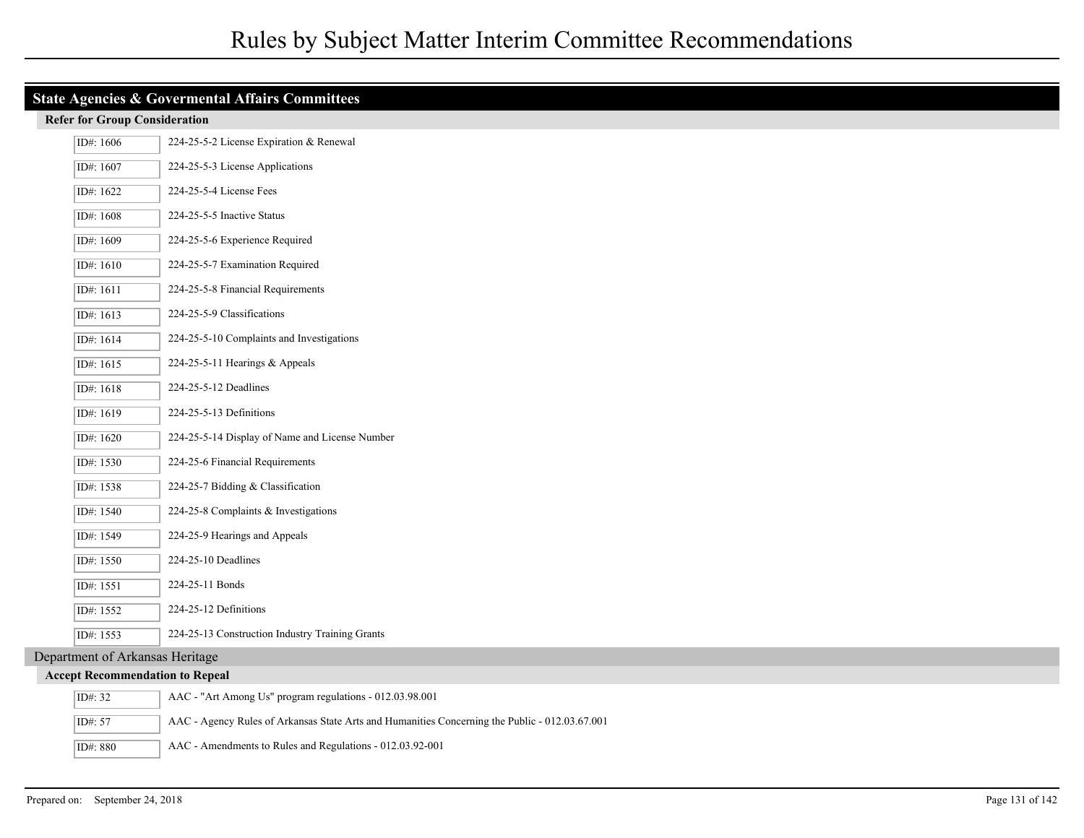| <b>State Agencies &amp; Govermental Affairs Committees</b> |                                                                                                |  |
|------------------------------------------------------------|------------------------------------------------------------------------------------------------|--|
| <b>Refer for Group Consideration</b>                       |                                                                                                |  |
| ID#: 1606                                                  | 224-25-5-2 License Expiration & Renewal                                                        |  |
| ID#: 1607                                                  | 224-25-5-3 License Applications                                                                |  |
| ID#: 1622                                                  | 224-25-5-4 License Fees                                                                        |  |
| ID#: 1608                                                  | 224-25-5-5 Inactive Status                                                                     |  |
| ID#: 1609                                                  | 224-25-5-6 Experience Required                                                                 |  |
| ID#: 1610                                                  | 224-25-5-7 Examination Required                                                                |  |
| ID#: 1611                                                  | 224-25-5-8 Financial Requirements                                                              |  |
| ID#: 1613                                                  | 224-25-5-9 Classifications                                                                     |  |
| ID#: 1614                                                  | 224-25-5-10 Complaints and Investigations                                                      |  |
| ID#: 1615                                                  | 224-25-5-11 Hearings & Appeals                                                                 |  |
| ID#: 1618                                                  | 224-25-5-12 Deadlines                                                                          |  |
| ID#: 1619                                                  | 224-25-5-13 Definitions                                                                        |  |
| ID#: 1620                                                  | 224-25-5-14 Display of Name and License Number                                                 |  |
| ID#: 1530                                                  | 224-25-6 Financial Requirements                                                                |  |
| ID#: 1538                                                  | 224-25-7 Bidding & Classification                                                              |  |
| ID#: 1540                                                  | 224-25-8 Complaints & Investigations                                                           |  |
| ID#: 1549                                                  | 224-25-9 Hearings and Appeals                                                                  |  |
| ID#: 1550                                                  | 224-25-10 Deadlines                                                                            |  |
| ID#: 1551                                                  | 224-25-11 Bonds                                                                                |  |
| ID#: 1552                                                  | 224-25-12 Definitions                                                                          |  |
| ID#: 1553                                                  | 224-25-13 Construction Industry Training Grants                                                |  |
| Department of Arkansas Heritage                            |                                                                                                |  |
| <b>Accept Recommendation to Repeal</b>                     |                                                                                                |  |
| ID#: 32                                                    | AAC - "Art Among Us" program regulations - 012.03.98.001                                       |  |
| ID#: 57                                                    | AAC - Agency Rules of Arkansas State Arts and Humanities Concerning the Public - 012.03.67.001 |  |
| ID#: 880                                                   | AAC - Amendments to Rules and Regulations - 012.03.92-001                                      |  |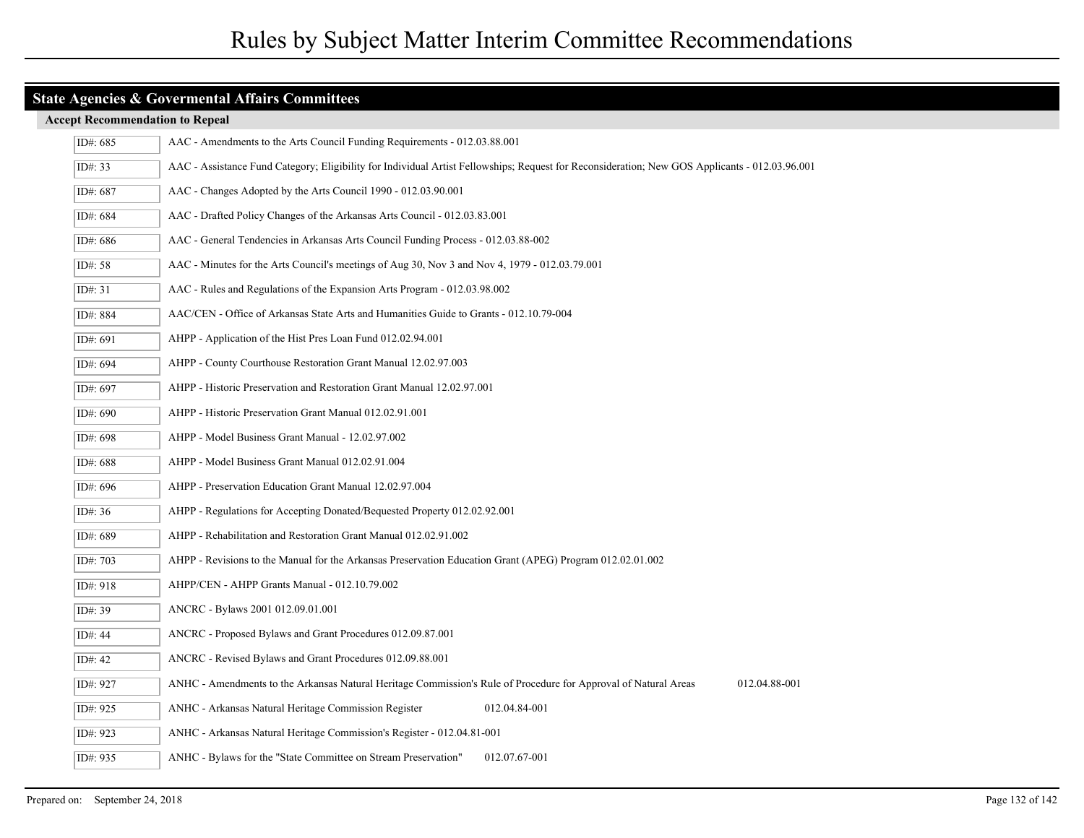#### **Accept Recommendation to Repeal**

| ID#: 685  | AAC - Amendments to the Arts Council Funding Requirements - 012.03.88.001                                                                      |
|-----------|------------------------------------------------------------------------------------------------------------------------------------------------|
| ID#: 33   | AAC - Assistance Fund Category; Eligibility for Individual Artist Fellowships; Request for Reconsideration; New GOS Applicants - 012.03.96.001 |
| ID#: 687  | AAC - Changes Adopted by the Arts Council 1990 - 012.03.90.001                                                                                 |
| ID#: 684  | AAC - Drafted Policy Changes of the Arkansas Arts Council - 012.03.83.001                                                                      |
| ID#: 686  | AAC - General Tendencies in Arkansas Arts Council Funding Process - 012.03.88-002                                                              |
| ID#: 58   | AAC - Minutes for the Arts Council's meetings of Aug 30, Nov 3 and Nov 4, 1979 - 012.03.79.001                                                 |
| ID#: 31   | AAC - Rules and Regulations of the Expansion Arts Program - 012.03.98.002                                                                      |
| ID#: 884  | AAC/CEN - Office of Arkansas State Arts and Humanities Guide to Grants - 012.10.79-004                                                         |
| ID#: 691  | AHPP - Application of the Hist Pres Loan Fund 012.02.94.001                                                                                    |
| ID#: 694  | AHPP - County Courthouse Restoration Grant Manual 12.02.97.003                                                                                 |
| ID#: 697  | AHPP - Historic Preservation and Restoration Grant Manual 12.02.97.001                                                                         |
| ID#: 690  | AHPP - Historic Preservation Grant Manual 012.02.91.001                                                                                        |
| ID#: 698  | AHPP - Model Business Grant Manual - 12.02.97.002                                                                                              |
| ID#: 688  | AHPP - Model Business Grant Manual 012.02.91.004                                                                                               |
| ID#: 696  | AHPP - Preservation Education Grant Manual 12.02.97.004                                                                                        |
| ID#: 36   | AHPP - Regulations for Accepting Donated/Bequested Property 012.02.92.001                                                                      |
| ID#: 689  | AHPP - Rehabilitation and Restoration Grant Manual 012.02.91.002                                                                               |
| ID#: 703  | AHPP - Revisions to the Manual for the Arkansas Preservation Education Grant (APEG) Program 012.02.01.002                                      |
| ID#: 918  | AHPP/CEN - AHPP Grants Manual - 012.10.79.002                                                                                                  |
| ID#: 39   | ANCRC - Bylaws 2001 012.09.01.001                                                                                                              |
| ID#: 44   | ANCRC - Proposed Bylaws and Grant Procedures 012.09.87.001                                                                                     |
| ID#: $42$ | ANCRC - Revised Bylaws and Grant Procedures 012.09.88.001                                                                                      |
| ID#: 927  | 012.04.88-001<br>ANHC - Amendments to the Arkansas Natural Heritage Commission's Rule of Procedure for Approval of Natural Areas               |
| ID#: 925  | ANHC - Arkansas Natural Heritage Commission Register<br>012.04.84-001                                                                          |
| ID#: 923  | ANHC - Arkansas Natural Heritage Commission's Register - 012.04.81-001                                                                         |
| ID#: 935  | ANHC - Bylaws for the "State Committee on Stream Preservation"<br>012.07.67-001                                                                |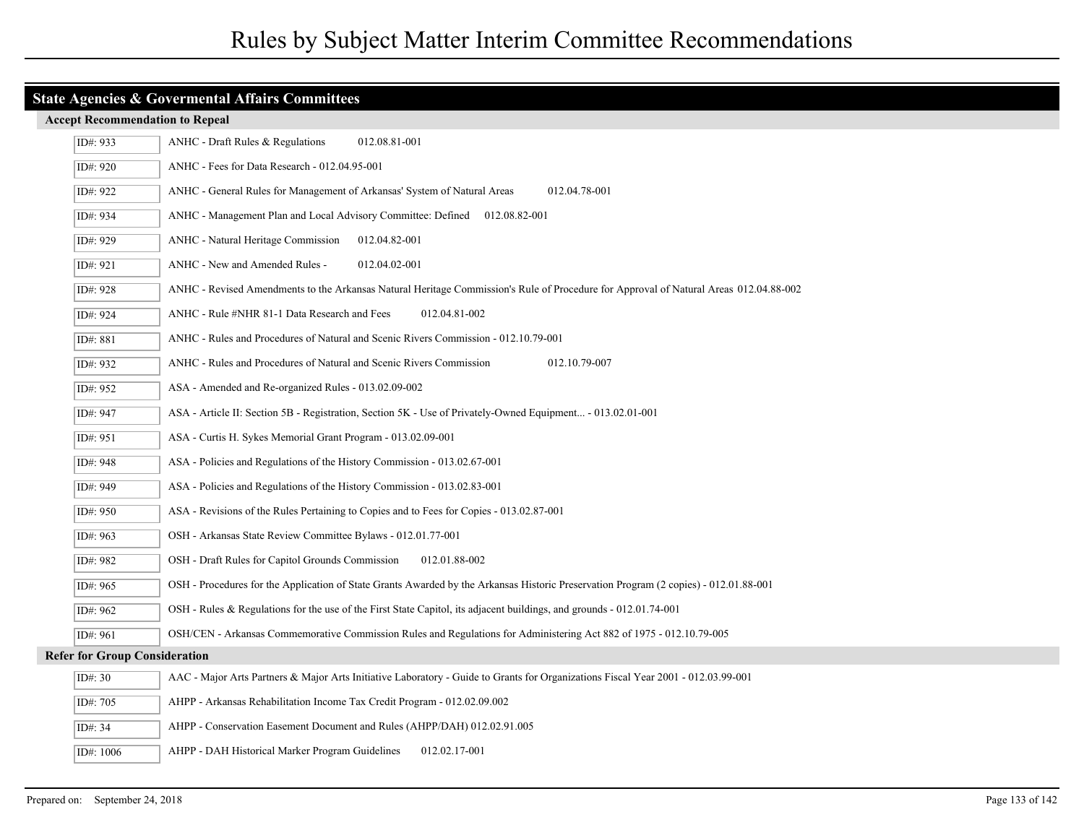|  |  | <b>Accept Recommendation to Repeal</b> |  |  |  |
|--|--|----------------------------------------|--|--|--|
|--|--|----------------------------------------|--|--|--|

| ID#: 933                             | 012.08.81-001<br>$ANHC$ - Draft Rules & Regulations                                                                                   |
|--------------------------------------|---------------------------------------------------------------------------------------------------------------------------------------|
| ID#: 920                             | ANHC - Fees for Data Research - 012.04.95-001                                                                                         |
| ID#: 922                             | 012.04.78-001<br>ANHC - General Rules for Management of Arkansas' System of Natural Areas                                             |
| ID#: 934                             | ANHC - Management Plan and Local Advisory Committee: Defined 012.08.82-001                                                            |
| ID#: 929                             | ANHC - Natural Heritage Commission<br>012.04.82-001                                                                                   |
| ID#: 921                             | ANHC - New and Amended Rules -<br>012.04.02-001                                                                                       |
| ID#: 928                             | ANHC - Revised Amendments to the Arkansas Natural Heritage Commission's Rule of Procedure for Approval of Natural Areas 012.04.88-002 |
| ID#: 924                             | ANHC - Rule #NHR 81-1 Data Research and Fees<br>012.04.81-002                                                                         |
| ID#: 881                             | ANHC - Rules and Procedures of Natural and Scenic Rivers Commission - 012.10.79-001                                                   |
| ID#: 932                             | ANHC - Rules and Procedures of Natural and Scenic Rivers Commission<br>012.10.79-007                                                  |
| ID#: 952                             | ASA - Amended and Re-organized Rules - 013.02.09-002                                                                                  |
| ID#: 947                             | ASA - Article II: Section 5B - Registration, Section 5K - Use of Privately-Owned Equipment - 013.02.01-001                            |
| ID#: 951                             | ASA - Curtis H. Sykes Memorial Grant Program - 013.02.09-001                                                                          |
| ID#: 948                             | ASA - Policies and Regulations of the History Commission - 013.02.67-001                                                              |
| ID#: 949                             | ASA - Policies and Regulations of the History Commission - 013.02.83-001                                                              |
| ID#: 950                             | ASA - Revisions of the Rules Pertaining to Copies and to Fees for Copies - 013.02.87-001                                              |
| ID#: 963                             | OSH - Arkansas State Review Committee Bylaws - 012.01.77-001                                                                          |
| ID#: 982                             | OSH - Draft Rules for Capitol Grounds Commission<br>012.01.88-002                                                                     |
| ID#: 965                             | OSH - Procedures for the Application of State Grants Awarded by the Arkansas Historic Preservation Program (2 copies) - 012.01.88-001 |
| ID#: 962                             | OSH - Rules & Regulations for the use of the First State Capitol, its adjacent buildings, and grounds - 012.01.74-001                 |
| ID#: 961                             | OSH/CEN - Arkansas Commemorative Commission Rules and Regulations for Administering Act 882 of 1975 - 012.10.79-005                   |
| <b>Refer for Group Consideration</b> |                                                                                                                                       |
| ID#: 30                              | AAC - Major Arts Partners & Major Arts Initiative Laboratory - Guide to Grants for Organizations Fiscal Year 2001 - 012.03.99-001     |
| ID#: 705                             | AHPP - Arkansas Rehabilitation Income Tax Credit Program - 012.02.09.002                                                              |
| ID#: 34                              | AHPP - Conservation Easement Document and Rules (AHPP/DAH) 012.02.91.005                                                              |
| ID#: 1006                            | AHPP - DAH Historical Marker Program Guidelines<br>012.02.17-001                                                                      |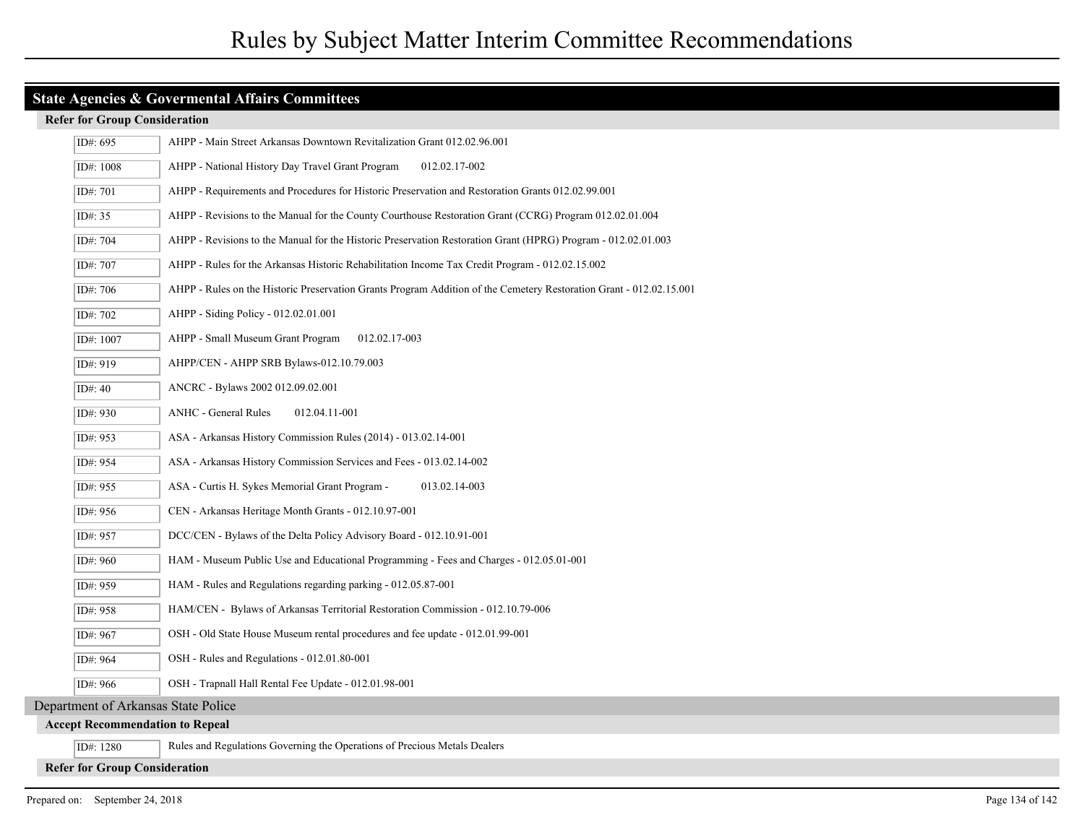#### **Refer for Group Consideration**

| ID#: 695                               | AHPP - Main Street Arkansas Downtown Revitalization Grant 012.02.96.001                                             |
|----------------------------------------|---------------------------------------------------------------------------------------------------------------------|
| ID#: 1008                              | AHPP - National History Day Travel Grant Program<br>012.02.17-002                                                   |
| ID#: 701                               | AHPP - Requirements and Procedures for Historic Preservation and Restoration Grants 012.02.99.001                   |
| ID#: $35$                              | AHPP - Revisions to the Manual for the County Courthouse Restoration Grant (CCRG) Program 012.02.01.004             |
| ID#: 704                               | AHPP - Revisions to the Manual for the Historic Preservation Restoration Grant (HPRG) Program - 012.02.01.003       |
| ID#: 707                               | AHPP - Rules for the Arkansas Historic Rehabilitation Income Tax Credit Program - 012.02.15.002                     |
| ID#: 706                               | AHPP - Rules on the Historic Preservation Grants Program Addition of the Cemetery Restoration Grant - 012.02.15.001 |
| ID#: 702                               | AHPP - Siding Policy - 012.02.01.001                                                                                |
| ID#: 1007                              | AHPP - Small Museum Grant Program<br>012.02.17-003                                                                  |
| ID#: 919                               | AHPP/CEN - AHPP SRB Bylaws-012.10.79.003                                                                            |
| ID#: 40                                | ANCRC - Bylaws 2002 012.09.02.001                                                                                   |
| ID#: 930                               | <b>ANHC</b> - General Rules<br>012.04.11-001                                                                        |
| ID#: $953$                             | ASA - Arkansas History Commission Rules (2014) - 013.02.14-001                                                      |
| ID#: 954                               | ASA - Arkansas History Commission Services and Fees - 013.02.14-002                                                 |
| ID#: 955                               | ASA - Curtis H. Sykes Memorial Grant Program -<br>013.02.14-003                                                     |
| ID#: 956                               | CEN - Arkansas Heritage Month Grants - 012.10.97-001                                                                |
| ID#: 957                               | DCC/CEN - Bylaws of the Delta Policy Advisory Board - 012.10.91-001                                                 |
| ID#: 960                               | HAM - Museum Public Use and Educational Programming - Fees and Charges - 012.05.01-001                              |
| ID#: 959                               | HAM - Rules and Regulations regarding parking - 012.05.87-001                                                       |
| ID#: 958                               | HAM/CEN - Bylaws of Arkansas Territorial Restoration Commission - 012.10.79-006                                     |
| ID#: 967                               | OSH - Old State House Museum rental procedures and fee update - 012.01.99-001                                       |
| ID#: 964                               | OSH - Rules and Regulations - 012.01.80-001                                                                         |
| ID#: 966                               | OSH - Trapnall Hall Rental Fee Update - 012.01.98-001                                                               |
| Department of Arkansas State Police    |                                                                                                                     |
| <b>Accept Recommendation to Repeal</b> |                                                                                                                     |
| ID#: 1280                              | Rules and Regulations Governing the Operations of Precious Metals Dealers                                           |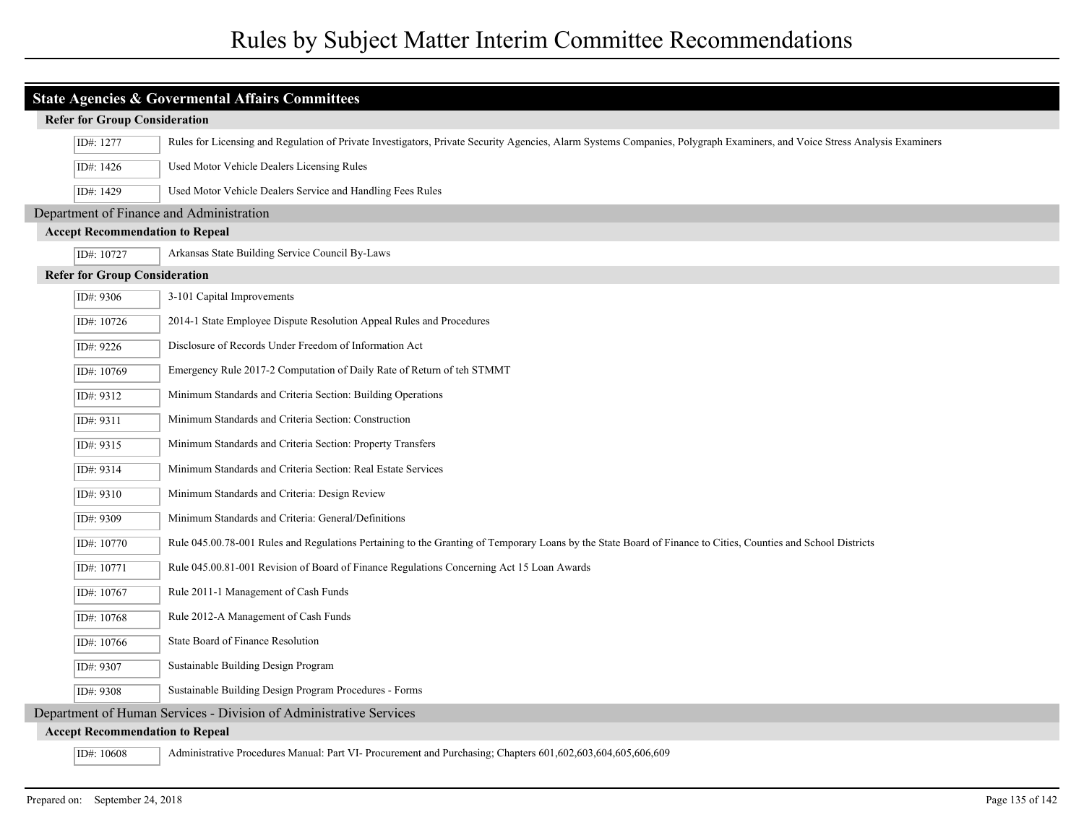| <b>State Agencies &amp; Govermental Affairs Committees</b> |                                                                                                                                                                           |  |
|------------------------------------------------------------|---------------------------------------------------------------------------------------------------------------------------------------------------------------------------|--|
| <b>Refer for Group Consideration</b>                       |                                                                                                                                                                           |  |
| ID#: 1277                                                  | Rules for Licensing and Regulation of Private Investigators, Private Security Agencies, Alarm Systems Companies, Polygraph Examiners, and Voice Stress Analysis Examiners |  |
| ID#: 1426                                                  | Used Motor Vehicle Dealers Licensing Rules                                                                                                                                |  |
| ID#: 1429                                                  | Used Motor Vehicle Dealers Service and Handling Fees Rules                                                                                                                |  |
| Department of Finance and Administration                   |                                                                                                                                                                           |  |
| <b>Accept Recommendation to Repeal</b>                     |                                                                                                                                                                           |  |
| ID#: 10727                                                 | Arkansas State Building Service Council By-Laws                                                                                                                           |  |
| <b>Refer for Group Consideration</b>                       |                                                                                                                                                                           |  |
| ID#: 9306                                                  | 3-101 Capital Improvements                                                                                                                                                |  |
| ID#: 10726                                                 | 2014-1 State Employee Dispute Resolution Appeal Rules and Procedures                                                                                                      |  |
| ID#: 9226                                                  | Disclosure of Records Under Freedom of Information Act                                                                                                                    |  |
| ID#: 10769                                                 | Emergency Rule 2017-2 Computation of Daily Rate of Return of teh STMMT                                                                                                    |  |
| ID#: 9312                                                  | Minimum Standards and Criteria Section: Building Operations                                                                                                               |  |
| ID#: 9311                                                  | Minimum Standards and Criteria Section: Construction                                                                                                                      |  |
| ID#: 9315                                                  | Minimum Standards and Criteria Section: Property Transfers                                                                                                                |  |
| ID#: 9314                                                  | Minimum Standards and Criteria Section: Real Estate Services                                                                                                              |  |
| ID#: 9310                                                  | Minimum Standards and Criteria: Design Review                                                                                                                             |  |
| ID#: 9309                                                  | Minimum Standards and Criteria: General/Definitions                                                                                                                       |  |
| ID#: 10770                                                 | Rule 045.00.78-001 Rules and Regulations Pertaining to the Granting of Temporary Loans by the State Board of Finance to Cities, Counties and School Districts             |  |
| ID#: 10771                                                 | Rule 045.00.81-001 Revision of Board of Finance Regulations Concerning Act 15 Loan Awards                                                                                 |  |
| ID#: 10767                                                 | Rule 2011-1 Management of Cash Funds                                                                                                                                      |  |
| ID#: 10768                                                 | Rule 2012-A Management of Cash Funds                                                                                                                                      |  |
| ID#: 10766                                                 | State Board of Finance Resolution                                                                                                                                         |  |
| ID#: 9307                                                  | Sustainable Building Design Program                                                                                                                                       |  |
| ID#: 9308                                                  | Sustainable Building Design Program Procedures - Forms                                                                                                                    |  |
|                                                            | Department of Human Services - Division of Administrative Services                                                                                                        |  |
| <b>Accept Recommendation to Repeal</b>                     |                                                                                                                                                                           |  |
| ID#: 10608                                                 | Administrative Procedures Manual: Part VI- Procurement and Purchasing; Chapters 601,602,603,604,605,606,609                                                               |  |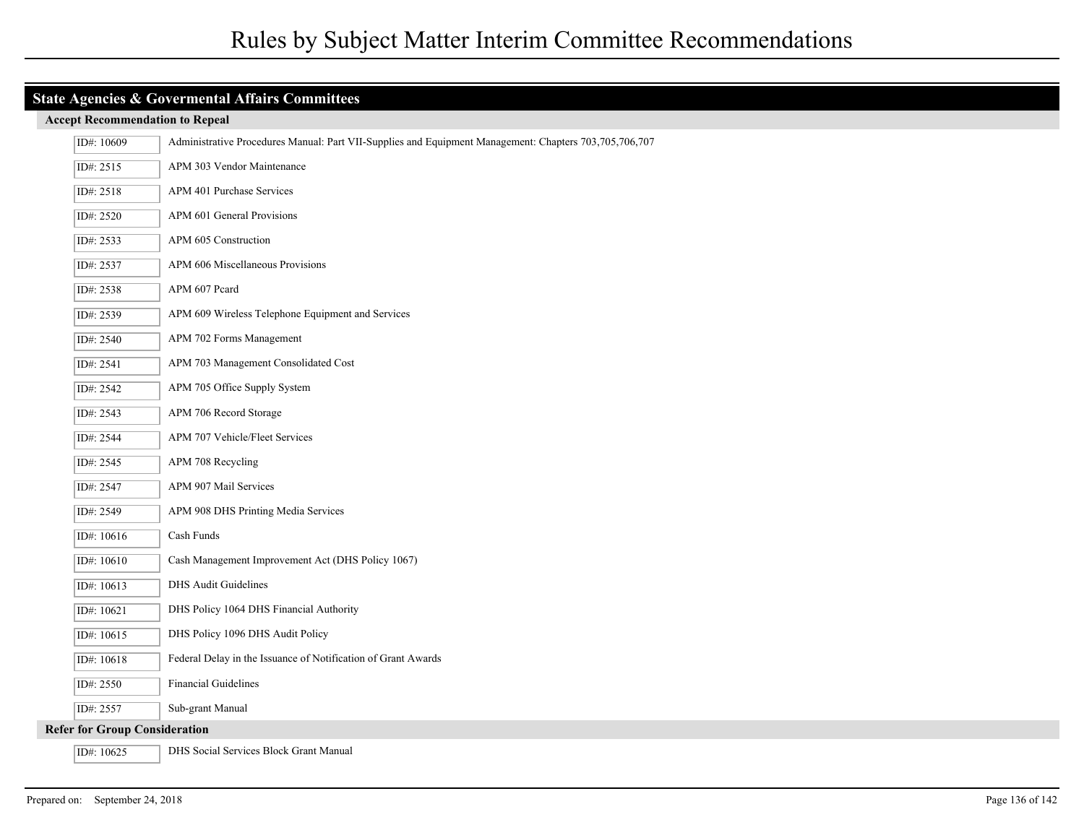## **Accept Recommendation to Repeal**

| ID#: 10609                           | Administrative Procedures Manual: Part VII-Supplies and Equipment Management: Chapters 703,705,706,707 |
|--------------------------------------|--------------------------------------------------------------------------------------------------------|
| ID#: 2515                            | APM 303 Vendor Maintenance                                                                             |
| ID#: 2518                            | APM 401 Purchase Services                                                                              |
| ID#: 2520                            | APM 601 General Provisions                                                                             |
| ID#: 2533                            | APM 605 Construction                                                                                   |
| ID#: 2537                            | APM 606 Miscellaneous Provisions                                                                       |
| ID#: 2538                            | APM 607 Peard                                                                                          |
| ID#: 2539                            | APM 609 Wireless Telephone Equipment and Services                                                      |
| ID#: 2540                            | APM 702 Forms Management                                                                               |
| ID#: 2541                            | APM 703 Management Consolidated Cost                                                                   |
| ID#: 2542                            | APM 705 Office Supply System                                                                           |
| ID#: 2543                            | APM 706 Record Storage                                                                                 |
| ID#: 2544                            | APM 707 Vehicle/Fleet Services                                                                         |
| ID#: 2545                            | APM 708 Recycling                                                                                      |
| ID#: 2547                            | APM 907 Mail Services                                                                                  |
| ID#: 2549                            | APM 908 DHS Printing Media Services                                                                    |
| ID#: 10616                           | Cash Funds                                                                                             |
| ID#: 10610                           | Cash Management Improvement Act (DHS Policy 1067)                                                      |
| ID#: 10613                           | <b>DHS</b> Audit Guidelines                                                                            |
| ID#: 10621                           | DHS Policy 1064 DHS Financial Authority                                                                |
| ID#: 10615                           | DHS Policy 1096 DHS Audit Policy                                                                       |
| ID#: 10618                           | Federal Delay in the Issuance of Notification of Grant Awards                                          |
| ID#: 2550                            | <b>Financial Guidelines</b>                                                                            |
| ID#: 2557                            | Sub-grant Manual                                                                                       |
| <b>Refer for Group Consideration</b> |                                                                                                        |
| ID#: 10625                           | DHS Social Services Block Grant Manual                                                                 |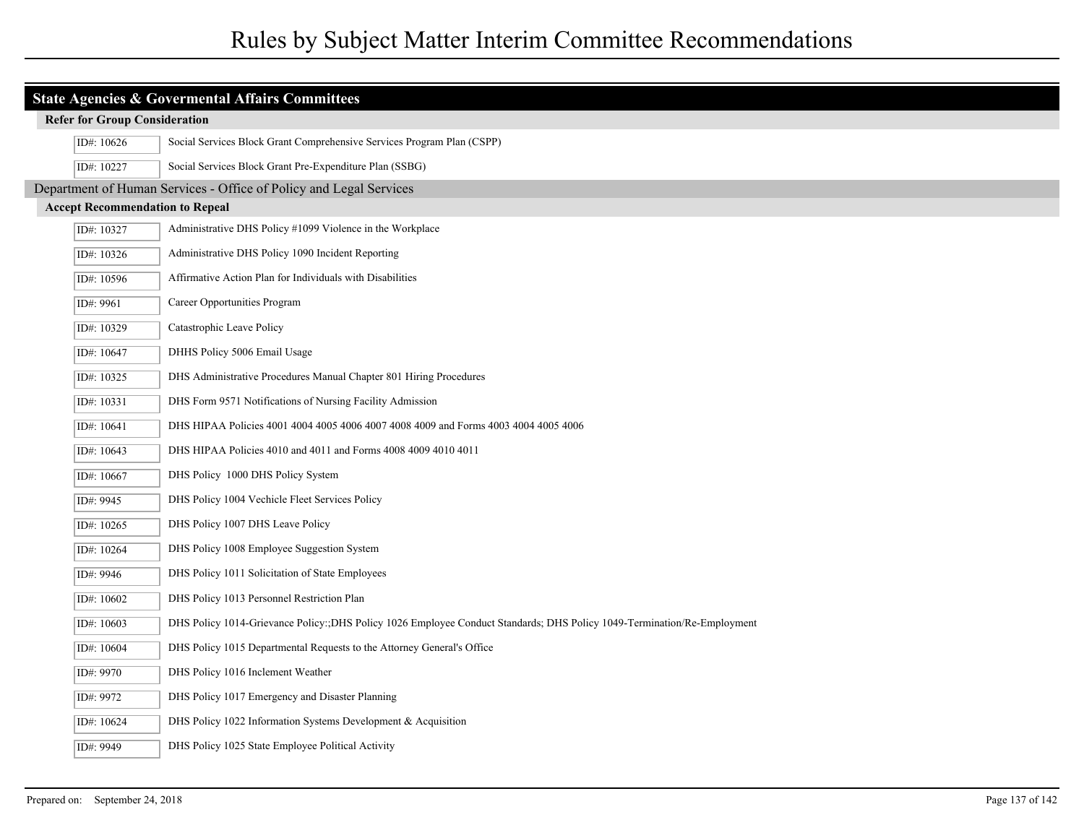# Rules by Subject Matter Interim Committee Recommendations

| <b>State Agencies &amp; Govermental Affairs Committees</b> |                                                                                                                         |  |
|------------------------------------------------------------|-------------------------------------------------------------------------------------------------------------------------|--|
| <b>Refer for Group Consideration</b>                       |                                                                                                                         |  |
| ID#: 10626                                                 | Social Services Block Grant Comprehensive Services Program Plan (CSPP)                                                  |  |
| ID#: 10227                                                 | Social Services Block Grant Pre-Expenditure Plan (SSBG)                                                                 |  |
|                                                            | Department of Human Services - Office of Policy and Legal Services                                                      |  |
| <b>Accept Recommendation to Repeal</b>                     |                                                                                                                         |  |
| ID#: 10327                                                 | Administrative DHS Policy #1099 Violence in the Workplace                                                               |  |
| ID#: 10326                                                 | Administrative DHS Policy 1090 Incident Reporting                                                                       |  |
| ID#: 10596                                                 | Affirmative Action Plan for Individuals with Disabilities                                                               |  |
| ID#: 9961                                                  | Career Opportunities Program                                                                                            |  |
| ID#: 10329                                                 | Catastrophic Leave Policy                                                                                               |  |
| ID#: 10647                                                 | DHHS Policy 5006 Email Usage                                                                                            |  |
| ID#: 10325                                                 | DHS Administrative Procedures Manual Chapter 801 Hiring Procedures                                                      |  |
| ID#: 10331                                                 | DHS Form 9571 Notifications of Nursing Facility Admission                                                               |  |
| ID#: 10641                                                 | DHS HIPAA Policies 4001 4004 4005 4006 4007 4008 4009 and Forms 4003 4004 4005 4006                                     |  |
| ID#: 10643                                                 | DHS HIPAA Policies 4010 and 4011 and Forms 4008 4009 4010 4011                                                          |  |
| ID#: 10667                                                 | DHS Policy 1000 DHS Policy System                                                                                       |  |
| ID#: 9945                                                  | DHS Policy 1004 Vechicle Fleet Services Policy                                                                          |  |
| ID#: 10265                                                 | DHS Policy 1007 DHS Leave Policy                                                                                        |  |
| ID#: 10264                                                 | DHS Policy 1008 Employee Suggestion System                                                                              |  |
| ID#: 9946                                                  | DHS Policy 1011 Solicitation of State Employees                                                                         |  |
| ID#: 10602                                                 | DHS Policy 1013 Personnel Restriction Plan                                                                              |  |
| ID#: 10603                                                 | DHS Policy 1014-Grievance Policy: DHS Policy 1026 Employee Conduct Standards; DHS Policy 1049-Termination/Re-Employment |  |
| ID#: 10604                                                 | DHS Policy 1015 Departmental Requests to the Attorney General's Office                                                  |  |
| ID#: 9970                                                  | DHS Policy 1016 Inclement Weather                                                                                       |  |
| ID#: 9972                                                  | DHS Policy 1017 Emergency and Disaster Planning                                                                         |  |
| ID#: 10624                                                 | DHS Policy 1022 Information Systems Development & Acquisition                                                           |  |
| ID#: 9949                                                  | DHS Policy 1025 State Employee Political Activity                                                                       |  |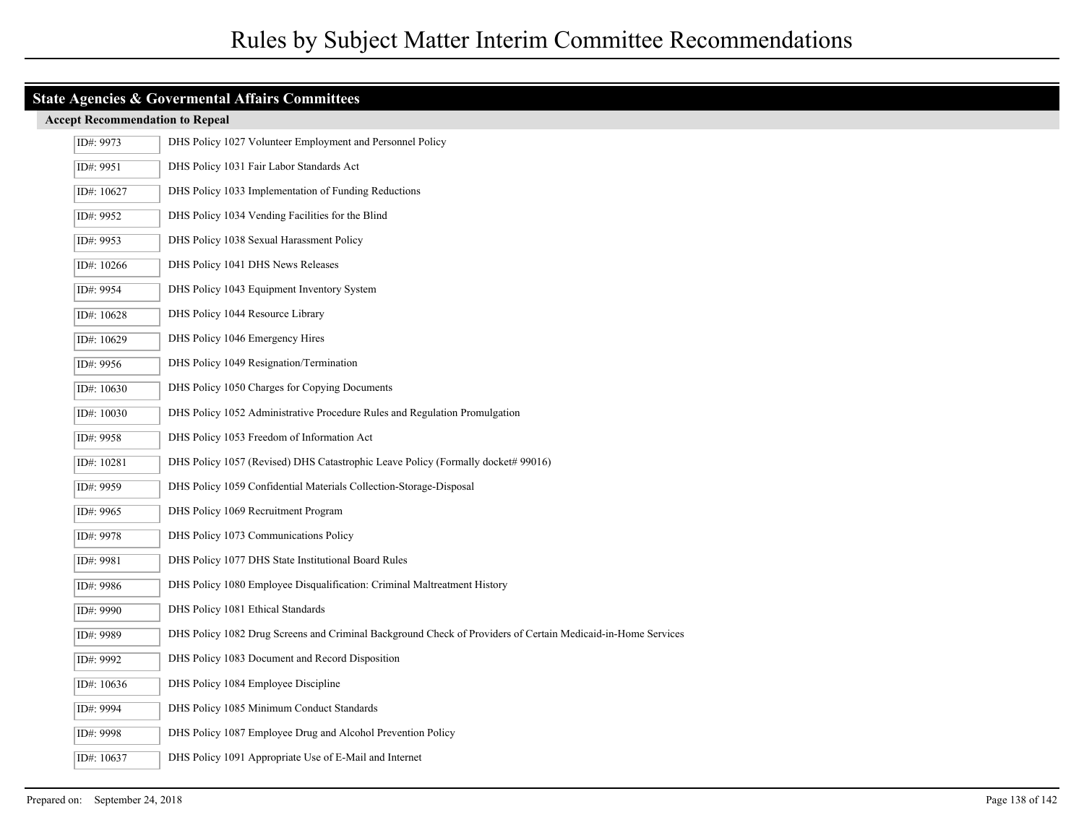### **Accept Recommendation to Repeal**

| ID#: 9973  | DHS Policy 1027 Volunteer Employment and Personnel Policy                                                    |
|------------|--------------------------------------------------------------------------------------------------------------|
| ID#: 9951  | DHS Policy 1031 Fair Labor Standards Act                                                                     |
| ID#: 10627 | DHS Policy 1033 Implementation of Funding Reductions                                                         |
| ID#: 9952  | DHS Policy 1034 Vending Facilities for the Blind                                                             |
| ID#: 9953  | DHS Policy 1038 Sexual Harassment Policy                                                                     |
| ID#: 10266 | DHS Policy 1041 DHS News Releases                                                                            |
| ID#: 9954  | DHS Policy 1043 Equipment Inventory System                                                                   |
| ID#: 10628 | DHS Policy 1044 Resource Library                                                                             |
| ID#: 10629 | DHS Policy 1046 Emergency Hires                                                                              |
| ID#: 9956  | DHS Policy 1049 Resignation/Termination                                                                      |
| ID#: 10630 | DHS Policy 1050 Charges for Copying Documents                                                                |
| ID#: 10030 | DHS Policy 1052 Administrative Procedure Rules and Regulation Promulgation                                   |
| ID#: 9958  | DHS Policy 1053 Freedom of Information Act                                                                   |
| ID#: 10281 | DHS Policy 1057 (Revised) DHS Catastrophic Leave Policy (Formally docket# 99016)                             |
| ID#: 9959  | DHS Policy 1059 Confidential Materials Collection-Storage-Disposal                                           |
| ID#: 9965  | DHS Policy 1069 Recruitment Program                                                                          |
| ID#: 9978  | DHS Policy 1073 Communications Policy                                                                        |
| ID#: 9981  | DHS Policy 1077 DHS State Institutional Board Rules                                                          |
| ID#: 9986  | DHS Policy 1080 Employee Disqualification: Criminal Maltreatment History                                     |
| ID#: 9990  | DHS Policy 1081 Ethical Standards                                                                            |
| ID#: 9989  | DHS Policy 1082 Drug Screens and Criminal Background Check of Providers of Certain Medicaid-in-Home Services |
| ID#: 9992  | DHS Policy 1083 Document and Record Disposition                                                              |
| ID#: 10636 | DHS Policy 1084 Employee Discipline                                                                          |
| ID#: 9994  | DHS Policy 1085 Minimum Conduct Standards                                                                    |
| ID#: 9998  | DHS Policy 1087 Employee Drug and Alcohol Prevention Policy                                                  |
| ID#: 10637 | DHS Policy 1091 Appropriate Use of E-Mail and Internet                                                       |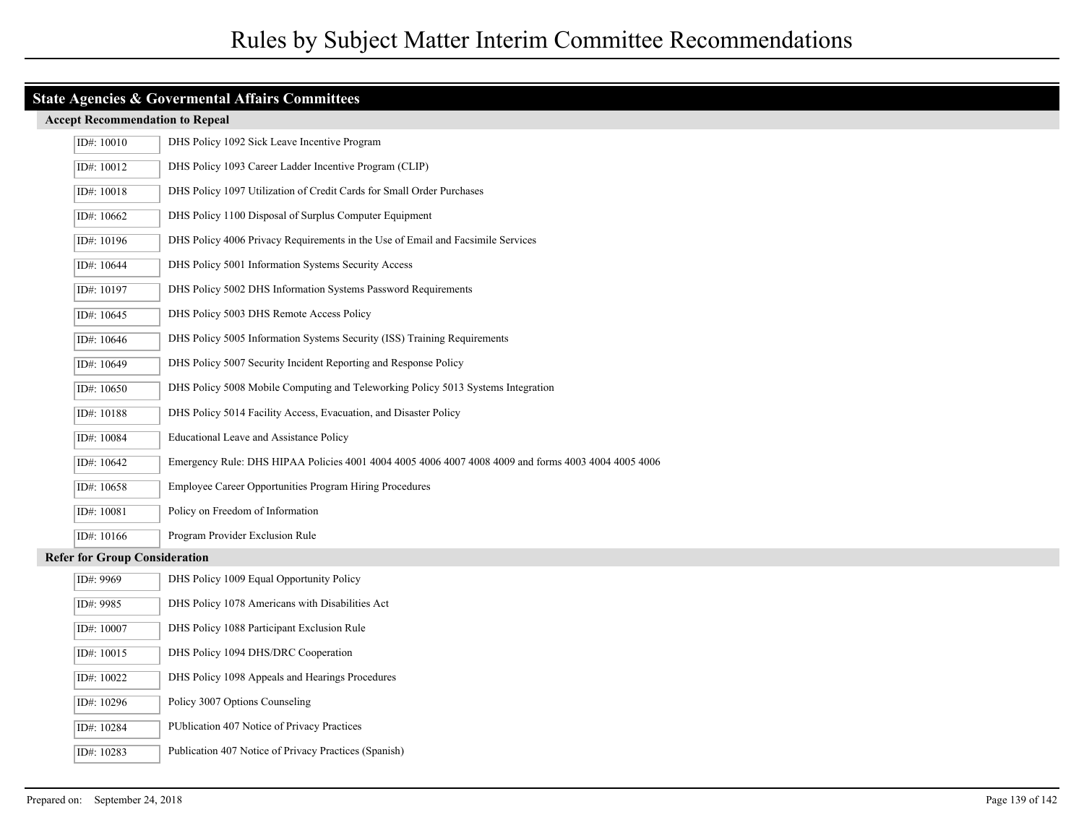#### **Accept Recommendation to Repeal**

| ID#: 10010                           | DHS Policy 1092 Sick Leave Incentive Program                                                        |
|--------------------------------------|-----------------------------------------------------------------------------------------------------|
| ID#: 10012                           | DHS Policy 1093 Career Ladder Incentive Program (CLIP)                                              |
| ID#: 10018                           | DHS Policy 1097 Utilization of Credit Cards for Small Order Purchases                               |
| ID#: 10662                           | DHS Policy 1100 Disposal of Surplus Computer Equipment                                              |
| ID#: 10196                           | DHS Policy 4006 Privacy Requirements in the Use of Email and Facsimile Services                     |
| ID#: 10644                           | DHS Policy 5001 Information Systems Security Access                                                 |
| ID#: 10197                           | DHS Policy 5002 DHS Information Systems Password Requirements                                       |
| ID#: 10645                           | DHS Policy 5003 DHS Remote Access Policy                                                            |
| ID#: 10646                           | DHS Policy 5005 Information Systems Security (ISS) Training Requirements                            |
| ID#: 10649                           | DHS Policy 5007 Security Incident Reporting and Response Policy                                     |
| ID#: 10650                           | DHS Policy 5008 Mobile Computing and Teleworking Policy 5013 Systems Integration                    |
| ID#: 10188                           | DHS Policy 5014 Facility Access, Evacuation, and Disaster Policy                                    |
| ID#: 10084                           | <b>Educational Leave and Assistance Policy</b>                                                      |
| ID#: 10642                           | Emergency Rule: DHS HIPAA Policies 4001 4004 4005 4006 4007 4008 4009 and forms 4003 4004 4005 4006 |
| ID#: 10658                           | Employee Career Opportunities Program Hiring Procedures                                             |
| ID#: 10081                           | Policy on Freedom of Information                                                                    |
| ID#: 10166                           | Program Provider Exclusion Rule                                                                     |
| <b>Refer for Group Consideration</b> |                                                                                                     |
| ID#: 9969                            | DHS Policy 1009 Equal Opportunity Policy                                                            |
| ID#: 9985                            | DHS Policy 1078 Americans with Disabilities Act                                                     |
| ID#: 10007                           | DHS Policy 1088 Participant Exclusion Rule                                                          |
| ID#: 10015                           | DHS Policy 1094 DHS/DRC Cooperation                                                                 |

ID#: 10022 DHS Policy 1098 Appeals and Hearings Procedures ID#: 10296 Policy 3007 Options Counseling

ID#: 10284 PUblication 407 Notice of Privacy Practices

ID#: 10283 Publication 407 Notice of Privacy Practices (Spanish)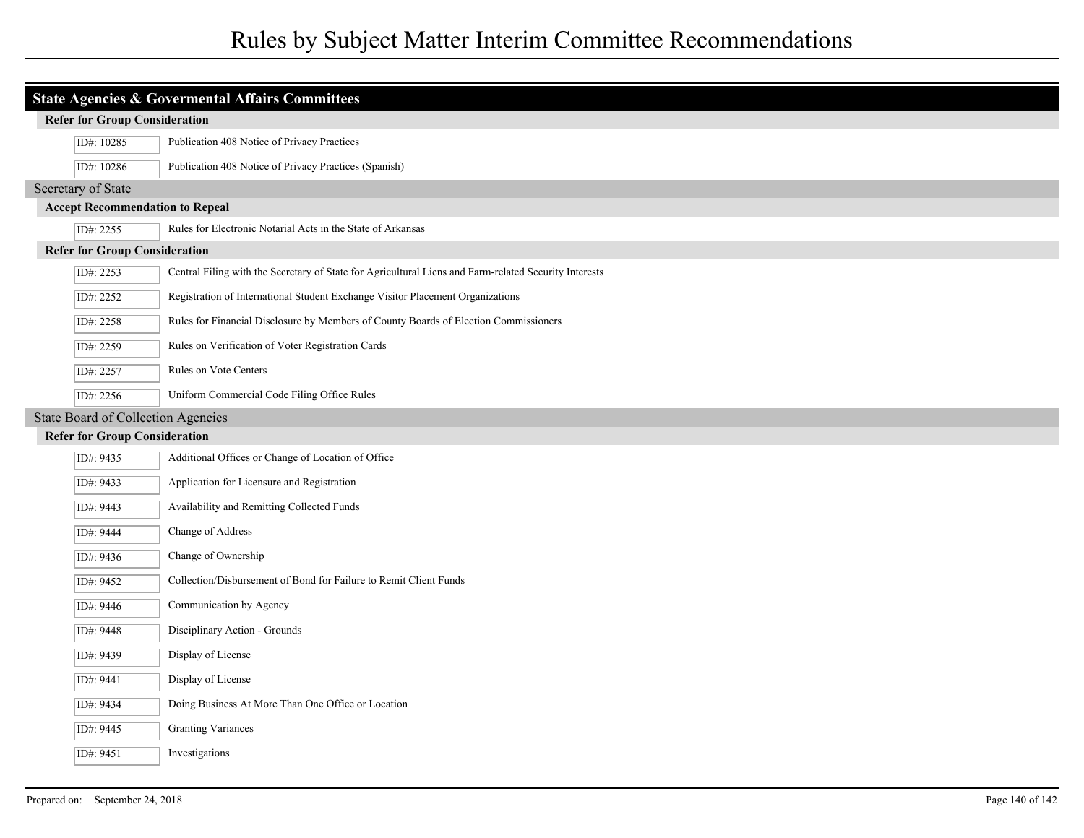# Rules by Subject Matter Interim Committee Recommendations

| <b>Refer for Group Consideration</b>      | <b>State Agencies &amp; Govermental Affairs Committees</b>                                            |
|-------------------------------------------|-------------------------------------------------------------------------------------------------------|
| ID#: 10285                                | Publication 408 Notice of Privacy Practices                                                           |
|                                           | Publication 408 Notice of Privacy Practices (Spanish)                                                 |
| ID#: 10286                                |                                                                                                       |
| Secretary of State                        | <b>Accept Recommendation to Repeal</b>                                                                |
| ID#: 2255                                 | Rules for Electronic Notarial Acts in the State of Arkansas                                           |
| <b>Refer for Group Consideration</b>      |                                                                                                       |
| ID#: 2253                                 | Central Filing with the Secretary of State for Agricultural Liens and Farm-related Security Interests |
| ID#: 2252                                 | Registration of International Student Exchange Visitor Placement Organizations                        |
| ID#: 2258                                 | Rules for Financial Disclosure by Members of County Boards of Election Commissioners                  |
| ID#: 2259                                 | Rules on Verification of Voter Registration Cards                                                     |
| ID#: 2257                                 | Rules on Vote Centers                                                                                 |
| ID#: 2256                                 | Uniform Commercial Code Filing Office Rules                                                           |
| <b>State Board of Collection Agencies</b> |                                                                                                       |
| <b>Refer for Group Consideration</b>      |                                                                                                       |
| ID#: 9435                                 | Additional Offices or Change of Location of Office                                                    |
| ID#: 9433                                 | Application for Licensure and Registration                                                            |
| ID#: 9443                                 | Availability and Remitting Collected Funds                                                            |
| ID#: 9444                                 | Change of Address                                                                                     |
| ID#: 9436                                 | Change of Ownership                                                                                   |
| ID#: 9452                                 | Collection/Disbursement of Bond for Failure to Remit Client Funds                                     |
| ID#: 9446                                 | Communication by Agency                                                                               |
| ID#: 9448                                 | Disciplinary Action - Grounds                                                                         |
| ID#: 9439                                 | Display of License                                                                                    |
| ID#: 9441                                 | Display of License                                                                                    |
| ID#: 9434                                 | Doing Business At More Than One Office or Location                                                    |
| ID#: 9445                                 | <b>Granting Variances</b>                                                                             |
| ID#: 9451                                 | Investigations                                                                                        |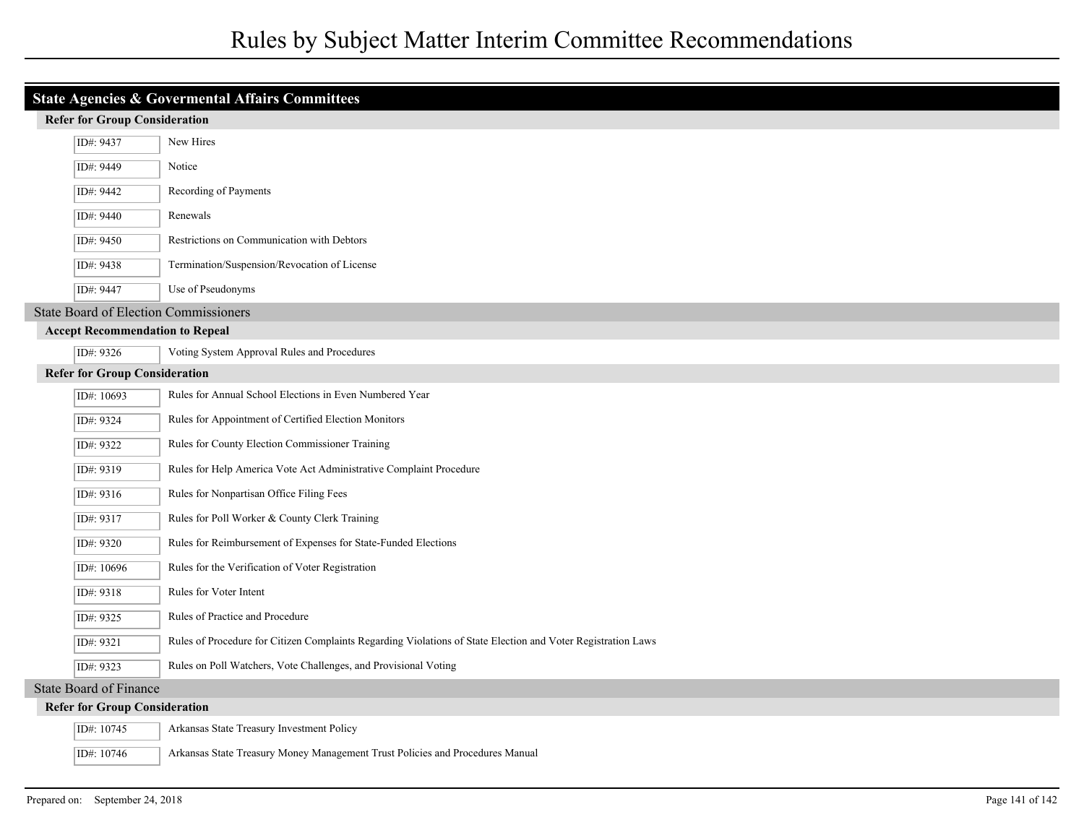| <b>State Agencies &amp; Govermental Affairs Committees</b> |                                      |                                                                                                              |
|------------------------------------------------------------|--------------------------------------|--------------------------------------------------------------------------------------------------------------|
|                                                            | <b>Refer for Group Consideration</b> |                                                                                                              |
|                                                            | ID#: 9437                            | New Hires                                                                                                    |
|                                                            | ID#: 9449                            | Notice                                                                                                       |
|                                                            | ID#: 9442                            | Recording of Payments                                                                                        |
|                                                            | ID#: 9440                            | Renewals                                                                                                     |
|                                                            | ID#: 9450                            | Restrictions on Communication with Debtors                                                                   |
|                                                            | ID#: 9438                            | Termination/Suspension/Revocation of License                                                                 |
|                                                            | ID#: 9447                            | Use of Pseudonyms                                                                                            |
|                                                            |                                      | <b>State Board of Election Commissioners</b>                                                                 |
| <b>Accept Recommendation to Repeal</b>                     |                                      |                                                                                                              |
|                                                            | ID#: 9326                            | Voting System Approval Rules and Procedures                                                                  |
|                                                            | <b>Refer for Group Consideration</b> |                                                                                                              |
|                                                            | ID#: 10693                           | Rules for Annual School Elections in Even Numbered Year                                                      |
|                                                            | ID#: 9324                            | Rules for Appointment of Certified Election Monitors                                                         |
|                                                            | ID#: 9322                            | Rules for County Election Commissioner Training                                                              |
|                                                            | ID#: 9319                            | Rules for Help America Vote Act Administrative Complaint Procedure                                           |
|                                                            | ID#: 9316                            | Rules for Nonpartisan Office Filing Fees                                                                     |
|                                                            | ID#: 9317                            | Rules for Poll Worker & County Clerk Training                                                                |
|                                                            | ID#: 9320                            | Rules for Reimbursement of Expenses for State-Funded Elections                                               |
|                                                            | ID#: 10696                           | Rules for the Verification of Voter Registration                                                             |
|                                                            | ID#: 9318                            | Rules for Voter Intent                                                                                       |
|                                                            | ID#: 9325                            | Rules of Practice and Procedure                                                                              |
|                                                            | ID#: 9321                            | Rules of Procedure for Citizen Complaints Regarding Violations of State Election and Voter Registration Laws |
|                                                            | ID#: 9323                            | Rules on Poll Watchers, Vote Challenges, and Provisional Voting                                              |
|                                                            | <b>State Board of Finance</b>        |                                                                                                              |
|                                                            | <b>Refer for Group Consideration</b> |                                                                                                              |
|                                                            | ID#: 10745                           | Arkansas State Treasury Investment Policy                                                                    |
|                                                            | ID#: 10746                           | Arkansas State Treasury Money Management Trust Policies and Procedures Manual                                |